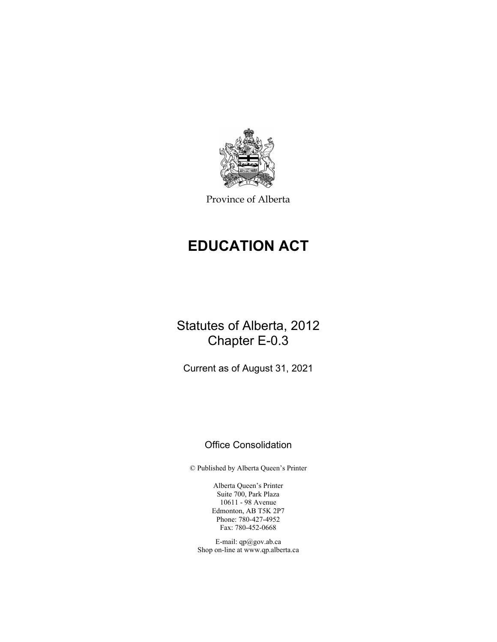

Province of Alberta

# **EDUCATION ACT**

## Statutes of Alberta, 2012 Chapter E-0.3

Current as of August 31, 2021

### Office Consolidation

© Published by Alberta Queen's Printer

Alberta Queen's Printer Suite 700, Park Plaza 10611 - 98 Avenue Edmonton, AB T5K 2P7 Phone: 780-427-4952 Fax: 780-452-0668

E-mail: qp@gov.ab.ca Shop on-line at www.qp.alberta.ca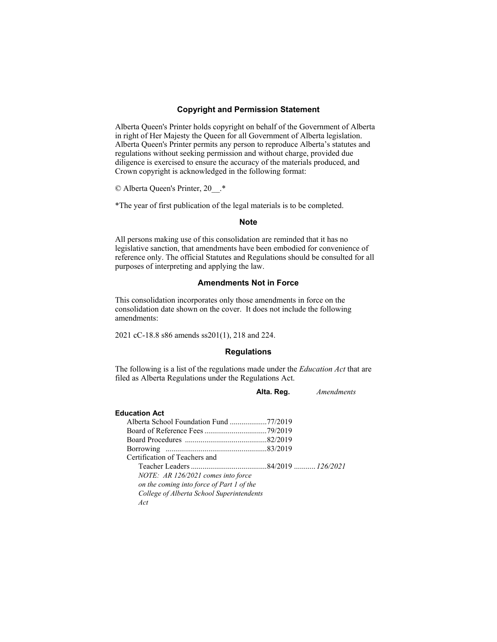### **Copyright and Permission Statement**

Alberta Queen's Printer holds copyright on behalf of the Government of Alberta in right of Her Majesty the Queen for all Government of Alberta legislation. Alberta Queen's Printer permits any person to reproduce Alberta's statutes and regulations without seeking permission and without charge, provided due diligence is exercised to ensure the accuracy of the materials produced, and Crown copyright is acknowledged in the following format:

© Alberta Queen's Printer, 20\_\_.\*

\*The year of first publication of the legal materials is to be completed.

### **Note**

All persons making use of this consolidation are reminded that it has no legislative sanction, that amendments have been embodied for convenience of reference only. The official Statutes and Regulations should be consulted for all purposes of interpreting and applying the law.

### **Amendments Not in Force**

This consolidation incorporates only those amendments in force on the consolidation date shown on the cover. It does not include the following amendments:

2021 cC-18.8 s86 amends ss201(1), 218 and 224.

### **Regulations**

The following is a list of the regulations made under the *Education Act* that are filed as Alberta Regulations under the Regulations Act.

**Alta. Reg.** *Amendments* 

#### **Education Act**

| Alberta School Foundation Fund 77/2019    |  |
|-------------------------------------------|--|
|                                           |  |
|                                           |  |
|                                           |  |
| Certification of Teachers and             |  |
|                                           |  |
| NOTE: AR 126/2021 comes into force        |  |
| on the coming into force of Part 1 of the |  |
| College of Alberta School Superintendents |  |
| Act                                       |  |
|                                           |  |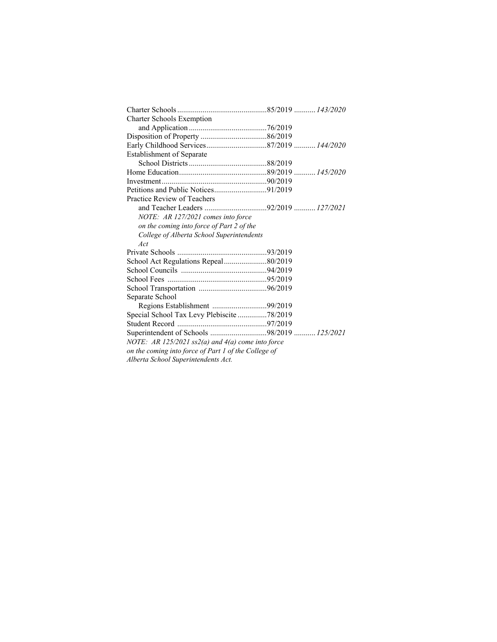| <b>Charter Schools Exemption</b>                     |  |  |  |  |
|------------------------------------------------------|--|--|--|--|
|                                                      |  |  |  |  |
|                                                      |  |  |  |  |
|                                                      |  |  |  |  |
| <b>Establishment of Separate</b>                     |  |  |  |  |
|                                                      |  |  |  |  |
|                                                      |  |  |  |  |
|                                                      |  |  |  |  |
|                                                      |  |  |  |  |
| Practice Review of Teachers                          |  |  |  |  |
| and Teacher Leaders 92/2019  127/2021                |  |  |  |  |
| NOTE: AR 127/2021 comes into force                   |  |  |  |  |
| on the coming into force of Part 2 of the            |  |  |  |  |
| College of Alberta School Superintendents            |  |  |  |  |
| Act                                                  |  |  |  |  |
|                                                      |  |  |  |  |
| School Act Regulations Repeal80/2019                 |  |  |  |  |
|                                                      |  |  |  |  |
|                                                      |  |  |  |  |
|                                                      |  |  |  |  |
| Separate School                                      |  |  |  |  |
| Regions Establishment 99/2019                        |  |  |  |  |
| Special School Tax Levy Plebiscite 78/2019           |  |  |  |  |
|                                                      |  |  |  |  |
| Superintendent of Schools 98/2019  125/2021          |  |  |  |  |
| NOTE: AR 125/2021 ss2(a) and $4(a)$ come into force  |  |  |  |  |
| on the coming into force of Part 1 of the College of |  |  |  |  |
| Alberta School Superintendents Act.                  |  |  |  |  |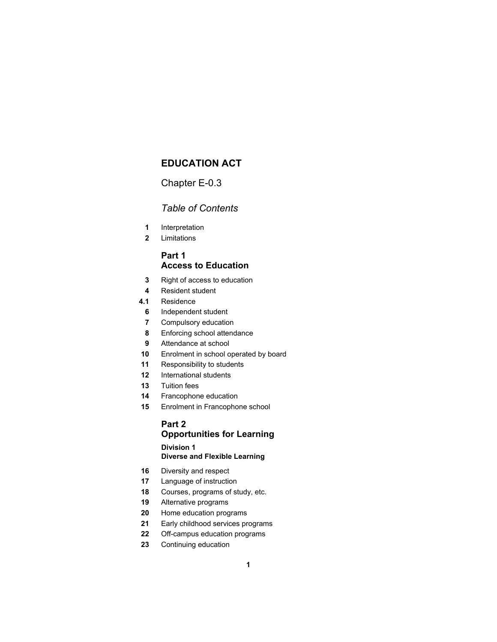### **EDUCATION ACT**

### Chapter E-0.3

### *Table of Contents*

- Interpretation
- Limitations

### **Part 1 Access to Education**

- Right of access to education
- Resident student
- **4.1** Residence
	- Independent student
	- Compulsory education
	- Enforcing school attendance
	- Attendance at school
- Enrolment in school operated by board
- Responsibility to students
- International students
- Tuition fees
- Francophone education
- Enrolment in Francophone school

### **Part 2 Opportunities for Learning Division 1**

### **Diverse and Flexible Learning**

- Diversity and respect
- Language of instruction
- Courses, programs of study, etc.
- Alternative programs
- Home education programs
- Early childhood services programs
- Off-campus education programs
- Continuing education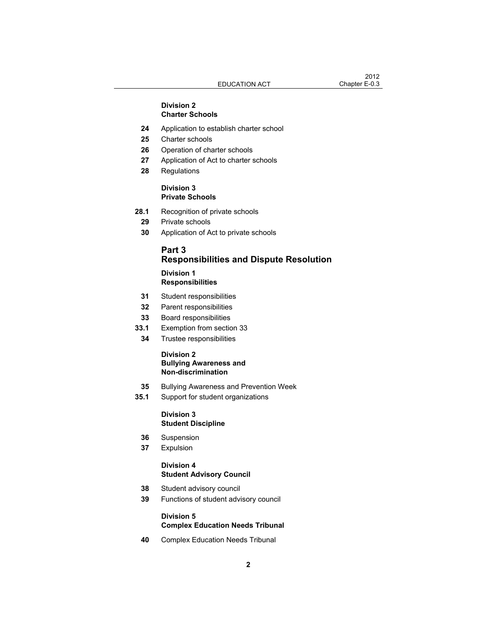### **Division 2 Charter Schools**

- **24** Application to establish charter school
- **25** Charter schools
- **26** Operation of charter schools
- **27** Application of Act to charter schools
- **28** Regulations

### **Division 3 Private Schools**

- **28.1** Recognition of private schools
- **29** Private schools
- **30** Application of Act to private schools

### **Part 3 Responsibilities and Dispute Resolution**

### **Division 1**

### **Responsibilities**

- **31** Student responsibilities
- **32** Parent responsibilities
- **33** Board responsibilities
- **33.1** Exemption from section 33
- **34** Trustee responsibilities

### **Division 2 Bullying Awareness and Non-discrimination**

- **35** Bullying Awareness and Prevention Week
- **35.1** Support for student organizations

### **Division 3 Student Discipline**

- **36** Suspension
- **37** Expulsion

### **Division 4 Student Advisory Council**

- **38** Student advisory council
- **39** Functions of student advisory council

### **Division 5 Complex Education Needs Tribunal**

 **40** Complex Education Needs Tribunal

 $2012$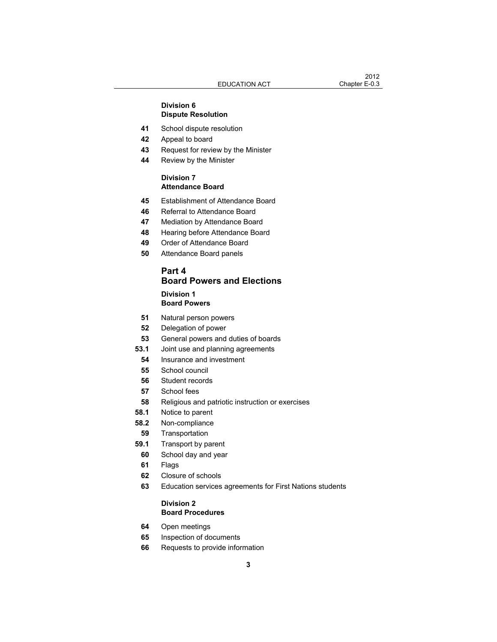### **Division 6 Dispute Resolution**

### School dispute resolution

- Appeal to board
- Request for review by the Minister
- Review by the Minister

### **Division 7 Attendance Board**

- Establishment of Attendance Board
- Referral to Attendance Board
- Mediation by Attendance Board
- Hearing before Attendance Board
- Order of Attendance Board
- Attendance Board panels

### **Part 4 Board Powers and Elections Division 1 Board Powers**

- Natural person powers
- Delegation of power
- General powers and duties of boards
- **53.1** Joint use and planning agreements
- Insurance and investment
- School council
- Student records
- School fees
- Religious and patriotic instruction or exercises
- **58.1** Notice to parent
- **58.2** Non-compliance
- Transportation
- **59.1** Transport by parent
- School day and year
- Flags
- Closure of schools
- Education services agreements for First Nations students

### **Division 2 Board Procedures**

- Open meetings
- Inspection of documents
- Requests to provide information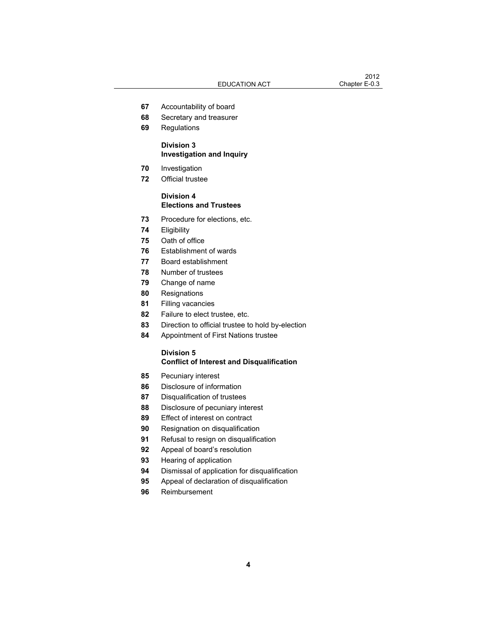- Accountability of board
- Secretary and treasurer
- Regulations

### **Division 3 Investigation and Inquiry**

- Investigation
- Official trustee

### **Division 4 Elections and Trustees**

- Procedure for elections, etc.
- Eligibility
- Oath of office
- Establishment of wards
- Board establishment
- Number of trustees
- Change of name
- Resignations
- Filling vacancies
- Failure to elect trustee, etc.
- Direction to official trustee to hold by-election
- Appointment of First Nations trustee

### **Division 5 Conflict of Interest and Disqualification**

- Pecuniary interest
- Disclosure of information
- Disqualification of trustees
- Disclosure of pecuniary interest
- Effect of interest on contract
- Resignation on disqualification
- Refusal to resign on disqualification
- Appeal of board's resolution
- Hearing of application
- Dismissal of application for disqualification
- Appeal of declaration of disqualification
- Reimbursement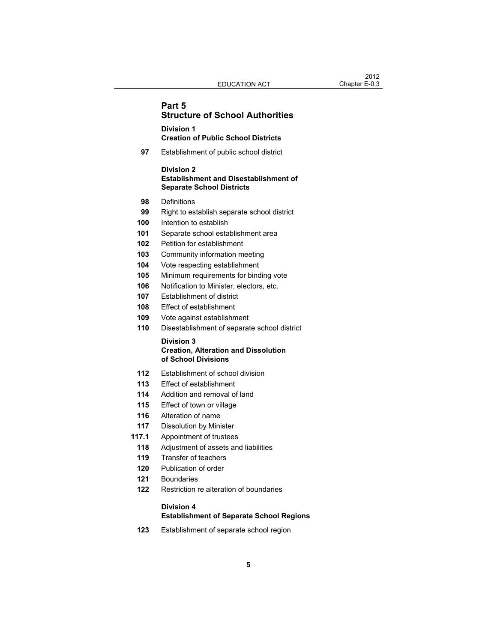### **Part 5 Structure of School Authorities**

### **Division 1 Creation of Public School Districts**

Establishment of public school district

### **Division 2 Establishment and Disestablishment of Separate School Districts**

- Definitions
- Right to establish separate school district
- Intention to establish
- Separate school establishment area
- Petition for establishment
- Community information meeting
- Vote respecting establishment
- Minimum requirements for binding vote
- Notification to Minister, electors, etc.
- Establishment of district
- Effect of establishment
- Vote against establishment
- Disestablishment of separate school district

### **Division 3 Creation, Alteration and Dissolution of School Divisions**

- Establishment of school division
- Effect of establishment
- Addition and removal of land
- Effect of town or village
- Alteration of name
- Dissolution by Minister
- **117.1** Appointment of trustees
- Adjustment of assets and liabilities
- Transfer of teachers
- Publication of order
- Boundaries
- Restriction re alteration of boundaries

### **Division 4 Establishment of Separate School Regions**

Establishment of separate school region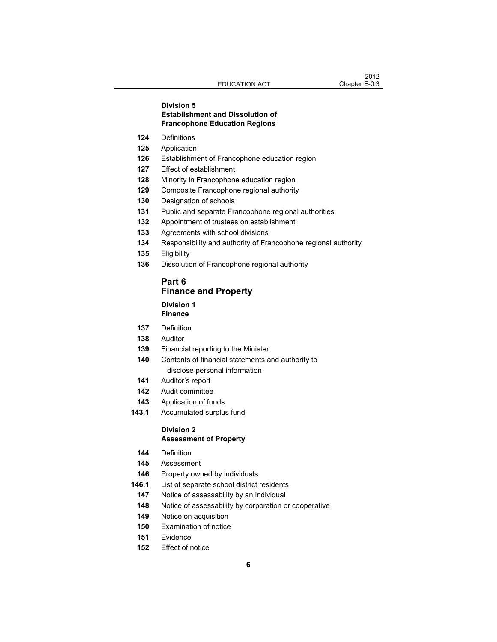### **Division 5 Establishment and Dissolution of Francophone Education Regions**

- Definitions
- Application
- Establishment of Francophone education region
- Effect of establishment
- Minority in Francophone education region
- Composite Francophone regional authority
- Designation of schools
- Public and separate Francophone regional authorities
- Appointment of trustees on establishment
- Agreements with school divisions
- Responsibility and authority of Francophone regional authority
- Eligibility
- Dissolution of Francophone regional authority

### **Part 6 Finance and Property**

#### **Division 1 Finance**

- Definition
- Auditor
- Financial reporting to the Minister
- Contents of financial statements and authority to disclose personal information
- Auditor's report
- Audit committee
- Application of funds
- **143.1** Accumulated surplus fund

## **Division 2**

### **Assessment of Property**

- Definition
- Assessment
- Property owned by individuals
- **146.1** List of separate school district residents
	- Notice of assessability by an individual
	- Notice of assessability by corporation or cooperative
- Notice on acquisition
- Examination of notice
- Evidence
- Effect of notice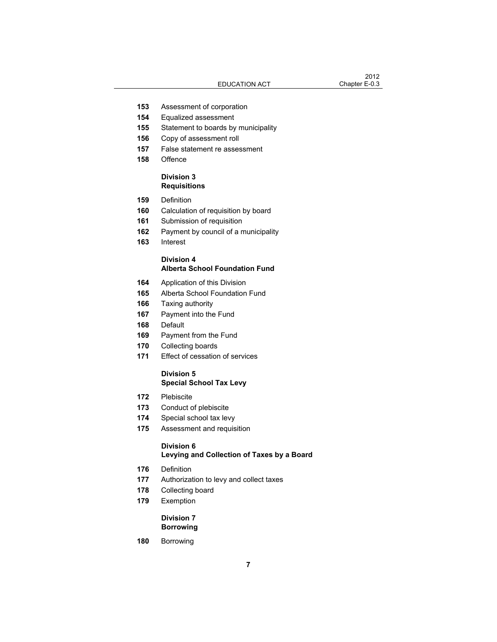- Assessment of corporation
- Equalized assessment
- Statement to boards by municipality
- Copy of assessment roll
- False statement re assessment
- Offence

### **Division 3 Requisitions**

- Definition
- Calculation of requisition by board
- Submission of requisition
- Payment by council of a municipality
- Interest

### **Division 4 Alberta School Foundation Fund**

- Application of this Division
- Alberta School Foundation Fund
- Taxing authority
- Payment into the Fund
- Default
- Payment from the Fund
- Collecting boards
- Effect of cessation of services

### **Division 5 Special School Tax Levy**

- Plebiscite
- Conduct of plebiscite
- Special school tax levy
- Assessment and requisition

### **Division 6**

### **Levying and Collection of Taxes by a Board**

- Definition
- Authorization to levy and collect taxes
- Collecting board
- Exemption

### **Division 7 Borrowing**

Borrowing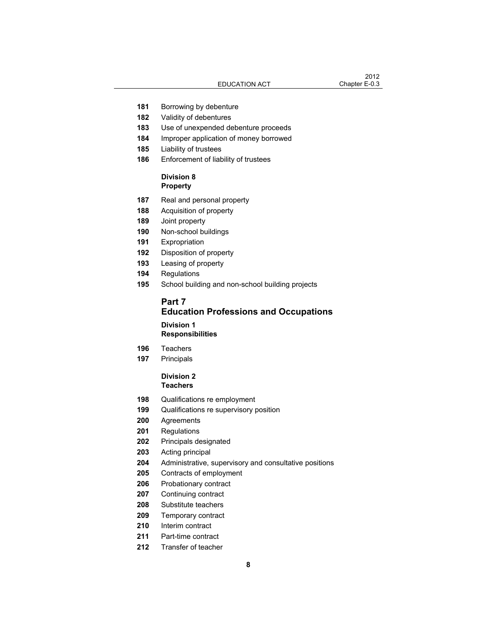- Borrowing by debenture
- Validity of debentures
- Use of unexpended debenture proceeds
- Improper application of money borrowed
- Liability of trustees
- Enforcement of liability of trustees

### **Division 8 Property**

- Real and personal property
- Acquisition of property
- Joint property
- Non-school buildings
- Expropriation
- Disposition of property
- Leasing of property
- Regulations
- School building and non-school building projects

### **Part 7 Education Professions and Occupations Division 1 Responsibilities**

- Teachers
- Principals

### **Division 2 Teachers**

- Qualifications re employment
- Qualifications re supervisory position
- Agreements
- Regulations
- Principals designated
- Acting principal
- Administrative, supervisory and consultative positions
- Contracts of employment
- Probationary contract
- Continuing contract
- Substitute teachers
- Temporary contract
- Interim contract
- Part-time contract
- Transfer of teacher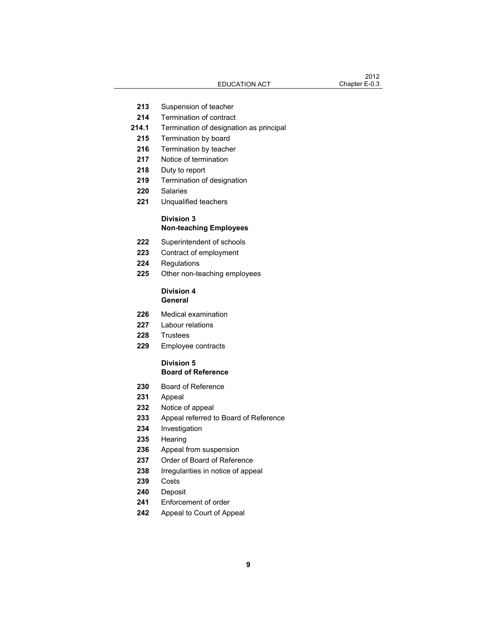- Suspension of teacher
- Termination of contract
- **214.1** Termination of designation as principal
- Termination by board
- Termination by teacher
- Notice of termination
- Duty to report
- Termination of designation
- Salaries
- Unqualified teachers

### **Division 3 Non-teaching Employees**

- Superintendent of schools
- Contract of employment
- Regulations
- Other non-teaching employees

### **Division 4 General**

- Medical examination
- Labour relations
- Trustees
- Employee contracts

#### **Division 5 Board of Reference**

- Board of Reference
- Appeal
- Notice of appeal
- Appeal referred to Board of Reference
- Investigation
- Hearing
- Appeal from suspension
- Order of Board of Reference
- Irregularities in notice of appeal
- Costs
- Deposit
- Enforcement of order
- Appeal to Court of Appeal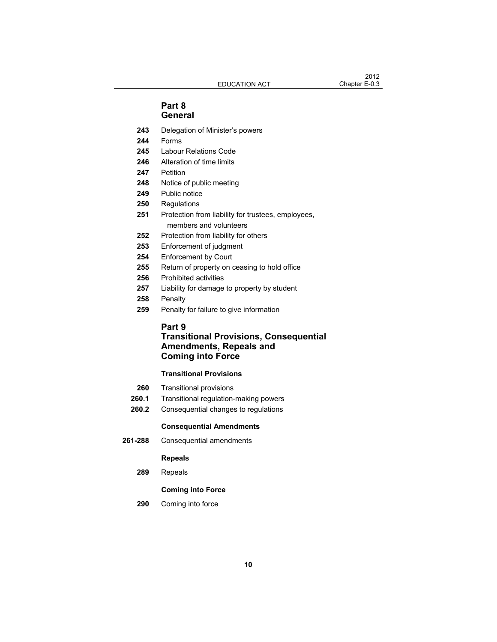### **Part 8 General**

- **243** Delegation of Minister's powers
- **244** Forms
- **245** Labour Relations Code
- **246** Alteration of time limits
- **247** Petition
- **248** Notice of public meeting
- **249** Public notice
- **250** Regulations
- **251** Protection from liability for trustees, employees, members and volunteers
- **252** Protection from liability for others
- **253** Enforcement of judgment
- **254** Enforcement by Court
- **255** Return of property on ceasing to hold office
- **256** Prohibited activities
- **257** Liability for damage to property by student
- **258** Penalty
- **259** Penalty for failure to give information

### **Part 9**

### **Transitional Provisions, Consequential Amendments, Repeals and Coming into Force**

### **Transitional Provisions**

- **260** Transitional provisions
- **260.1** Transitional regulation-making powers
- **260.2** Consequential changes to regulations

#### **Consequential Amendments**

 **261-288** Consequential amendments

#### **Repeals**

 **289** Repeals

### **Coming into Force**

 **290** Coming into force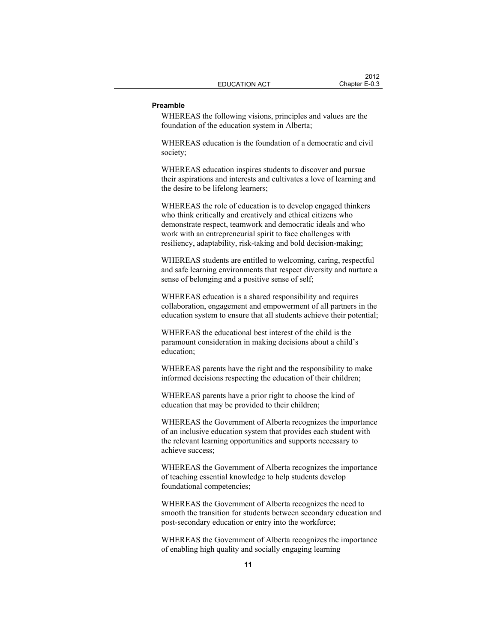#### **Preamble**

WHEREAS the following visions, principles and values are the foundation of the education system in Alberta;

WHEREAS education is the foundation of a democratic and civil society;

WHEREAS education inspires students to discover and pursue their aspirations and interests and cultivates a love of learning and the desire to be lifelong learners;

WHEREAS the role of education is to develop engaged thinkers who think critically and creatively and ethical citizens who demonstrate respect, teamwork and democratic ideals and who work with an entrepreneurial spirit to face challenges with resiliency, adaptability, risk-taking and bold decision-making;

WHEREAS students are entitled to welcoming, caring, respectful and safe learning environments that respect diversity and nurture a sense of belonging and a positive sense of self;

WHEREAS education is a shared responsibility and requires collaboration, engagement and empowerment of all partners in the education system to ensure that all students achieve their potential;

WHEREAS the educational best interest of the child is the paramount consideration in making decisions about a child's education;

WHEREAS parents have the right and the responsibility to make informed decisions respecting the education of their children;

WHEREAS parents have a prior right to choose the kind of education that may be provided to their children;

WHEREAS the Government of Alberta recognizes the importance of an inclusive education system that provides each student with the relevant learning opportunities and supports necessary to achieve success;

WHEREAS the Government of Alberta recognizes the importance of teaching essential knowledge to help students develop foundational competencies;

WHEREAS the Government of Alberta recognizes the need to smooth the transition for students between secondary education and post-secondary education or entry into the workforce;

WHEREAS the Government of Alberta recognizes the importance of enabling high quality and socially engaging learning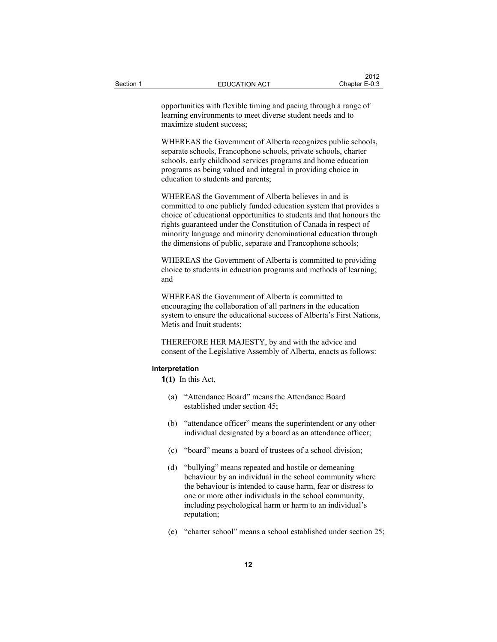opportunities with flexible timing and pacing through a range of learning environments to meet diverse student needs and to maximize student success;

WHEREAS the Government of Alberta recognizes public schools, separate schools, Francophone schools, private schools, charter schools, early childhood services programs and home education programs as being valued and integral in providing choice in education to students and parents;

WHEREAS the Government of Alberta believes in and is committed to one publicly funded education system that provides a choice of educational opportunities to students and that honours the rights guaranteed under the Constitution of Canada in respect of minority language and minority denominational education through the dimensions of public, separate and Francophone schools;

WHEREAS the Government of Alberta is committed to providing choice to students in education programs and methods of learning; and

WHEREAS the Government of Alberta is committed to encouraging the collaboration of all partners in the education system to ensure the educational success of Alberta's First Nations, Metis and Inuit students;

THEREFORE HER MAJESTY, by and with the advice and consent of the Legislative Assembly of Alberta, enacts as follows:

#### **Interpretation**

**1(1)** In this Act,

- (a) "Attendance Board" means the Attendance Board established under section 45;
- (b) "attendance officer" means the superintendent or any other individual designated by a board as an attendance officer;
- (c) "board" means a board of trustees of a school division;
- (d) "bullying" means repeated and hostile or demeaning behaviour by an individual in the school community where the behaviour is intended to cause harm, fear or distress to one or more other individuals in the school community, including psychological harm or harm to an individual's reputation;
- (e) "charter school" means a school established under section 25;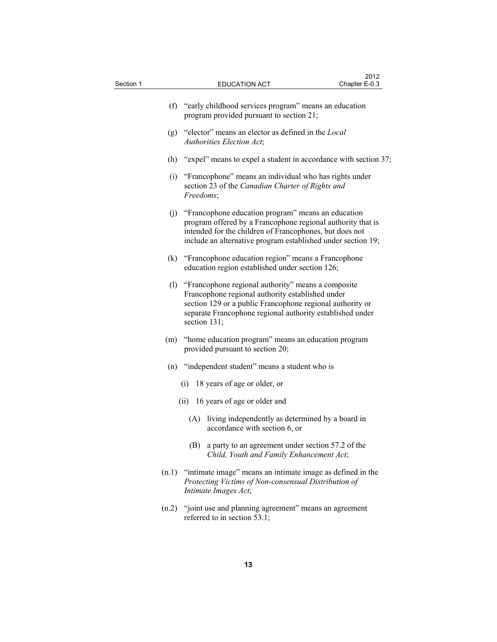| Section 1 | <b>EDUCATION ACT</b>                                                                                                                                                                                                                                 | Chapter E-0.3 |  |  |  |
|-----------|------------------------------------------------------------------------------------------------------------------------------------------------------------------------------------------------------------------------------------------------------|---------------|--|--|--|
|           | (f) "early childhood services program" means an education<br>program provided pursuant to section 21;                                                                                                                                                |               |  |  |  |
|           | (g) "elector" means an elector as defined in the Local<br>Authorities Election Act;                                                                                                                                                                  |               |  |  |  |
|           | (h) "expel" means to expel a student in accordance with section 37;                                                                                                                                                                                  |               |  |  |  |
| (i)       | "Francophone" means an individual who has rights under<br>section 23 of the Canadian Charter of Rights and<br>Freedoms;                                                                                                                              |               |  |  |  |
|           | (j) "Francophone education program" means an education<br>program offered by a Francophone regional authority that is<br>intended for the children of Francophones, but does not<br>include an alternative program established under section 19;     |               |  |  |  |
|           | (k) "Francophone education region" means a Francophone<br>education region established under section 126;                                                                                                                                            |               |  |  |  |
|           | (1) "Francophone regional authority" means a composite<br>Francophone regional authority established under<br>section 129 or a public Francophone regional authority or<br>separate Francophone regional authority established under<br>section 131; |               |  |  |  |
| (m)       | "home education program" means an education program<br>provided pursuant to section 20;                                                                                                                                                              |               |  |  |  |
|           | (n) "independent student" means a student who is                                                                                                                                                                                                     |               |  |  |  |
|           | 18 years of age or older, or<br>(i)                                                                                                                                                                                                                  |               |  |  |  |
|           | (ii) 16 years of age or older and                                                                                                                                                                                                                    |               |  |  |  |
|           | living independently as determined by a board in<br>(A)<br>accordance with section 6, or                                                                                                                                                             |               |  |  |  |
|           | (B) a party to an agreement under section 57.2 of the<br>Child, Youth and Family Enhancement Act;                                                                                                                                                    |               |  |  |  |
| (n.1)     | "intimate image" means an intimate image as defined in the<br>Protecting Victims of Non-consensual Distribution of<br>Intimate Images Act;                                                                                                           |               |  |  |  |
|           | (n.2) "joint use and planning agreement" means an agreement<br>referred to in section 53.1;                                                                                                                                                          |               |  |  |  |

 $2012$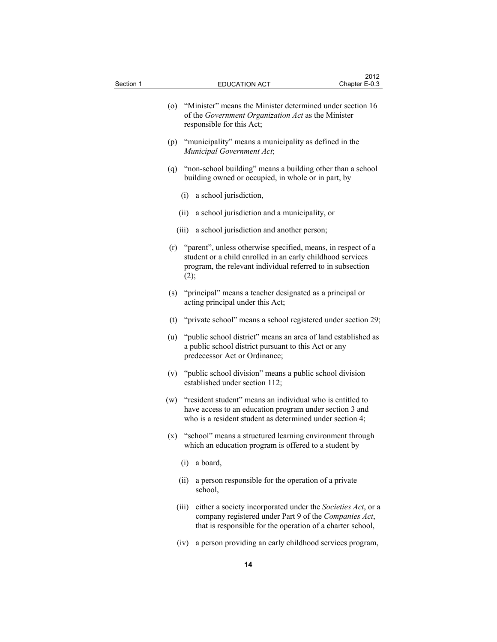| Section 1 |       | <b>EDUCATION ACT</b>                                                                                                                                                                         | 2012<br>Chapter E-0.3 |
|-----------|-------|----------------------------------------------------------------------------------------------------------------------------------------------------------------------------------------------|-----------------------|
|           | (0)   | "Minister" means the Minister determined under section 16<br>of the Government Organization Act as the Minister<br>responsible for this Act;                                                 |                       |
|           |       | (p) "municipality" means a municipality as defined in the<br>Municipal Government Act;                                                                                                       |                       |
|           |       | (q) "non-school building" means a building other than a school<br>building owned or occupied, in whole or in part, by                                                                        |                       |
|           | (i)   | a school jurisdiction,                                                                                                                                                                       |                       |
|           | (ii)  | a school jurisdiction and a municipality, or                                                                                                                                                 |                       |
|           | (iii) | a school jurisdiction and another person;                                                                                                                                                    |                       |
|           | (2);  | (r) "parent", unless otherwise specified, means, in respect of a<br>student or a child enrolled in an early childhood services<br>program, the relevant individual referred to in subsection |                       |
|           | (s)   | "principal" means a teacher designated as a principal or<br>acting principal under this Act;                                                                                                 |                       |
|           |       | (t) "private school" means a school registered under section 29;                                                                                                                             |                       |
|           | (u)   | "public school district" means an area of land established as<br>a public school district pursuant to this Act or any<br>predecessor Act or Ordinance;                                       |                       |
|           | (v)   | "public school division" means a public school division<br>established under section 112;                                                                                                    |                       |
|           | (w)   | "resident student" means an individual who is entitled to<br>have access to an education program under section 3 and<br>who is a resident student as determined under section 4;             |                       |
|           | (x)   | "school" means a structured learning environment through<br>which an education program is offered to a student by                                                                            |                       |
|           | (i)   | a board,                                                                                                                                                                                     |                       |
|           | (ii)  | a person responsible for the operation of a private<br>school,                                                                                                                               |                       |
|           | (iii) | either a society incorporated under the Societies Act, or a<br>company registered under Part 9 of the Companies Act,<br>that is responsible for the operation of a charter school,           |                       |
|           | (iv)  | a person providing an early childhood services program,                                                                                                                                      |                       |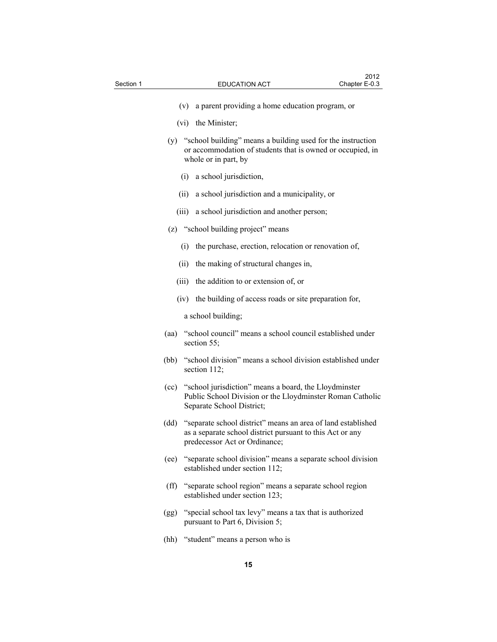- 
- (v) a parent providing a home education program, or
- (vi) the Minister;
- (y) "school building" means a building used for the instruction or accommodation of students that is owned or occupied, in whole or in part, by
	- (i) a school jurisdiction,
	- (ii) a school jurisdiction and a municipality, or
	- (iii) a school jurisdiction and another person;
- (z) "school building project" means
	- (i) the purchase, erection, relocation or renovation of,
	- (ii) the making of structural changes in,
	- (iii) the addition to or extension of, or
	- (iv) the building of access roads or site preparation for,

a school building;

- (aa) "school council" means a school council established under section 55;
- (bb) "school division" means a school division established under section 112;
- (cc) "school jurisdiction" means a board, the Lloydminster Public School Division or the Lloydminster Roman Catholic Separate School District;
- (dd) "separate school district" means an area of land established as a separate school district pursuant to this Act or any predecessor Act or Ordinance;
- (ee) "separate school division" means a separate school division established under section 112;
- (ff) "separate school region" means a separate school region established under section 123;
- (gg) "special school tax levy" means a tax that is authorized pursuant to Part 6, Division 5;
- (hh) "student" means a person who is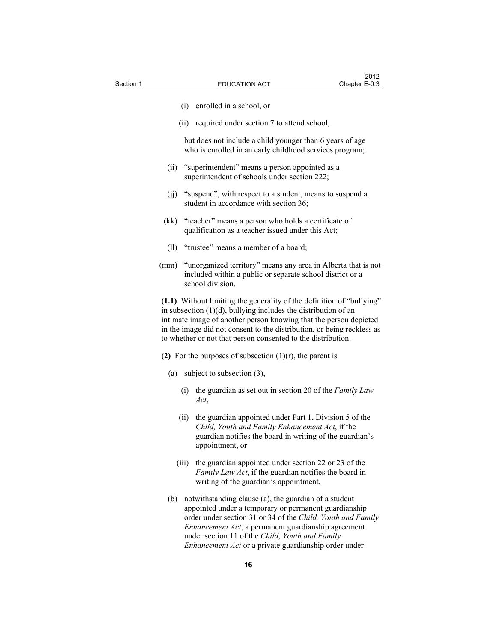- (i) enrolled in a school, or
- (ii) required under section 7 to attend school,

 but does not include a child younger than 6 years of age who is enrolled in an early childhood services program;

- (ii) "superintendent" means a person appointed as a superintendent of schools under section 222;
- (jj) "suspend", with respect to a student, means to suspend a student in accordance with section 36;
- (kk) "teacher" means a person who holds a certificate of qualification as a teacher issued under this Act;
- (ll) "trustee" means a member of a board;
- (mm) "unorganized territory" means any area in Alberta that is not included within a public or separate school district or a school division.

**(1.1)** Without limiting the generality of the definition of "bullying" in subsection  $(1)(d)$ , bullying includes the distribution of an intimate image of another person knowing that the person depicted in the image did not consent to the distribution, or being reckless as to whether or not that person consented to the distribution.

- **(2)** For the purposes of subsection (1)(r), the parent is
	- (a) subject to subsection (3),
		- (i) the guardian as set out in section 20 of the *Family Law Act*,
		- (ii) the guardian appointed under Part 1, Division 5 of the *Child, Youth and Family Enhancement Act*, if the guardian notifies the board in writing of the guardian's appointment, or
		- (iii) the guardian appointed under section 22 or 23 of the *Family Law Act*, if the guardian notifies the board in writing of the guardian's appointment,
	- (b) notwithstanding clause (a), the guardian of a student appointed under a temporary or permanent guardianship order under section 31 or 34 of the *Child, Youth and Family Enhancement Act*, a permanent guardianship agreement under section 11 of the *Child, Youth and Family Enhancement Act* or a private guardianship order under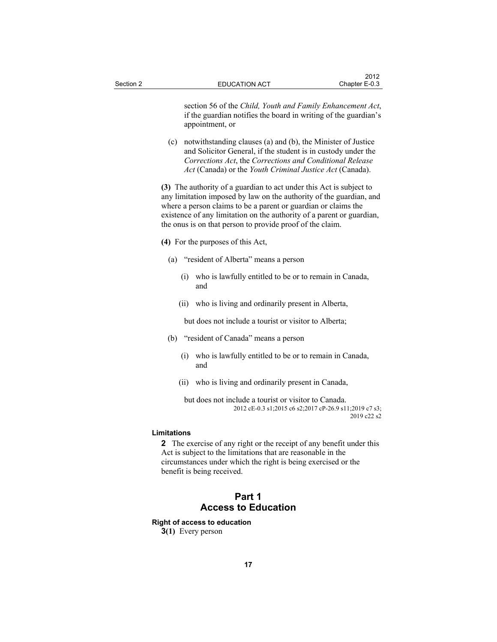section 56 of the *Child, Youth and Family Enhancement Act*, if the guardian notifies the board in writing of the guardian's appointment, or

 (c) notwithstanding clauses (a) and (b), the Minister of Justice and Solicitor General, if the student is in custody under the *Corrections Act*, the *Corrections and Conditional Release Act* (Canada) or the *Youth Criminal Justice Act* (Canada).

**(3)** The authority of a guardian to act under this Act is subject to any limitation imposed by law on the authority of the guardian, and where a person claims to be a parent or guardian or claims the existence of any limitation on the authority of a parent or guardian, the onus is on that person to provide proof of the claim.

- **(4)** For the purposes of this Act,
	- (a) "resident of Alberta" means a person
		- (i) who is lawfully entitled to be or to remain in Canada, and
		- (ii) who is living and ordinarily present in Alberta,

but does not include a tourist or visitor to Alberta;

- (b) "resident of Canada" means a person
	- (i) who is lawfully entitled to be or to remain in Canada, and
	- (ii) who is living and ordinarily present in Canada,

 but does not include a tourist or visitor to Canada. 2012 cE-0.3 s1;2015 c6 s2;2017 cP-26.9 s11;2019 c7 s3; 2019 c22 s2

### **Limitations**

**2** The exercise of any right or the receipt of any benefit under this Act is subject to the limitations that are reasonable in the circumstances under which the right is being exercised or the benefit is being received.

### **Part 1 Access to Education**

### **Right of access to education 3(1)** Every person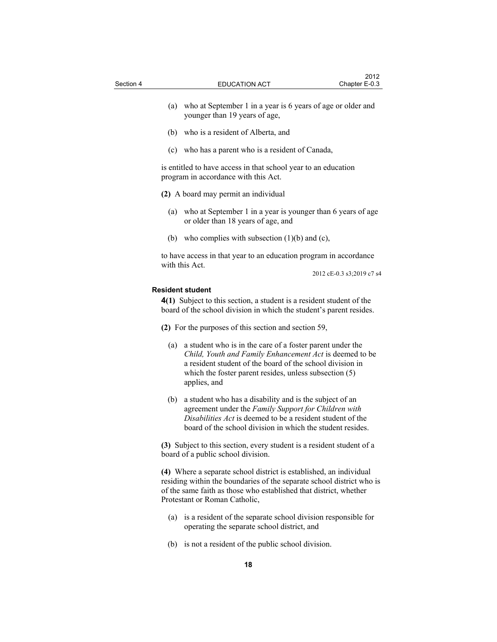- (a) who at September 1 in a year is 6 years of age or older and younger than 19 years of age,
- (b) who is a resident of Alberta, and
- (c) who has a parent who is a resident of Canada,

is entitled to have access in that school year to an education program in accordance with this Act.

- **(2)** A board may permit an individual
	- (a) who at September 1 in a year is younger than 6 years of age or older than 18 years of age, and
	- (b) who complies with subsection  $(1)(b)$  and  $(c)$ ,

to have access in that year to an education program in accordance with this Act.

2012 cE-0.3 s3;2019 c7 s4

### **Resident student**

**4(1)** Subject to this section, a student is a resident student of the board of the school division in which the student's parent resides.

**(2)** For the purposes of this section and section 59,

- (a) a student who is in the care of a foster parent under the *Child, Youth and Family Enhancement Act* is deemed to be a resident student of the board of the school division in which the foster parent resides, unless subsection (5) applies, and
- (b) a student who has a disability and is the subject of an agreement under the *Family Support for Children with Disabilities Act* is deemed to be a resident student of the board of the school division in which the student resides.

**(3)** Subject to this section, every student is a resident student of a board of a public school division.

**(4)** Where a separate school district is established, an individual residing within the boundaries of the separate school district who is of the same faith as those who established that district, whether Protestant or Roman Catholic,

- (a) is a resident of the separate school division responsible for operating the separate school district, and
- (b) is not a resident of the public school division.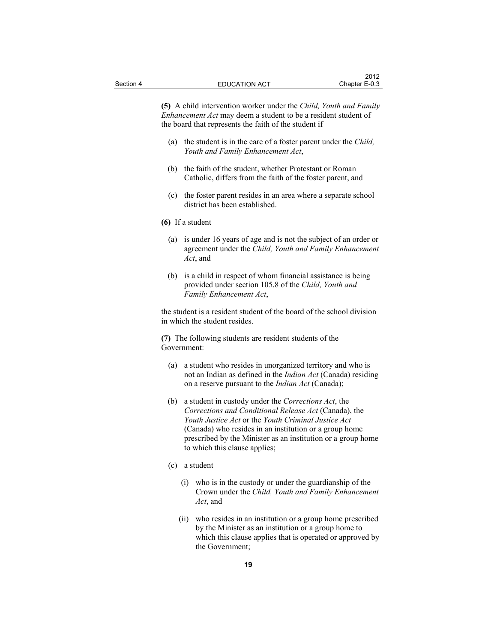**(5)** A child intervention worker under the *Child, Youth and Family Enhancement Act* may deem a student to be a resident student of the board that represents the faith of the student if

- (a) the student is in the care of a foster parent under the *Child, Youth and Family Enhancement Act*,
- (b) the faith of the student, whether Protestant or Roman Catholic, differs from the faith of the foster parent, and
- (c) the foster parent resides in an area where a separate school district has been established.
- **(6)** If a student
	- (a) is under 16 years of age and is not the subject of an order or agreement under the *Child, Youth and Family Enhancement Act*, and
	- (b) is a child in respect of whom financial assistance is being provided under section 105.8 of the *Child, Youth and Family Enhancement Act*,

the student is a resident student of the board of the school division in which the student resides.

**(7)** The following students are resident students of the Government:

- (a) a student who resides in unorganized territory and who is not an Indian as defined in the *Indian Act* (Canada) residing on a reserve pursuant to the *Indian Act* (Canada);
- (b) a student in custody under the *Corrections Act*, the *Corrections and Conditional Release Act* (Canada), the *Youth Justice Act* or the *Youth Criminal Justice Act* (Canada) who resides in an institution or a group home prescribed by the Minister as an institution or a group home to which this clause applies;
- (c) a student
	- (i) who is in the custody or under the guardianship of the Crown under the *Child, Youth and Family Enhancement Act*, and
	- (ii) who resides in an institution or a group home prescribed by the Minister as an institution or a group home to which this clause applies that is operated or approved by the Government;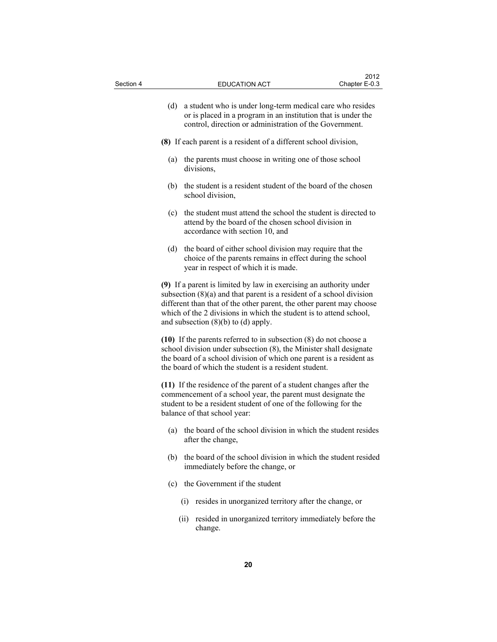| Section 4 |                                                                                                                                                                                                                                                                                                                                       | <b>EDUCATION ACT</b>                                                                                                                                                                                                                                                        | 2012<br>Chapter E-0.3 |  |
|-----------|---------------------------------------------------------------------------------------------------------------------------------------------------------------------------------------------------------------------------------------------------------------------------------------------------------------------------------------|-----------------------------------------------------------------------------------------------------------------------------------------------------------------------------------------------------------------------------------------------------------------------------|-----------------------|--|
|           | (d)                                                                                                                                                                                                                                                                                                                                   | a student who is under long-term medical care who resides<br>or is placed in a program in an institution that is under the<br>control, direction or administration of the Government.                                                                                       |                       |  |
|           | (8) If each parent is a resident of a different school division,                                                                                                                                                                                                                                                                      |                                                                                                                                                                                                                                                                             |                       |  |
|           | (a)                                                                                                                                                                                                                                                                                                                                   | the parents must choose in writing one of those school<br>divisions,                                                                                                                                                                                                        |                       |  |
|           | (b)                                                                                                                                                                                                                                                                                                                                   | the student is a resident student of the board of the chosen<br>school division,                                                                                                                                                                                            |                       |  |
|           | (c)                                                                                                                                                                                                                                                                                                                                   | the student must attend the school the student is directed to<br>attend by the board of the chosen school division in<br>accordance with section 10, and                                                                                                                    |                       |  |
|           | (d)                                                                                                                                                                                                                                                                                                                                   | the board of either school division may require that the<br>choice of the parents remains in effect during the school<br>year in respect of which it is made.                                                                                                               |                       |  |
|           | (9) If a parent is limited by law in exercising an authority under<br>subsection $(8)(a)$ and that parent is a resident of a school division<br>different than that of the other parent, the other parent may choose<br>which of the 2 divisions in which the student is to attend school,<br>and subsection $(8)(b)$ to $(d)$ apply. |                                                                                                                                                                                                                                                                             |                       |  |
|           |                                                                                                                                                                                                                                                                                                                                       | $(10)$ If the parents referred to in subsection $(8)$ do not choose a<br>school division under subsection (8), the Minister shall designate<br>the board of a school division of which one parent is a resident as<br>the board of which the student is a resident student. |                       |  |
|           |                                                                                                                                                                                                                                                                                                                                       | (11) If the residence of the parent of a student changes after the<br>commencement of a school year, the parent must designate the<br>student to be a resident student of one of the following for the<br>balance of that school year:                                      |                       |  |
|           | (a)                                                                                                                                                                                                                                                                                                                                   | the board of the school division in which the student resides<br>after the change,                                                                                                                                                                                          |                       |  |
|           | (b)                                                                                                                                                                                                                                                                                                                                   | the board of the school division in which the student resided<br>immediately before the change, or                                                                                                                                                                          |                       |  |
|           |                                                                                                                                                                                                                                                                                                                                       | (c) the Government if the student                                                                                                                                                                                                                                           |                       |  |
|           |                                                                                                                                                                                                                                                                                                                                       | resides in unorganized territory after the change, or<br>(i)                                                                                                                                                                                                                |                       |  |
|           |                                                                                                                                                                                                                                                                                                                                       | resided in unorganized territory immediately before the<br>(ii)<br>change.                                                                                                                                                                                                  |                       |  |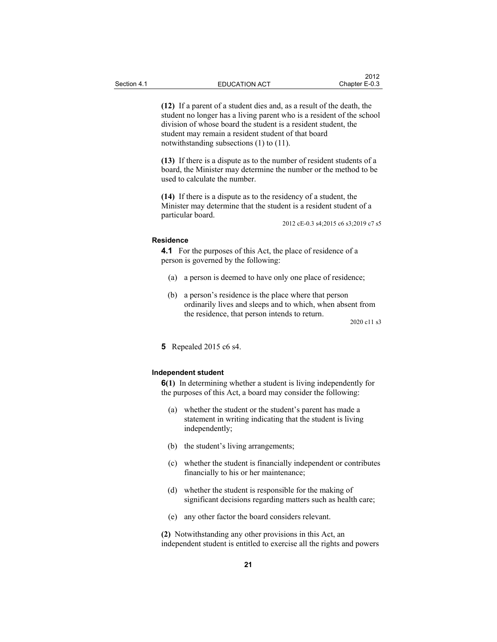**(12)** If a parent of a student dies and, as a result of the death, the student no longer has a living parent who is a resident of the school division of whose board the student is a resident student, the student may remain a resident student of that board notwithstanding subsections (1) to (11).

**(13)** If there is a dispute as to the number of resident students of a board, the Minister may determine the number or the method to be used to calculate the number.

**(14)** If there is a dispute as to the residency of a student, the Minister may determine that the student is a resident student of a particular board.

2012 cE-0.3 s4;2015 c6 s3;2019 c7 s5

#### **Residence**

**4.1** For the purposes of this Act, the place of residence of a person is governed by the following:

- (a) a person is deemed to have only one place of residence;
- (b) a person's residence is the place where that person ordinarily lives and sleeps and to which, when absent from the residence, that person intends to return.

2020 c11 s3

**5** Repealed 2015 c6 s4.

### **Independent student**

**6(1)** In determining whether a student is living independently for the purposes of this Act, a board may consider the following:

- (a) whether the student or the student's parent has made a statement in writing indicating that the student is living independently;
- (b) the student's living arrangements;
- (c) whether the student is financially independent or contributes financially to his or her maintenance;
- (d) whether the student is responsible for the making of significant decisions regarding matters such as health care;
- (e) any other factor the board considers relevant.

**(2)** Notwithstanding any other provisions in this Act, an independent student is entitled to exercise all the rights and powers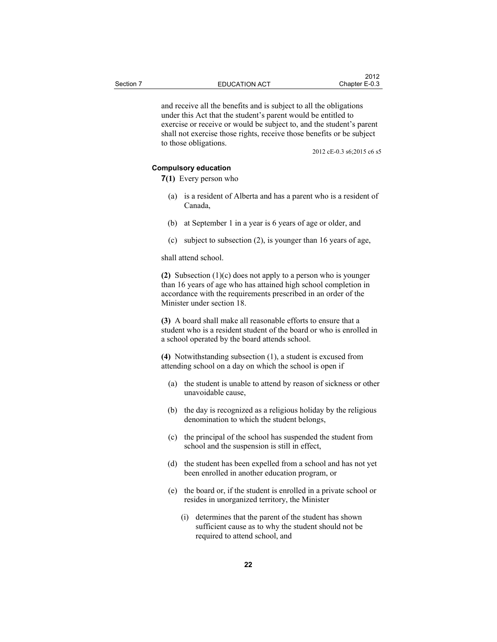and receive all the benefits and is subject to all the obligations under this Act that the student's parent would be entitled to exercise or receive or would be subject to, and the student's parent shall not exercise those rights, receive those benefits or be subject to those obligations.

2012 cE-0.3 s6;2015 c6 s5

### **Compulsory education**

**7(1)** Every person who

- (a) is a resident of Alberta and has a parent who is a resident of Canada,
- (b) at September 1 in a year is 6 years of age or older, and
- (c) subject to subsection (2), is younger than 16 years of age,

shall attend school.

**(2)** Subsection (1)(c) does not apply to a person who is younger than 16 years of age who has attained high school completion in accordance with the requirements prescribed in an order of the Minister under section 18.

**(3)** A board shall make all reasonable efforts to ensure that a student who is a resident student of the board or who is enrolled in a school operated by the board attends school.

**(4)** Notwithstanding subsection (1), a student is excused from attending school on a day on which the school is open if

- (a) the student is unable to attend by reason of sickness or other unavoidable cause,
- (b) the day is recognized as a religious holiday by the religious denomination to which the student belongs,
- (c) the principal of the school has suspended the student from school and the suspension is still in effect,
- (d) the student has been expelled from a school and has not yet been enrolled in another education program, or
- (e) the board or, if the student is enrolled in a private school or resides in unorganized territory, the Minister
	- (i) determines that the parent of the student has shown sufficient cause as to why the student should not be required to attend school, and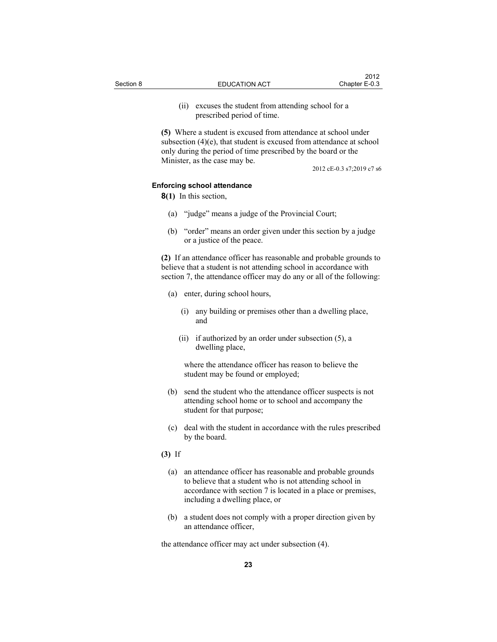(ii) excuses the student from attending school for a prescribed period of time.

**(5)** Where a student is excused from attendance at school under subsection (4)(e), that student is excused from attendance at school only during the period of time prescribed by the board or the Minister, as the case may be.

2012 cE-0.3 s7;2019 c7 s6

#### **Enforcing school attendance**

**8(1)** In this section,

- (a) "judge" means a judge of the Provincial Court;
- (b) "order" means an order given under this section by a judge or a justice of the peace.

**(2)** If an attendance officer has reasonable and probable grounds to believe that a student is not attending school in accordance with section 7, the attendance officer may do any or all of the following:

- (a) enter, during school hours,
	- (i) any building or premises other than a dwelling place, and
	- (ii) if authorized by an order under subsection (5), a dwelling place,

 where the attendance officer has reason to believe the student may be found or employed;

- (b) send the student who the attendance officer suspects is not attending school home or to school and accompany the student for that purpose;
- (c) deal with the student in accordance with the rules prescribed by the board.

### **(3)** If

- (a) an attendance officer has reasonable and probable grounds to believe that a student who is not attending school in accordance with section 7 is located in a place or premises, including a dwelling place, or
- (b) a student does not comply with a proper direction given by an attendance officer,

the attendance officer may act under subsection (4).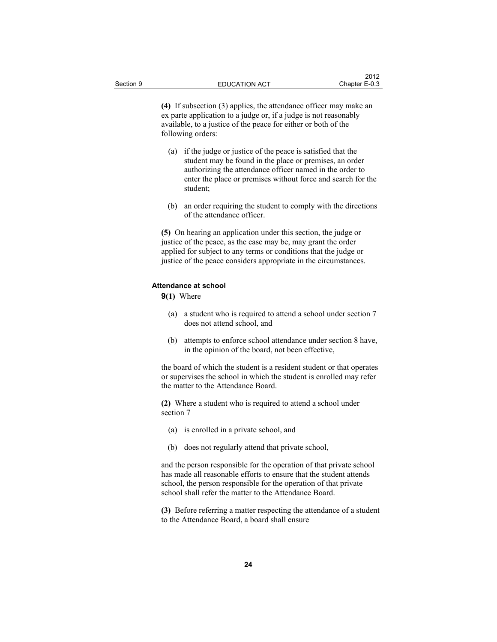**(4)** If subsection (3) applies, the attendance officer may make an ex parte application to a judge or, if a judge is not reasonably available, to a justice of the peace for either or both of the following orders:

- (a) if the judge or justice of the peace is satisfied that the student may be found in the place or premises, an order authorizing the attendance officer named in the order to enter the place or premises without force and search for the student;
- (b) an order requiring the student to comply with the directions of the attendance officer.

**(5)** On hearing an application under this section, the judge or justice of the peace, as the case may be, may grant the order applied for subject to any terms or conditions that the judge or justice of the peace considers appropriate in the circumstances.

### **Attendance at school**

**9(1)** Where

- (a) a student who is required to attend a school under section 7 does not attend school, and
- (b) attempts to enforce school attendance under section 8 have, in the opinion of the board, not been effective,

the board of which the student is a resident student or that operates or supervises the school in which the student is enrolled may refer the matter to the Attendance Board.

**(2)** Where a student who is required to attend a school under section 7

- (a) is enrolled in a private school, and
- (b) does not regularly attend that private school,

and the person responsible for the operation of that private school has made all reasonable efforts to ensure that the student attends school, the person responsible for the operation of that private school shall refer the matter to the Attendance Board.

**(3)** Before referring a matter respecting the attendance of a student to the Attendance Board, a board shall ensure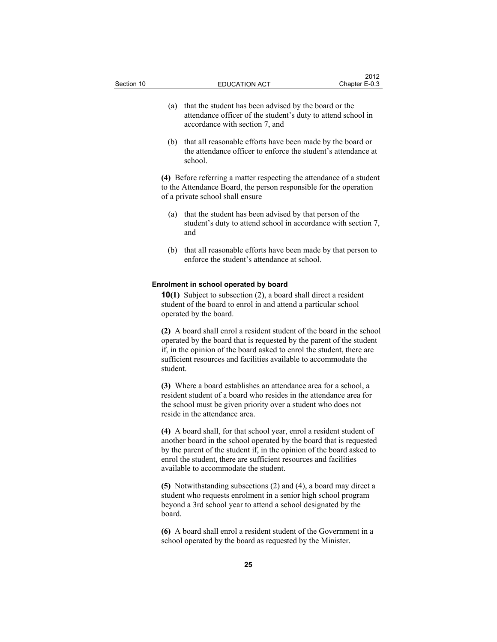- (a) that the student has been advised by the board or the attendance officer of the student's duty to attend school in accordance with section 7, and
- (b) that all reasonable efforts have been made by the board or the attendance officer to enforce the student's attendance at school.

**(4)** Before referring a matter respecting the attendance of a student to the Attendance Board, the person responsible for the operation of a private school shall ensure

- (a) that the student has been advised by that person of the student's duty to attend school in accordance with section 7, and
- (b) that all reasonable efforts have been made by that person to enforce the student's attendance at school.

#### **Enrolment in school operated by board**

**10(1)** Subject to subsection (2), a board shall direct a resident student of the board to enrol in and attend a particular school operated by the board.

**(2)** A board shall enrol a resident student of the board in the school operated by the board that is requested by the parent of the student if, in the opinion of the board asked to enrol the student, there are sufficient resources and facilities available to accommodate the student.

**(3)** Where a board establishes an attendance area for a school, a resident student of a board who resides in the attendance area for the school must be given priority over a student who does not reside in the attendance area.

**(4)** A board shall, for that school year, enrol a resident student of another board in the school operated by the board that is requested by the parent of the student if, in the opinion of the board asked to enrol the student, there are sufficient resources and facilities available to accommodate the student.

**(5)** Notwithstanding subsections (2) and (4), a board may direct a student who requests enrolment in a senior high school program beyond a 3rd school year to attend a school designated by the board.

**(6)** A board shall enrol a resident student of the Government in a school operated by the board as requested by the Minister.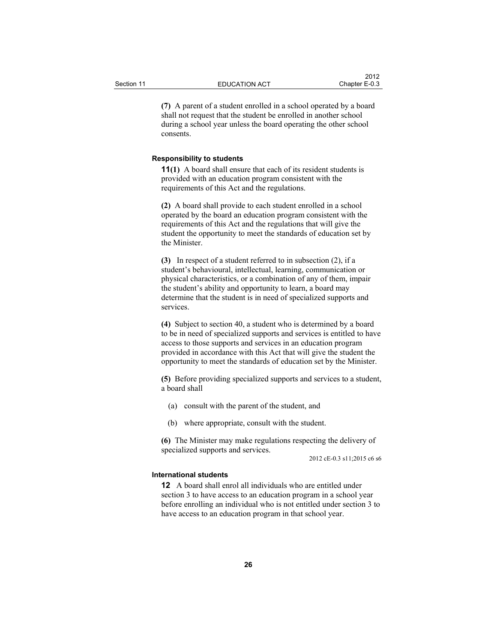**(7)** A parent of a student enrolled in a school operated by a board shall not request that the student be enrolled in another school during a school year unless the board operating the other school consents.

### **Responsibility to students**

**11(1)** A board shall ensure that each of its resident students is provided with an education program consistent with the requirements of this Act and the regulations.

**(2)** A board shall provide to each student enrolled in a school operated by the board an education program consistent with the requirements of this Act and the regulations that will give the student the opportunity to meet the standards of education set by the Minister.

**(3)** In respect of a student referred to in subsection (2), if a student's behavioural, intellectual, learning, communication or physical characteristics, or a combination of any of them, impair the student's ability and opportunity to learn, a board may determine that the student is in need of specialized supports and services.

**(4)** Subject to section 40, a student who is determined by a board to be in need of specialized supports and services is entitled to have access to those supports and services in an education program provided in accordance with this Act that will give the student the opportunity to meet the standards of education set by the Minister.

**(5)** Before providing specialized supports and services to a student, a board shall

- (a) consult with the parent of the student, and
- (b) where appropriate, consult with the student.

**(6)** The Minister may make regulations respecting the delivery of specialized supports and services.

2012 cE-0.3 s11;2015 c6 s6

#### **International students**

**12** A board shall enrol all individuals who are entitled under section 3 to have access to an education program in a school year before enrolling an individual who is not entitled under section 3 to have access to an education program in that school year.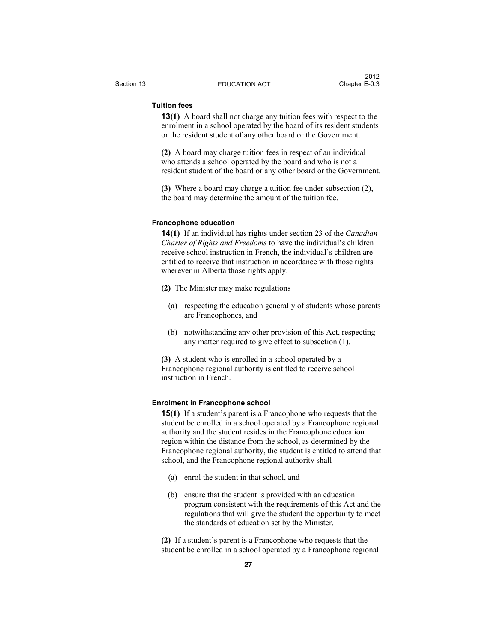### **Tuition fees**

**13(1)** A board shall not charge any tuition fees with respect to the enrolment in a school operated by the board of its resident students or the resident student of any other board or the Government.

**(2)** A board may charge tuition fees in respect of an individual who attends a school operated by the board and who is not a resident student of the board or any other board or the Government.

**(3)** Where a board may charge a tuition fee under subsection (2), the board may determine the amount of the tuition fee.

#### **Francophone education**

**14(1)** If an individual has rights under section 23 of the *Canadian Charter of Rights and Freedoms* to have the individual's children receive school instruction in French, the individual's children are entitled to receive that instruction in accordance with those rights wherever in Alberta those rights apply.

- **(2)** The Minister may make regulations
	- (a) respecting the education generally of students whose parents are Francophones, and
	- (b) notwithstanding any other provision of this Act, respecting any matter required to give effect to subsection (1).

**(3)** A student who is enrolled in a school operated by a Francophone regional authority is entitled to receive school instruction in French.

#### **Enrolment in Francophone school**

**15(1)** If a student's parent is a Francophone who requests that the student be enrolled in a school operated by a Francophone regional authority and the student resides in the Francophone education region within the distance from the school, as determined by the Francophone regional authority, the student is entitled to attend that school, and the Francophone regional authority shall

- (a) enrol the student in that school, and
- (b) ensure that the student is provided with an education program consistent with the requirements of this Act and the regulations that will give the student the opportunity to meet the standards of education set by the Minister.

**(2)** If a student's parent is a Francophone who requests that the student be enrolled in a school operated by a Francophone regional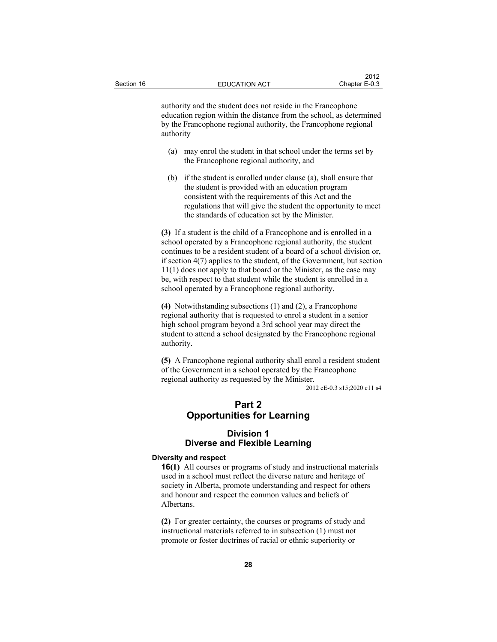authority and the student does not reside in the Francophone education region within the distance from the school, as determined by the Francophone regional authority, the Francophone regional authority

- (a) may enrol the student in that school under the terms set by the Francophone regional authority, and
- (b) if the student is enrolled under clause (a), shall ensure that the student is provided with an education program consistent with the requirements of this Act and the regulations that will give the student the opportunity to meet the standards of education set by the Minister.

**(3)** If a student is the child of a Francophone and is enrolled in a school operated by a Francophone regional authority, the student continues to be a resident student of a board of a school division or, if section 4(7) applies to the student, of the Government, but section 11(1) does not apply to that board or the Minister, as the case may be, with respect to that student while the student is enrolled in a school operated by a Francophone regional authority.

**(4)** Notwithstanding subsections (1) and (2), a Francophone regional authority that is requested to enrol a student in a senior high school program beyond a 3rd school year may direct the student to attend a school designated by the Francophone regional authority.

**(5)** A Francophone regional authority shall enrol a resident student of the Government in a school operated by the Francophone regional authority as requested by the Minister.

2012 cE-0.3 s15;2020 c11 s4

### **Part 2 Opportunities for Learning**

### **Division 1 Diverse and Flexible Learning**

#### **Diversity and respect**

**16(1)** All courses or programs of study and instructional materials used in a school must reflect the diverse nature and heritage of society in Alberta, promote understanding and respect for others and honour and respect the common values and beliefs of Albertans.

**(2)** For greater certainty, the courses or programs of study and instructional materials referred to in subsection (1) must not promote or foster doctrines of racial or ethnic superiority or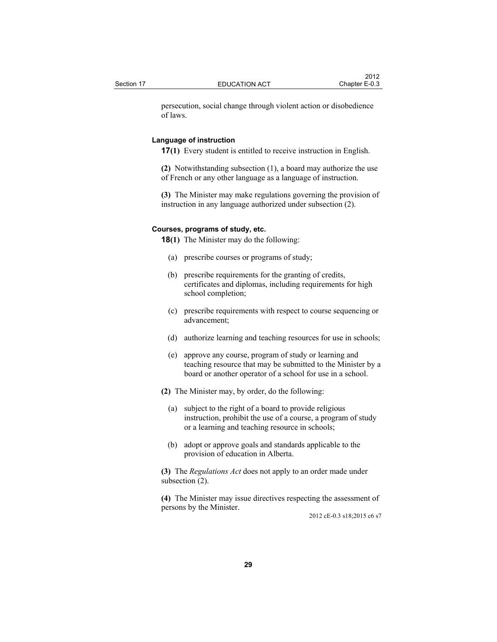persecution, social change through violent action or disobedience of laws.

### **Language of instruction**

**17(1)** Every student is entitled to receive instruction in English.

**(2)** Notwithstanding subsection (1), a board may authorize the use of French or any other language as a language of instruction.

**(3)** The Minister may make regulations governing the provision of instruction in any language authorized under subsection (2).

#### **Courses, programs of study, etc.**

**18(1)** The Minister may do the following:

- (a) prescribe courses or programs of study;
- (b) prescribe requirements for the granting of credits, certificates and diplomas, including requirements for high school completion;
- (c) prescribe requirements with respect to course sequencing or advancement;
- (d) authorize learning and teaching resources for use in schools;
- (e) approve any course, program of study or learning and teaching resource that may be submitted to the Minister by a board or another operator of a school for use in a school.
- **(2)** The Minister may, by order, do the following:
	- (a) subject to the right of a board to provide religious instruction, prohibit the use of a course, a program of study or a learning and teaching resource in schools;
	- (b) adopt or approve goals and standards applicable to the provision of education in Alberta.

**(3)** The *Regulations Act* does not apply to an order made under subsection (2).

**(4)** The Minister may issue directives respecting the assessment of persons by the Minister.

2012 cE-0.3 s18;2015 c6 s7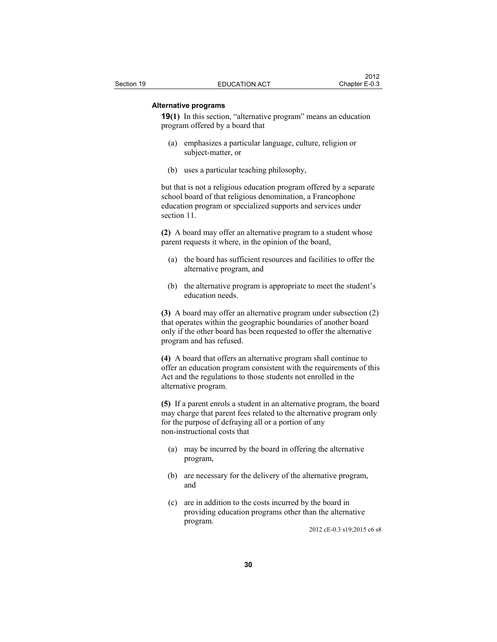### **Alternative programs**

**19(1)** In this section, "alternative program" means an education program offered by a board that

- (a) emphasizes a particular language, culture, religion or subject-matter, or
- (b) uses a particular teaching philosophy,

but that is not a religious education program offered by a separate school board of that religious denomination, a Francophone education program or specialized supports and services under section 11.

**(2)** A board may offer an alternative program to a student whose parent requests it where, in the opinion of the board,

- (a) the board has sufficient resources and facilities to offer the alternative program, and
- (b) the alternative program is appropriate to meet the student's education needs.

**(3)** A board may offer an alternative program under subsection (2) that operates within the geographic boundaries of another board only if the other board has been requested to offer the alternative program and has refused.

**(4)** A board that offers an alternative program shall continue to offer an education program consistent with the requirements of this Act and the regulations to those students not enrolled in the alternative program.

**(5)** If a parent enrols a student in an alternative program, the board may charge that parent fees related to the alternative program only for the purpose of defraying all or a portion of any non-instructional costs that

- (a) may be incurred by the board in offering the alternative program,
- (b) are necessary for the delivery of the alternative program, and
- (c) are in addition to the costs incurred by the board in providing education programs other than the alternative program.

2012 cE-0.3 s19;2015 c6 s8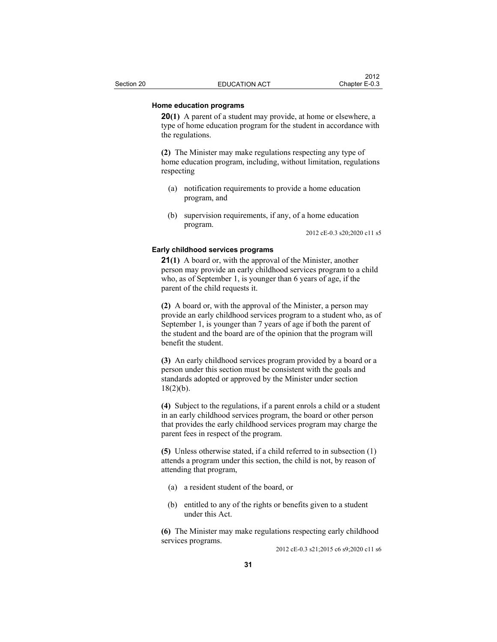### **Home education programs**

**20(1)** A parent of a student may provide, at home or elsewhere, a type of home education program for the student in accordance with the regulations.

**(2)** The Minister may make regulations respecting any type of home education program, including, without limitation, regulations respecting

- (a) notification requirements to provide a home education program, and
- (b) supervision requirements, if any, of a home education program.

2012 cE-0.3 s20;2020 c11 s5

#### **Early childhood services programs**

**21(1)** A board or, with the approval of the Minister, another person may provide an early childhood services program to a child who, as of September 1, is younger than 6 years of age, if the parent of the child requests it.

**(2)** A board or, with the approval of the Minister, a person may provide an early childhood services program to a student who, as of September 1, is younger than 7 years of age if both the parent of the student and the board are of the opinion that the program will benefit the student.

**(3)** An early childhood services program provided by a board or a person under this section must be consistent with the goals and standards adopted or approved by the Minister under section  $18(2)(b)$ .

**(4)** Subject to the regulations, if a parent enrols a child or a student in an early childhood services program, the board or other person that provides the early childhood services program may charge the parent fees in respect of the program.

**(5)** Unless otherwise stated, if a child referred to in subsection (1) attends a program under this section, the child is not, by reason of attending that program,

- (a) a resident student of the board, or
- (b) entitled to any of the rights or benefits given to a student under this Act.

**(6)** The Minister may make regulations respecting early childhood services programs.

2012 cE-0.3 s21;2015 c6 s9;2020 c11 s6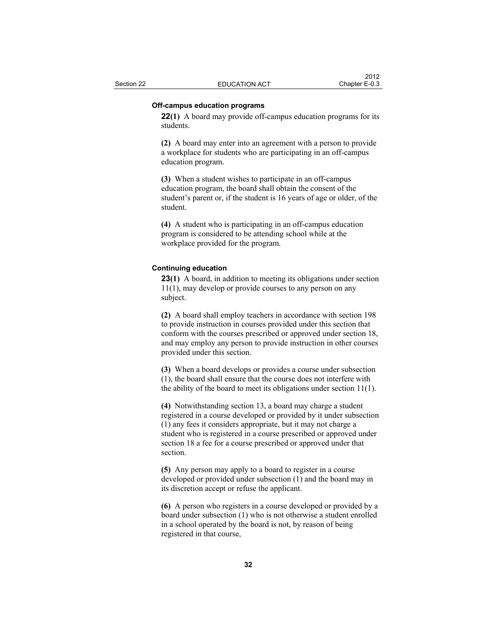### **Off-campus education programs**

**22(1)** A board may provide off-campus education programs for its students.

**(2)** A board may enter into an agreement with a person to provide a workplace for students who are participating in an off-campus education program.

**(3)** When a student wishes to participate in an off-campus education program, the board shall obtain the consent of the student's parent or, if the student is 16 years of age or older, of the student.

**(4)** A student who is participating in an off-campus education program is considered to be attending school while at the workplace provided for the program.

### **Continuing education**

**23(1)** A board, in addition to meeting its obligations under section 11(1), may develop or provide courses to any person on any subject.

**(2)** A board shall employ teachers in accordance with section 198 to provide instruction in courses provided under this section that conform with the courses prescribed or approved under section 18, and may employ any person to provide instruction in other courses provided under this section.

**(3)** When a board develops or provides a course under subsection (1), the board shall ensure that the course does not interfere with the ability of the board to meet its obligations under section 11(1).

**(4)** Notwithstanding section 13, a board may charge a student registered in a course developed or provided by it under subsection (1) any fees it considers appropriate, but it may not charge a student who is registered in a course prescribed or approved under section 18 a fee for a course prescribed or approved under that section.

**(5)** Any person may apply to a board to register in a course developed or provided under subsection (1) and the board may in its discretion accept or refuse the applicant.

**(6)** A person who registers in a course developed or provided by a board under subsection (1) who is not otherwise a student enrolled in a school operated by the board is not, by reason of being registered in that course,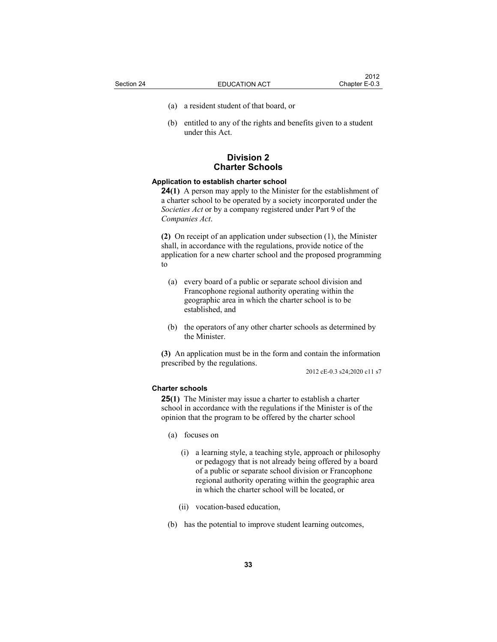- 
- (a) a resident student of that board, or
- (b) entitled to any of the rights and benefits given to a student under this Act.

## **Division 2 Charter Schools**

### **Application to establish charter school**

**24(1)** A person may apply to the Minister for the establishment of a charter school to be operated by a society incorporated under the *Societies Act* or by a company registered under Part 9 of the *Companies Act*.

**(2)** On receipt of an application under subsection (1), the Minister shall, in accordance with the regulations, provide notice of the application for a new charter school and the proposed programming to

- (a) every board of a public or separate school division and Francophone regional authority operating within the geographic area in which the charter school is to be established, and
- (b) the operators of any other charter schools as determined by the Minister.

**(3)** An application must be in the form and contain the information prescribed by the regulations.

2012 cE-0.3 s24;2020 c11 s7

# **Charter schools**

**25(1)** The Minister may issue a charter to establish a charter school in accordance with the regulations if the Minister is of the opinion that the program to be offered by the charter school

- (a) focuses on
	- (i) a learning style, a teaching style, approach or philosophy or pedagogy that is not already being offered by a board of a public or separate school division or Francophone regional authority operating within the geographic area in which the charter school will be located, or
	- (ii) vocation-based education,
- (b) has the potential to improve student learning outcomes,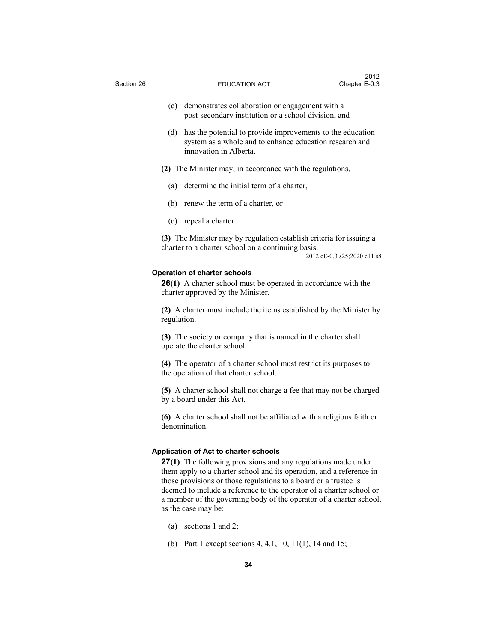| Section 26 |             | <b>EDUCATION ACT</b>                                                                                                                                                                                                                                                                                                                                                                                                     | 2012<br>Chapter E-0.3       |
|------------|-------------|--------------------------------------------------------------------------------------------------------------------------------------------------------------------------------------------------------------------------------------------------------------------------------------------------------------------------------------------------------------------------------------------------------------------------|-----------------------------|
|            | (c)         | demonstrates collaboration or engagement with a<br>post-secondary institution or a school division, and                                                                                                                                                                                                                                                                                                                  |                             |
|            | (d)         | has the potential to provide improvements to the education<br>system as a whole and to enhance education research and<br>innovation in Alberta.                                                                                                                                                                                                                                                                          |                             |
|            |             | (2) The Minister may, in accordance with the regulations,                                                                                                                                                                                                                                                                                                                                                                |                             |
|            | (a)         | determine the initial term of a charter,                                                                                                                                                                                                                                                                                                                                                                                 |                             |
|            |             | (b) renew the term of a charter, or                                                                                                                                                                                                                                                                                                                                                                                      |                             |
|            |             | (c) repeal a charter.                                                                                                                                                                                                                                                                                                                                                                                                    |                             |
|            |             | (3) The Minister may by regulation establish criteria for issuing a<br>charter to a charter school on a continuing basis.                                                                                                                                                                                                                                                                                                | 2012 cE-0.3 s25;2020 c11 s8 |
|            |             | <b>Operation of charter schools</b><br><b>26(1)</b> A charter school must be operated in accordance with the<br>charter approved by the Minister.                                                                                                                                                                                                                                                                        |                             |
|            | regulation. | (2) A charter must include the items established by the Minister by                                                                                                                                                                                                                                                                                                                                                      |                             |
|            |             | (3) The society or company that is named in the charter shall<br>operate the charter school.                                                                                                                                                                                                                                                                                                                             |                             |
|            |             | (4) The operator of a charter school must restrict its purposes to<br>the operation of that charter school.                                                                                                                                                                                                                                                                                                              |                             |
|            |             | (5) A charter school shall not charge a fee that may not be charged<br>by a board under this Act.                                                                                                                                                                                                                                                                                                                        |                             |
|            |             | (6) A charter school shall not be affiliated with a religious faith or<br>denomination.                                                                                                                                                                                                                                                                                                                                  |                             |
|            |             | Application of Act to charter schools<br>27(1) The following provisions and any regulations made under<br>them apply to a charter school and its operation, and a reference in<br>those provisions or those regulations to a board or a trustee is<br>deemed to include a reference to the operator of a charter school or<br>a member of the governing body of the operator of a charter school,<br>as the case may be: |                             |

- (a) sections 1 and 2;
- (b) Part 1 except sections 4, 4.1, 10, 11(1), 14 and 15;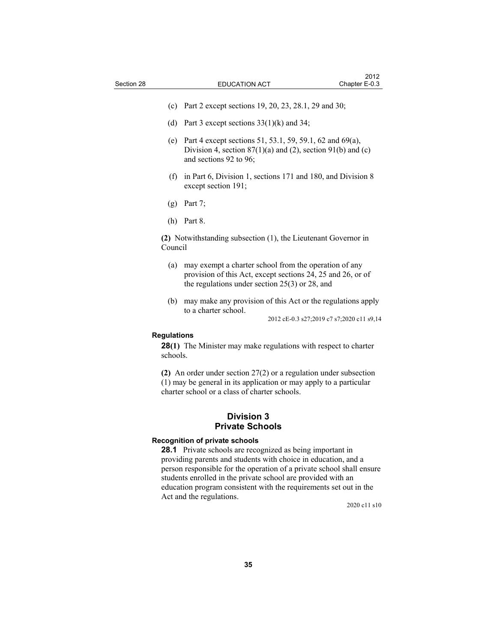- (c) Part 2 except sections 19, 20, 23, 28.1, 29 and 30;
- (d) Part 3 except sections  $33(1)(k)$  and  $34$ ;
- (e) Part 4 except sections 51, 53.1, 59, 59.1, 62 and 69(a), Division 4, section  $87(1)(a)$  and  $(2)$ , section  $91(b)$  and  $(c)$ and sections 92 to 96;
- (f) in Part 6, Division 1, sections 171 and 180, and Division 8 except section 191;
- (g) Part 7;
- (h) Part 8.

**(2)** Notwithstanding subsection (1), the Lieutenant Governor in Council

- (a) may exempt a charter school from the operation of any provision of this Act, except sections 24, 25 and 26, or of the regulations under section 25(3) or 28, and
- (b) may make any provision of this Act or the regulations apply to a charter school.

2012 cE-0.3 s27;2019 c7 s7;2020 c11 s9,14

### **Regulations**

**28(1)** The Minister may make regulations with respect to charter schools.

**(2)** An order under section 27(2) or a regulation under subsection (1) may be general in its application or may apply to a particular charter school or a class of charter schools.

# **Division 3 Private Schools**

## **Recognition of private schools**

**28.1** Private schools are recognized as being important in providing parents and students with choice in education, and a person responsible for the operation of a private school shall ensure students enrolled in the private school are provided with an education program consistent with the requirements set out in the Act and the regulations.

2020 c11 s10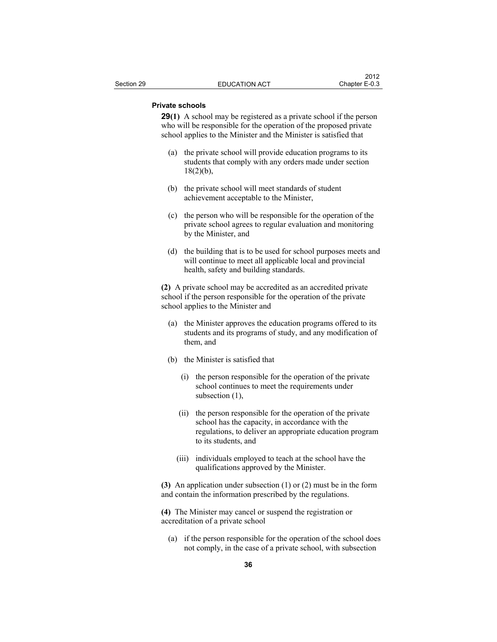## **Private schools**

**29(1)** A school may be registered as a private school if the person who will be responsible for the operation of the proposed private school applies to the Minister and the Minister is satisfied that

- (a) the private school will provide education programs to its students that comply with any orders made under section  $18(2)(b)$ ,
- (b) the private school will meet standards of student achievement acceptable to the Minister,
- (c) the person who will be responsible for the operation of the private school agrees to regular evaluation and monitoring by the Minister, and
- (d) the building that is to be used for school purposes meets and will continue to meet all applicable local and provincial health, safety and building standards.

**(2)** A private school may be accredited as an accredited private school if the person responsible for the operation of the private school applies to the Minister and

- (a) the Minister approves the education programs offered to its students and its programs of study, and any modification of them, and
- (b) the Minister is satisfied that
	- (i) the person responsible for the operation of the private school continues to meet the requirements under subsection (1),
	- (ii) the person responsible for the operation of the private school has the capacity, in accordance with the regulations, to deliver an appropriate education program to its students, and
	- (iii) individuals employed to teach at the school have the qualifications approved by the Minister.

**(3)** An application under subsection (1) or (2) must be in the form and contain the information prescribed by the regulations.

**(4)** The Minister may cancel or suspend the registration or accreditation of a private school

 (a) if the person responsible for the operation of the school does not comply, in the case of a private school, with subsection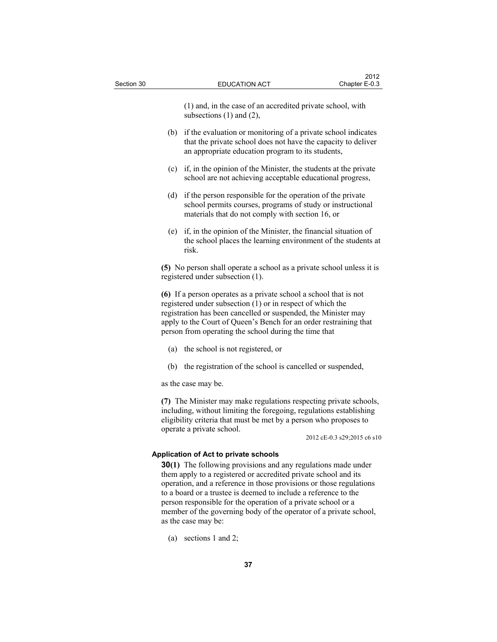(1) and, in the case of an accredited private school, with subsections (1) and (2),

- (b) if the evaluation or monitoring of a private school indicates that the private school does not have the capacity to deliver an appropriate education program to its students,
- (c) if, in the opinion of the Minister, the students at the private school are not achieving acceptable educational progress,
- (d) if the person responsible for the operation of the private school permits courses, programs of study or instructional materials that do not comply with section 16, or
- (e) if, in the opinion of the Minister, the financial situation of the school places the learning environment of the students at risk.

**(5)** No person shall operate a school as a private school unless it is registered under subsection (1).

**(6)** If a person operates as a private school a school that is not registered under subsection (1) or in respect of which the registration has been cancelled or suspended, the Minister may apply to the Court of Queen's Bench for an order restraining that person from operating the school during the time that

- (a) the school is not registered, or
- (b) the registration of the school is cancelled or suspended,

as the case may be.

**(7)** The Minister may make regulations respecting private schools, including, without limiting the foregoing, regulations establishing eligibility criteria that must be met by a person who proposes to operate a private school.

2012 cE-0.3 s29;2015 c6 s10

## **Application of Act to private schools**

**30(1)** The following provisions and any regulations made under them apply to a registered or accredited private school and its operation, and a reference in those provisions or those regulations to a board or a trustee is deemed to include a reference to the person responsible for the operation of a private school or a member of the governing body of the operator of a private school, as the case may be:

(a) sections 1 and 2;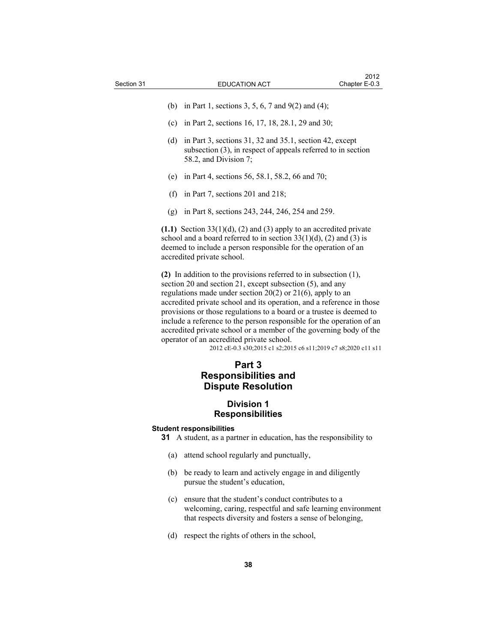- (b) in Part 1, sections 3, 5, 6, 7 and 9(2) and (4);
- (c) in Part 2, sections 16, 17, 18, 28.1, 29 and 30;
- (d) in Part 3, sections 31, 32 and 35.1, section 42, except subsection (3), in respect of appeals referred to in section 58.2, and Division 7;
- (e) in Part 4, sections 56, 58.1, 58.2, 66 and 70;
- (f) in Part 7, sections 201 and 218;
- (g) in Part 8, sections 243, 244, 246, 254 and 259.

**(1.1)** Section 33(1)(d), (2) and (3) apply to an accredited private school and a board referred to in section  $33(1)(d)$ , (2) and (3) is deemed to include a person responsible for the operation of an accredited private school.

**(2)** In addition to the provisions referred to in subsection (1), section 20 and section 21, except subsection (5), and any regulations made under section 20(2) or 21(6), apply to an accredited private school and its operation, and a reference in those provisions or those regulations to a board or a trustee is deemed to include a reference to the person responsible for the operation of an accredited private school or a member of the governing body of the operator of an accredited private school.

2012 cE-0.3 s30;2015 c1 s2;2015 c6 s11;2019 c7 s8;2020 c11 s11

# **Part 3 Responsibilities and Dispute Resolution**

# **Division 1 Responsibilities**

### **Student responsibilities**

- **31** A student, as a partner in education, has the responsibility to
	- (a) attend school regularly and punctually,
	- (b) be ready to learn and actively engage in and diligently pursue the student's education,
	- (c) ensure that the student's conduct contributes to a welcoming, caring, respectful and safe learning environment that respects diversity and fosters a sense of belonging,
	- (d) respect the rights of others in the school,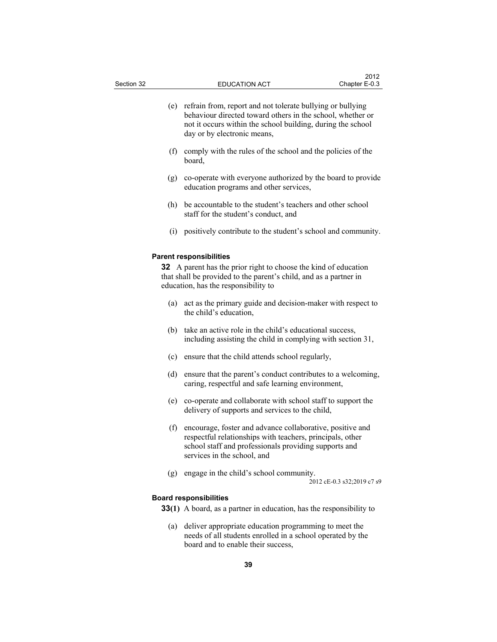- (e) refrain from, report and not tolerate bullying or bullying behaviour directed toward others in the school, whether or not it occurs within the school building, during the school day or by electronic means,
- (f) comply with the rules of the school and the policies of the board,
- (g) co-operate with everyone authorized by the board to provide education programs and other services,
- (h) be accountable to the student's teachers and other school staff for the student's conduct, and
- (i) positively contribute to the student's school and community.

### **Parent responsibilities**

**32** A parent has the prior right to choose the kind of education that shall be provided to the parent's child, and as a partner in education, has the responsibility to

- (a) act as the primary guide and decision-maker with respect to the child's education,
- (b) take an active role in the child's educational success, including assisting the child in complying with section 31,
- (c) ensure that the child attends school regularly,
- (d) ensure that the parent's conduct contributes to a welcoming, caring, respectful and safe learning environment,
- (e) co-operate and collaborate with school staff to support the delivery of supports and services to the child,
- (f) encourage, foster and advance collaborative, positive and respectful relationships with teachers, principals, other school staff and professionals providing supports and services in the school, and
- (g) engage in the child's school community.

2012 cE-0.3 s32;2019 c7 s9

### **Board responsibilities**

**33(1)** A board, as a partner in education, has the responsibility to

 (a) deliver appropriate education programming to meet the needs of all students enrolled in a school operated by the board and to enable their success,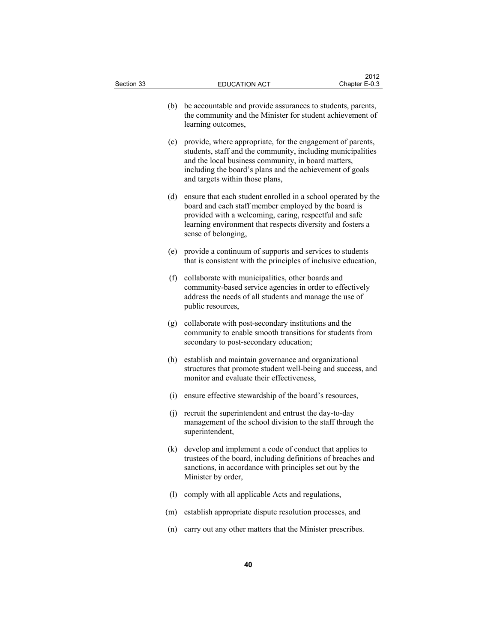| Section 33 | <b>EDUCATION ACT</b>                                                                                                                                                                                                                                                                | 2012<br>Chapter E-0.3 |  |  |
|------------|-------------------------------------------------------------------------------------------------------------------------------------------------------------------------------------------------------------------------------------------------------------------------------------|-----------------------|--|--|
| (b)        | be accountable and provide assurances to students, parents,<br>the community and the Minister for student achievement of<br>learning outcomes,                                                                                                                                      |                       |  |  |
|            | (c) provide, where appropriate, for the engagement of parents,<br>students, staff and the community, including municipalities<br>and the local business community, in board matters,<br>including the board's plans and the achievement of goals<br>and targets within those plans, |                       |  |  |
| (d)        | ensure that each student enrolled in a school operated by the<br>board and each staff member employed by the board is<br>provided with a welcoming, caring, respectful and safe<br>learning environment that respects diversity and fosters a<br>sense of belonging,                |                       |  |  |
|            | (e) provide a continuum of supports and services to students<br>that is consistent with the principles of inclusive education,                                                                                                                                                      |                       |  |  |
| (f)        | collaborate with municipalities, other boards and<br>community-based service agencies in order to effectively<br>address the needs of all students and manage the use of<br>public resources,                                                                                       |                       |  |  |
| (g)        | collaborate with post-secondary institutions and the<br>community to enable smooth transitions for students from<br>secondary to post-secondary education;                                                                                                                          |                       |  |  |
| (h)        | establish and maintain governance and organizational<br>structures that promote student well-being and success, and<br>monitor and evaluate their effectiveness,                                                                                                                    |                       |  |  |
|            | (i) ensure effective stewardship of the board's resources,                                                                                                                                                                                                                          |                       |  |  |
|            | (j) recruit the superintendent and entrust the day-to-day<br>management of the school division to the staff through the<br>superintendent,                                                                                                                                          |                       |  |  |
|            | (k) develop and implement a code of conduct that applies to<br>trustees of the board, including definitions of breaches and<br>sanctions, in accordance with principles set out by the<br>Minister by order,                                                                        |                       |  |  |
| (1)        | comply with all applicable Acts and regulations,                                                                                                                                                                                                                                    |                       |  |  |
| (m)        | establish appropriate dispute resolution processes, and                                                                                                                                                                                                                             |                       |  |  |
| (n)        | carry out any other matters that the Minister prescribes.                                                                                                                                                                                                                           |                       |  |  |
| 40         |                                                                                                                                                                                                                                                                                     |                       |  |  |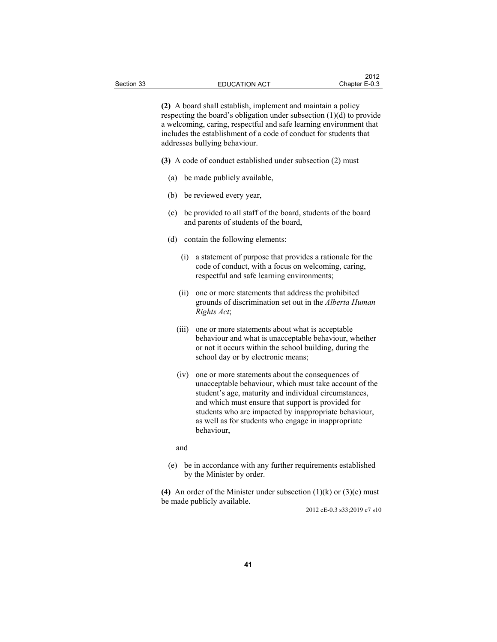**(2)** A board shall establish, implement and maintain a policy respecting the board's obligation under subsection (1)(d) to provide a welcoming, caring, respectful and safe learning environment that includes the establishment of a code of conduct for students that addresses bullying behaviour.

**(3)** A code of conduct established under subsection (2) must

- (a) be made publicly available,
- (b) be reviewed every year,
- (c) be provided to all staff of the board, students of the board and parents of students of the board,
- (d) contain the following elements:
	- (i) a statement of purpose that provides a rationale for the code of conduct, with a focus on welcoming, caring, respectful and safe learning environments;
	- (ii) one or more statements that address the prohibited grounds of discrimination set out in the *Alberta Human Rights Act*;
	- (iii) one or more statements about what is acceptable behaviour and what is unacceptable behaviour, whether or not it occurs within the school building, during the school day or by electronic means;
	- (iv) one or more statements about the consequences of unacceptable behaviour, which must take account of the student's age, maturity and individual circumstances, and which must ensure that support is provided for students who are impacted by inappropriate behaviour, as well as for students who engage in inappropriate behaviour,

and

 (e) be in accordance with any further requirements established by the Minister by order.

**(4)** An order of the Minister under subsection (1)(k) or (3)(e) must be made publicly available.

2012 cE-0.3 s33;2019 c7 s10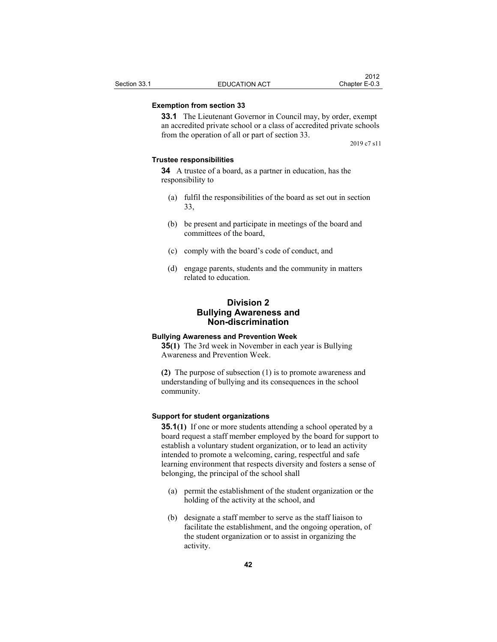## **Exemption from section 33**

**33.1** The Lieutenant Governor in Council may, by order, exempt an accredited private school or a class of accredited private schools from the operation of all or part of section 33.

2019 c7 s11

## **Trustee responsibilities**

**34** A trustee of a board, as a partner in education, has the responsibility to

- (a) fulfil the responsibilities of the board as set out in section 33,
- (b) be present and participate in meetings of the board and committees of the board,
- (c) comply with the board's code of conduct, and
- (d) engage parents, students and the community in matters related to education.

# **Division 2 Bullying Awareness and Non-discrimination**

#### **Bullying Awareness and Prevention Week**

**35(1)** The 3rd week in November in each year is Bullying Awareness and Prevention Week.

**(2)** The purpose of subsection (1) is to promote awareness and understanding of bullying and its consequences in the school community.

## **Support for student organizations**

**35.1(1)** If one or more students attending a school operated by a board request a staff member employed by the board for support to establish a voluntary student organization, or to lead an activity intended to promote a welcoming, caring, respectful and safe learning environment that respects diversity and fosters a sense of belonging, the principal of the school shall

- (a) permit the establishment of the student organization or the holding of the activity at the school, and
- (b) designate a staff member to serve as the staff liaison to facilitate the establishment, and the ongoing operation, of the student organization or to assist in organizing the activity.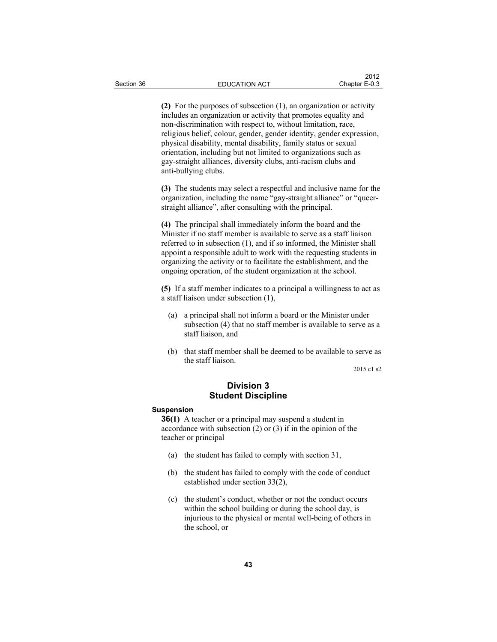**(2)** For the purposes of subsection (1), an organization or activity includes an organization or activity that promotes equality and non-discrimination with respect to, without limitation, race, religious belief, colour, gender, gender identity, gender expression, physical disability, mental disability, family status or sexual orientation, including but not limited to organizations such as gay-straight alliances, diversity clubs, anti-racism clubs and anti-bullying clubs.

**(3)** The students may select a respectful and inclusive name for the organization, including the name "gay-straight alliance" or "queerstraight alliance", after consulting with the principal.

**(4)** The principal shall immediately inform the board and the Minister if no staff member is available to serve as a staff liaison referred to in subsection (1), and if so informed, the Minister shall appoint a responsible adult to work with the requesting students in organizing the activity or to facilitate the establishment, and the ongoing operation, of the student organization at the school.

**(5)** If a staff member indicates to a principal a willingness to act as a staff liaison under subsection (1),

- (a) a principal shall not inform a board or the Minister under subsection (4) that no staff member is available to serve as a staff liaison, and
- (b) that staff member shall be deemed to be available to serve as the staff liaison.

2015 c1 s2

# **Division 3 Student Discipline**

## **Suspension**

**36(1)** A teacher or a principal may suspend a student in accordance with subsection (2) or (3) if in the opinion of the teacher or principal

- (a) the student has failed to comply with section 31,
- (b) the student has failed to comply with the code of conduct established under section 33(2),
- (c) the student's conduct, whether or not the conduct occurs within the school building or during the school day, is injurious to the physical or mental well-being of others in the school, or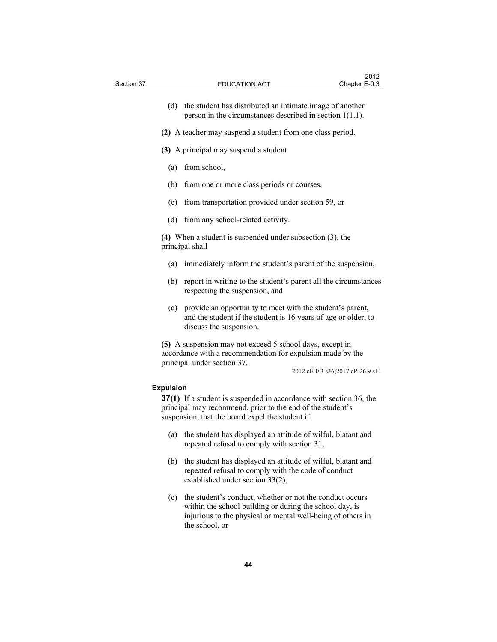| Section 37 |                  | <b>EDUCATION ACT</b>                                                                                                                                                                       | Chapter E-0.3                    |
|------------|------------------|--------------------------------------------------------------------------------------------------------------------------------------------------------------------------------------------|----------------------------------|
|            | (d)              | the student has distributed an intimate image of another<br>person in the circumstances described in section $1(1.1)$ .                                                                    |                                  |
|            |                  | (2) A teacher may suspend a student from one class period.                                                                                                                                 |                                  |
|            |                  | (3) A principal may suspend a student                                                                                                                                                      |                                  |
|            | (a)              | from school,                                                                                                                                                                               |                                  |
|            | (b)              | from one or more class periods or courses,                                                                                                                                                 |                                  |
|            | (c)              | from transportation provided under section 59, or                                                                                                                                          |                                  |
|            | (d)              | from any school-related activity.                                                                                                                                                          |                                  |
|            |                  | (4) When a student is suspended under subsection $(3)$ , the<br>principal shall                                                                                                            |                                  |
|            | (a)              | immediately inform the student's parent of the suspension,                                                                                                                                 |                                  |
|            | (b)              | report in writing to the student's parent all the circumstances<br>respecting the suspension, and                                                                                          |                                  |
|            | (c)              | provide an opportunity to meet with the student's parent,<br>and the student if the student is 16 years of age or older, to<br>discuss the suspension.                                     |                                  |
|            |                  | (5) A suspension may not exceed 5 school days, except in<br>accordance with a recommendation for expulsion made by the<br>principal under section 37.                                      | 2012 cE-0.3 s36;2017 cP-26.9 s11 |
|            | <b>Expulsion</b> |                                                                                                                                                                                            |                                  |
|            |                  | <b>37(1)</b> If a student is suspended in accordance with section 36, the<br>principal may recommend, prior to the end of the student's<br>suspension, that the board expel the student if |                                  |
|            | (a)              | the student has displayed an attitude of wilful, blatant and<br>repeated refusal to comply with section 31,                                                                                |                                  |
|            | (b)              | the student has displayed an attitude of wilful, blatant and<br>repeated refusal to comply with the code of conduct<br>established under section 33(2),                                    |                                  |

 $2012$ 

 (c) the student's conduct, whether or not the conduct occurs within the school building or during the school day, is injurious to the physical or mental well-being of others in the school, or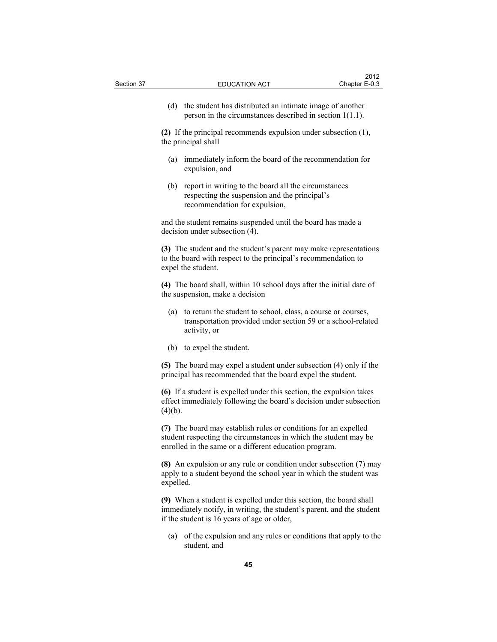(d) the student has distributed an intimate image of another person in the circumstances described in section 1(1.1).

**(2)** If the principal recommends expulsion under subsection (1), the principal shall

- (a) immediately inform the board of the recommendation for expulsion, and
- (b) report in writing to the board all the circumstances respecting the suspension and the principal's recommendation for expulsion,

and the student remains suspended until the board has made a decision under subsection (4).

**(3)** The student and the student's parent may make representations to the board with respect to the principal's recommendation to expel the student.

**(4)** The board shall, within 10 school days after the initial date of the suspension, make a decision

- (a) to return the student to school, class, a course or courses, transportation provided under section 59 or a school-related activity, or
- (b) to expel the student.

**(5)** The board may expel a student under subsection (4) only if the principal has recommended that the board expel the student.

**(6)** If a student is expelled under this section, the expulsion takes effect immediately following the board's decision under subsection  $(4)(b).$ 

**(7)** The board may establish rules or conditions for an expelled student respecting the circumstances in which the student may be enrolled in the same or a different education program.

**(8)** An expulsion or any rule or condition under subsection (7) may apply to a student beyond the school year in which the student was expelled.

**(9)** When a student is expelled under this section, the board shall immediately notify, in writing, the student's parent, and the student if the student is 16 years of age or older,

 (a) of the expulsion and any rules or conditions that apply to the student, and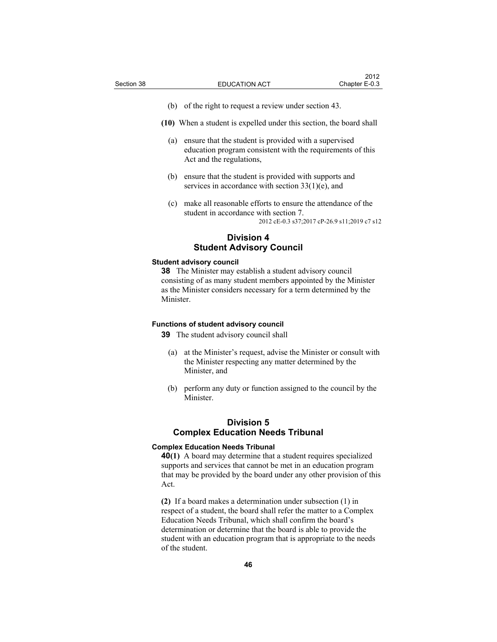- (b) of the right to request a review under section 43.
- **(10)** When a student is expelled under this section, the board shall
	- (a) ensure that the student is provided with a supervised education program consistent with the requirements of this Act and the regulations,
	- (b) ensure that the student is provided with supports and services in accordance with section 33(1)(e), and
	- (c) make all reasonable efforts to ensure the attendance of the student in accordance with section 7.

2012 cE-0.3 s37;2017 cP-26.9 s11;2019 c7 s12

## **Division 4 Student Advisory Council**

#### **Student advisory council**

**38** The Minister may establish a student advisory council consisting of as many student members appointed by the Minister as the Minister considers necessary for a term determined by the Minister.

### **Functions of student advisory council**

**39** The student advisory council shall

- (a) at the Minister's request, advise the Minister or consult with the Minister respecting any matter determined by the Minister, and
- (b) perform any duty or function assigned to the council by the Minister.

## **Division 5 Complex Education Needs Tribunal**

### **Complex Education Needs Tribunal**

**40(1)** A board may determine that a student requires specialized supports and services that cannot be met in an education program that may be provided by the board under any other provision of this Act.

**(2)** If a board makes a determination under subsection (1) in respect of a student, the board shall refer the matter to a Complex Education Needs Tribunal, which shall confirm the board's determination or determine that the board is able to provide the student with an education program that is appropriate to the needs of the student.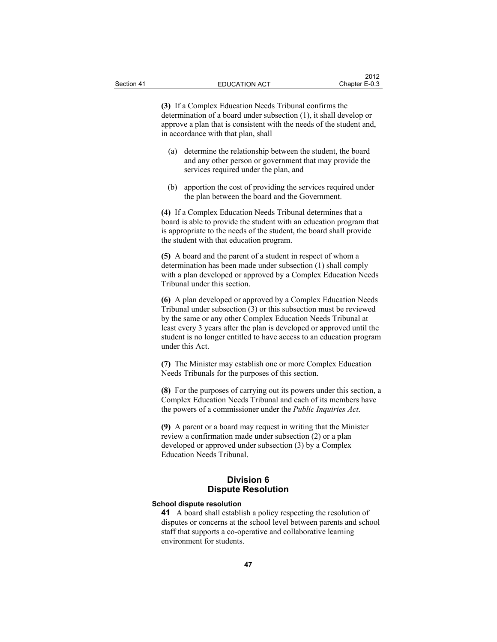**(3)** If a Complex Education Needs Tribunal confirms the determination of a board under subsection (1), it shall develop or approve a plan that is consistent with the needs of the student and, in accordance with that plan, shall

- (a) determine the relationship between the student, the board and any other person or government that may provide the services required under the plan, and
- (b) apportion the cost of providing the services required under the plan between the board and the Government.

**(4)** If a Complex Education Needs Tribunal determines that a board is able to provide the student with an education program that is appropriate to the needs of the student, the board shall provide the student with that education program.

**(5)** A board and the parent of a student in respect of whom a determination has been made under subsection (1) shall comply with a plan developed or approved by a Complex Education Needs Tribunal under this section.

**(6)** A plan developed or approved by a Complex Education Needs Tribunal under subsection (3) or this subsection must be reviewed by the same or any other Complex Education Needs Tribunal at least every 3 years after the plan is developed or approved until the student is no longer entitled to have access to an education program under this Act.

**(7)** The Minister may establish one or more Complex Education Needs Tribunals for the purposes of this section.

**(8)** For the purposes of carrying out its powers under this section, a Complex Education Needs Tribunal and each of its members have the powers of a commissioner under the *Public Inquiries Act*.

**(9)** A parent or a board may request in writing that the Minister review a confirmation made under subsection (2) or a plan developed or approved under subsection (3) by a Complex Education Needs Tribunal.

## **Division 6 Dispute Resolution**

## **School dispute resolution**

**41** A board shall establish a policy respecting the resolution of disputes or concerns at the school level between parents and school staff that supports a co-operative and collaborative learning environment for students.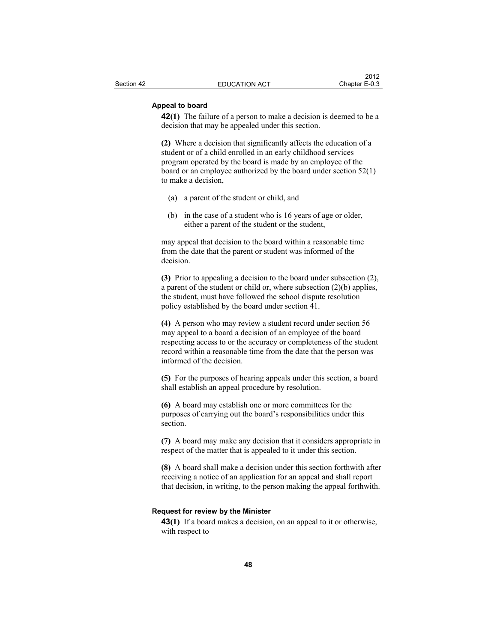### **Appeal to board**

**42(1)** The failure of a person to make a decision is deemed to be a decision that may be appealed under this section.

**(2)** Where a decision that significantly affects the education of a student or of a child enrolled in an early childhood services program operated by the board is made by an employee of the board or an employee authorized by the board under section 52(1) to make a decision,

- (a) a parent of the student or child, and
- (b) in the case of a student who is 16 years of age or older, either a parent of the student or the student,

may appeal that decision to the board within a reasonable time from the date that the parent or student was informed of the decision.

**(3)** Prior to appealing a decision to the board under subsection (2), a parent of the student or child or, where subsection (2)(b) applies, the student, must have followed the school dispute resolution policy established by the board under section 41.

**(4)** A person who may review a student record under section 56 may appeal to a board a decision of an employee of the board respecting access to or the accuracy or completeness of the student record within a reasonable time from the date that the person was informed of the decision.

**(5)** For the purposes of hearing appeals under this section, a board shall establish an appeal procedure by resolution.

**(6)** A board may establish one or more committees for the purposes of carrying out the board's responsibilities under this section.

**(7)** A board may make any decision that it considers appropriate in respect of the matter that is appealed to it under this section.

**(8)** A board shall make a decision under this section forthwith after receiving a notice of an application for an appeal and shall report that decision, in writing, to the person making the appeal forthwith.

#### **Request for review by the Minister**

**43(1)** If a board makes a decision, on an appeal to it or otherwise, with respect to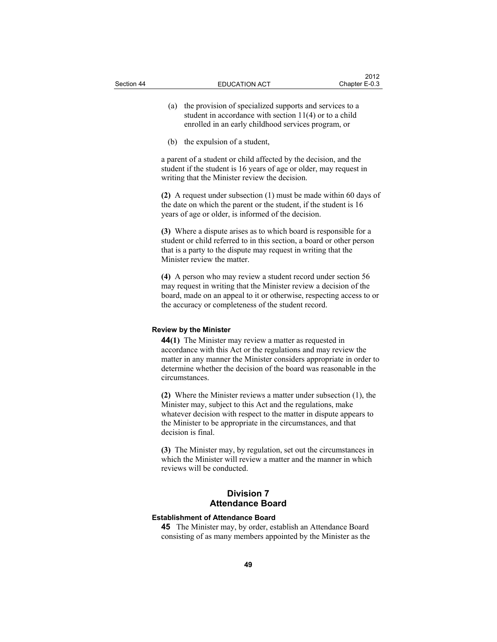- (a) the provision of specialized supports and services to a student in accordance with section 11(4) or to a child enrolled in an early childhood services program, or
- (b) the expulsion of a student,

a parent of a student or child affected by the decision, and the student if the student is 16 years of age or older, may request in writing that the Minister review the decision.

**(2)** A request under subsection (1) must be made within 60 days of the date on which the parent or the student, if the student is 16 years of age or older, is informed of the decision.

**(3)** Where a dispute arises as to which board is responsible for a student or child referred to in this section, a board or other person that is a party to the dispute may request in writing that the Minister review the matter.

**(4)** A person who may review a student record under section 56 may request in writing that the Minister review a decision of the board, made on an appeal to it or otherwise, respecting access to or the accuracy or completeness of the student record.

### **Review by the Minister**

**44(1)** The Minister may review a matter as requested in accordance with this Act or the regulations and may review the matter in any manner the Minister considers appropriate in order to determine whether the decision of the board was reasonable in the circumstances.

**(2)** Where the Minister reviews a matter under subsection (1), the Minister may, subject to this Act and the regulations, make whatever decision with respect to the matter in dispute appears to the Minister to be appropriate in the circumstances, and that decision is final.

**(3)** The Minister may, by regulation, set out the circumstances in which the Minister will review a matter and the manner in which reviews will be conducted.

# **Division 7 Attendance Board**

## **Establishment of Attendance Board**

**45** The Minister may, by order, establish an Attendance Board consisting of as many members appointed by the Minister as the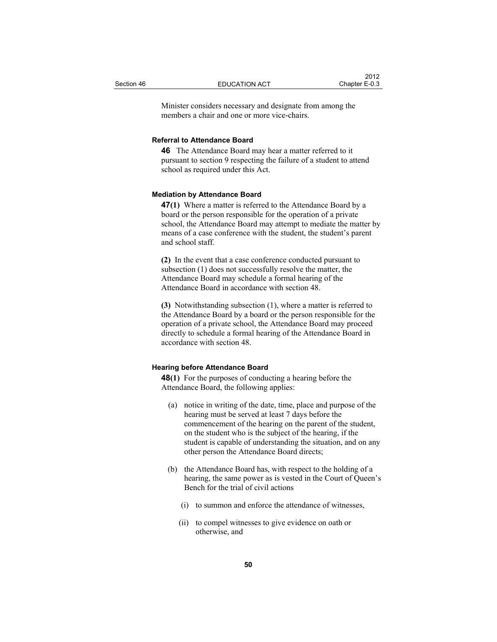Minister considers necessary and designate from among the members a chair and one or more vice-chairs.

## **Referral to Attendance Board**

**46** The Attendance Board may hear a matter referred to it pursuant to section 9 respecting the failure of a student to attend school as required under this Act.

#### **Mediation by Attendance Board**

**47(1)** Where a matter is referred to the Attendance Board by a board or the person responsible for the operation of a private school, the Attendance Board may attempt to mediate the matter by means of a case conference with the student, the student's parent and school staff.

**(2)** In the event that a case conference conducted pursuant to subsection (1) does not successfully resolve the matter, the Attendance Board may schedule a formal hearing of the Attendance Board in accordance with section 48.

**(3)** Notwithstanding subsection (1), where a matter is referred to the Attendance Board by a board or the person responsible for the operation of a private school, the Attendance Board may proceed directly to schedule a formal hearing of the Attendance Board in accordance with section 48.

#### **Hearing before Attendance Board**

**48(1)** For the purposes of conducting a hearing before the Attendance Board, the following applies:

- (a) notice in writing of the date, time, place and purpose of the hearing must be served at least 7 days before the commencement of the hearing on the parent of the student, on the student who is the subject of the hearing, if the student is capable of understanding the situation, and on any other person the Attendance Board directs;
- (b) the Attendance Board has, with respect to the holding of a hearing, the same power as is vested in the Court of Queen's Bench for the trial of civil actions
	- (i) to summon and enforce the attendance of witnesses,
	- (ii) to compel witnesses to give evidence on oath or otherwise, and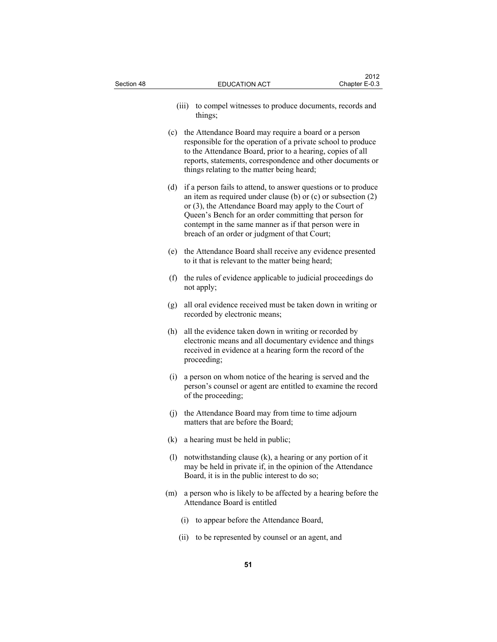| Section 48 | <b>EDUCATION ACT</b>                                                                                                                                                                                                                                                                                                                                                  | 2012<br>Chapter E-0.3 |  |
|------------|-----------------------------------------------------------------------------------------------------------------------------------------------------------------------------------------------------------------------------------------------------------------------------------------------------------------------------------------------------------------------|-----------------------|--|
|            | to compel witnesses to produce documents, records and<br>(iii)<br>things;                                                                                                                                                                                                                                                                                             |                       |  |
|            | (c) the Attendance Board may require a board or a person<br>responsible for the operation of a private school to produce<br>to the Attendance Board, prior to a hearing, copies of all<br>reports, statements, correspondence and other documents or<br>things relating to the matter being heard;                                                                    |                       |  |
|            | if a person fails to attend, to answer questions or to produce<br>(d)<br>an item as required under clause (b) or (c) or subsection $(2)$<br>or (3), the Attendance Board may apply to the Court of<br>Queen's Bench for an order committing that person for<br>contempt in the same manner as if that person were in<br>breach of an order or judgment of that Court; |                       |  |
|            | the Attendance Board shall receive any evidence presented<br>(e)<br>to it that is relevant to the matter being heard;                                                                                                                                                                                                                                                 |                       |  |
|            | (f) the rules of evidence applicable to judicial proceedings do<br>not apply;                                                                                                                                                                                                                                                                                         |                       |  |
|            | all oral evidence received must be taken down in writing or<br>(g)<br>recorded by electronic means;                                                                                                                                                                                                                                                                   |                       |  |
|            | all the evidence taken down in writing or recorded by<br>(h)<br>electronic means and all documentary evidence and things<br>received in evidence at a hearing form the record of the<br>proceeding;                                                                                                                                                                   |                       |  |
|            | (i)<br>a person on whom notice of the hearing is served and the<br>person's counsel or agent are entitled to examine the record<br>of the proceeding;                                                                                                                                                                                                                 |                       |  |
|            | (j) the Attendance Board may from time to time adjourn<br>matters that are before the Board;                                                                                                                                                                                                                                                                          |                       |  |
|            | a hearing must be held in public;<br>(k)                                                                                                                                                                                                                                                                                                                              |                       |  |
|            | (1)<br>notwithstanding clause (k), a hearing or any portion of it<br>may be held in private if, in the opinion of the Attendance<br>Board, it is in the public interest to do so;                                                                                                                                                                                     |                       |  |
|            | a person who is likely to be affected by a hearing before the<br>(m)<br>Attendance Board is entitled                                                                                                                                                                                                                                                                  |                       |  |
|            | to appear before the Attendance Board,<br>(i)                                                                                                                                                                                                                                                                                                                         |                       |  |
|            | to be represented by counsel or an agent, and<br>(ii)                                                                                                                                                                                                                                                                                                                 |                       |  |
| 51         |                                                                                                                                                                                                                                                                                                                                                                       |                       |  |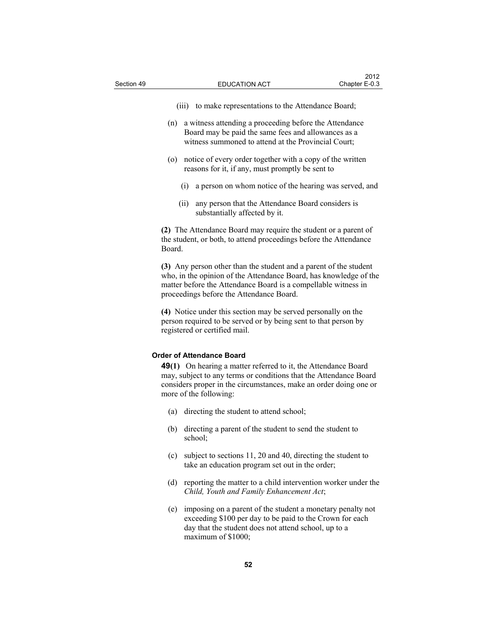- (iii) to make representations to the Attendance Board;
- (n) a witness attending a proceeding before the Attendance Board may be paid the same fees and allowances as a witness summoned to attend at the Provincial Court;
- (o) notice of every order together with a copy of the written reasons for it, if any, must promptly be sent to
	- (i) a person on whom notice of the hearing was served, and
	- (ii) any person that the Attendance Board considers is substantially affected by it.

**(2)** The Attendance Board may require the student or a parent of the student, or both, to attend proceedings before the Attendance Board.

**(3)** Any person other than the student and a parent of the student who, in the opinion of the Attendance Board, has knowledge of the matter before the Attendance Board is a compellable witness in proceedings before the Attendance Board.

**(4)** Notice under this section may be served personally on the person required to be served or by being sent to that person by registered or certified mail.

#### **Order of Attendance Board**

**49(1)** On hearing a matter referred to it, the Attendance Board may, subject to any terms or conditions that the Attendance Board considers proper in the circumstances, make an order doing one or more of the following:

- (a) directing the student to attend school;
- (b) directing a parent of the student to send the student to school;
- (c) subject to sections 11, 20 and 40, directing the student to take an education program set out in the order;
- (d) reporting the matter to a child intervention worker under the *Child, Youth and Family Enhancement Act*;
- (e) imposing on a parent of the student a monetary penalty not exceeding \$100 per day to be paid to the Crown for each day that the student does not attend school, up to a maximum of \$1000;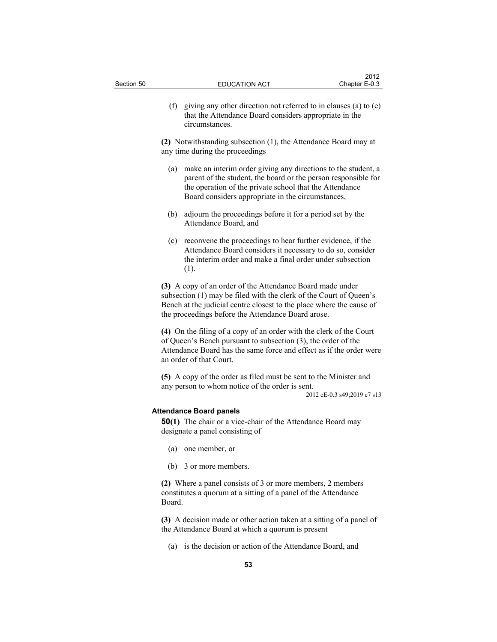$2012$ 

**(2)** Notwithstanding subsection (1), the Attendance Board may at any time during the proceedings

- (a) make an interim order giving any directions to the student, a parent of the student, the board or the person responsible for the operation of the private school that the Attendance Board considers appropriate in the circumstances,
- (b) adjourn the proceedings before it for a period set by the Attendance Board, and
- (c) reconvene the proceedings to hear further evidence, if the Attendance Board considers it necessary to do so, consider the interim order and make a final order under subsection (1).

**(3)** A copy of an order of the Attendance Board made under subsection (1) may be filed with the clerk of the Court of Queen's Bench at the judicial centre closest to the place where the cause of the proceedings before the Attendance Board arose.

**(4)** On the filing of a copy of an order with the clerk of the Court of Queen's Bench pursuant to subsection (3), the order of the Attendance Board has the same force and effect as if the order were an order of that Court.

**(5)** A copy of the order as filed must be sent to the Minister and any person to whom notice of the order is sent.

2012 cE-0.3 s49;2019 c7 s13

#### **Attendance Board panels**

**50(1)** The chair or a vice-chair of the Attendance Board may designate a panel consisting of

- (a) one member, or
- (b) 3 or more members.

**(2)** Where a panel consists of 3 or more members, 2 members constitutes a quorum at a sitting of a panel of the Attendance Board.

**(3)** A decision made or other action taken at a sitting of a panel of the Attendance Board at which a quorum is present

(a) is the decision or action of the Attendance Board, and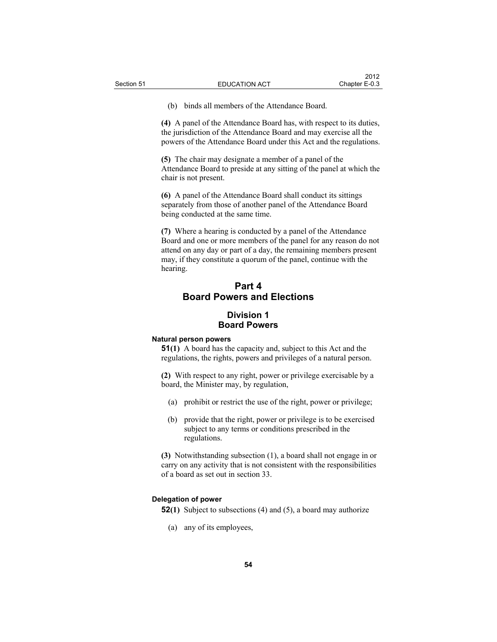(b) binds all members of the Attendance Board.

**(4)** A panel of the Attendance Board has, with respect to its duties, the jurisdiction of the Attendance Board and may exercise all the powers of the Attendance Board under this Act and the regulations.

**(5)** The chair may designate a member of a panel of the Attendance Board to preside at any sitting of the panel at which the chair is not present.

**(6)** A panel of the Attendance Board shall conduct its sittings separately from those of another panel of the Attendance Board being conducted at the same time.

**(7)** Where a hearing is conducted by a panel of the Attendance Board and one or more members of the panel for any reason do not attend on any day or part of a day, the remaining members present may, if they constitute a quorum of the panel, continue with the hearing.

# **Part 4 Board Powers and Elections**

## **Division 1 Board Powers**

#### **Natural person powers**

**51(1)** A board has the capacity and, subject to this Act and the regulations, the rights, powers and privileges of a natural person.

**(2)** With respect to any right, power or privilege exercisable by a board, the Minister may, by regulation,

- (a) prohibit or restrict the use of the right, power or privilege;
- (b) provide that the right, power or privilege is to be exercised subject to any terms or conditions prescribed in the regulations.

**(3)** Notwithstanding subsection (1), a board shall not engage in or carry on any activity that is not consistent with the responsibilities of a board as set out in section 33.

## **Delegation of power**

**52(1)** Subject to subsections (4) and (5), a board may authorize

(a) any of its employees,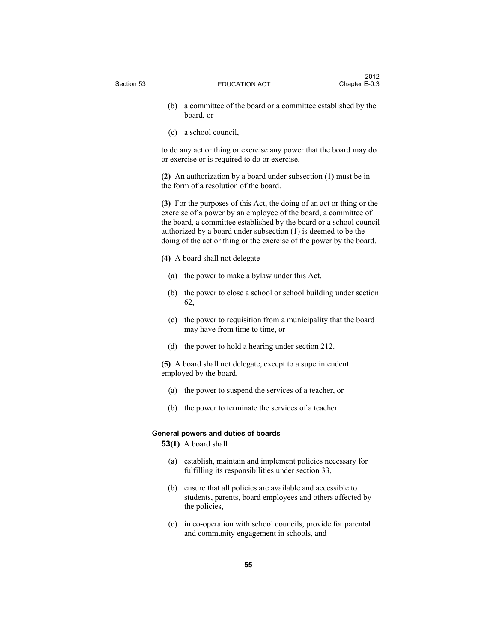- (b) a committee of the board or a committee established by the board, or
- (c) a school council,

to do any act or thing or exercise any power that the board may do or exercise or is required to do or exercise.

**(2)** An authorization by a board under subsection (1) must be in the form of a resolution of the board.

**(3)** For the purposes of this Act, the doing of an act or thing or the exercise of a power by an employee of the board, a committee of the board, a committee established by the board or a school council authorized by a board under subsection (1) is deemed to be the doing of the act or thing or the exercise of the power by the board.

**(4)** A board shall not delegate

- (a) the power to make a bylaw under this Act,
- (b) the power to close a school or school building under section 62,
- (c) the power to requisition from a municipality that the board may have from time to time, or
- (d) the power to hold a hearing under section 212.

**(5)** A board shall not delegate, except to a superintendent employed by the board,

- (a) the power to suspend the services of a teacher, or
- (b) the power to terminate the services of a teacher.

## **General powers and duties of boards**

**53(1)** A board shall

- (a) establish, maintain and implement policies necessary for fulfilling its responsibilities under section 33,
- (b) ensure that all policies are available and accessible to students, parents, board employees and others affected by the policies,
- (c) in co-operation with school councils, provide for parental and community engagement in schools, and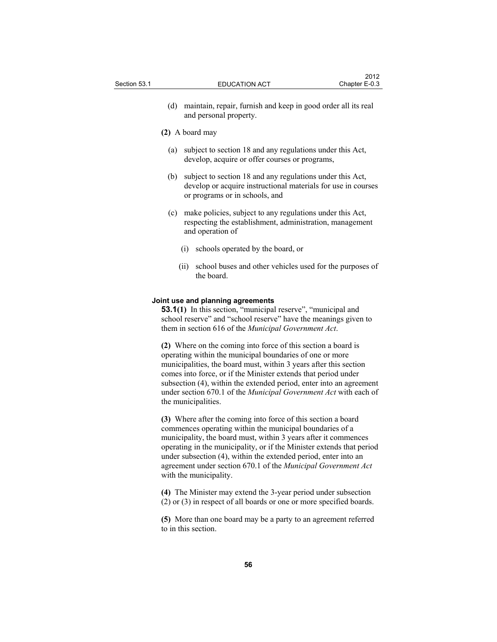(d) maintain, repair, furnish and keep in good order all its real and personal property.

### **(2)** A board may

- (a) subject to section 18 and any regulations under this Act, develop, acquire or offer courses or programs,
- (b) subject to section 18 and any regulations under this Act, develop or acquire instructional materials for use in courses or programs or in schools, and
- (c) make policies, subject to any regulations under this Act, respecting the establishment, administration, management and operation of
	- (i) schools operated by the board, or
	- (ii) school buses and other vehicles used for the purposes of the board.

### **Joint use and planning agreements**

**53.1(1)** In this section, "municipal reserve", "municipal and school reserve" and "school reserve" have the meanings given to them in section 616 of the *Municipal Government Act*.

**(2)** Where on the coming into force of this section a board is operating within the municipal boundaries of one or more municipalities, the board must, within 3 years after this section comes into force, or if the Minister extends that period under subsection (4), within the extended period, enter into an agreement under section 670.1 of the *Municipal Government Act* with each of the municipalities.

**(3)** Where after the coming into force of this section a board commences operating within the municipal boundaries of a municipality, the board must, within 3 years after it commences operating in the municipality, or if the Minister extends that period under subsection (4), within the extended period, enter into an agreement under section 670.1 of the *Municipal Government Act*  with the municipality.

**(4)** The Minister may extend the 3-year period under subsection (2) or (3) in respect of all boards or one or more specified boards.

**(5)** More than one board may be a party to an agreement referred to in this section.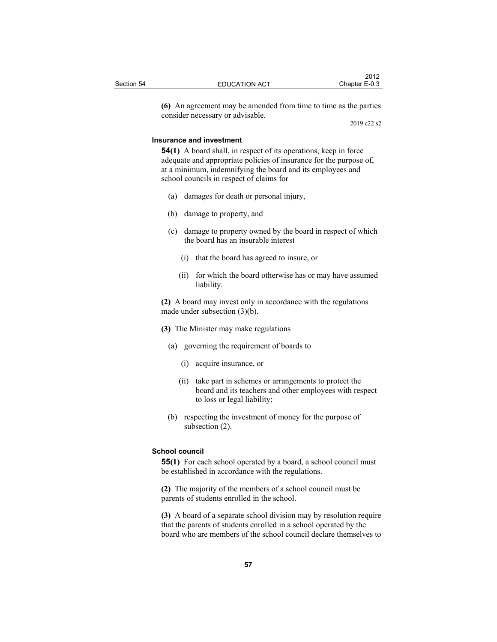|            |                      | 2012          |
|------------|----------------------|---------------|
| Section 54 | <b>EDUCATION ACT</b> | Chapter E-0.3 |
|            |                      |               |

**(6)** An agreement may be amended from time to time as the parties consider necessary or advisable.

2019 c22 s2

## **Insurance and investment**

**54(1)** A board shall, in respect of its operations, keep in force adequate and appropriate policies of insurance for the purpose of, at a minimum, indemnifying the board and its employees and school councils in respect of claims for

- (a) damages for death or personal injury,
- (b) damage to property, and
- (c) damage to property owned by the board in respect of which the board has an insurable interest
	- (i) that the board has agreed to insure, or
	- (ii) for which the board otherwise has or may have assumed liability.

**(2)** A board may invest only in accordance with the regulations made under subsection (3)(b).

- **(3)** The Minister may make regulations
	- (a) governing the requirement of boards to
		- (i) acquire insurance, or
		- (ii) take part in schemes or arrangements to protect the board and its teachers and other employees with respect to loss or legal liability;
	- (b) respecting the investment of money for the purpose of subsection (2).

#### **School council**

**55(1)** For each school operated by a board, a school council must be established in accordance with the regulations.

**(2)** The majority of the members of a school council must be parents of students enrolled in the school.

**(3)** A board of a separate school division may by resolution require that the parents of students enrolled in a school operated by the board who are members of the school council declare themselves to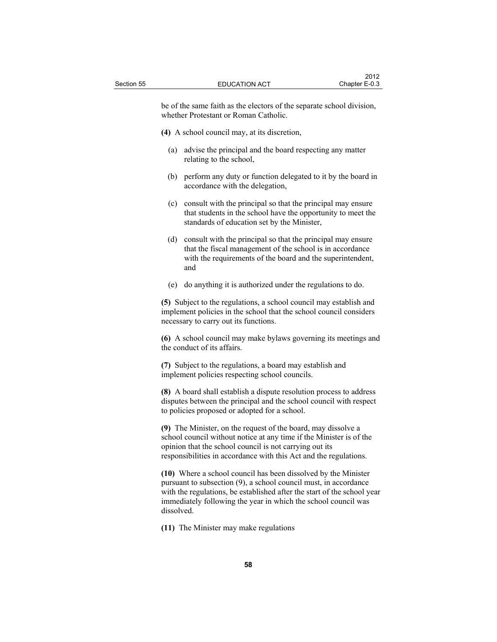be of the same faith as the electors of the separate school division, whether Protestant or Roman Catholic.

**(4)** A school council may, at its discretion,

- (a) advise the principal and the board respecting any matter relating to the school,
- (b) perform any duty or function delegated to it by the board in accordance with the delegation,
- (c) consult with the principal so that the principal may ensure that students in the school have the opportunity to meet the standards of education set by the Minister,
- (d) consult with the principal so that the principal may ensure that the fiscal management of the school is in accordance with the requirements of the board and the superintendent, and
- (e) do anything it is authorized under the regulations to do.

**(5)** Subject to the regulations, a school council may establish and implement policies in the school that the school council considers necessary to carry out its functions.

**(6)** A school council may make bylaws governing its meetings and the conduct of its affairs.

**(7)** Subject to the regulations, a board may establish and implement policies respecting school councils.

**(8)** A board shall establish a dispute resolution process to address disputes between the principal and the school council with respect to policies proposed or adopted for a school.

**(9)** The Minister, on the request of the board, may dissolve a school council without notice at any time if the Minister is of the opinion that the school council is not carrying out its responsibilities in accordance with this Act and the regulations.

**(10)** Where a school council has been dissolved by the Minister pursuant to subsection (9), a school council must, in accordance with the regulations, be established after the start of the school year immediately following the year in which the school council was dissolved.

**(11)** The Minister may make regulations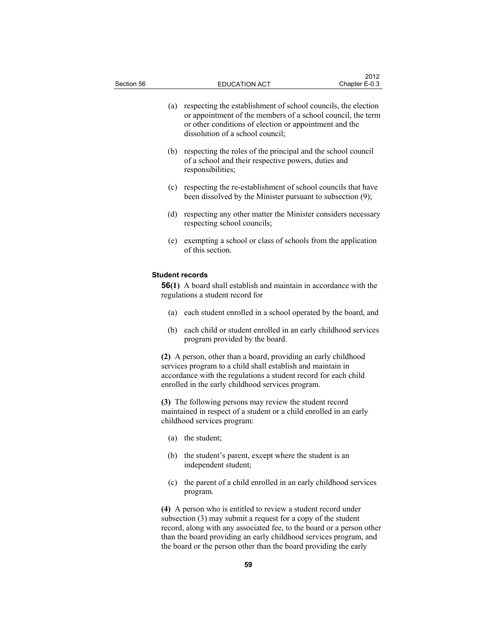| Section 56 |     | <b>EDUCATION ACT</b>                                                                                                                                                                                                                                  | 2012<br>Chapter E-0.3 |
|------------|-----|-------------------------------------------------------------------------------------------------------------------------------------------------------------------------------------------------------------------------------------------------------|-----------------------|
|            | (a) | respecting the establishment of school councils, the election<br>or appointment of the members of a school council, the term<br>or other conditions of election or appointment and the<br>dissolution of a school council;                            |                       |
|            | (b) | respecting the roles of the principal and the school council<br>of a school and their respective powers, duties and<br>responsibilities;                                                                                                              |                       |
|            |     | (c) respecting the re-establishment of school councils that have<br>been dissolved by the Minister pursuant to subsection (9);                                                                                                                        |                       |
|            | (d) | respecting any other matter the Minister considers necessary<br>respecting school councils;                                                                                                                                                           |                       |
|            | (e) | exempting a school or class of schools from the application<br>of this section.                                                                                                                                                                       |                       |
|            |     | <b>Student records</b><br><b>56(1)</b> A board shall establish and maintain in accordance with the<br>regulations a student record for                                                                                                                |                       |
|            | (a) | each student enrolled in a school operated by the board, and                                                                                                                                                                                          |                       |
|            | (b) | each child or student enrolled in an early childhood services<br>program provided by the board.                                                                                                                                                       |                       |
|            |     | (2) A person, other than a board, providing an early childhood<br>services program to a child shall establish and maintain in<br>accordance with the regulations a student record for each child<br>enrolled in the early childhood services program. |                       |
|            |     | (3) The following persons may review the student record<br>maintained in respect of a student or a child enrolled in an early<br>childhood services program:                                                                                          |                       |
|            | (a) | the student;                                                                                                                                                                                                                                          |                       |
|            | (b) | the student's parent, except where the student is an                                                                                                                                                                                                  |                       |

 (c) the parent of a child enrolled in an early childhood services program.

**(4)** A person who is entitled to review a student record under subsection (3) may submit a request for a copy of the student record, along with any associated fee, to the board or a person other than the board providing an early childhood services program, and the board or the person other than the board providing the early

independent student;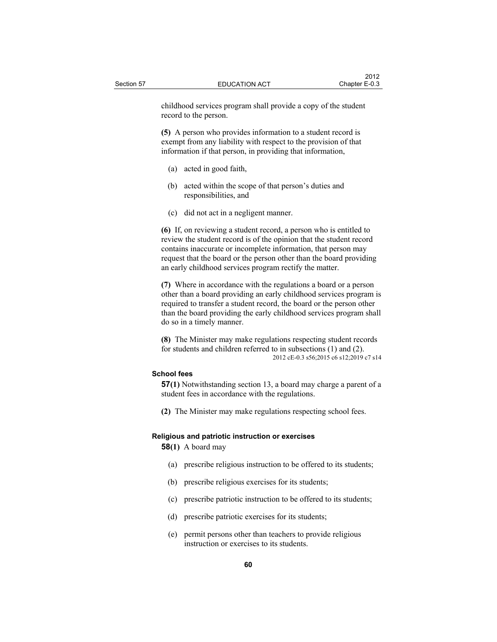childhood services program shall provide a copy of the student record to the person.

**(5)** A person who provides information to a student record is exempt from any liability with respect to the provision of that information if that person, in providing that information,

- (a) acted in good faith,
- (b) acted within the scope of that person's duties and responsibilities, and
- (c) did not act in a negligent manner.

**(6)** If, on reviewing a student record, a person who is entitled to review the student record is of the opinion that the student record contains inaccurate or incomplete information, that person may request that the board or the person other than the board providing an early childhood services program rectify the matter.

**(7)** Where in accordance with the regulations a board or a person other than a board providing an early childhood services program is required to transfer a student record, the board or the person other than the board providing the early childhood services program shall do so in a timely manner.

**(8)** The Minister may make regulations respecting student records for students and children referred to in subsections (1) and (2). 2012 cE-0.3 s56;2015 c6 s12;2019 c7 s14

## **School fees**

**57(1)** Notwithstanding section 13, a board may charge a parent of a student fees in accordance with the regulations.

**(2)** The Minister may make regulations respecting school fees.

#### **Religious and patriotic instruction or exercises**

**58(1)** A board may

- (a) prescribe religious instruction to be offered to its students;
- (b) prescribe religious exercises for its students;
- (c) prescribe patriotic instruction to be offered to its students;
- (d) prescribe patriotic exercises for its students;
- (e) permit persons other than teachers to provide religious instruction or exercises to its students.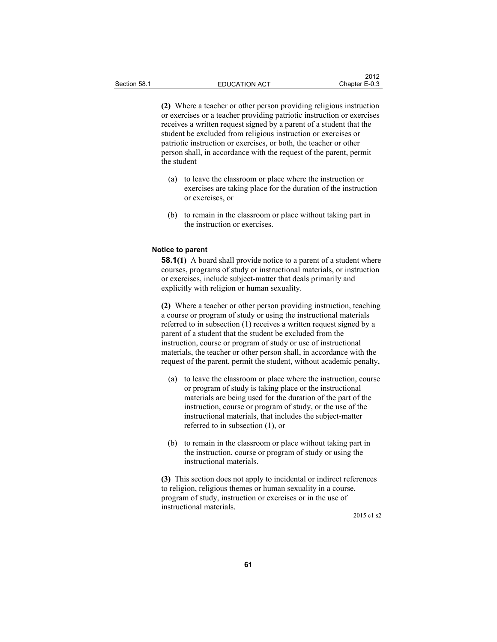**(2)** Where a teacher or other person providing religious instruction or exercises or a teacher providing patriotic instruction or exercises receives a written request signed by a parent of a student that the student be excluded from religious instruction or exercises or patriotic instruction or exercises, or both, the teacher or other person shall, in accordance with the request of the parent, permit the student

- (a) to leave the classroom or place where the instruction or exercises are taking place for the duration of the instruction or exercises, or
- (b) to remain in the classroom or place without taking part in the instruction or exercises.

### **Notice to parent**

**58.1(1)** A board shall provide notice to a parent of a student where courses, programs of study or instructional materials, or instruction or exercises, include subject-matter that deals primarily and explicitly with religion or human sexuality.

**(2)** Where a teacher or other person providing instruction, teaching a course or program of study or using the instructional materials referred to in subsection (1) receives a written request signed by a parent of a student that the student be excluded from the instruction, course or program of study or use of instructional materials, the teacher or other person shall, in accordance with the request of the parent, permit the student, without academic penalty,

- (a) to leave the classroom or place where the instruction, course or program of study is taking place or the instructional materials are being used for the duration of the part of the instruction, course or program of study, or the use of the instructional materials, that includes the subject-matter referred to in subsection (1), or
- (b) to remain in the classroom or place without taking part in the instruction, course or program of study or using the instructional materials.

**(3)** This section does not apply to incidental or indirect references to religion, religious themes or human sexuality in a course, program of study, instruction or exercises or in the use of instructional materials.

2015 c1 s2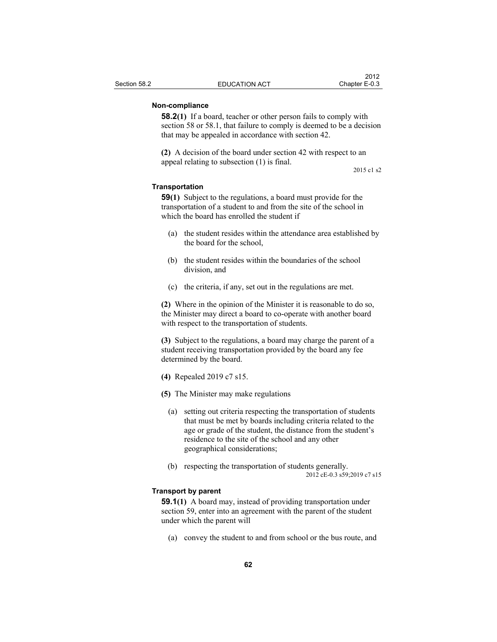## **Non-compliance**

**58.2(1)** If a board, teacher or other person fails to comply with section 58 or 58.1, that failure to comply is deemed to be a decision that may be appealed in accordance with section 42.

**(2)** A decision of the board under section 42 with respect to an appeal relating to subsection (1) is final.

2015 c1 s2

## **Transportation**

**59(1)** Subject to the regulations, a board must provide for the transportation of a student to and from the site of the school in which the board has enrolled the student if

- (a) the student resides within the attendance area established by the board for the school,
- (b) the student resides within the boundaries of the school division, and
- (c) the criteria, if any, set out in the regulations are met.

**(2)** Where in the opinion of the Minister it is reasonable to do so, the Minister may direct a board to co-operate with another board with respect to the transportation of students.

**(3)** Subject to the regulations, a board may charge the parent of a student receiving transportation provided by the board any fee determined by the board.

- **(4)** Repealed 2019 c7 s15.
- **(5)** The Minister may make regulations
	- (a) setting out criteria respecting the transportation of students that must be met by boards including criteria related to the age or grade of the student, the distance from the student's residence to the site of the school and any other geographical considerations;
	- (b) respecting the transportation of students generally. 2012 cE-0.3 s59;2019 c7 s15

## **Transport by parent**

**59.1(1)** A board may, instead of providing transportation under section 59, enter into an agreement with the parent of the student under which the parent will

(a) convey the student to and from school or the bus route, and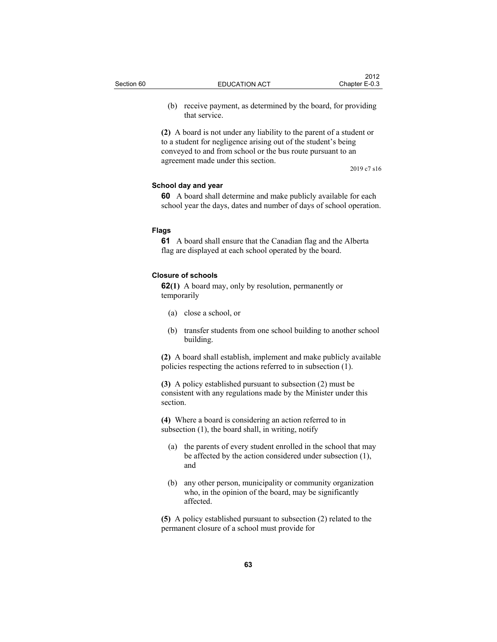|            |                      | 2012          |
|------------|----------------------|---------------|
| Section 60 | <b>EDUCATION ACT</b> | Chapter E-0.3 |
|            |                      |               |

 (b) receive payment, as determined by the board, for providing that service.

**(2)** A board is not under any liability to the parent of a student or to a student for negligence arising out of the student's being conveyed to and from school or the bus route pursuant to an agreement made under this section.

2019 c7 s16

## **School day and year**

**60** A board shall determine and make publicly available for each school year the days, dates and number of days of school operation.

## **Flags**

**61** A board shall ensure that the Canadian flag and the Alberta flag are displayed at each school operated by the board.

### **Closure of schools**

**62(1)** A board may, only by resolution, permanently or temporarily

- (a) close a school, or
- (b) transfer students from one school building to another school building.

**(2)** A board shall establish, implement and make publicly available policies respecting the actions referred to in subsection (1).

**(3)** A policy established pursuant to subsection (2) must be consistent with any regulations made by the Minister under this section.

**(4)** Where a board is considering an action referred to in subsection (1), the board shall, in writing, notify

- (a) the parents of every student enrolled in the school that may be affected by the action considered under subsection (1), and
- (b) any other person, municipality or community organization who, in the opinion of the board, may be significantly affected.

**(5)** A policy established pursuant to subsection (2) related to the permanent closure of a school must provide for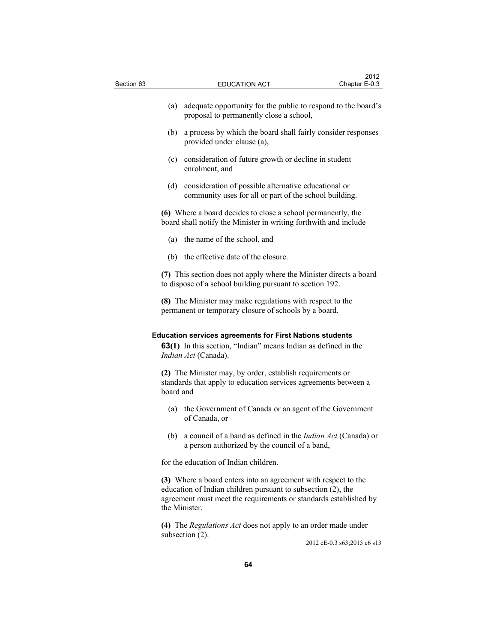| Section 63 |           | <b>EDUCATION ACT</b>                                                                                                                                                                                                | 2012<br>Chapter E-0.3 |
|------------|-----------|---------------------------------------------------------------------------------------------------------------------------------------------------------------------------------------------------------------------|-----------------------|
|            | (a)       | adequate opportunity for the public to respond to the board's<br>proposal to permanently close a school,                                                                                                            |                       |
|            | (b)       | a process by which the board shall fairly consider responses<br>provided under clause (a),                                                                                                                          |                       |
|            | (c)       | consideration of future growth or decline in student<br>enrolment, and                                                                                                                                              |                       |
|            | (d)       | consideration of possible alternative educational or<br>community uses for all or part of the school building.                                                                                                      |                       |
|            |           | (6) Where a board decides to close a school permanently, the<br>board shall notify the Minister in writing forthwith and include                                                                                    |                       |
|            |           | (a) the name of the school, and                                                                                                                                                                                     |                       |
|            | (b)       | the effective date of the closure.                                                                                                                                                                                  |                       |
|            |           | (7) This section does not apply where the Minister directs a board<br>to dispose of a school building pursuant to section 192.                                                                                      |                       |
|            |           | (8) The Minister may make regulations with respect to the<br>permanent or temporary closure of schools by a board.                                                                                                  |                       |
|            |           | <b>Education services agreements for First Nations students</b><br><b>63(1)</b> In this section, "Indian" means Indian as defined in the<br>Indian Act (Canada).                                                    |                       |
|            | board and | (2) The Minister may, by order, establish requirements or<br>standards that apply to education services agreements between a                                                                                        |                       |
|            |           | (a) the Government of Canada or an agent of the Government<br>of Canada, or                                                                                                                                         |                       |
|            |           | (b) a council of a band as defined in the <i>Indian Act</i> (Canada) or<br>a person authorized by the council of a band,                                                                                            |                       |
|            |           | for the education of Indian children.                                                                                                                                                                               |                       |
|            |           | (3) Where a board enters into an agreement with respect to the<br>education of Indian children pursuant to subsection (2), the<br>agreement must meet the requirements or standards established by<br>the Minister. |                       |

**(4)** The *Regulations Act* does not apply to an order made under subsection  $(2)$ .

2012 cE-0.3 s63;2015 c6 s13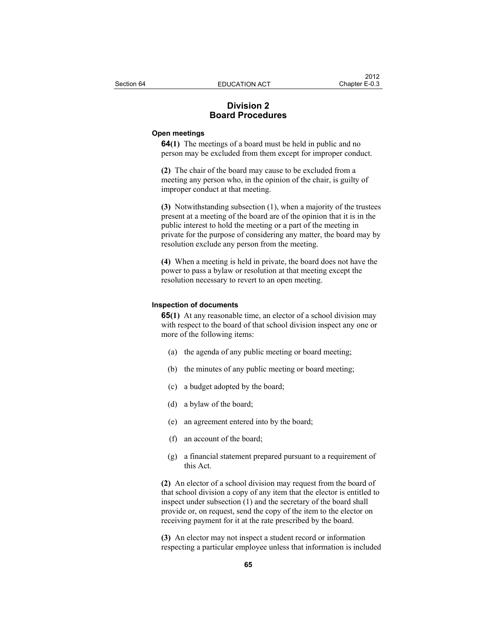# **Division 2 Board Procedures**

## **Open meetings**

**64(1)** The meetings of a board must be held in public and no person may be excluded from them except for improper conduct.

**(2)** The chair of the board may cause to be excluded from a meeting any person who, in the opinion of the chair, is guilty of improper conduct at that meeting.

**(3)** Notwithstanding subsection (1), when a majority of the trustees present at a meeting of the board are of the opinion that it is in the public interest to hold the meeting or a part of the meeting in private for the purpose of considering any matter, the board may by resolution exclude any person from the meeting.

**(4)** When a meeting is held in private, the board does not have the power to pass a bylaw or resolution at that meeting except the resolution necessary to revert to an open meeting.

#### **Inspection of documents**

**65(1)** At any reasonable time, an elector of a school division may with respect to the board of that school division inspect any one or more of the following items:

- (a) the agenda of any public meeting or board meeting;
- (b) the minutes of any public meeting or board meeting;
- (c) a budget adopted by the board;
- (d) a bylaw of the board;
- (e) an agreement entered into by the board;
- (f) an account of the board;
- (g) a financial statement prepared pursuant to a requirement of this Act.

**(2)** An elector of a school division may request from the board of that school division a copy of any item that the elector is entitled to inspect under subsection (1) and the secretary of the board shall provide or, on request, send the copy of the item to the elector on receiving payment for it at the rate prescribed by the board.

**(3)** An elector may not inspect a student record or information respecting a particular employee unless that information is included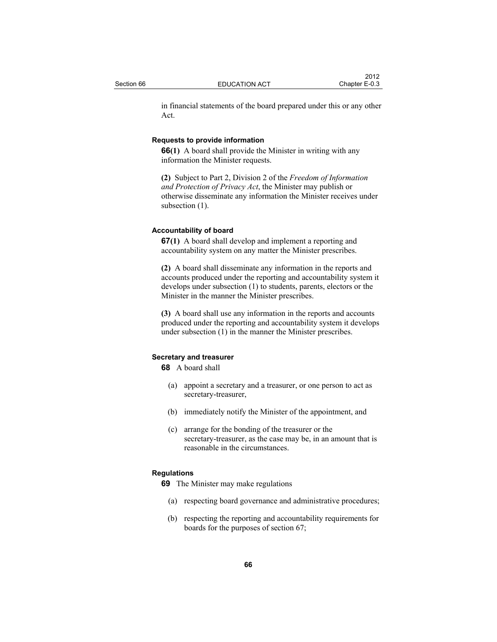in financial statements of the board prepared under this or any other Act.

## **Requests to provide information**

**66(1)** A board shall provide the Minister in writing with any information the Minister requests.

**(2)** Subject to Part 2, Division 2 of the *Freedom of Information and Protection of Privacy Act*, the Minister may publish or otherwise disseminate any information the Minister receives under subsection (1).

## **Accountability of board**

**67(1)** A board shall develop and implement a reporting and accountability system on any matter the Minister prescribes.

**(2)** A board shall disseminate any information in the reports and accounts produced under the reporting and accountability system it develops under subsection (1) to students, parents, electors or the Minister in the manner the Minister prescribes.

**(3)** A board shall use any information in the reports and accounts produced under the reporting and accountability system it develops under subsection (1) in the manner the Minister prescribes.

## **Secretary and treasurer**

**68** A board shall

- (a) appoint a secretary and a treasurer, or one person to act as secretary-treasurer,
- (b) immediately notify the Minister of the appointment, and
- (c) arrange for the bonding of the treasurer or the secretary-treasurer, as the case may be, in an amount that is reasonable in the circumstances.

### **Regulations**

**69** The Minister may make regulations

- (a) respecting board governance and administrative procedures;
- (b) respecting the reporting and accountability requirements for boards for the purposes of section 67;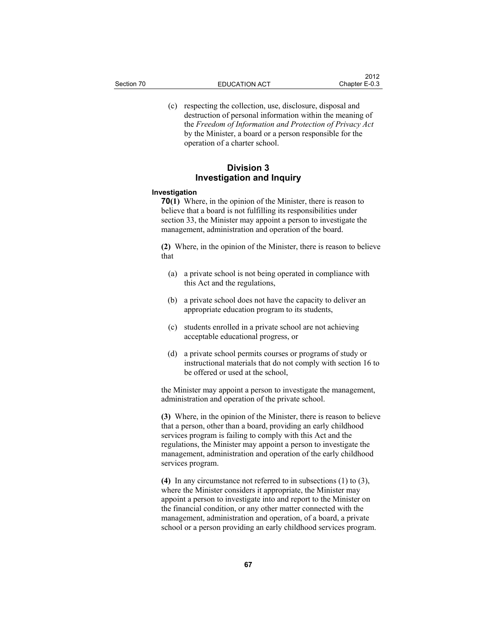(c) respecting the collection, use, disclosure, disposal and destruction of personal information within the meaning of the *Freedom of Information and Protection of Privacy Act* by the Minister, a board or a person responsible for the operation of a charter school.

## **Division 3 Investigation and Inquiry**

#### **Investigation**

**70(1)** Where, in the opinion of the Minister, there is reason to believe that a board is not fulfilling its responsibilities under section 33, the Minister may appoint a person to investigate the management, administration and operation of the board.

**(2)** Where, in the opinion of the Minister, there is reason to believe that

- (a) a private school is not being operated in compliance with this Act and the regulations,
- (b) a private school does not have the capacity to deliver an appropriate education program to its students,
- (c) students enrolled in a private school are not achieving acceptable educational progress, or
- (d) a private school permits courses or programs of study or instructional materials that do not comply with section 16 to be offered or used at the school,

the Minister may appoint a person to investigate the management, administration and operation of the private school.

**(3)** Where, in the opinion of the Minister, there is reason to believe that a person, other than a board, providing an early childhood services program is failing to comply with this Act and the regulations, the Minister may appoint a person to investigate the management, administration and operation of the early childhood services program.

**(4)** In any circumstance not referred to in subsections (1) to (3), where the Minister considers it appropriate, the Minister may appoint a person to investigate into and report to the Minister on the financial condition, or any other matter connected with the management, administration and operation, of a board, a private school or a person providing an early childhood services program.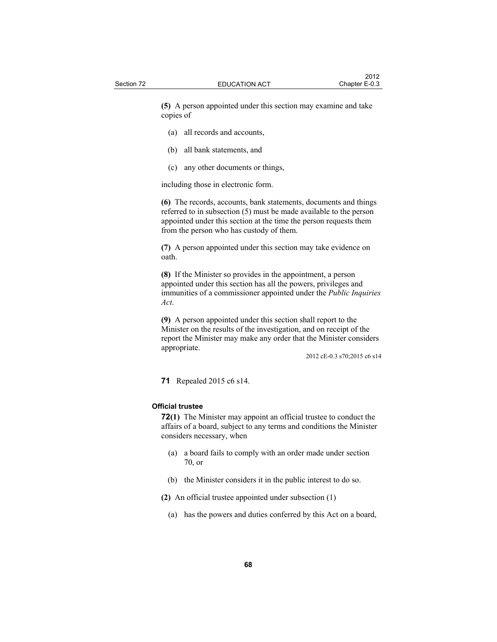**(5)** A person appointed under this section may examine and take copies of

- (a) all records and accounts,
- (b) all bank statements, and
- (c) any other documents or things,

including those in electronic form.

**(6)** The records, accounts, bank statements, documents and things referred to in subsection (5) must be made available to the person appointed under this section at the time the person requests them from the person who has custody of them.

**(7)** A person appointed under this section may take evidence on oath.

**(8)** If the Minister so provides in the appointment, a person appointed under this section has all the powers, privileges and immunities of a commissioner appointed under the *Public Inquiries Act*.

**(9)** A person appointed under this section shall report to the Minister on the results of the investigation, and on receipt of the report the Minister may make any order that the Minister considers appropriate.

2012 cE-0.3 s70;2015 c6 s14

**71** Repealed 2015 c6 s14.

### **Official trustee**

**72(1)** The Minister may appoint an official trustee to conduct the affairs of a board, subject to any terms and conditions the Minister considers necessary, when

- (a) a board fails to comply with an order made under section 70, or
- (b) the Minister considers it in the public interest to do so.
- **(2)** An official trustee appointed under subsection (1)
	- (a) has the powers and duties conferred by this Act on a board,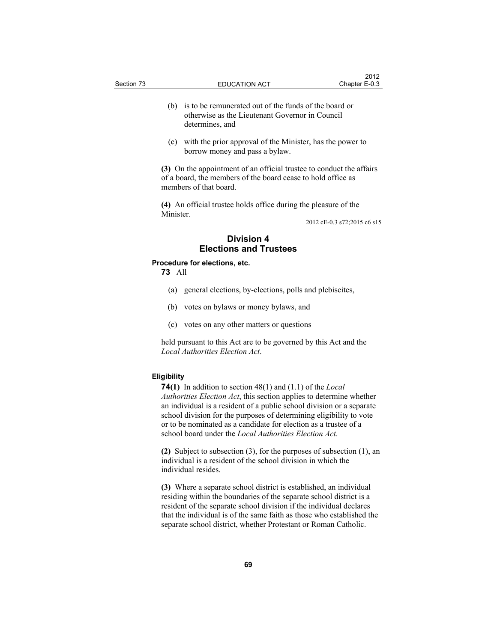(c) with the prior approval of the Minister, has the power to borrow money and pass a bylaw.

**(3)** On the appointment of an official trustee to conduct the affairs of a board, the members of the board cease to hold office as members of that board.

**(4)** An official trustee holds office during the pleasure of the Minister.

2012 cE-0.3 s72;2015 c6 s15

# **Division 4 Elections and Trustees**

## **Procedure for elections, etc.**

**73** All

- (a) general elections, by-elections, polls and plebiscites,
- (b) votes on bylaws or money bylaws, and
- (c) votes on any other matters or questions

held pursuant to this Act are to be governed by this Act and the *Local Authorities Election Act*.

### **Eligibility**

**74(1)** In addition to section 48(1) and (1.1) of the *Local Authorities Election Act*, this section applies to determine whether an individual is a resident of a public school division or a separate school division for the purposes of determining eligibility to vote or to be nominated as a candidate for election as a trustee of a school board under the *Local Authorities Election Act*.

**(2)** Subject to subsection (3), for the purposes of subsection (1), an individual is a resident of the school division in which the individual resides.

**(3)** Where a separate school district is established, an individual residing within the boundaries of the separate school district is a resident of the separate school division if the individual declares that the individual is of the same faith as those who established the separate school district, whether Protestant or Roman Catholic.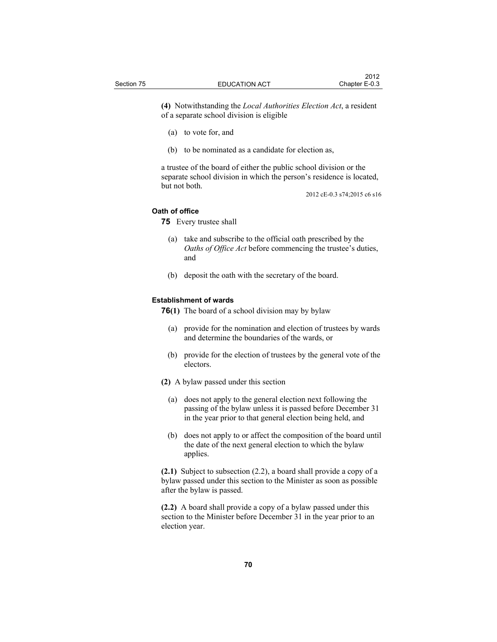**(4)** Notwithstanding the *Local Authorities Election Act*, a resident of a separate school division is eligible

- (a) to vote for, and
- (b) to be nominated as a candidate for election as,

a trustee of the board of either the public school division or the separate school division in which the person's residence is located, but not both.

2012 cE-0.3 s74;2015 c6 s16

### **Oath of office**

**75** Every trustee shall

- (a) take and subscribe to the official oath prescribed by the *Oaths of Office Act* before commencing the trustee's duties, and
- (b) deposit the oath with the secretary of the board.

## **Establishment of wards**

- **76(1)** The board of a school division may by bylaw
	- (a) provide for the nomination and election of trustees by wards and determine the boundaries of the wards, or
	- (b) provide for the election of trustees by the general vote of the electors.
- **(2)** A bylaw passed under this section
	- (a) does not apply to the general election next following the passing of the bylaw unless it is passed before December 31 in the year prior to that general election being held, and
	- (b) does not apply to or affect the composition of the board until the date of the next general election to which the bylaw applies.

**(2.1)** Subject to subsection (2.2), a board shall provide a copy of a bylaw passed under this section to the Minister as soon as possible after the bylaw is passed.

**(2.2)** A board shall provide a copy of a bylaw passed under this section to the Minister before December 31 in the year prior to an election year.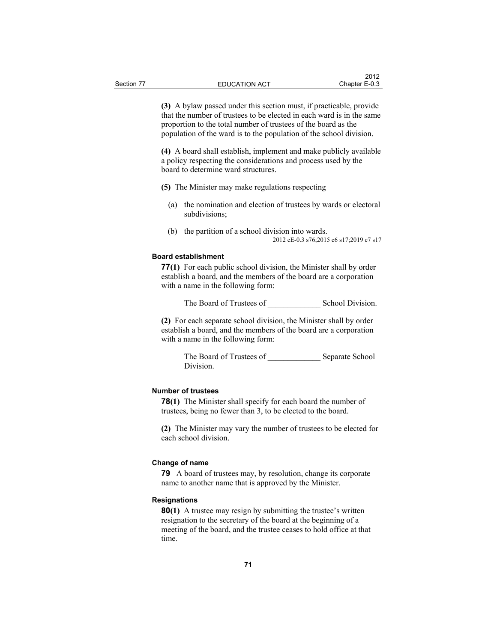**(3)** A bylaw passed under this section must, if practicable, provide that the number of trustees to be elected in each ward is in the same proportion to the total number of trustees of the board as the population of the ward is to the population of the school division.

**(4)** A board shall establish, implement and make publicly available a policy respecting the considerations and process used by the board to determine ward structures.

- **(5)** The Minister may make regulations respecting
	- (a) the nomination and election of trustees by wards or electoral subdivisions;
	- (b) the partition of a school division into wards. 2012 cE-0.3 s76;2015 c6 s17;2019 c7 s17

#### **Board establishment**

**77(1)** For each public school division, the Minister shall by order establish a board, and the members of the board are a corporation with a name in the following form:

The Board of Trustees of \_\_\_\_\_\_\_\_\_\_\_\_\_ School Division.

**(2)** For each separate school division, the Minister shall by order establish a board, and the members of the board are a corporation with a name in the following form:

> The Board of Trustees of **Separate School** Division.

#### **Number of trustees**

**78(1)** The Minister shall specify for each board the number of trustees, being no fewer than 3, to be elected to the board.

**(2)** The Minister may vary the number of trustees to be elected for each school division.

#### **Change of name**

**79** A board of trustees may, by resolution, change its corporate name to another name that is approved by the Minister.

#### **Resignations**

**80(1)** A trustee may resign by submitting the trustee's written resignation to the secretary of the board at the beginning of a meeting of the board, and the trustee ceases to hold office at that time.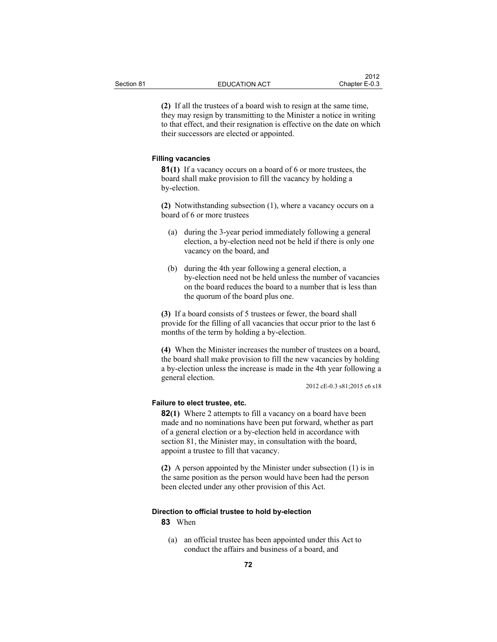**(2)** If all the trustees of a board wish to resign at the same time, they may resign by transmitting to the Minister a notice in writing to that effect, and their resignation is effective on the date on which their successors are elected or appointed.

## **Filling vacancies**

**81(1)** If a vacancy occurs on a board of 6 or more trustees, the board shall make provision to fill the vacancy by holding a by-election.

**(2)** Notwithstanding subsection (1), where a vacancy occurs on a board of 6 or more trustees

- (a) during the 3-year period immediately following a general election, a by-election need not be held if there is only one vacancy on the board, and
- (b) during the 4th year following a general election, a by-election need not be held unless the number of vacancies on the board reduces the board to a number that is less than the quorum of the board plus one.

**(3)** If a board consists of 5 trustees or fewer, the board shall provide for the filling of all vacancies that occur prior to the last 6 months of the term by holding a by-election.

**(4)** When the Minister increases the number of trustees on a board, the board shall make provision to fill the new vacancies by holding a by-election unless the increase is made in the 4th year following a general election.

2012 cE-0.3 s81;2015 c6 s18

#### **Failure to elect trustee, etc.**

**82(1)** Where 2 attempts to fill a vacancy on a board have been made and no nominations have been put forward, whether as part of a general election or a by-election held in accordance with section 81, the Minister may, in consultation with the board, appoint a trustee to fill that vacancy.

**(2)** A person appointed by the Minister under subsection (1) is in the same position as the person would have been had the person been elected under any other provision of this Act.

# **Direction to official trustee to hold by-election**

**83** When

 (a) an official trustee has been appointed under this Act to conduct the affairs and business of a board, and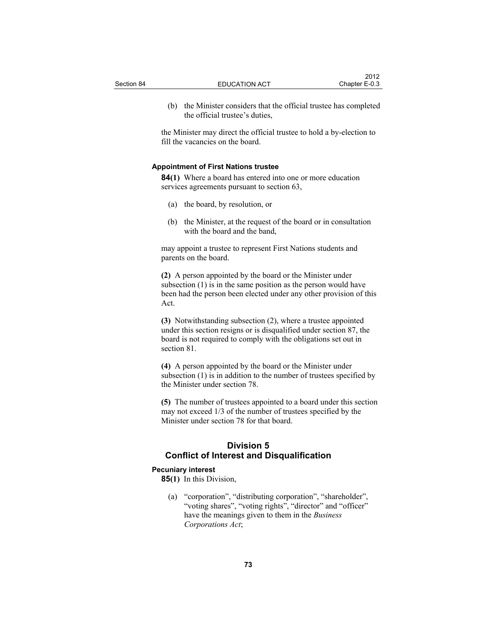- 
- (b) the Minister considers that the official trustee has completed the official trustee's duties,

the Minister may direct the official trustee to hold a by-election to fill the vacancies on the board.

## **Appointment of First Nations trustee**

**84(1)** Where a board has entered into one or more education services agreements pursuant to section 63,

- (a) the board, by resolution, or
- (b) the Minister, at the request of the board or in consultation with the board and the band,

may appoint a trustee to represent First Nations students and parents on the board.

**(2)** A person appointed by the board or the Minister under subsection (1) is in the same position as the person would have been had the person been elected under any other provision of this Act.

**(3)** Notwithstanding subsection (2), where a trustee appointed under this section resigns or is disqualified under section 87, the board is not required to comply with the obligations set out in section 81.

**(4)** A person appointed by the board or the Minister under subsection (1) is in addition to the number of trustees specified by the Minister under section 78.

**(5)** The number of trustees appointed to a board under this section may not exceed 1/3 of the number of trustees specified by the Minister under section 78 for that board.

# **Division 5 Conflict of Interest and Disqualification**

## **Pecuniary interest**

**85(1)** In this Division,

 (a) "corporation", "distributing corporation", "shareholder", "voting shares", "voting rights", "director" and "officer" have the meanings given to them in the *Business Corporations Act*;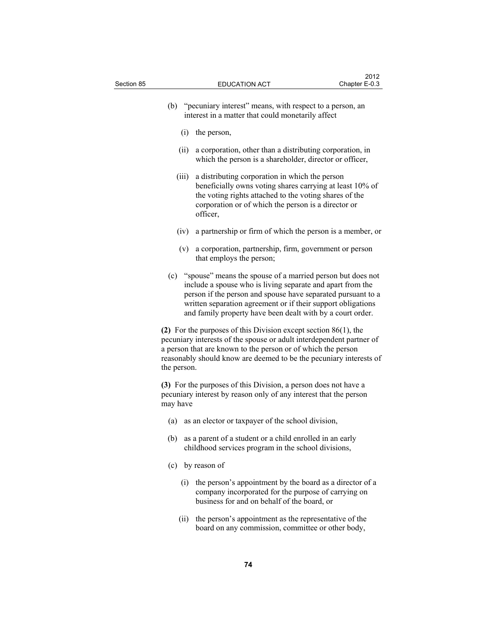| Section 85                                                                                                                                       |             | <b>EDUCATION ACT</b>                                                                                                                                                                                                                                                                                                       | 2012<br>Chapter E-0.3 |
|--------------------------------------------------------------------------------------------------------------------------------------------------|-------------|----------------------------------------------------------------------------------------------------------------------------------------------------------------------------------------------------------------------------------------------------------------------------------------------------------------------------|-----------------------|
|                                                                                                                                                  | (b)         | "pecuniary interest" means, with respect to a person, an<br>interest in a matter that could monetarily affect                                                                                                                                                                                                              |                       |
|                                                                                                                                                  |             | $(i)$ the person,                                                                                                                                                                                                                                                                                                          |                       |
|                                                                                                                                                  | (ii)        | a corporation, other than a distributing corporation, in<br>which the person is a shareholder, director or officer,                                                                                                                                                                                                        |                       |
|                                                                                                                                                  | (iii)       | a distributing corporation in which the person<br>beneficially owns voting shares carrying at least 10% of<br>the voting rights attached to the voting shares of the<br>corporation or of which the person is a director or<br>officer,                                                                                    |                       |
|                                                                                                                                                  | (iv)        | a partnership or firm of which the person is a member, or                                                                                                                                                                                                                                                                  |                       |
|                                                                                                                                                  |             | (v) a corporation, partnership, firm, government or person<br>that employs the person;                                                                                                                                                                                                                                     |                       |
|                                                                                                                                                  |             | (c) "spouse" means the spouse of a married person but does not<br>include a spouse who is living separate and apart from the<br>person if the person and spouse have separated pursuant to a<br>written separation agreement or if their support obligations<br>and family property have been dealt with by a court order. |                       |
|                                                                                                                                                  | the person. | (2) For the purposes of this Division except section $86(1)$ , the<br>pecuniary interests of the spouse or adult interdependent partner of<br>a person that are known to the person or of which the person<br>reasonably should know are deemed to be the pecuniary interests of                                           |                       |
| (3) For the purposes of this Division, a person does not have a<br>pecuniary interest by reason only of any interest that the person<br>may have |             |                                                                                                                                                                                                                                                                                                                            |                       |
|                                                                                                                                                  | (a)         | as an elector or taxpayer of the school division,                                                                                                                                                                                                                                                                          |                       |
|                                                                                                                                                  |             | (b) as a parent of a student or a child enrolled in an early<br>childhood services program in the school divisions,                                                                                                                                                                                                        |                       |
|                                                                                                                                                  | (c)         | by reason of                                                                                                                                                                                                                                                                                                               |                       |
|                                                                                                                                                  | (i)         | the person's appointment by the board as a director of a<br>company incorporated for the purpose of carrying on<br>business for and on behalf of the board, or                                                                                                                                                             |                       |
|                                                                                                                                                  | (ii)        | the person's appointment as the representative of the<br>board on any commission, committee or other body,                                                                                                                                                                                                                 |                       |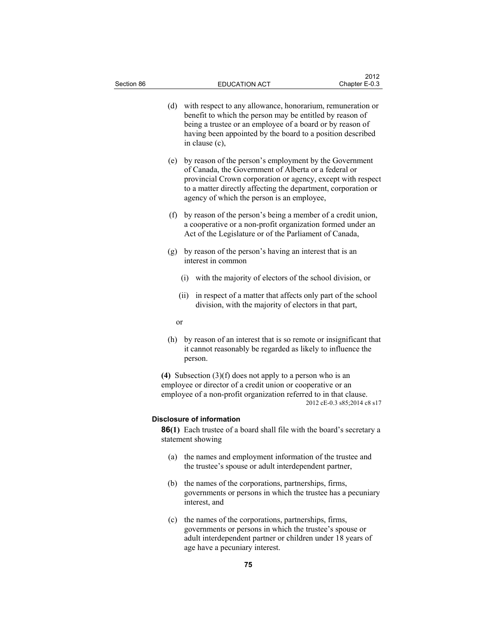| Section 86 | <b>EDUCATION ACT</b>                                                                                                                                                                                                                                                                                | 2012<br>Chapter E-0.3       |
|------------|-----------------------------------------------------------------------------------------------------------------------------------------------------------------------------------------------------------------------------------------------------------------------------------------------------|-----------------------------|
|            | (d)<br>with respect to any allowance, honorarium, remuneration or<br>benefit to which the person may be entitled by reason of<br>being a trustee or an employee of a board or by reason of<br>having been appointed by the board to a position described<br>in clause (c),                          |                             |
|            | by reason of the person's employment by the Government<br>(e)<br>of Canada, the Government of Alberta or a federal or<br>provincial Crown corporation or agency, except with respect<br>to a matter directly affecting the department, corporation or<br>agency of which the person is an employee, |                             |
|            | (f)<br>by reason of the person's being a member of a credit union,<br>a cooperative or a non-profit organization formed under an<br>Act of the Legislature or of the Parliament of Canada,                                                                                                          |                             |
|            | (g)<br>by reason of the person's having an interest that is an<br>interest in common                                                                                                                                                                                                                |                             |
|            | with the majority of electors of the school division, or<br>(i)                                                                                                                                                                                                                                     |                             |
|            | in respect of a matter that affects only part of the school<br>(ii)<br>division, with the majority of electors in that part,                                                                                                                                                                        |                             |
|            | or                                                                                                                                                                                                                                                                                                  |                             |
|            | by reason of an interest that is so remote or insignificant that<br>(h)<br>it cannot reasonably be regarded as likely to influence the<br>person.                                                                                                                                                   |                             |
|            | (4) Subsection $(3)(f)$ does not apply to a person who is an<br>employee or director of a credit union or cooperative or an<br>employee of a non-profit organization referred to in that clause.                                                                                                    | 2012 cE-0.3 s85;2014 c8 s17 |
|            | Disclosure of information                                                                                                                                                                                                                                                                           |                             |
|            | 86(1) Each trustee of a board shall file with the board's secretary a<br>statement showing                                                                                                                                                                                                          |                             |
|            | the names and employment information of the trustee and<br>(a)<br>the trustee's spouse or adult interdependent partner,                                                                                                                                                                             |                             |
|            | the names of the corporations, partnerships, firms,<br>(b)<br>governments or persons in which the trustee has a pecuniary<br>interest, and                                                                                                                                                          |                             |
|            | (c) the names of the corporations, partnerships, firms,<br>governments or persons in which the trustee's spouse or                                                                                                                                                                                  |                             |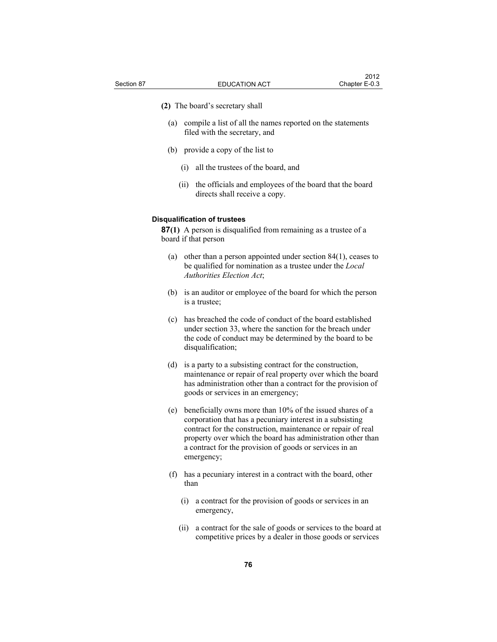**(2)** The board's secretary shall

- (a) compile a list of all the names reported on the statements filed with the secretary, and
- (b) provide a copy of the list to
	- (i) all the trustees of the board, and
	- (ii) the officials and employees of the board that the board directs shall receive a copy.

## **Disqualification of trustees**

**87(1)** A person is disqualified from remaining as a trustee of a board if that person

- (a) other than a person appointed under section 84(1), ceases to be qualified for nomination as a trustee under the *Local Authorities Election Act*;
- (b) is an auditor or employee of the board for which the person is a trustee;
- (c) has breached the code of conduct of the board established under section 33, where the sanction for the breach under the code of conduct may be determined by the board to be disqualification;
- (d) is a party to a subsisting contract for the construction, maintenance or repair of real property over which the board has administration other than a contract for the provision of goods or services in an emergency;
- (e) beneficially owns more than 10% of the issued shares of a corporation that has a pecuniary interest in a subsisting contract for the construction, maintenance or repair of real property over which the board has administration other than a contract for the provision of goods or services in an emergency;
- (f) has a pecuniary interest in a contract with the board, other than
	- (i) a contract for the provision of goods or services in an emergency,
	- (ii) a contract for the sale of goods or services to the board at competitive prices by a dealer in those goods or services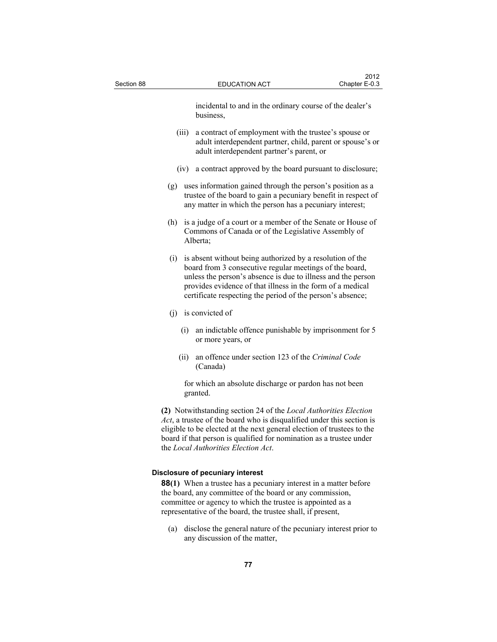| Section 88 |       | <b>EDUCATION ACT</b>                                                                                                                                                                                                                                                                                                                 | 2012<br>Chapter E-0.3 |
|------------|-------|--------------------------------------------------------------------------------------------------------------------------------------------------------------------------------------------------------------------------------------------------------------------------------------------------------------------------------------|-----------------------|
|            |       | incidental to and in the ordinary course of the dealer's<br>business,                                                                                                                                                                                                                                                                |                       |
|            | (iii) | a contract of employment with the trustee's spouse or<br>adult interdependent partner, child, parent or spouse's or<br>adult interdependent partner's parent, or                                                                                                                                                                     |                       |
|            | (1V)  | a contract approved by the board pursuant to disclosure;                                                                                                                                                                                                                                                                             |                       |
|            | (g)   | uses information gained through the person's position as a<br>trustee of the board to gain a pecuniary benefit in respect of<br>any matter in which the person has a pecuniary interest;                                                                                                                                             |                       |
|            | (h)   | is a judge of a court or a member of the Senate or House of<br>Commons of Canada or of the Legislative Assembly of<br>Alberta;                                                                                                                                                                                                       |                       |
|            |       | (i) is absent without being authorized by a resolution of the<br>board from 3 consecutive regular meetings of the board,<br>unless the person's absence is due to illness and the person<br>provides evidence of that illness in the form of a medical<br>certificate respecting the period of the person's absence;                 |                       |
|            |       | $(i)$ is convicted of                                                                                                                                                                                                                                                                                                                |                       |
|            | (i)   | an indictable offence punishable by imprisonment for 5<br>or more years, or                                                                                                                                                                                                                                                          |                       |
|            | (ii)  | an offence under section 123 of the Criminal Code<br>(Canada)                                                                                                                                                                                                                                                                        |                       |
|            |       | for which an absolute discharge or pardon has not been<br>granted.                                                                                                                                                                                                                                                                   |                       |
|            |       | (2) Notwithstanding section 24 of the Local Authorities Election<br>$Act$ , a trustee of the board who is disqualified under this section is<br>eligible to be elected at the next general election of trustees to the<br>board if that person is qualified for nomination as a trustee under<br>the Local Authorities Election Act. |                       |
|            |       | Disclosure of pecuniary interest<br><b>88(1)</b> When a trustee has a pecuniary interest in a matter before<br>the board, any committee of the board or any commission,<br>committee or agency to which the trustee is appointed as a<br>representative of the board, the trustee shall, if present,                                 |                       |

 (a) disclose the general nature of the pecuniary interest prior to any discussion of the matter,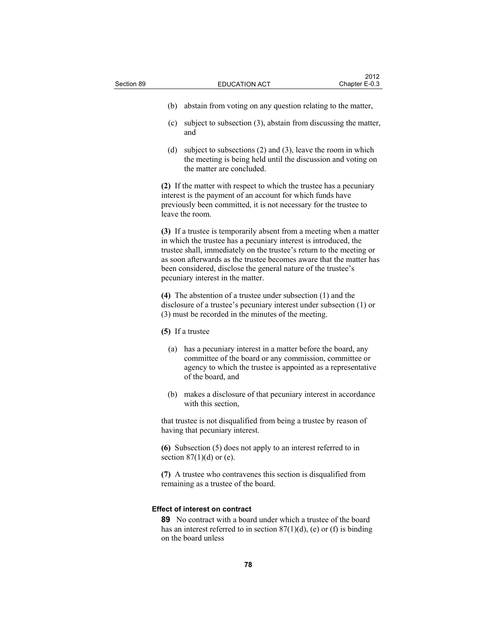- (b) abstain from voting on any question relating to the matter,
- (c) subject to subsection (3), abstain from discussing the matter, and
- (d) subject to subsections (2) and (3), leave the room in which the meeting is being held until the discussion and voting on the matter are concluded.

**(2)** If the matter with respect to which the trustee has a pecuniary interest is the payment of an account for which funds have previously been committed, it is not necessary for the trustee to leave the room.

**(3)** If a trustee is temporarily absent from a meeting when a matter in which the trustee has a pecuniary interest is introduced, the trustee shall, immediately on the trustee's return to the meeting or as soon afterwards as the trustee becomes aware that the matter has been considered, disclose the general nature of the trustee's pecuniary interest in the matter.

**(4)** The abstention of a trustee under subsection (1) and the disclosure of a trustee's pecuniary interest under subsection (1) or (3) must be recorded in the minutes of the meeting.

- **(5)** If a trustee
	- (a) has a pecuniary interest in a matter before the board, any committee of the board or any commission, committee or agency to which the trustee is appointed as a representative of the board, and
	- (b) makes a disclosure of that pecuniary interest in accordance with this section,

that trustee is not disqualified from being a trustee by reason of having that pecuniary interest.

**(6)** Subsection (5) does not apply to an interest referred to in section  $87(1)(d)$  or (e).

**(7)** A trustee who contravenes this section is disqualified from remaining as a trustee of the board.

#### **Effect of interest on contract**

**89** No contract with a board under which a trustee of the board has an interest referred to in section  $87(1)(d)$ , (e) or (f) is binding on the board unless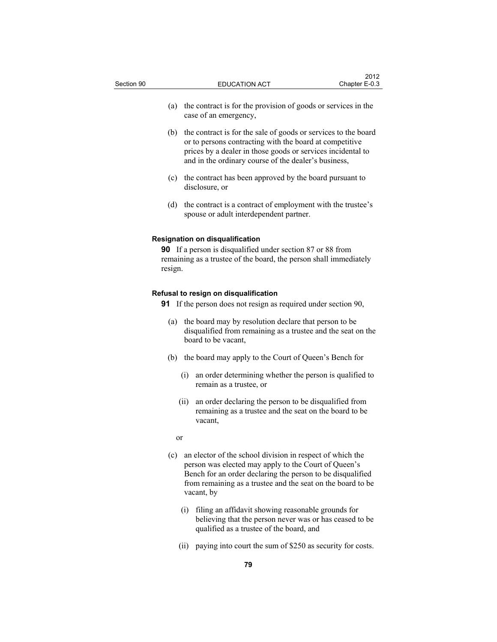- (b) the contract is for the sale of goods or services to the board or to persons contracting with the board at competitive prices by a dealer in those goods or services incidental to and in the ordinary course of the dealer's business,
- (c) the contract has been approved by the board pursuant to disclosure, or
- (d) the contract is a contract of employment with the trustee's spouse or adult interdependent partner.

#### **Resignation on disqualification**

**90** If a person is disqualified under section 87 or 88 from remaining as a trustee of the board, the person shall immediately resign.

# **Refusal to resign on disqualification**

**91** If the person does not resign as required under section 90,

- (a) the board may by resolution declare that person to be disqualified from remaining as a trustee and the seat on the board to be vacant,
- (b) the board may apply to the Court of Queen's Bench for
	- (i) an order determining whether the person is qualified to remain as a trustee, or
	- (ii) an order declaring the person to be disqualified from remaining as a trustee and the seat on the board to be vacant,

or

- (c) an elector of the school division in respect of which the person was elected may apply to the Court of Queen's Bench for an order declaring the person to be disqualified from remaining as a trustee and the seat on the board to be vacant, by
	- (i) filing an affidavit showing reasonable grounds for believing that the person never was or has ceased to be qualified as a trustee of the board, and
	- (ii) paying into court the sum of \$250 as security for costs.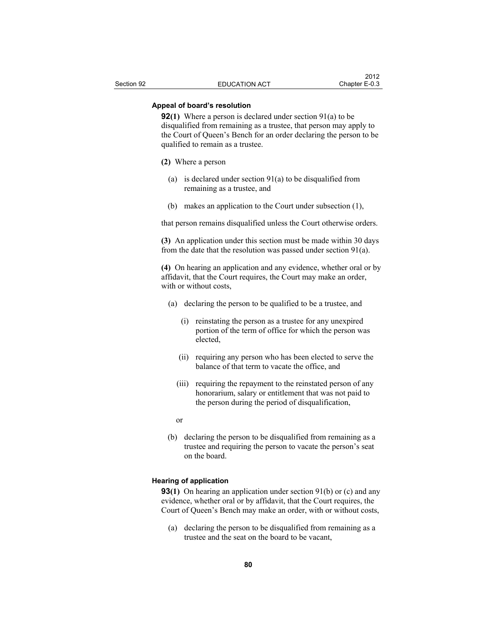## **Appeal of board's resolution**

**92(1)** Where a person is declared under section 91(a) to be disqualified from remaining as a trustee, that person may apply to the Court of Queen's Bench for an order declaring the person to be qualified to remain as a trustee.

#### **(2)** Where a person

- (a) is declared under section 91(a) to be disqualified from remaining as a trustee, and
- (b) makes an application to the Court under subsection (1),

that person remains disqualified unless the Court otherwise orders.

**(3)** An application under this section must be made within 30 days from the date that the resolution was passed under section 91(a).

**(4)** On hearing an application and any evidence, whether oral or by affidavit, that the Court requires, the Court may make an order, with or without costs,

- (a) declaring the person to be qualified to be a trustee, and
	- (i) reinstating the person as a trustee for any unexpired portion of the term of office for which the person was elected,
	- (ii) requiring any person who has been elected to serve the balance of that term to vacate the office, and
	- (iii) requiring the repayment to the reinstated person of any honorarium, salary or entitlement that was not paid to the person during the period of disqualification,
	- or
- (b) declaring the person to be disqualified from remaining as a trustee and requiring the person to vacate the person's seat on the board.

#### **Hearing of application**

**93(1)** On hearing an application under section 91(b) or (c) and any evidence, whether oral or by affidavit, that the Court requires, the Court of Queen's Bench may make an order, with or without costs,

 (a) declaring the person to be disqualified from remaining as a trustee and the seat on the board to be vacant,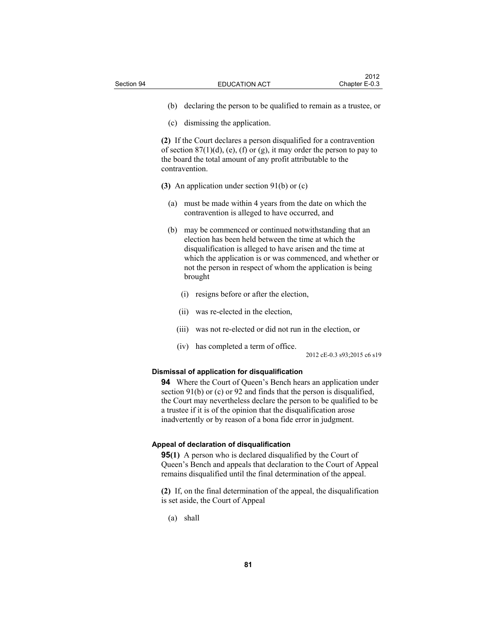- (b) declaring the person to be qualified to remain as a trustee, or
- (c) dismissing the application.

**(2)** If the Court declares a person disqualified for a contravention of section  $87(1)(d)$ , (e), (f) or (g), it may order the person to pay to the board the total amount of any profit attributable to the contravention.

**(3)** An application under section 91(b) or (c)

- (a) must be made within 4 years from the date on which the contravention is alleged to have occurred, and
- (b) may be commenced or continued notwithstanding that an election has been held between the time at which the disqualification is alleged to have arisen and the time at which the application is or was commenced, and whether or not the person in respect of whom the application is being brought
	- (i) resigns before or after the election,
	- (ii) was re-elected in the election,
	- (iii) was not re-elected or did not run in the election, or
	- (iv) has completed a term of office.

2012 cE-0.3 s93;2015 c6 s19

#### **Dismissal of application for disqualification**

**94** Where the Court of Queen's Bench hears an application under section 91(b) or (c) or 92 and finds that the person is disqualified, the Court may nevertheless declare the person to be qualified to be a trustee if it is of the opinion that the disqualification arose inadvertently or by reason of a bona fide error in judgment.

#### **Appeal of declaration of disqualification**

**95(1)** A person who is declared disqualified by the Court of Queen's Bench and appeals that declaration to the Court of Appeal remains disqualified until the final determination of the appeal.

**(2)** If, on the final determination of the appeal, the disqualification is set aside, the Court of Appeal

(a) shall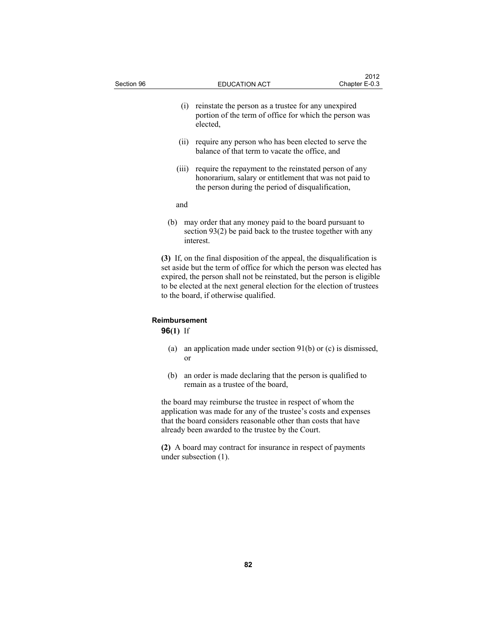| Section 96 |       | <b>EDUCATION ACT</b>                                                                                                                                                                                                                                                                                                                            | 2012<br>Chapter E-0.3 |
|------------|-------|-------------------------------------------------------------------------------------------------------------------------------------------------------------------------------------------------------------------------------------------------------------------------------------------------------------------------------------------------|-----------------------|
|            | (i)   | reinstate the person as a trustee for any unexpired<br>portion of the term of office for which the person was<br>elected,                                                                                                                                                                                                                       |                       |
|            | (11)  | require any person who has been elected to serve the<br>balance of that term to vacate the office, and                                                                                                                                                                                                                                          |                       |
|            | (iii) | require the repayment to the reinstated person of any<br>honorarium, salary or entitlement that was not paid to<br>the person during the period of disqualification,                                                                                                                                                                            |                       |
|            | and   |                                                                                                                                                                                                                                                                                                                                                 |                       |
|            | (b)   | may order that any money paid to the board pursuant to<br>section $93(2)$ be paid back to the trustee together with any<br>interest.                                                                                                                                                                                                            |                       |
|            |       | (3) If, on the final disposition of the appeal, the disqualification is<br>set aside but the term of office for which the person was elected has<br>expired, the person shall not be reinstated, but the person is eligible<br>to be elected at the next general election for the election of trustees<br>to the board, if otherwise qualified. |                       |

# **Reimbursement**

**96(1)** If

- (a) an application made under section 91(b) or (c) is dismissed, or
- (b) an order is made declaring that the person is qualified to remain as a trustee of the board,

the board may reimburse the trustee in respect of whom the application was made for any of the trustee's costs and expenses that the board considers reasonable other than costs that have already been awarded to the trustee by the Court.

**(2)** A board may contract for insurance in respect of payments under subsection (1).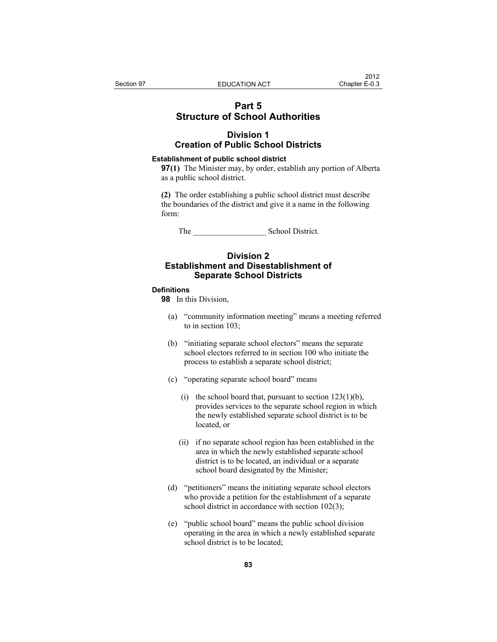# **Part 5 Structure of School Authorities**

# **Division 1 Creation of Public School Districts**

#### **Establishment of public school district**

**97(1)** The Minister may, by order, establish any portion of Alberta as a public school district.

**(2)** The order establishing a public school district must describe the boundaries of the district and give it a name in the following form:

The School District.

# **Division 2 Establishment and Disestablishment of Separate School Districts**

### **Definitions**

**98** In this Division,

- (a) "community information meeting" means a meeting referred to in section 103;
- (b) "initiating separate school electors" means the separate school electors referred to in section 100 who initiate the process to establish a separate school district;
- (c) "operating separate school board" means
	- (i) the school board that, pursuant to section  $123(1)(b)$ , provides services to the separate school region in which the newly established separate school district is to be located, or
	- (ii) if no separate school region has been established in the area in which the newly established separate school district is to be located, an individual or a separate school board designated by the Minister;
- (d) "petitioners" means the initiating separate school electors who provide a petition for the establishment of a separate school district in accordance with section 102(3);
- (e) "public school board" means the public school division operating in the area in which a newly established separate school district is to be located;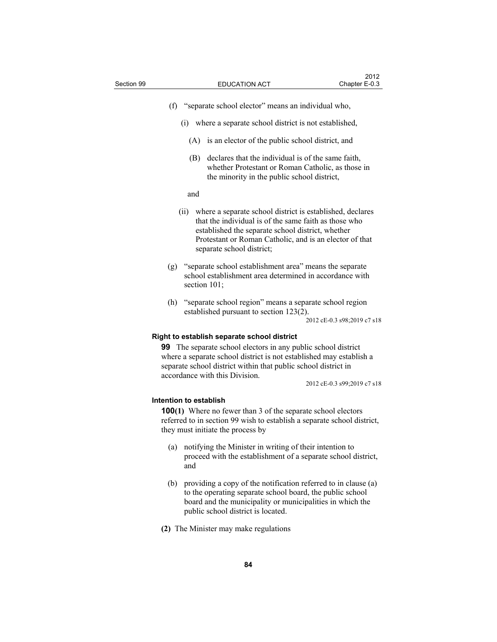- (f) "separate school elector" means an individual who,
	- (i) where a separate school district is not established,
		- (A) is an elector of the public school district, and
		- (B) declares that the individual is of the same faith, whether Protestant or Roman Catholic, as those in the minority in the public school district,

#### and

- (ii) where a separate school district is established, declares that the individual is of the same faith as those who established the separate school district, whether Protestant or Roman Catholic, and is an elector of that separate school district;
- (g) "separate school establishment area" means the separate school establishment area determined in accordance with section 101:
- (h) "separate school region" means a separate school region established pursuant to section 123(2).

2012 cE-0.3 s98;2019 c7 s18

#### **Right to establish separate school district**

**99** The separate school electors in any public school district where a separate school district is not established may establish a separate school district within that public school district in accordance with this Division.

2012 cE-0.3 s99;2019 c7 s18

## **Intention to establish**

**100(1)** Where no fewer than 3 of the separate school electors referred to in section 99 wish to establish a separate school district, they must initiate the process by

- (a) notifying the Minister in writing of their intention to proceed with the establishment of a separate school district, and
- (b) providing a copy of the notification referred to in clause (a) to the operating separate school board, the public school board and the municipality or municipalities in which the public school district is located.
- **(2)** The Minister may make regulations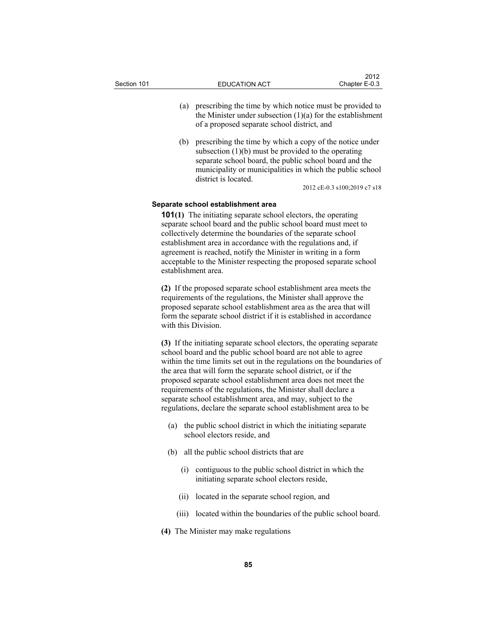- (a) prescribing the time by which notice must be provided to the Minister under subsection  $(1)(a)$  for the establishment of a proposed separate school district, and
- (b) prescribing the time by which a copy of the notice under subsection (1)(b) must be provided to the operating separate school board, the public school board and the municipality or municipalities in which the public school district is located.

2012 cE-0.3 s100;2019 c7 s18

#### **Separate school establishment area**

**101(1)** The initiating separate school electors, the operating separate school board and the public school board must meet to collectively determine the boundaries of the separate school establishment area in accordance with the regulations and, if agreement is reached, notify the Minister in writing in a form acceptable to the Minister respecting the proposed separate school establishment area.

**(2)** If the proposed separate school establishment area meets the requirements of the regulations, the Minister shall approve the proposed separate school establishment area as the area that will form the separate school district if it is established in accordance with this Division.

**(3)** If the initiating separate school electors, the operating separate school board and the public school board are not able to agree within the time limits set out in the regulations on the boundaries of the area that will form the separate school district, or if the proposed separate school establishment area does not meet the requirements of the regulations, the Minister shall declare a separate school establishment area, and may, subject to the regulations, declare the separate school establishment area to be

- (a) the public school district in which the initiating separate school electors reside, and
- (b) all the public school districts that are
	- (i) contiguous to the public school district in which the initiating separate school electors reside,
	- (ii) located in the separate school region, and
	- (iii) located within the boundaries of the public school board.
- **(4)** The Minister may make regulations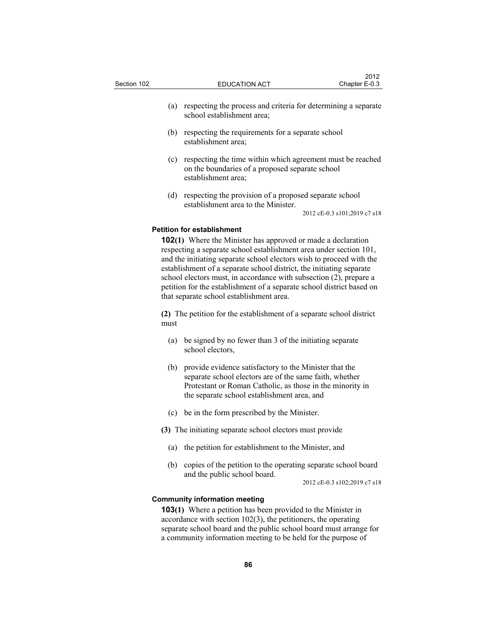| Section 102 |     |                                                                                              | <b>EDUCATION ACT</b> |  | Chapter E-0.3 |  |
|-------------|-----|----------------------------------------------------------------------------------------------|----------------------|--|---------------|--|
|             | (a) | respecting the process and criteria for determining a separate<br>school establishment area: |                      |  |               |  |
|             |     |                                                                                              |                      |  |               |  |

 $2012$ 

- (b) respecting the requirements for a separate school establishment area;
- (c) respecting the time within which agreement must be reached on the boundaries of a proposed separate school establishment area;
- (d) respecting the provision of a proposed separate school establishment area to the Minister.

2012 cE-0.3 s101;2019 c7 s18

## **Petition for establishment**

**102(1)** Where the Minister has approved or made a declaration respecting a separate school establishment area under section 101, and the initiating separate school electors wish to proceed with the establishment of a separate school district, the initiating separate school electors must, in accordance with subsection (2), prepare a petition for the establishment of a separate school district based on that separate school establishment area.

**(2)** The petition for the establishment of a separate school district must

- (a) be signed by no fewer than 3 of the initiating separate school electors,
- (b) provide evidence satisfactory to the Minister that the separate school electors are of the same faith, whether Protestant or Roman Catholic, as those in the minority in the separate school establishment area, and
- (c) be in the form prescribed by the Minister.

**(3)** The initiating separate school electors must provide

- (a) the petition for establishment to the Minister, and
- (b) copies of the petition to the operating separate school board and the public school board.

2012 cE-0.3 s102;2019 c7 s18

## **Community information meeting**

**103(1)** Where a petition has been provided to the Minister in accordance with section 102(3), the petitioners, the operating separate school board and the public school board must arrange for a community information meeting to be held for the purpose of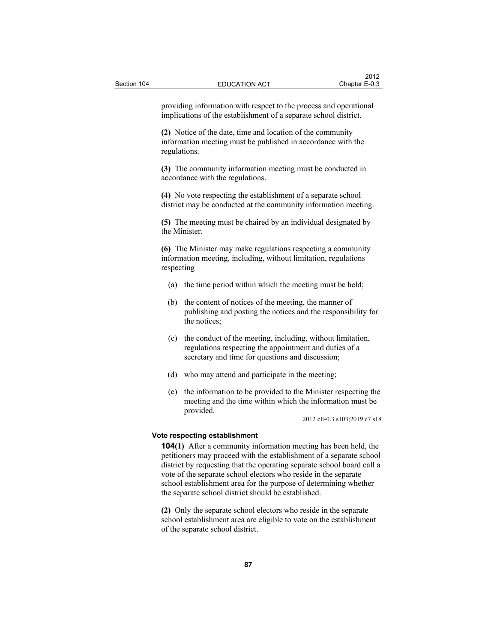| providing information with respect to the process and operational<br>implications of the establishment of a separate school district.      |
|--------------------------------------------------------------------------------------------------------------------------------------------|
| (2) Notice of the date, time and location of the community<br>information meeting must be published in accordance with the<br>regulations. |
| (3) The community information meeting must be conducted in<br>accordance with the regulations.                                             |
| (4) No vote respecting the establishment of a separate school                                                                              |

district may be conducted at the community information meeting.

**(5)** The meeting must be chaired by an individual designated by the Minister.

**(6)** The Minister may make regulations respecting a community information meeting, including, without limitation, regulations respecting

- (a) the time period within which the meeting must be held;
- (b) the content of notices of the meeting, the manner of publishing and posting the notices and the responsibility for the notices;
- (c) the conduct of the meeting, including, without limitation, regulations respecting the appointment and duties of a secretary and time for questions and discussion;
- (d) who may attend and participate in the meeting;
- (e) the information to be provided to the Minister respecting the meeting and the time within which the information must be provided.

2012 cE-0.3 s103;2019 c7 s18

### **Vote respecting establishment**

**104(1)** After a community information meeting has been held, the petitioners may proceed with the establishment of a separate school district by requesting that the operating separate school board call a vote of the separate school electors who reside in the separate school establishment area for the purpose of determining whether the separate school district should be established.

**(2)** Only the separate school electors who reside in the separate school establishment area are eligible to vote on the establishment of the separate school district.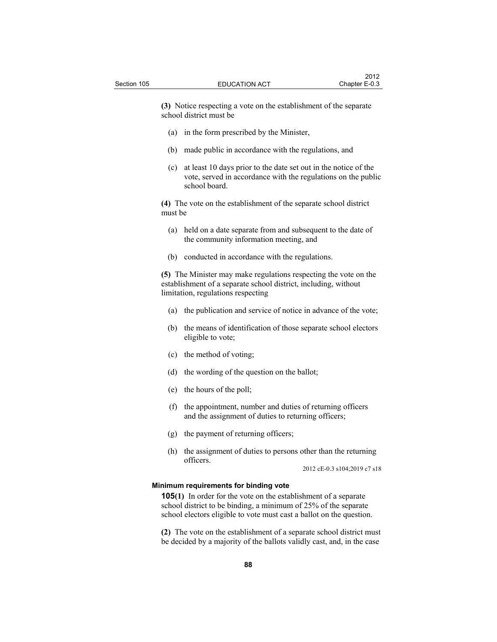**(3)** Notice respecting a vote on the establishment of the separate school district must be

- (a) in the form prescribed by the Minister,
- (b) made public in accordance with the regulations, and
- (c) at least 10 days prior to the date set out in the notice of the vote, served in accordance with the regulations on the public school board.

**(4)** The vote on the establishment of the separate school district must be

- (a) held on a date separate from and subsequent to the date of the community information meeting, and
- (b) conducted in accordance with the regulations.

**(5)** The Minister may make regulations respecting the vote on the establishment of a separate school district, including, without limitation, regulations respecting

- (a) the publication and service of notice in advance of the vote;
- (b) the means of identification of those separate school electors eligible to vote;
- (c) the method of voting;
- (d) the wording of the question on the ballot;
- (e) the hours of the poll;
- (f) the appointment, number and duties of returning officers and the assignment of duties to returning officers;
- (g) the payment of returning officers;
- (h) the assignment of duties to persons other than the returning officers.

2012 cE-0.3 s104;2019 c7 s18

### **Minimum requirements for binding vote**

**105(1)** In order for the vote on the establishment of a separate school district to be binding, a minimum of 25% of the separate school electors eligible to vote must cast a ballot on the question.

**(2)** The vote on the establishment of a separate school district must be decided by a majority of the ballots validly cast, and, in the case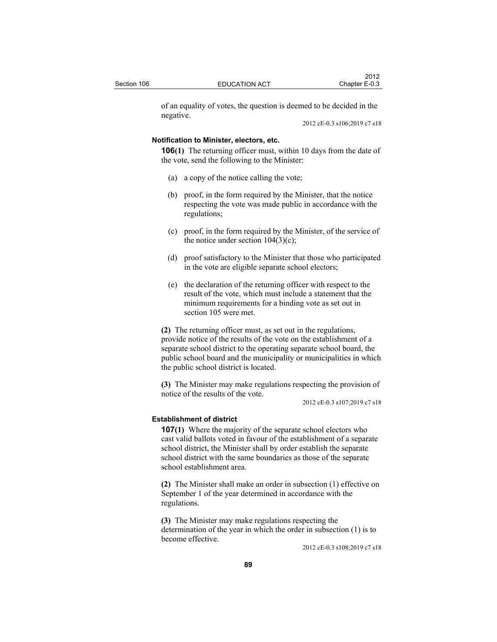of an equality of votes, the question is deemed to be decided in the negative.

2012 cE-0.3 s106;2019 c7 s18

## **Notification to Minister, electors, etc.**

**106(1)** The returning officer must, within 10 days from the date of the vote, send the following to the Minister:

- (a) a copy of the notice calling the vote;
- (b) proof, in the form required by the Minister, that the notice respecting the vote was made public in accordance with the regulations;
- (c) proof, in the form required by the Minister, of the service of the notice under section  $104(3)(c)$ ;
- (d) proof satisfactory to the Minister that those who participated in the vote are eligible separate school electors;
- (e) the declaration of the returning officer with respect to the result of the vote, which must include a statement that the minimum requirements for a binding vote as set out in section 105 were met.

**(2)** The returning officer must, as set out in the regulations, provide notice of the results of the vote on the establishment of a separate school district to the operating separate school board, the public school board and the municipality or municipalities in which the public school district is located.

**(3)** The Minister may make regulations respecting the provision of notice of the results of the vote.

2012 cE-0.3 s107;2019 c7 s18

## **Establishment of district**

**107(1)** Where the majority of the separate school electors who cast valid ballots voted in favour of the establishment of a separate school district, the Minister shall by order establish the separate school district with the same boundaries as those of the separate school establishment area.

**(2)** The Minister shall make an order in subsection (1) effective on September 1 of the year determined in accordance with the regulations.

**(3)** The Minister may make regulations respecting the determination of the year in which the order in subsection (1) is to become effective.

2012 cE-0.3 s108;2019 c7 s18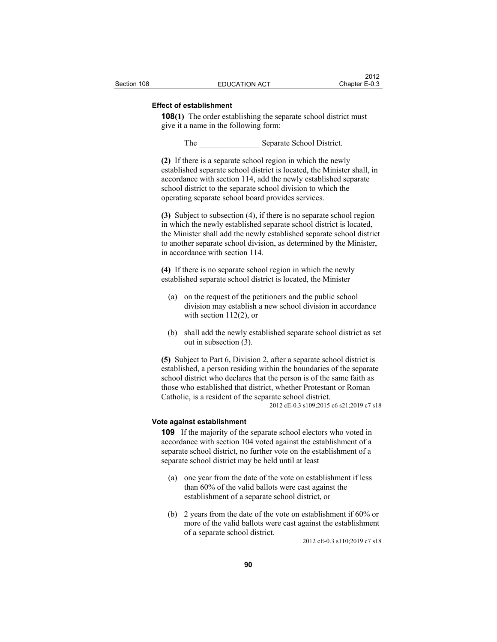## **Effect of establishment**

**108(1)** The order establishing the separate school district must give it a name in the following form:

The Separate School District.

**(2)** If there is a separate school region in which the newly established separate school district is located, the Minister shall, in accordance with section 114, add the newly established separate school district to the separate school division to which the operating separate school board provides services.

**(3)** Subject to subsection (4), if there is no separate school region in which the newly established separate school district is located, the Minister shall add the newly established separate school district to another separate school division, as determined by the Minister, in accordance with section 114.

**(4)** If there is no separate school region in which the newly established separate school district is located, the Minister

- (a) on the request of the petitioners and the public school division may establish a new school division in accordance with section  $112(2)$ , or
- (b) shall add the newly established separate school district as set out in subsection (3).

**(5)** Subject to Part 6, Division 2, after a separate school district is established, a person residing within the boundaries of the separate school district who declares that the person is of the same faith as those who established that district, whether Protestant or Roman Catholic, is a resident of the separate school district. 2012 cE-0.3 s109;2015 c6 s21;2019 c7 s18

#### **Vote against establishment**

**109** If the majority of the separate school electors who voted in accordance with section 104 voted against the establishment of a separate school district, no further vote on the establishment of a separate school district may be held until at least

- (a) one year from the date of the vote on establishment if less than 60% of the valid ballots were cast against the establishment of a separate school district, or
- (b) 2 years from the date of the vote on establishment if 60% or more of the valid ballots were cast against the establishment of a separate school district.

2012 cE-0.3 s110;2019 c7 s18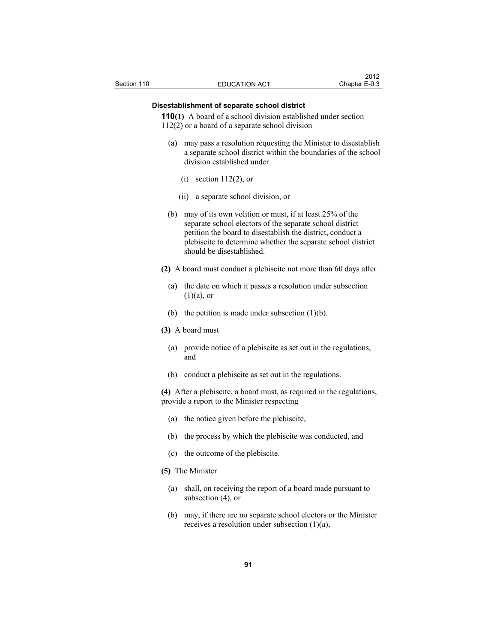## **Disestablishment of separate school district**

**110(1)** A board of a school division established under section 112(2) or a board of a separate school division

- (a) may pass a resolution requesting the Minister to disestablish a separate school district within the boundaries of the school division established under
	- (i) section 112(2), or
	- (ii) a separate school division, or
- (b) may of its own volition or must, if at least 25% of the separate school electors of the separate school district petition the board to disestablish the district, conduct a plebiscite to determine whether the separate school district should be disestablished.
- **(2)** A board must conduct a plebiscite not more than 60 days after
	- (a) the date on which it passes a resolution under subsection  $(1)(a)$ , or
	- (b) the petition is made under subsection  $(1)(b)$ .
- **(3)** A board must
	- (a) provide notice of a plebiscite as set out in the regulations, and
	- (b) conduct a plebiscite as set out in the regulations.

**(4)** After a plebiscite, a board must, as required in the regulations, provide a report to the Minister respecting

- (a) the notice given before the plebiscite,
- (b) the process by which the plebiscite was conducted, and
- (c) the outcome of the plebiscite.
- **(5)** The Minister
	- (a) shall, on receiving the report of a board made pursuant to subsection (4), or
	- (b) may, if there are no separate school electors or the Minister receives a resolution under subsection (1)(a),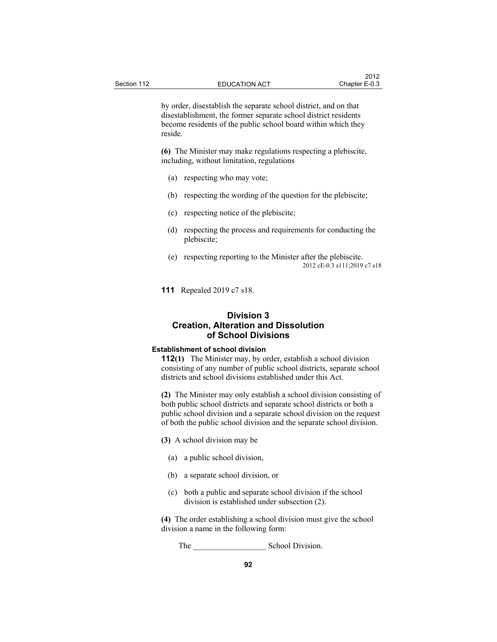by order, disestablish the separate school district, and on that disestablishment, the former separate school district residents become residents of the public school board within which they reside.

**(6)** The Minister may make regulations respecting a plebiscite, including, without limitation, regulations

- (a) respecting who may vote;
- (b) respecting the wording of the question for the plebiscite;
- (c) respecting notice of the plebiscite;
- (d) respecting the process and requirements for conducting the plebiscite;
- (e) respecting reporting to the Minister after the plebiscite. 2012 cE-0.3 s111;2019 c7 s18
- **111** Repealed 2019 c7 s18.

# **Division 3 Creation, Alteration and Dissolution of School Divisions**

## **Establishment of school division**

**112(1)** The Minister may, by order, establish a school division consisting of any number of public school districts, separate school districts and school divisions established under this Act.

**(2)** The Minister may only establish a school division consisting of both public school districts and separate school districts or both a public school division and a separate school division on the request of both the public school division and the separate school division.

**(3)** A school division may be

- (a) a public school division,
- (b) a separate school division, or
- (c) both a public and separate school division if the school division is established under subsection (2).

**(4)** The order establishing a school division must give the school division a name in the following form:

The School Division.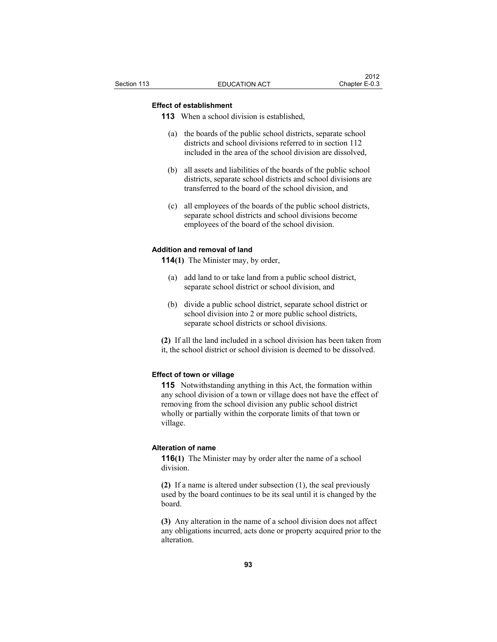# **Effect of establishment**

**113** When a school division is established,

- (a) the boards of the public school districts, separate school districts and school divisions referred to in section 112 included in the area of the school division are dissolved,
- (b) all assets and liabilities of the boards of the public school districts, separate school districts and school divisions are transferred to the board of the school division, and
- (c) all employees of the boards of the public school districts, separate school districts and school divisions become employees of the board of the school division.

## **Addition and removal of land**

**114(1)** The Minister may, by order,

- (a) add land to or take land from a public school district, separate school district or school division, and
- (b) divide a public school district, separate school district or school division into 2 or more public school districts, separate school districts or school divisions.

**(2)** If all the land included in a school division has been taken from it, the school district or school division is deemed to be dissolved.

# **Effect of town or village**

**115** Notwithstanding anything in this Act, the formation within any school division of a town or village does not have the effect of removing from the school division any public school district wholly or partially within the corporate limits of that town or village.

#### **Alteration of name**

**116(1)** The Minister may by order alter the name of a school division.

**(2)** If a name is altered under subsection (1), the seal previously used by the board continues to be its seal until it is changed by the board.

**(3)** Any alteration in the name of a school division does not affect any obligations incurred, acts done or property acquired prior to the alteration.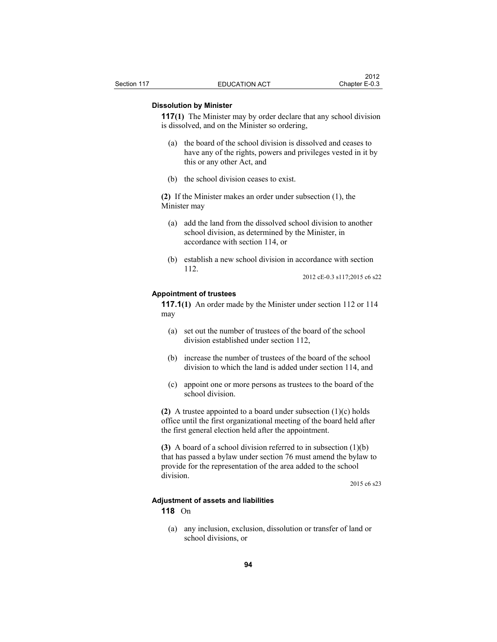#### **Dissolution by Minister**

**117(1)** The Minister may by order declare that any school division is dissolved, and on the Minister so ordering,

- (a) the board of the school division is dissolved and ceases to have any of the rights, powers and privileges vested in it by this or any other Act, and
- (b) the school division ceases to exist.

**(2)** If the Minister makes an order under subsection (1), the Minister may

- (a) add the land from the dissolved school division to another school division, as determined by the Minister, in accordance with section 114, or
- (b) establish a new school division in accordance with section 112.

2012 cE-0.3 s117;2015 c6 s22

# **Appointment of trustees**

**117.1(1)** An order made by the Minister under section 112 or 114 may

- (a) set out the number of trustees of the board of the school division established under section 112,
- (b) increase the number of trustees of the board of the school division to which the land is added under section 114, and
- (c) appoint one or more persons as trustees to the board of the school division.

**(2)** A trustee appointed to a board under subsection (1)(c) holds office until the first organizational meeting of the board held after the first general election held after the appointment.

**(3)** A board of a school division referred to in subsection (1)(b) that has passed a bylaw under section 76 must amend the bylaw to provide for the representation of the area added to the school division.

2015 c6 s23

#### **Adjustment of assets and liabilities**

**118** On

 (a) any inclusion, exclusion, dissolution or transfer of land or school divisions, or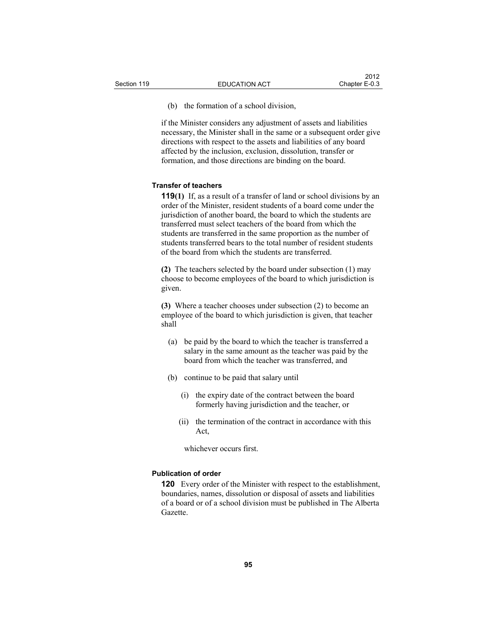(b) the formation of a school division,

if the Minister considers any adjustment of assets and liabilities necessary, the Minister shall in the same or a subsequent order give directions with respect to the assets and liabilities of any board affected by the inclusion, exclusion, dissolution, transfer or formation, and those directions are binding on the board.

#### **Transfer of teachers**

**119(1)** If, as a result of a transfer of land or school divisions by an order of the Minister, resident students of a board come under the jurisdiction of another board, the board to which the students are transferred must select teachers of the board from which the students are transferred in the same proportion as the number of students transferred bears to the total number of resident students of the board from which the students are transferred.

**(2)** The teachers selected by the board under subsection (1) may choose to become employees of the board to which jurisdiction is given.

**(3)** Where a teacher chooses under subsection (2) to become an employee of the board to which jurisdiction is given, that teacher shall

- (a) be paid by the board to which the teacher is transferred a salary in the same amount as the teacher was paid by the board from which the teacher was transferred, and
- (b) continue to be paid that salary until
	- (i) the expiry date of the contract between the board formerly having jurisdiction and the teacher, or
	- (ii) the termination of the contract in accordance with this Act,

whichever occurs first.

## **Publication of order**

**120** Every order of the Minister with respect to the establishment, boundaries, names, dissolution or disposal of assets and liabilities of a board or of a school division must be published in The Alberta Gazette.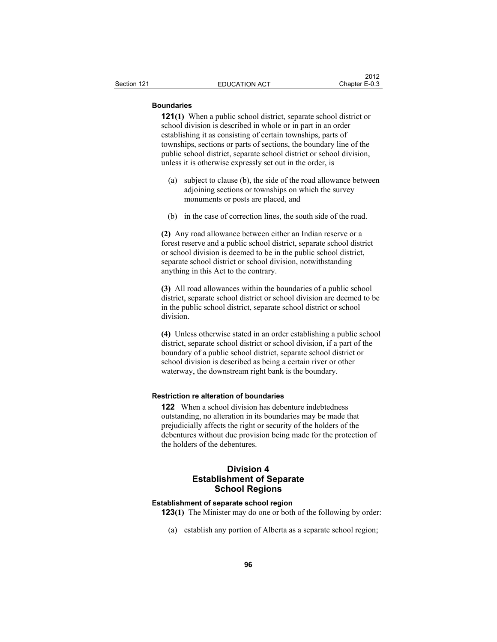## **Boundaries**

**121(1)** When a public school district, separate school district or school division is described in whole or in part in an order establishing it as consisting of certain townships, parts of townships, sections or parts of sections, the boundary line of the public school district, separate school district or school division, unless it is otherwise expressly set out in the order, is

- (a) subject to clause (b), the side of the road allowance between adjoining sections or townships on which the survey monuments or posts are placed, and
- (b) in the case of correction lines, the south side of the road.

**(2)** Any road allowance between either an Indian reserve or a forest reserve and a public school district, separate school district or school division is deemed to be in the public school district, separate school district or school division, notwithstanding anything in this Act to the contrary.

**(3)** All road allowances within the boundaries of a public school district, separate school district or school division are deemed to be in the public school district, separate school district or school division.

**(4)** Unless otherwise stated in an order establishing a public school district, separate school district or school division, if a part of the boundary of a public school district, separate school district or school division is described as being a certain river or other waterway, the downstream right bank is the boundary.

## **Restriction re alteration of boundaries**

**122** When a school division has debenture indebtedness outstanding, no alteration in its boundaries may be made that prejudicially affects the right or security of the holders of the debentures without due provision being made for the protection of the holders of the debentures.

# **Division 4 Establishment of Separate School Regions**

# **Establishment of separate school region**

**123(1)** The Minister may do one or both of the following by order:

(a) establish any portion of Alberta as a separate school region;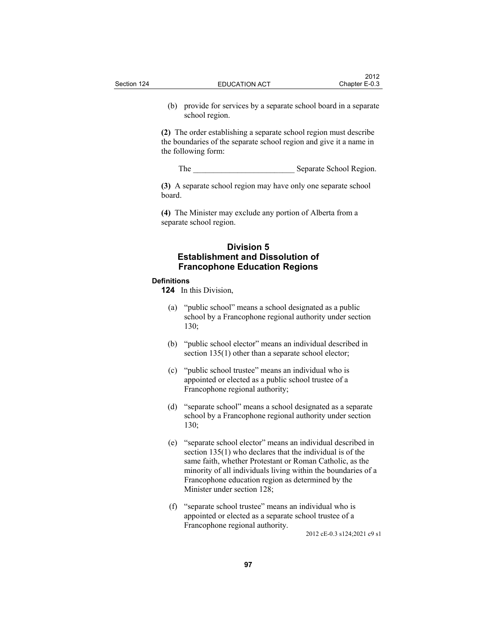(b) provide for services by a separate school board in a separate school region.

**(2)** The order establishing a separate school region must describe the boundaries of the separate school region and give it a name in the following form:

The Separate School Region.

**(3)** A separate school region may have only one separate school board.

**(4)** The Minister may exclude any portion of Alberta from a separate school region.

# **Division 5 Establishment and Dissolution of Francophone Education Regions**

# **Definitions**

**124** In this Division,

- (a) "public school" means a school designated as a public school by a Francophone regional authority under section 130;
- (b) "public school elector" means an individual described in section 135(1) other than a separate school elector;
- (c) "public school trustee" means an individual who is appointed or elected as a public school trustee of a Francophone regional authority;
- (d) "separate school" means a school designated as a separate school by a Francophone regional authority under section 130;
- (e) "separate school elector" means an individual described in section 135(1) who declares that the individual is of the same faith, whether Protestant or Roman Catholic, as the minority of all individuals living within the boundaries of a Francophone education region as determined by the Minister under section 128;
- (f) "separate school trustee" means an individual who is appointed or elected as a separate school trustee of a Francophone regional authority.

2012 cE-0.3 s124;2021 c9 s1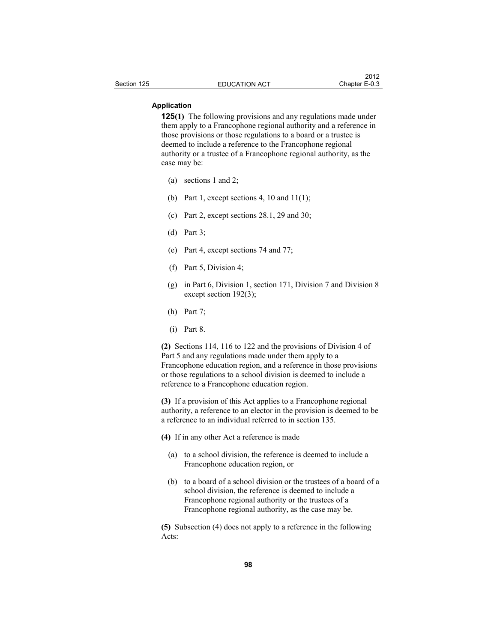### **Application**

**125(1)** The following provisions and any regulations made under them apply to a Francophone regional authority and a reference in those provisions or those regulations to a board or a trustee is deemed to include a reference to the Francophone regional authority or a trustee of a Francophone regional authority, as the case may be:

- (a) sections 1 and 2;
- (b) Part 1, except sections 4, 10 and  $11(1)$ ;
- (c) Part 2, except sections 28.1, 29 and 30;
- (d) Part 3;
- (e) Part 4, except sections 74 and 77;
- (f) Part 5, Division 4;
- (g) in Part 6, Division 1, section 171, Division 7 and Division 8 except section 192(3);
- (h) Part 7;
- (i) Part 8.

**(2)** Sections 114, 116 to 122 and the provisions of Division 4 of Part 5 and any regulations made under them apply to a Francophone education region, and a reference in those provisions or those regulations to a school division is deemed to include a reference to a Francophone education region.

**(3)** If a provision of this Act applies to a Francophone regional authority, a reference to an elector in the provision is deemed to be a reference to an individual referred to in section 135.

- **(4)** If in any other Act a reference is made
	- (a) to a school division, the reference is deemed to include a Francophone education region, or
	- (b) to a board of a school division or the trustees of a board of a school division, the reference is deemed to include a Francophone regional authority or the trustees of a Francophone regional authority, as the case may be.

**(5)** Subsection (4) does not apply to a reference in the following Acts: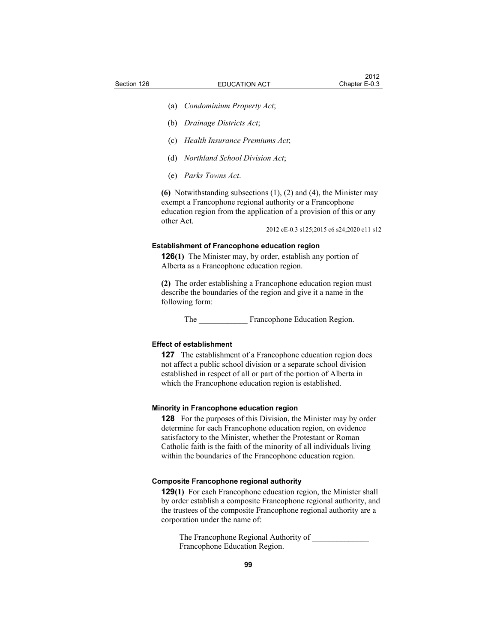- (a) *Condominium Property Act*;
- (b) *Drainage Districts Act*;
- (c) *Health Insurance Premiums Act*;
- (d) *Northland School Division Act*;
- (e) *Parks Towns Act*.

**(6)** Notwithstanding subsections (1), (2) and (4), the Minister may exempt a Francophone regional authority or a Francophone education region from the application of a provision of this or any other Act.

2012 cE-0.3 s125;2015 c6 s24;2020 c11 s12

## **Establishment of Francophone education region**

**126(1)** The Minister may, by order, establish any portion of Alberta as a Francophone education region.

**(2)** The order establishing a Francophone education region must describe the boundaries of the region and give it a name in the following form:

The **Example E** Francophone Education Region.

#### **Effect of establishment**

**127** The establishment of a Francophone education region does not affect a public school division or a separate school division established in respect of all or part of the portion of Alberta in which the Francophone education region is established.

#### **Minority in Francophone education region**

**128** For the purposes of this Division, the Minister may by order determine for each Francophone education region, on evidence satisfactory to the Minister, whether the Protestant or Roman Catholic faith is the faith of the minority of all individuals living within the boundaries of the Francophone education region.

#### **Composite Francophone regional authority**

**129(1)** For each Francophone education region, the Minister shall by order establish a composite Francophone regional authority, and the trustees of the composite Francophone regional authority are a corporation under the name of:

The Francophone Regional Authority of Francophone Education Region.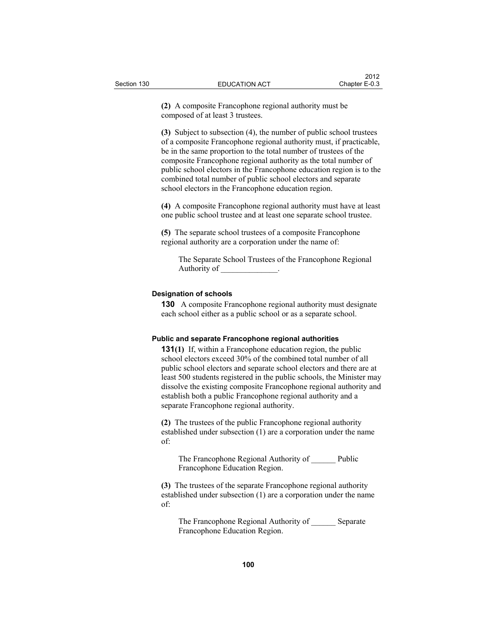**(2)** A composite Francophone regional authority must be composed of at least 3 trustees.

**(3)** Subject to subsection (4), the number of public school trustees of a composite Francophone regional authority must, if practicable, be in the same proportion to the total number of trustees of the composite Francophone regional authority as the total number of public school electors in the Francophone education region is to the combined total number of public school electors and separate school electors in the Francophone education region.

**(4)** A composite Francophone regional authority must have at least one public school trustee and at least one separate school trustee.

**(5)** The separate school trustees of a composite Francophone regional authority are a corporation under the name of:

The Separate School Trustees of the Francophone Regional Authority of \_\_\_\_\_\_\_\_\_\_\_\_\_\_.

#### **Designation of schools**

**130** A composite Francophone regional authority must designate each school either as a public school or as a separate school.

#### **Public and separate Francophone regional authorities**

**131(1)** If, within a Francophone education region, the public school electors exceed 30% of the combined total number of all public school electors and separate school electors and there are at least 500 students registered in the public schools, the Minister may dissolve the existing composite Francophone regional authority and establish both a public Francophone regional authority and a separate Francophone regional authority.

**(2)** The trustees of the public Francophone regional authority established under subsection (1) are a corporation under the name of:

The Francophone Regional Authority of Public Francophone Education Region.

**(3)** The trustees of the separate Francophone regional authority established under subsection (1) are a corporation under the name of:

The Francophone Regional Authority of Separate Francophone Education Region.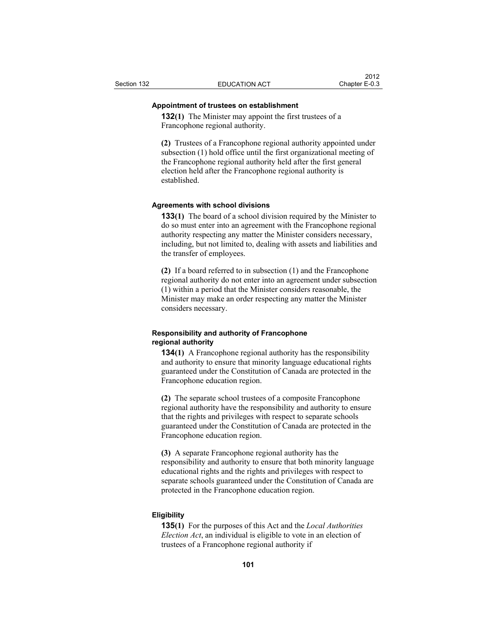## **Appointment of trustees on establishment**

**132(1)** The Minister may appoint the first trustees of a Francophone regional authority.

**(2)** Trustees of a Francophone regional authority appointed under subsection (1) hold office until the first organizational meeting of the Francophone regional authority held after the first general election held after the Francophone regional authority is established.

#### **Agreements with school divisions**

**133(1)** The board of a school division required by the Minister to do so must enter into an agreement with the Francophone regional authority respecting any matter the Minister considers necessary, including, but not limited to, dealing with assets and liabilities and the transfer of employees.

**(2)** If a board referred to in subsection (1) and the Francophone regional authority do not enter into an agreement under subsection (1) within a period that the Minister considers reasonable, the Minister may make an order respecting any matter the Minister considers necessary.

## **Responsibility and authority of Francophone regional authority**

**134(1)** A Francophone regional authority has the responsibility and authority to ensure that minority language educational rights guaranteed under the Constitution of Canada are protected in the Francophone education region.

**(2)** The separate school trustees of a composite Francophone regional authority have the responsibility and authority to ensure that the rights and privileges with respect to separate schools guaranteed under the Constitution of Canada are protected in the Francophone education region.

**(3)** A separate Francophone regional authority has the responsibility and authority to ensure that both minority language educational rights and the rights and privileges with respect to separate schools guaranteed under the Constitution of Canada are protected in the Francophone education region.

#### **Eligibility**

**135(1)** For the purposes of this Act and the *Local Authorities Election Act*, an individual is eligible to vote in an election of trustees of a Francophone regional authority if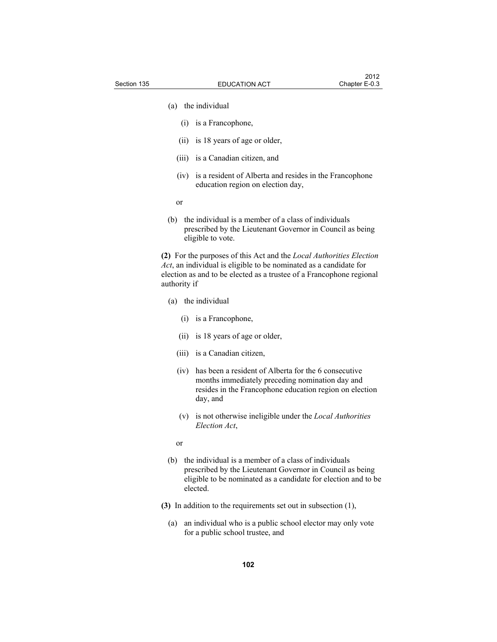- (a) the individual
	- (i) is a Francophone,
	- (ii) is 18 years of age or older,
	- (iii) is a Canadian citizen, and
	- (iv) is a resident of Alberta and resides in the Francophone education region on election day,
- or
	- (b) the individual is a member of a class of individuals prescribed by the Lieutenant Governor in Council as being eligible to vote.

**(2)** For the purposes of this Act and the *Local Authorities Election Act*, an individual is eligible to be nominated as a candidate for election as and to be elected as a trustee of a Francophone regional authority if

- (a) the individual
	- (i) is a Francophone,
	- (ii) is 18 years of age or older,
	- (iii) is a Canadian citizen,
	- (iv) has been a resident of Alberta for the 6 consecutive months immediately preceding nomination day and resides in the Francophone education region on election day, and
	- (v) is not otherwise ineligible under the *Local Authorities Election Act*,

or

- (b) the individual is a member of a class of individuals prescribed by the Lieutenant Governor in Council as being eligible to be nominated as a candidate for election and to be elected.
- **(3)** In addition to the requirements set out in subsection (1),
	- (a) an individual who is a public school elector may only vote for a public school trustee, and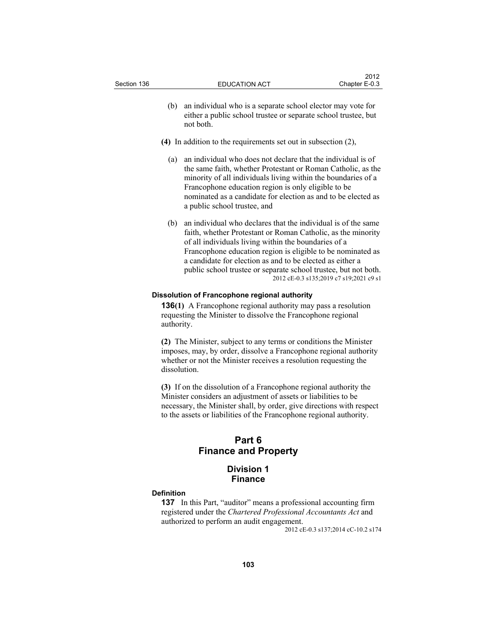- (b) an individual who is a separate school elector may vote for either a public school trustee or separate school trustee, but not both.
- **(4)** In addition to the requirements set out in subsection (2),
	- (a) an individual who does not declare that the individual is of the same faith, whether Protestant or Roman Catholic, as the minority of all individuals living within the boundaries of a Francophone education region is only eligible to be nominated as a candidate for election as and to be elected as a public school trustee, and
	- (b) an individual who declares that the individual is of the same faith, whether Protestant or Roman Catholic, as the minority of all individuals living within the boundaries of a Francophone education region is eligible to be nominated as a candidate for election as and to be elected as either a public school trustee or separate school trustee, but not both. 2012 cE-0.3 s135;2019 c7 s19;2021 c9 s1

## **Dissolution of Francophone regional authority**

**136(1)** A Francophone regional authority may pass a resolution requesting the Minister to dissolve the Francophone regional authority.

**(2)** The Minister, subject to any terms or conditions the Minister imposes, may, by order, dissolve a Francophone regional authority whether or not the Minister receives a resolution requesting the dissolution.

**(3)** If on the dissolution of a Francophone regional authority the Minister considers an adjustment of assets or liabilities to be necessary, the Minister shall, by order, give directions with respect to the assets or liabilities of the Francophone regional authority.

# **Part 6 Finance and Property**

# **Division 1 Finance**

#### **Definition**

**137** In this Part, "auditor" means a professional accounting firm registered under the *Chartered Professional Accountants Act* and authorized to perform an audit engagement.

2012 cE-0.3 s137;2014 cC-10.2 s174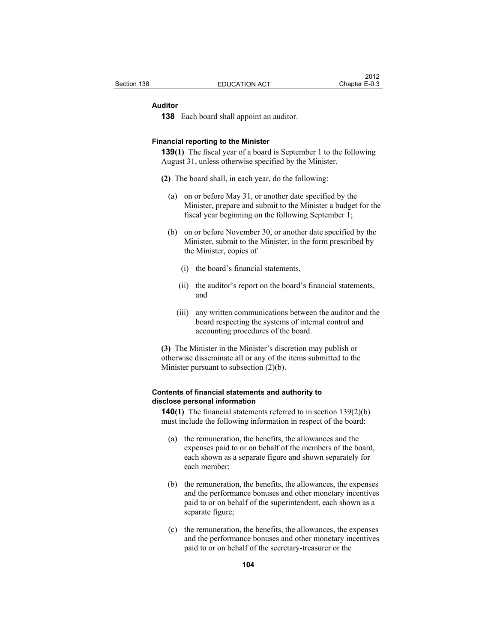#### **Auditor**

**138** Each board shall appoint an auditor.

#### **Financial reporting to the Minister**

**139(1)** The fiscal year of a board is September 1 to the following August 31, unless otherwise specified by the Minister.

- **(2)** The board shall, in each year, do the following:
	- (a) on or before May 31, or another date specified by the Minister, prepare and submit to the Minister a budget for the fiscal year beginning on the following September 1;
	- (b) on or before November 30, or another date specified by the Minister, submit to the Minister, in the form prescribed by the Minister, copies of
		- (i) the board's financial statements,
		- (ii) the auditor's report on the board's financial statements, and
		- (iii) any written communications between the auditor and the board respecting the systems of internal control and accounting procedures of the board.

**(3)** The Minister in the Minister's discretion may publish or otherwise disseminate all or any of the items submitted to the Minister pursuant to subsection (2)(b).

# **Contents of financial statements and authority to disclose personal information**

**140(1)** The financial statements referred to in section 139(2)(b) must include the following information in respect of the board:

- (a) the remuneration, the benefits, the allowances and the expenses paid to or on behalf of the members of the board, each shown as a separate figure and shown separately for each member;
- (b) the remuneration, the benefits, the allowances, the expenses and the performance bonuses and other monetary incentives paid to or on behalf of the superintendent, each shown as a separate figure;
- (c) the remuneration, the benefits, the allowances, the expenses and the performance bonuses and other monetary incentives paid to or on behalf of the secretary-treasurer or the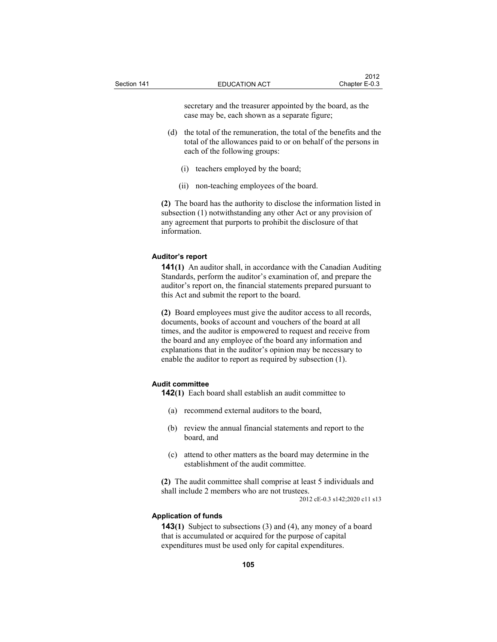secretary and the treasurer appointed by the board, as the case may be, each shown as a separate figure;

- (d) the total of the remuneration, the total of the benefits and the total of the allowances paid to or on behalf of the persons in each of the following groups:
	- (i) teachers employed by the board;
	- (ii) non-teaching employees of the board.

**(2)** The board has the authority to disclose the information listed in subsection (1) notwithstanding any other Act or any provision of any agreement that purports to prohibit the disclosure of that information.

#### **Auditor's report**

**141(1)** An auditor shall, in accordance with the Canadian Auditing Standards, perform the auditor's examination of, and prepare the auditor's report on, the financial statements prepared pursuant to this Act and submit the report to the board.

**(2)** Board employees must give the auditor access to all records, documents, books of account and vouchers of the board at all times, and the auditor is empowered to request and receive from the board and any employee of the board any information and explanations that in the auditor's opinion may be necessary to enable the auditor to report as required by subsection (1).

#### **Audit committee**

**142(1)** Each board shall establish an audit committee to

- (a) recommend external auditors to the board,
- (b) review the annual financial statements and report to the board, and
- (c) attend to other matters as the board may determine in the establishment of the audit committee.

**(2)** The audit committee shall comprise at least 5 individuals and shall include 2 members who are not trustees.

2012 cE-0.3 s142;2020 c11 s13

#### **Application of funds**

**143(1)** Subject to subsections (3) and (4), any money of a board that is accumulated or acquired for the purpose of capital expenditures must be used only for capital expenditures.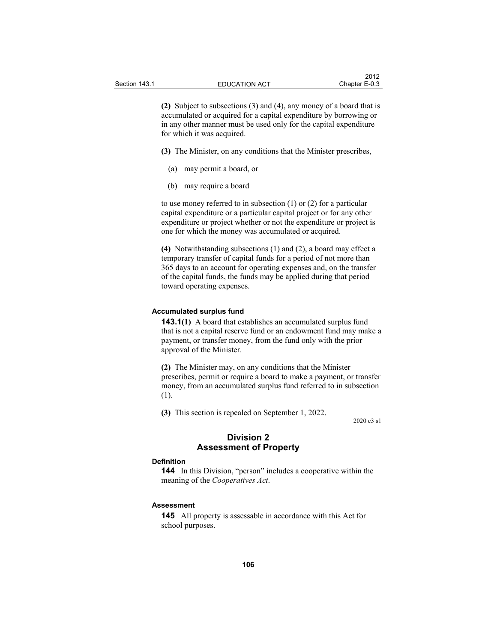**(2)** Subject to subsections (3) and (4), any money of a board that is accumulated or acquired for a capital expenditure by borrowing or in any other manner must be used only for the capital expenditure for which it was acquired.

**(3)** The Minister, on any conditions that the Minister prescribes,

- (a) may permit a board, or
- (b) may require a board

to use money referred to in subsection (1) or (2) for a particular capital expenditure or a particular capital project or for any other expenditure or project whether or not the expenditure or project is one for which the money was accumulated or acquired.

**(4)** Notwithstanding subsections (1) and (2), a board may effect a temporary transfer of capital funds for a period of not more than 365 days to an account for operating expenses and, on the transfer of the capital funds, the funds may be applied during that period toward operating expenses.

#### **Accumulated surplus fund**

**143.1(1)** A board that establishes an accumulated surplus fund that is not a capital reserve fund or an endowment fund may make a payment, or transfer money, from the fund only with the prior approval of the Minister.

**(2)** The Minister may, on any conditions that the Minister prescribes, permit or require a board to make a payment, or transfer money, from an accumulated surplus fund referred to in subsection (1).

**(3)** This section is repealed on September 1, 2022.

2020 c3 s1

## **Division 2 Assessment of Property**

#### **Definition**

**144** In this Division, "person" includes a cooperative within the meaning of the *Cooperatives Act*.

#### **Assessment**

**145** All property is assessable in accordance with this Act for school purposes.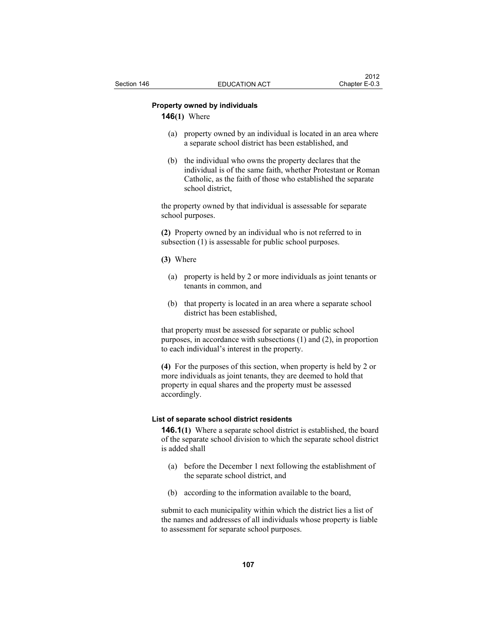## **Property owned by individuals**

**146(1)** Where

- (a) property owned by an individual is located in an area where a separate school district has been established, and
- (b) the individual who owns the property declares that the individual is of the same faith, whether Protestant or Roman Catholic, as the faith of those who established the separate school district,

the property owned by that individual is assessable for separate school purposes.

**(2)** Property owned by an individual who is not referred to in subsection (1) is assessable for public school purposes.

**(3)** Where

- (a) property is held by 2 or more individuals as joint tenants or tenants in common, and
- (b) that property is located in an area where a separate school district has been established,

that property must be assessed for separate or public school purposes, in accordance with subsections (1) and (2), in proportion to each individual's interest in the property.

**(4)** For the purposes of this section, when property is held by 2 or more individuals as joint tenants, they are deemed to hold that property in equal shares and the property must be assessed accordingly.

### **List of separate school district residents**

**146.1(1)** Where a separate school district is established, the board of the separate school division to which the separate school district is added shall

- (a) before the December 1 next following the establishment of the separate school district, and
- (b) according to the information available to the board,

submit to each municipality within which the district lies a list of the names and addresses of all individuals whose property is liable to assessment for separate school purposes.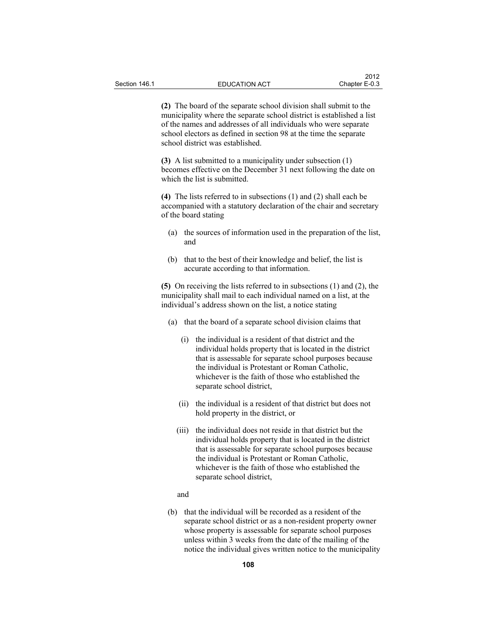**(2)** The board of the separate school division shall submit to the municipality where the separate school district is established a list of the names and addresses of all individuals who were separate school electors as defined in section 98 at the time the separate school district was established.

**(3)** A list submitted to a municipality under subsection (1) becomes effective on the December 31 next following the date on which the list is submitted.

**(4)** The lists referred to in subsections (1) and (2) shall each be accompanied with a statutory declaration of the chair and secretary of the board stating

- (a) the sources of information used in the preparation of the list, and
- (b) that to the best of their knowledge and belief, the list is accurate according to that information.

**(5)** On receiving the lists referred to in subsections (1) and (2), the municipality shall mail to each individual named on a list, at the individual's address shown on the list, a notice stating

- (a) that the board of a separate school division claims that
	- (i) the individual is a resident of that district and the individual holds property that is located in the district that is assessable for separate school purposes because the individual is Protestant or Roman Catholic, whichever is the faith of those who established the separate school district,
	- (ii) the individual is a resident of that district but does not hold property in the district, or
	- (iii) the individual does not reside in that district but the individual holds property that is located in the district that is assessable for separate school purposes because the individual is Protestant or Roman Catholic, whichever is the faith of those who established the separate school district,
	- and
- (b) that the individual will be recorded as a resident of the separate school district or as a non-resident property owner whose property is assessable for separate school purposes unless within 3 weeks from the date of the mailing of the notice the individual gives written notice to the municipality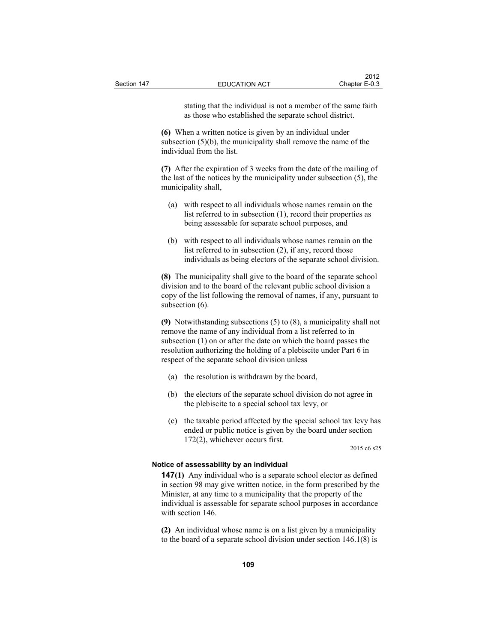stating that the individual is not a member of the same faith as those who established the separate school district.

**(6)** When a written notice is given by an individual under subsection (5)(b), the municipality shall remove the name of the individual from the list.

**(7)** After the expiration of 3 weeks from the date of the mailing of the last of the notices by the municipality under subsection (5), the municipality shall,

- (a) with respect to all individuals whose names remain on the list referred to in subsection (1), record their properties as being assessable for separate school purposes, and
- (b) with respect to all individuals whose names remain on the list referred to in subsection (2), if any, record those individuals as being electors of the separate school division.

**(8)** The municipality shall give to the board of the separate school division and to the board of the relevant public school division a copy of the list following the removal of names, if any, pursuant to subsection  $(6)$ .

**(9)** Notwithstanding subsections (5) to (8), a municipality shall not remove the name of any individual from a list referred to in subsection (1) on or after the date on which the board passes the resolution authorizing the holding of a plebiscite under Part 6 in respect of the separate school division unless

- (a) the resolution is withdrawn by the board,
- (b) the electors of the separate school division do not agree in the plebiscite to a special school tax levy, or
- (c) the taxable period affected by the special school tax levy has ended or public notice is given by the board under section 172(2), whichever occurs first.

2015 c6 s25

#### **Notice of assessability by an individual**

**147(1)** Any individual who is a separate school elector as defined in section 98 may give written notice, in the form prescribed by the Minister, at any time to a municipality that the property of the individual is assessable for separate school purposes in accordance with section 146.

**(2)** An individual whose name is on a list given by a municipality to the board of a separate school division under section 146.1(8) is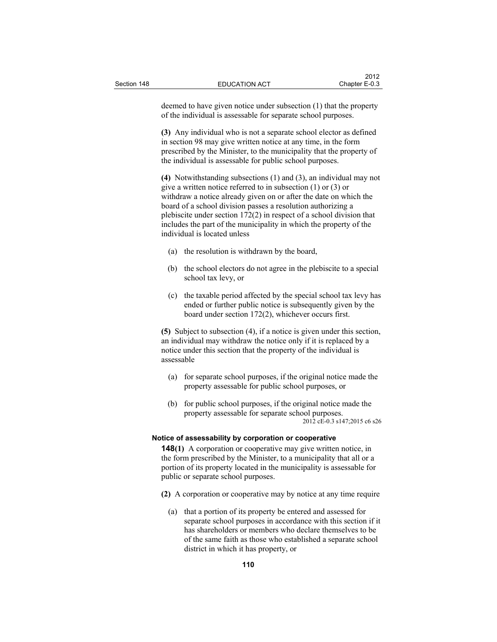deemed to have given notice under subsection (1) that the property of the individual is assessable for separate school purposes.

**(3)** Any individual who is not a separate school elector as defined in section 98 may give written notice at any time, in the form prescribed by the Minister, to the municipality that the property of the individual is assessable for public school purposes.

**(4)** Notwithstanding subsections (1) and (3), an individual may not give a written notice referred to in subsection (1) or (3) or withdraw a notice already given on or after the date on which the board of a school division passes a resolution authorizing a plebiscite under section 172(2) in respect of a school division that includes the part of the municipality in which the property of the individual is located unless

- (a) the resolution is withdrawn by the board,
- (b) the school electors do not agree in the plebiscite to a special school tax levy, or
- (c) the taxable period affected by the special school tax levy has ended or further public notice is subsequently given by the board under section 172(2), whichever occurs first.

**(5)** Subject to subsection (4), if a notice is given under this section, an individual may withdraw the notice only if it is replaced by a notice under this section that the property of the individual is assessable

- (a) for separate school purposes, if the original notice made the property assessable for public school purposes, or
- (b) for public school purposes, if the original notice made the property assessable for separate school purposes. 2012 cE-0.3 s147;2015 c6 s26

#### **Notice of assessability by corporation or cooperative**

**148(1)** A corporation or cooperative may give written notice, in the form prescribed by the Minister, to a municipality that all or a portion of its property located in the municipality is assessable for public or separate school purposes.

- **(2)** A corporation or cooperative may by notice at any time require
	- (a) that a portion of its property be entered and assessed for separate school purposes in accordance with this section if it has shareholders or members who declare themselves to be of the same faith as those who established a separate school district in which it has property, or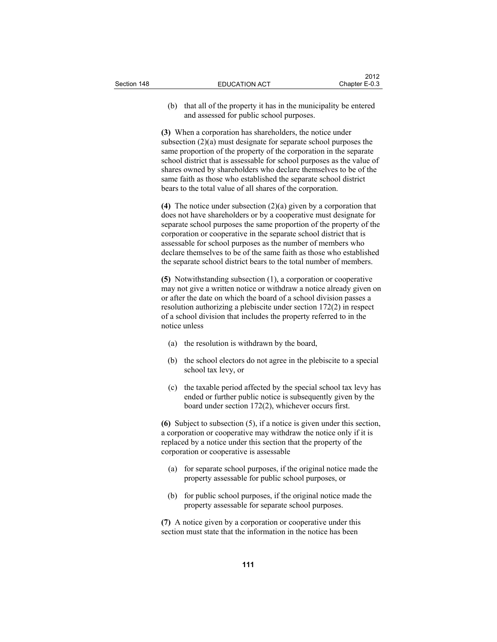(b) that all of the property it has in the municipality be entered and assessed for public school purposes.

**(3)** When a corporation has shareholders, the notice under subsection (2)(a) must designate for separate school purposes the same proportion of the property of the corporation in the separate school district that is assessable for school purposes as the value of shares owned by shareholders who declare themselves to be of the same faith as those who established the separate school district bears to the total value of all shares of the corporation.

**(4)** The notice under subsection (2)(a) given by a corporation that does not have shareholders or by a cooperative must designate for separate school purposes the same proportion of the property of the corporation or cooperative in the separate school district that is assessable for school purposes as the number of members who declare themselves to be of the same faith as those who established the separate school district bears to the total number of members.

**(5)** Notwithstanding subsection (1), a corporation or cooperative may not give a written notice or withdraw a notice already given on or after the date on which the board of a school division passes a resolution authorizing a plebiscite under section 172(2) in respect of a school division that includes the property referred to in the notice unless

- (a) the resolution is withdrawn by the board,
- (b) the school electors do not agree in the plebiscite to a special school tax levy, or
- (c) the taxable period affected by the special school tax levy has ended or further public notice is subsequently given by the board under section 172(2), whichever occurs first.

**(6)** Subject to subsection (5), if a notice is given under this section, a corporation or cooperative may withdraw the notice only if it is replaced by a notice under this section that the property of the corporation or cooperative is assessable

- (a) for separate school purposes, if the original notice made the property assessable for public school purposes, or
- (b) for public school purposes, if the original notice made the property assessable for separate school purposes.

**(7)** A notice given by a corporation or cooperative under this section must state that the information in the notice has been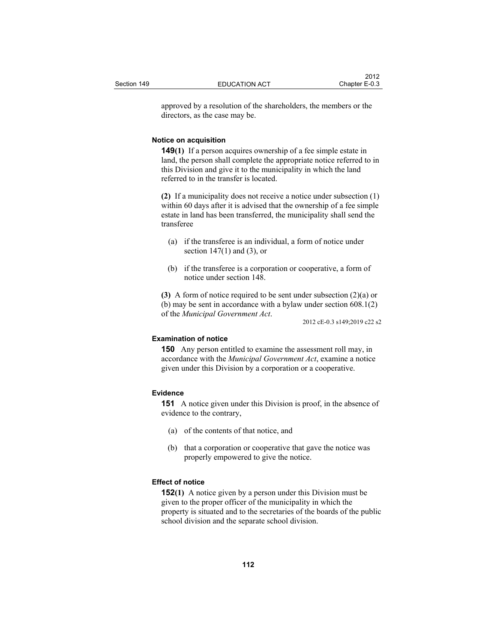approved by a resolution of the shareholders, the members or the directors, as the case may be.

#### **Notice on acquisition**

**149(1)** If a person acquires ownership of a fee simple estate in land, the person shall complete the appropriate notice referred to in this Division and give it to the municipality in which the land referred to in the transfer is located.

**(2)** If a municipality does not receive a notice under subsection (1) within 60 days after it is advised that the ownership of a fee simple estate in land has been transferred, the municipality shall send the transferee

- (a) if the transferee is an individual, a form of notice under section  $147(1)$  and  $(3)$ , or
- (b) if the transferee is a corporation or cooperative, a form of notice under section 148.

**(3)** A form of notice required to be sent under subsection (2)(a) or (b) may be sent in accordance with a bylaw under section 608.1(2) of the *Municipal Government Act*. 2012 cE-0.3 s149;2019 c22 s2

#### **Examination of notice**

**150** Any person entitled to examine the assessment roll may, in accordance with the *Municipal Government Act*, examine a notice given under this Division by a corporation or a cooperative.

#### **Evidence**

**151** A notice given under this Division is proof, in the absence of evidence to the contrary,

- (a) of the contents of that notice, and
- (b) that a corporation or cooperative that gave the notice was properly empowered to give the notice.

## **Effect of notice**

**152(1)** A notice given by a person under this Division must be given to the proper officer of the municipality in which the property is situated and to the secretaries of the boards of the public school division and the separate school division.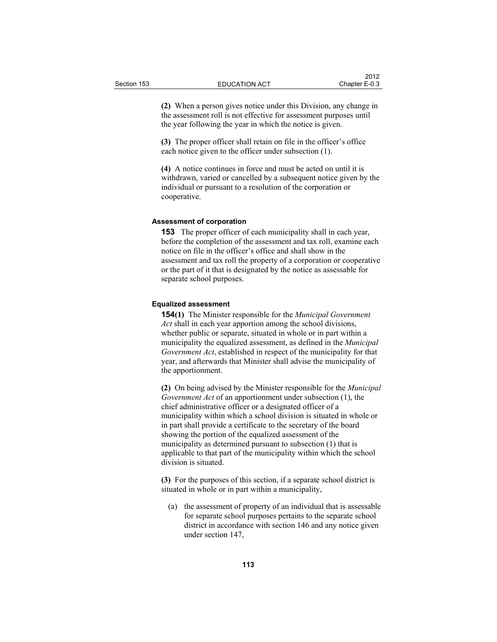**(2)** When a person gives notice under this Division, any change in the assessment roll is not effective for assessment purposes until the year following the year in which the notice is given.

**(3)** The proper officer shall retain on file in the officer's office each notice given to the officer under subsection (1).

**(4)** A notice continues in force and must be acted on until it is withdrawn, varied or cancelled by a subsequent notice given by the individual or pursuant to a resolution of the corporation or cooperative.

#### **Assessment of corporation**

**153** The proper officer of each municipality shall in each year, before the completion of the assessment and tax roll, examine each notice on file in the officer's office and shall show in the assessment and tax roll the property of a corporation or cooperative or the part of it that is designated by the notice as assessable for separate school purposes.

#### **Equalized assessment**

**154(1)** The Minister responsible for the *Municipal Government Act* shall in each year apportion among the school divisions, whether public or separate, situated in whole or in part within a municipality the equalized assessment, as defined in the *Municipal Government Act*, established in respect of the municipality for that year, and afterwards that Minister shall advise the municipality of the apportionment.

**(2)** On being advised by the Minister responsible for the *Municipal Government Act* of an apportionment under subsection (1), the chief administrative officer or a designated officer of a municipality within which a school division is situated in whole or in part shall provide a certificate to the secretary of the board showing the portion of the equalized assessment of the municipality as determined pursuant to subsection (1) that is applicable to that part of the municipality within which the school division is situated.

**(3)** For the purposes of this section, if a separate school district is situated in whole or in part within a municipality,

 (a) the assessment of property of an individual that is assessable for separate school purposes pertains to the separate school district in accordance with section 146 and any notice given under section 147,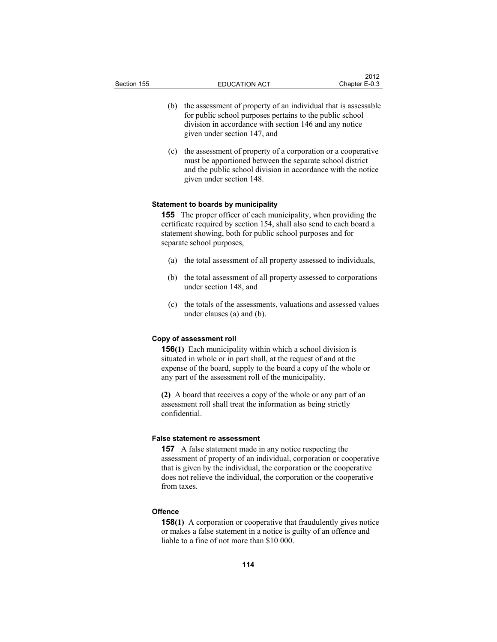- (b) the assessment of property of an individual that is assessable for public school purposes pertains to the public school division in accordance with section 146 and any notice given under section 147, and
- (c) the assessment of property of a corporation or a cooperative must be apportioned between the separate school district and the public school division in accordance with the notice given under section 148.

#### **Statement to boards by municipality**

**155** The proper officer of each municipality, when providing the certificate required by section 154, shall also send to each board a statement showing, both for public school purposes and for separate school purposes,

- (a) the total assessment of all property assessed to individuals,
- (b) the total assessment of all property assessed to corporations under section 148, and
- (c) the totals of the assessments, valuations and assessed values under clauses (a) and (b).

## **Copy of assessment roll**

**156(1)** Each municipality within which a school division is situated in whole or in part shall, at the request of and at the expense of the board, supply to the board a copy of the whole or any part of the assessment roll of the municipality.

**(2)** A board that receives a copy of the whole or any part of an assessment roll shall treat the information as being strictly confidential.

#### **False statement re assessment**

**157** A false statement made in any notice respecting the assessment of property of an individual, corporation or cooperative that is given by the individual, the corporation or the cooperative does not relieve the individual, the corporation or the cooperative from taxes.

### **Offence**

**158(1)** A corporation or cooperative that fraudulently gives notice or makes a false statement in a notice is guilty of an offence and liable to a fine of not more than \$10 000.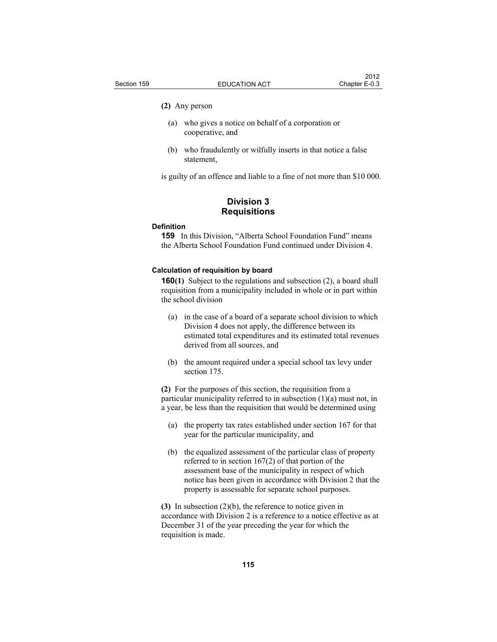#### **(2)** Any person

- (a) who gives a notice on behalf of a corporation or cooperative, and
- (b) who fraudulently or wilfully inserts in that notice a false statement,

is guilty of an offence and liable to a fine of not more than \$10 000.

## **Division 3 Requisitions**

#### **Definition**

**159** In this Division, "Alberta School Foundation Fund" means the Alberta School Foundation Fund continued under Division 4.

#### **Calculation of requisition by board**

**160(1)** Subject to the regulations and subsection (2), a board shall requisition from a municipality included in whole or in part within the school division

- (a) in the case of a board of a separate school division to which Division 4 does not apply, the difference between its estimated total expenditures and its estimated total revenues derived from all sources, and
- (b) the amount required under a special school tax levy under section 175.

**(2)** For the purposes of this section, the requisition from a particular municipality referred to in subsection (1)(a) must not, in a year, be less than the requisition that would be determined using

- (a) the property tax rates established under section 167 for that year for the particular municipality, and
- (b) the equalized assessment of the particular class of property referred to in section 167(2) of that portion of the assessment base of the municipality in respect of which notice has been given in accordance with Division 2 that the property is assessable for separate school purposes.

**(3)** In subsection (2)(b), the reference to notice given in accordance with Division 2 is a reference to a notice effective as at December 31 of the year preceding the year for which the requisition is made.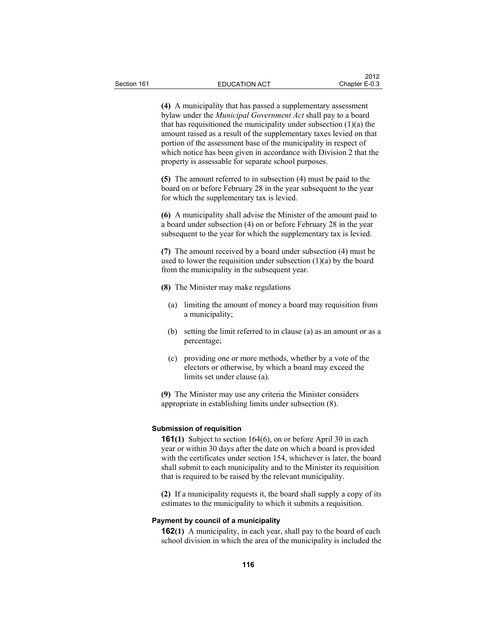**(4)** A municipality that has passed a supplementary assessment bylaw under the *Municipal Government Act* shall pay to a board that has requisitioned the municipality under subsection  $(1)(a)$  the amount raised as a result of the supplementary taxes levied on that portion of the assessment base of the municipality in respect of which notice has been given in accordance with Division 2 that the property is assessable for separate school purposes.

**(5)** The amount referred to in subsection (4) must be paid to the board on or before February 28 in the year subsequent to the year for which the supplementary tax is levied.

**(6)** A municipality shall advise the Minister of the amount paid to a board under subsection (4) on or before February 28 in the year subsequent to the year for which the supplementary tax is levied.

**(7)** The amount received by a board under subsection (4) must be used to lower the requisition under subsection  $(1)(a)$  by the board from the municipality in the subsequent year.

- **(8)** The Minister may make regulations
	- (a) limiting the amount of money a board may requisition from a municipality;
	- (b) setting the limit referred to in clause (a) as an amount or as a percentage;
	- (c) providing one or more methods, whether by a vote of the electors or otherwise, by which a board may exceed the limits set under clause (a).

**(9)** The Minister may use any criteria the Minister considers appropriate in establishing limits under subsection (8).

#### **Submission of requisition**

**161(1)** Subject to section 164(6), on or before April 30 in each year or within 30 days after the date on which a board is provided with the certificates under section 154, whichever is later, the board shall submit to each municipality and to the Minister its requisition that is required to be raised by the relevant municipality.

**(2)** If a municipality requests it, the board shall supply a copy of its estimates to the municipality to which it submits a requisition.

#### **Payment by council of a municipality**

**162(1)** A municipality, in each year, shall pay to the board of each school division in which the area of the municipality is included the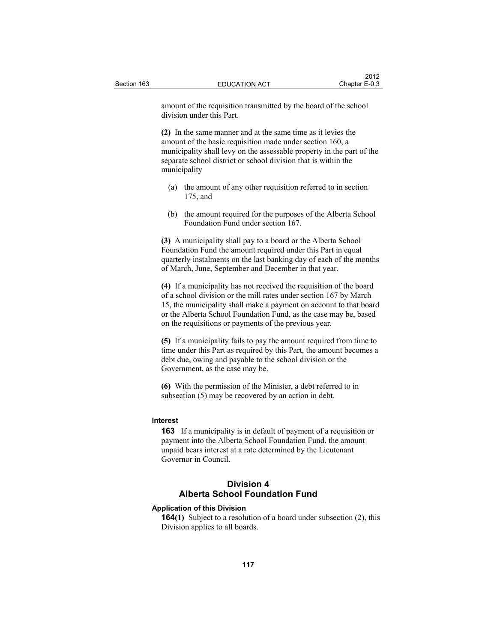amount of the requisition transmitted by the board of the school division under this Part.

**(2)** In the same manner and at the same time as it levies the amount of the basic requisition made under section 160, a municipality shall levy on the assessable property in the part of the separate school district or school division that is within the municipality

- (a) the amount of any other requisition referred to in section 175, and
- (b) the amount required for the purposes of the Alberta School Foundation Fund under section 167.

**(3)** A municipality shall pay to a board or the Alberta School Foundation Fund the amount required under this Part in equal quarterly instalments on the last banking day of each of the months of March, June, September and December in that year.

**(4)** If a municipality has not received the requisition of the board of a school division or the mill rates under section 167 by March 15, the municipality shall make a payment on account to that board or the Alberta School Foundation Fund, as the case may be, based on the requisitions or payments of the previous year.

**(5)** If a municipality fails to pay the amount required from time to time under this Part as required by this Part, the amount becomes a debt due, owing and payable to the school division or the Government, as the case may be.

**(6)** With the permission of the Minister, a debt referred to in subsection (5) may be recovered by an action in debt.

#### **Interest**

**163** If a municipality is in default of payment of a requisition or payment into the Alberta School Foundation Fund, the amount unpaid bears interest at a rate determined by the Lieutenant Governor in Council.

## **Division 4 Alberta School Foundation Fund**

## **Application of this Division**

**164(1)** Subject to a resolution of a board under subsection (2), this Division applies to all boards.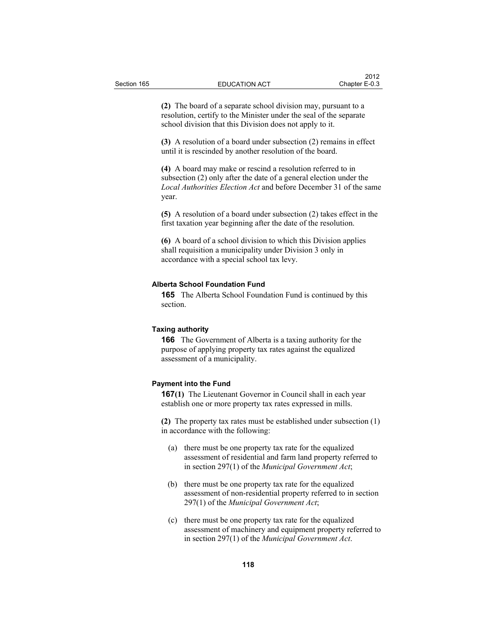**(2)** The board of a separate school division may, pursuant to a resolution, certify to the Minister under the seal of the separate school division that this Division does not apply to it.

**(3)** A resolution of a board under subsection (2) remains in effect until it is rescinded by another resolution of the board.

**(4)** A board may make or rescind a resolution referred to in subsection (2) only after the date of a general election under the *Local Authorities Election Act* and before December 31 of the same year.

**(5)** A resolution of a board under subsection (2) takes effect in the first taxation year beginning after the date of the resolution.

**(6)** A board of a school division to which this Division applies shall requisition a municipality under Division 3 only in accordance with a special school tax levy.

#### **Alberta School Foundation Fund**

**165** The Alberta School Foundation Fund is continued by this section.

#### **Taxing authority**

**166** The Government of Alberta is a taxing authority for the purpose of applying property tax rates against the equalized assessment of a municipality.

#### **Payment into the Fund**

**167(1)** The Lieutenant Governor in Council shall in each year establish one or more property tax rates expressed in mills.

**(2)** The property tax rates must be established under subsection (1) in accordance with the following:

- (a) there must be one property tax rate for the equalized assessment of residential and farm land property referred to in section 297(1) of the *Municipal Government Act*;
- (b) there must be one property tax rate for the equalized assessment of non-residential property referred to in section 297(1) of the *Municipal Government Act*;
- (c) there must be one property tax rate for the equalized assessment of machinery and equipment property referred to in section 297(1) of the *Municipal Government Act*.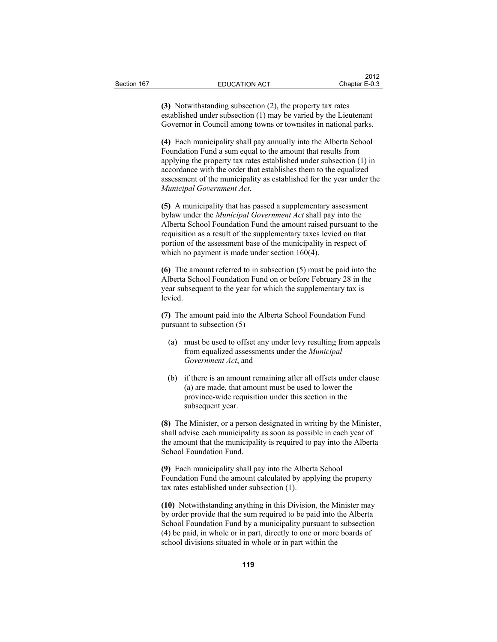**(3)** Notwithstanding subsection (2), the property tax rates established under subsection (1) may be varied by the Lieutenant Governor in Council among towns or townsites in national parks.

**(4)** Each municipality shall pay annually into the Alberta School Foundation Fund a sum equal to the amount that results from applying the property tax rates established under subsection (1) in accordance with the order that establishes them to the equalized assessment of the municipality as established for the year under the *Municipal Government Act*.

**(5)** A municipality that has passed a supplementary assessment bylaw under the *Municipal Government Act* shall pay into the Alberta School Foundation Fund the amount raised pursuant to the requisition as a result of the supplementary taxes levied on that portion of the assessment base of the municipality in respect of which no payment is made under section 160(4).

**(6)** The amount referred to in subsection (5) must be paid into the Alberta School Foundation Fund on or before February 28 in the year subsequent to the year for which the supplementary tax is levied.

**(7)** The amount paid into the Alberta School Foundation Fund pursuant to subsection (5)

- (a) must be used to offset any under levy resulting from appeals from equalized assessments under the *Municipal Government Act*, and
- (b) if there is an amount remaining after all offsets under clause (a) are made, that amount must be used to lower the province-wide requisition under this section in the subsequent year.

**(8)** The Minister, or a person designated in writing by the Minister, shall advise each municipality as soon as possible in each year of the amount that the municipality is required to pay into the Alberta School Foundation Fund.

**(9)** Each municipality shall pay into the Alberta School Foundation Fund the amount calculated by applying the property tax rates established under subsection (1).

**(10)** Notwithstanding anything in this Division, the Minister may by order provide that the sum required to be paid into the Alberta School Foundation Fund by a municipality pursuant to subsection (4) be paid, in whole or in part, directly to one or more boards of school divisions situated in whole or in part within the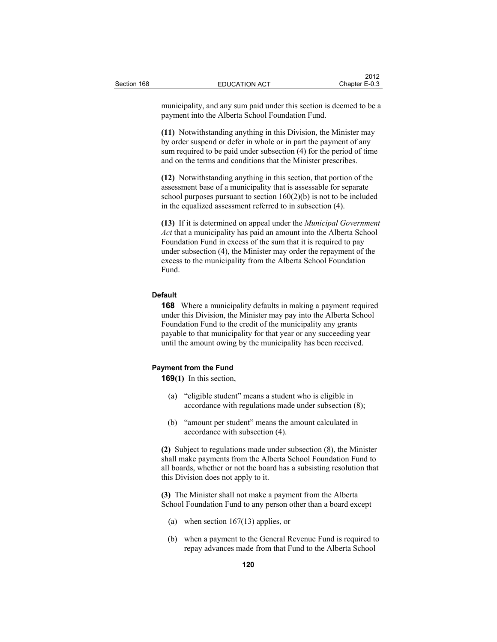municipality, and any sum paid under this section is deemed to be a payment into the Alberta School Foundation Fund.

**(11)** Notwithstanding anything in this Division, the Minister may by order suspend or defer in whole or in part the payment of any sum required to be paid under subsection (4) for the period of time and on the terms and conditions that the Minister prescribes.

**(12)** Notwithstanding anything in this section, that portion of the assessment base of a municipality that is assessable for separate school purposes pursuant to section  $160(2)(b)$  is not to be included in the equalized assessment referred to in subsection (4).

**(13)** If it is determined on appeal under the *Municipal Government Act* that a municipality has paid an amount into the Alberta School Foundation Fund in excess of the sum that it is required to pay under subsection (4), the Minister may order the repayment of the excess to the municipality from the Alberta School Foundation Fund.

## **Default**

**168** Where a municipality defaults in making a payment required under this Division, the Minister may pay into the Alberta School Foundation Fund to the credit of the municipality any grants payable to that municipality for that year or any succeeding year until the amount owing by the municipality has been received.

#### **Payment from the Fund**

**169(1)** In this section,

- (a) "eligible student" means a student who is eligible in accordance with regulations made under subsection (8);
- (b) "amount per student" means the amount calculated in accordance with subsection (4).

**(2)** Subject to regulations made under subsection (8), the Minister shall make payments from the Alberta School Foundation Fund to all boards, whether or not the board has a subsisting resolution that this Division does not apply to it.

**(3)** The Minister shall not make a payment from the Alberta School Foundation Fund to any person other than a board except

- (a) when section 167(13) applies, or
- (b) when a payment to the General Revenue Fund is required to repay advances made from that Fund to the Alberta School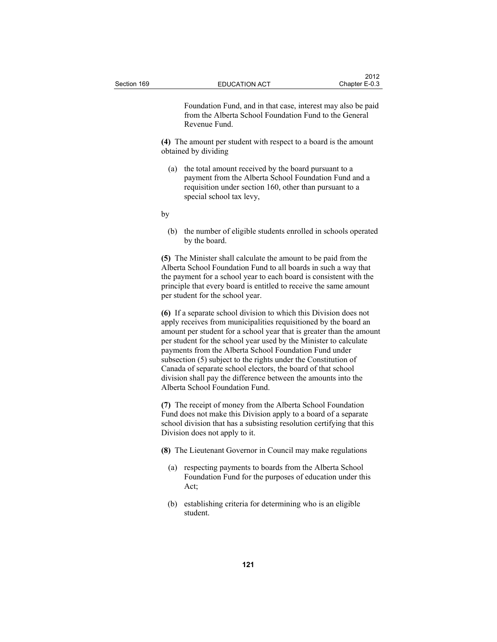Foundation Fund, and in that case, interest may also be paid from the Alberta School Foundation Fund to the General Revenue Fund.

**(4)** The amount per student with respect to a board is the amount obtained by dividing

 (a) the total amount received by the board pursuant to a payment from the Alberta School Foundation Fund and a requisition under section 160, other than pursuant to a special school tax levy,

by

 (b) the number of eligible students enrolled in schools operated by the board.

**(5)** The Minister shall calculate the amount to be paid from the Alberta School Foundation Fund to all boards in such a way that the payment for a school year to each board is consistent with the principle that every board is entitled to receive the same amount per student for the school year.

**(6)** If a separate school division to which this Division does not apply receives from municipalities requisitioned by the board an amount per student for a school year that is greater than the amount per student for the school year used by the Minister to calculate payments from the Alberta School Foundation Fund under subsection (5) subject to the rights under the Constitution of Canada of separate school electors, the board of that school division shall pay the difference between the amounts into the Alberta School Foundation Fund.

**(7)** The receipt of money from the Alberta School Foundation Fund does not make this Division apply to a board of a separate school division that has a subsisting resolution certifying that this Division does not apply to it.

**(8)** The Lieutenant Governor in Council may make regulations

- (a) respecting payments to boards from the Alberta School Foundation Fund for the purposes of education under this Act;
- (b) establishing criteria for determining who is an eligible student.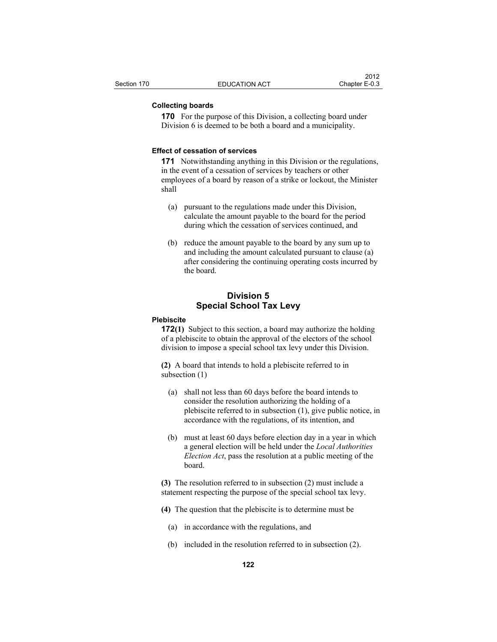#### **Collecting boards**

**170** For the purpose of this Division, a collecting board under Division 6 is deemed to be both a board and a municipality.

#### **Effect of cessation of services**

**171** Notwithstanding anything in this Division or the regulations, in the event of a cessation of services by teachers or other employees of a board by reason of a strike or lockout, the Minister shall

- (a) pursuant to the regulations made under this Division, calculate the amount payable to the board for the period during which the cessation of services continued, and
- (b) reduce the amount payable to the board by any sum up to and including the amount calculated pursuant to clause (a) after considering the continuing operating costs incurred by the board.

## **Division 5 Special School Tax Levy**

### **Plebiscite**

**172(1)** Subject to this section, a board may authorize the holding of a plebiscite to obtain the approval of the electors of the school division to impose a special school tax levy under this Division.

**(2)** A board that intends to hold a plebiscite referred to in subsection (1)

- (a) shall not less than 60 days before the board intends to consider the resolution authorizing the holding of a plebiscite referred to in subsection (1), give public notice, in accordance with the regulations, of its intention, and
- (b) must at least 60 days before election day in a year in which a general election will be held under the *Local Authorities Election Act*, pass the resolution at a public meeting of the board.

**(3)** The resolution referred to in subsection (2) must include a statement respecting the purpose of the special school tax levy.

- **(4)** The question that the plebiscite is to determine must be
	- (a) in accordance with the regulations, and
	- (b) included in the resolution referred to in subsection (2).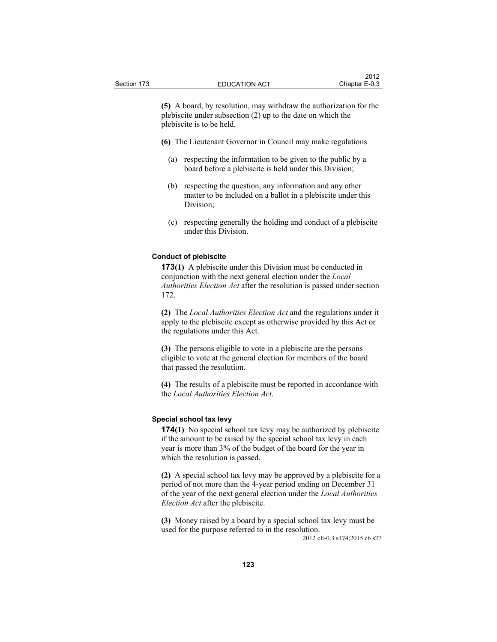**(5)** A board, by resolution, may withdraw the authorization for the plebiscite under subsection (2) up to the date on which the plebiscite is to be held.

- **(6)** The Lieutenant Governor in Council may make regulations
	- (a) respecting the information to be given to the public by a board before a plebiscite is held under this Division;
	- (b) respecting the question, any information and any other matter to be included on a ballot in a plebiscite under this Division;
	- (c) respecting generally the holding and conduct of a plebiscite under this Division.

#### **Conduct of plebiscite**

**173(1)** A plebiscite under this Division must be conducted in conjunction with the next general election under the *Local Authorities Election Act* after the resolution is passed under section 172.

**(2)** The *Local Authorities Election Act* and the regulations under it apply to the plebiscite except as otherwise provided by this Act or the regulations under this Act.

**(3)** The persons eligible to vote in a plebiscite are the persons eligible to vote at the general election for members of the board that passed the resolution.

**(4)** The results of a plebiscite must be reported in accordance with the *Local Authorities Election Act*.

### **Special school tax levy**

**174(1)** No special school tax levy may be authorized by plebiscite if the amount to be raised by the special school tax levy in each year is more than 3% of the budget of the board for the year in which the resolution is passed.

**(2)** A special school tax levy may be approved by a plebiscite for a period of not more than the 4-year period ending on December 31 of the year of the next general election under the *Local Authorities Election Act* after the plebiscite.

**(3)** Money raised by a board by a special school tax levy must be used for the purpose referred to in the resolution.

2012 cE-0.3 s174;2015 c6 s27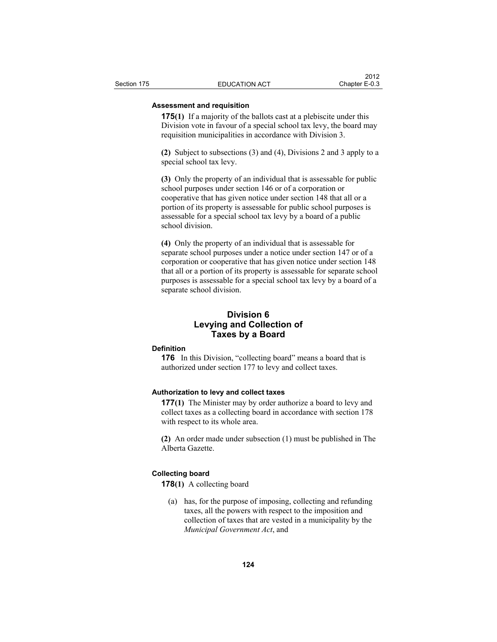## **Assessment and requisition**

**175(1)** If a majority of the ballots cast at a plebiscite under this Division vote in favour of a special school tax levy, the board may requisition municipalities in accordance with Division 3.

**(2)** Subject to subsections (3) and (4), Divisions 2 and 3 apply to a special school tax levy.

**(3)** Only the property of an individual that is assessable for public school purposes under section 146 or of a corporation or cooperative that has given notice under section 148 that all or a portion of its property is assessable for public school purposes is assessable for a special school tax levy by a board of a public school division.

**(4)** Only the property of an individual that is assessable for separate school purposes under a notice under section 147 or of a corporation or cooperative that has given notice under section 148 that all or a portion of its property is assessable for separate school purposes is assessable for a special school tax levy by a board of a separate school division.

## **Division 6 Levying and Collection of Taxes by a Board**

#### **Definition**

**176** In this Division, "collecting board" means a board that is authorized under section 177 to levy and collect taxes.

#### **Authorization to levy and collect taxes**

**177(1)** The Minister may by order authorize a board to levy and collect taxes as a collecting board in accordance with section 178 with respect to its whole area.

**(2)** An order made under subsection (1) must be published in The Alberta Gazette.

#### **Collecting board**

**178(1)** A collecting board

 (a) has, for the purpose of imposing, collecting and refunding taxes, all the powers with respect to the imposition and collection of taxes that are vested in a municipality by the *Municipal Government Act*, and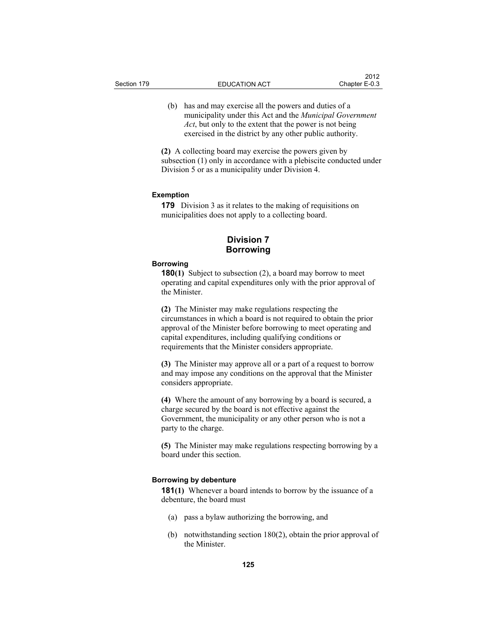(b) has and may exercise all the powers and duties of a municipality under this Act and the *Municipal Government Act*, but only to the extent that the power is not being exercised in the district by any other public authority.

**(2)** A collecting board may exercise the powers given by subsection (1) only in accordance with a plebiscite conducted under Division 5 or as a municipality under Division 4.

#### **Exemption**

**179** Division 3 as it relates to the making of requisitions on municipalities does not apply to a collecting board.

## **Division 7 Borrowing**

### **Borrowing**

**180(1)** Subject to subsection (2), a board may borrow to meet operating and capital expenditures only with the prior approval of the Minister.

**(2)** The Minister may make regulations respecting the circumstances in which a board is not required to obtain the prior approval of the Minister before borrowing to meet operating and capital expenditures, including qualifying conditions or requirements that the Minister considers appropriate.

**(3)** The Minister may approve all or a part of a request to borrow and may impose any conditions on the approval that the Minister considers appropriate.

**(4)** Where the amount of any borrowing by a board is secured, a charge secured by the board is not effective against the Government, the municipality or any other person who is not a party to the charge.

**(5)** The Minister may make regulations respecting borrowing by a board under this section.

#### **Borrowing by debenture**

**181(1)** Whenever a board intends to borrow by the issuance of a debenture, the board must

- (a) pass a bylaw authorizing the borrowing, and
- (b) notwithstanding section 180(2), obtain the prior approval of the Minister.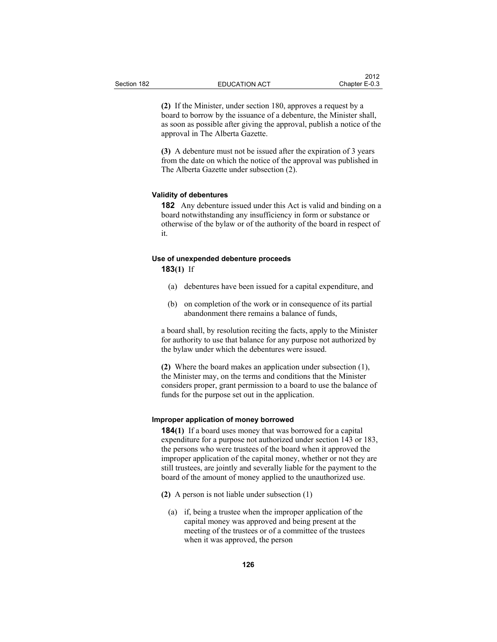**(2)** If the Minister, under section 180, approves a request by a board to borrow by the issuance of a debenture, the Minister shall, as soon as possible after giving the approval, publish a notice of the approval in The Alberta Gazette.

**(3)** A debenture must not be issued after the expiration of 3 years from the date on which the notice of the approval was published in The Alberta Gazette under subsection (2).

#### **Validity of debentures**

**182** Any debenture issued under this Act is valid and binding on a board notwithstanding any insufficiency in form or substance or otherwise of the bylaw or of the authority of the board in respect of it.

# **Use of unexpended debenture proceeds**

**183(1)** If

- (a) debentures have been issued for a capital expenditure, and
- (b) on completion of the work or in consequence of its partial abandonment there remains a balance of funds,

a board shall, by resolution reciting the facts, apply to the Minister for authority to use that balance for any purpose not authorized by the bylaw under which the debentures were issued.

**(2)** Where the board makes an application under subsection (1), the Minister may, on the terms and conditions that the Minister considers proper, grant permission to a board to use the balance of funds for the purpose set out in the application.

#### **Improper application of money borrowed**

**184(1)** If a board uses money that was borrowed for a capital expenditure for a purpose not authorized under section 143 or 183, the persons who were trustees of the board when it approved the improper application of the capital money, whether or not they are still trustees, are jointly and severally liable for the payment to the board of the amount of money applied to the unauthorized use.

- **(2)** A person is not liable under subsection (1)
	- (a) if, being a trustee when the improper application of the capital money was approved and being present at the meeting of the trustees or of a committee of the trustees when it was approved, the person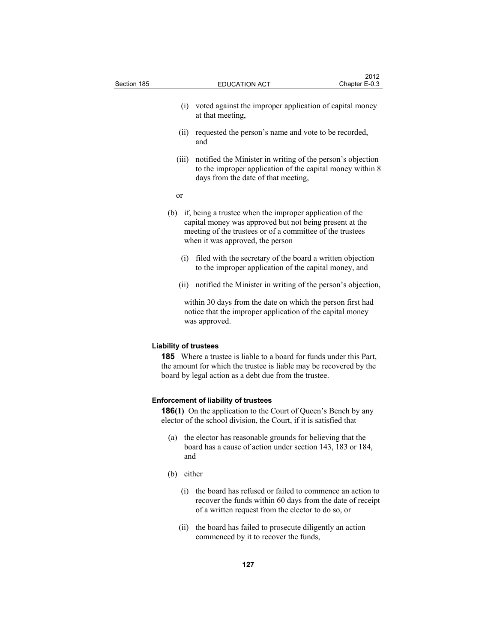| Section 185 |       | <b>EDUCATION ACT</b>                                                                                                                                                                                                     | 2012<br>Chapter E-0.3 |
|-------------|-------|--------------------------------------------------------------------------------------------------------------------------------------------------------------------------------------------------------------------------|-----------------------|
|             |       | (i) voted against the improper application of capital money<br>at that meeting,                                                                                                                                          |                       |
|             | (ii)  | requested the person's name and vote to be recorded,<br>and                                                                                                                                                              |                       |
|             | (iii) | notified the Minister in writing of the person's objection<br>to the improper application of the capital money within 8<br>days from the date of that meeting,                                                           |                       |
|             | or    |                                                                                                                                                                                                                          |                       |
|             |       | (b) if, being a trustee when the improper application of the<br>capital money was approved but not being present at the<br>meeting of the trustees or of a committee of the trustees<br>when it was approved, the person |                       |
|             |       | (i) filed with the secretary of the board a written objection<br>to the improper application of the capital money, and                                                                                                   |                       |
|             | (ii)  | notified the Minister in writing of the person's objection,                                                                                                                                                              |                       |
|             |       | within 30 days from the date on which the person first had<br>notice that the improper application of the capital money<br>was approved.                                                                                 |                       |
|             |       | <b>Liability of trustees</b>                                                                                                                                                                                             |                       |

**185** Where a trustee is liable to a board for funds under this Part, the amount for which the trustee is liable may be recovered by the board by legal action as a debt due from the trustee.

## **Enforcement of liability of trustees**

**186(1)** On the application to the Court of Queen's Bench by any elector of the school division, the Court, if it is satisfied that

- (a) the elector has reasonable grounds for believing that the board has a cause of action under section 143, 183 or 184, and
- (b) either
	- (i) the board has refused or failed to commence an action to recover the funds within 60 days from the date of receipt of a written request from the elector to do so, or
	- (ii) the board has failed to prosecute diligently an action commenced by it to recover the funds,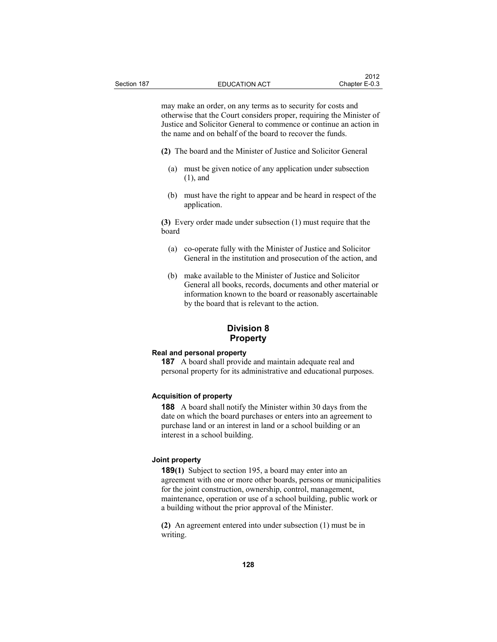may make an order, on any terms as to security for costs and otherwise that the Court considers proper, requiring the Minister of Justice and Solicitor General to commence or continue an action in the name and on behalf of the board to recover the funds.

- **(2)** The board and the Minister of Justice and Solicitor General
	- (a) must be given notice of any application under subsection (1), and
	- (b) must have the right to appear and be heard in respect of the application.

**(3)** Every order made under subsection (1) must require that the board

- (a) co-operate fully with the Minister of Justice and Solicitor General in the institution and prosecution of the action, and
- (b) make available to the Minister of Justice and Solicitor General all books, records, documents and other material or information known to the board or reasonably ascertainable by the board that is relevant to the action.

## **Division 8 Property**

#### **Real and personal property**

**187** A board shall provide and maintain adequate real and personal property for its administrative and educational purposes.

#### **Acquisition of property**

**188** A board shall notify the Minister within 30 days from the date on which the board purchases or enters into an agreement to purchase land or an interest in land or a school building or an interest in a school building.

### **Joint property**

**189(1)** Subject to section 195, a board may enter into an agreement with one or more other boards, persons or municipalities for the joint construction, ownership, control, management, maintenance, operation or use of a school building, public work or a building without the prior approval of the Minister.

**(2)** An agreement entered into under subsection (1) must be in writing.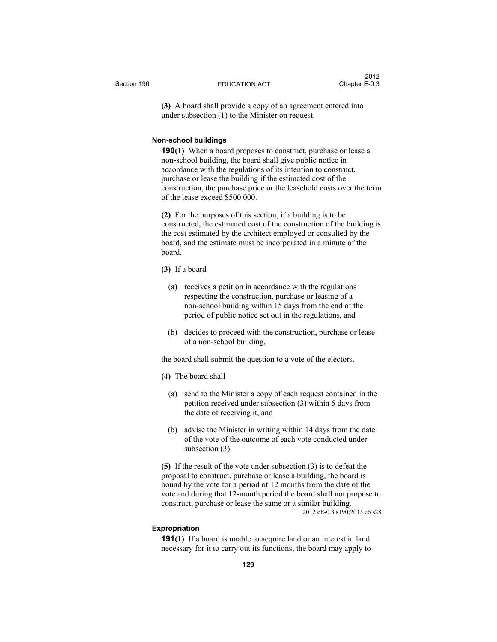**(3)** A board shall provide a copy of an agreement entered into under subsection (1) to the Minister on request.

#### **Non-school buildings**

**190(1)** When a board proposes to construct, purchase or lease a non-school building, the board shall give public notice in accordance with the regulations of its intention to construct, purchase or lease the building if the estimated cost of the construction, the purchase price or the leasehold costs over the term of the lease exceed \$500 000.

**(2)** For the purposes of this section, if a building is to be constructed, the estimated cost of the construction of the building is the cost estimated by the architect employed or consulted by the board, and the estimate must be incorporated in a minute of the board.

## **(3)** If a board

- (a) receives a petition in accordance with the regulations respecting the construction, purchase or leasing of a non-school building within 15 days from the end of the period of public notice set out in the regulations, and
- (b) decides to proceed with the construction, purchase or lease of a non-school building,

the board shall submit the question to a vote of the electors.

#### **(4)** The board shall

- (a) send to the Minister a copy of each request contained in the petition received under subsection (3) within 5 days from the date of receiving it, and
- (b) advise the Minister in writing within 14 days from the date of the vote of the outcome of each vote conducted under subsection (3).

**(5)** If the result of the vote under subsection (3) is to defeat the proposal to construct, purchase or lease a building, the board is bound by the vote for a period of 12 months from the date of the vote and during that 12-month period the board shall not propose to construct, purchase or lease the same or a similar building. 2012 cE-0.3 s190;2015 c6 s28

#### **Expropriation**

**191(1)** If a board is unable to acquire land or an interest in land necessary for it to carry out its functions, the board may apply to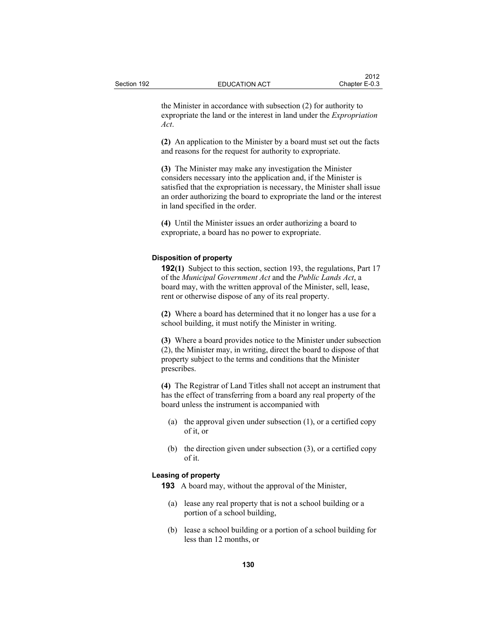the Minister in accordance with subsection (2) for authority to expropriate the land or the interest in land under the *Expropriation Act*.

**(2)** An application to the Minister by a board must set out the facts and reasons for the request for authority to expropriate.

**(3)** The Minister may make any investigation the Minister considers necessary into the application and, if the Minister is satisfied that the expropriation is necessary, the Minister shall issue an order authorizing the board to expropriate the land or the interest in land specified in the order.

**(4)** Until the Minister issues an order authorizing a board to expropriate, a board has no power to expropriate.

### **Disposition of property**

**192(1)** Subject to this section, section 193, the regulations, Part 17 of the *Municipal Government Act* and the *Public Lands Act*, a board may, with the written approval of the Minister, sell, lease, rent or otherwise dispose of any of its real property.

**(2)** Where a board has determined that it no longer has a use for a school building, it must notify the Minister in writing.

**(3)** Where a board provides notice to the Minister under subsection (2), the Minister may, in writing, direct the board to dispose of that property subject to the terms and conditions that the Minister prescribes.

**(4)** The Registrar of Land Titles shall not accept an instrument that has the effect of transferring from a board any real property of the board unless the instrument is accompanied with

- (a) the approval given under subsection (1), or a certified copy of it, or
- (b) the direction given under subsection (3), or a certified copy of it.

#### **Leasing of property**

**193** A board may, without the approval of the Minister,

- (a) lease any real property that is not a school building or a portion of a school building,
- (b) lease a school building or a portion of a school building for less than 12 months, or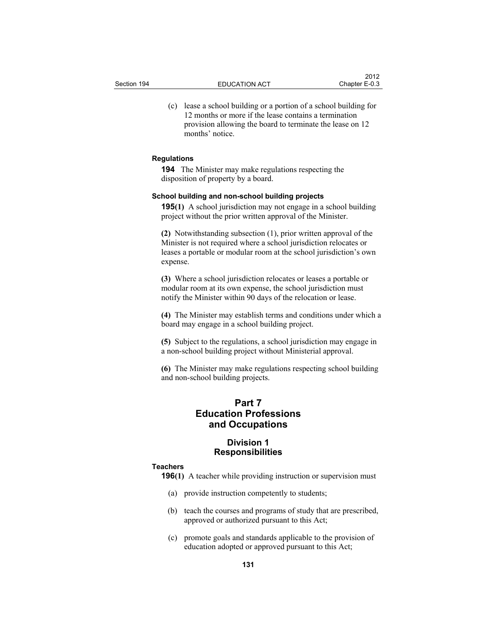(c) lease a school building or a portion of a school building for 12 months or more if the lease contains a termination provision allowing the board to terminate the lease on 12 months' notice.

#### **Regulations**

**194** The Minister may make regulations respecting the disposition of property by a board.

#### **School building and non-school building projects**

**195(1)** A school jurisdiction may not engage in a school building project without the prior written approval of the Minister.

**(2)** Notwithstanding subsection (1), prior written approval of the Minister is not required where a school jurisdiction relocates or leases a portable or modular room at the school jurisdiction's own expense.

**(3)** Where a school jurisdiction relocates or leases a portable or modular room at its own expense, the school jurisdiction must notify the Minister within 90 days of the relocation or lease.

**(4)** The Minister may establish terms and conditions under which a board may engage in a school building project.

**(5)** Subject to the regulations, a school jurisdiction may engage in a non-school building project without Ministerial approval.

**(6)** The Minister may make regulations respecting school building and non-school building projects.

# **Part 7 Education Professions and Occupations**

## **Division 1 Responsibilities**

#### **Teachers**

**196(1)** A teacher while providing instruction or supervision must

- (a) provide instruction competently to students;
- (b) teach the courses and programs of study that are prescribed, approved or authorized pursuant to this Act;
- (c) promote goals and standards applicable to the provision of education adopted or approved pursuant to this Act;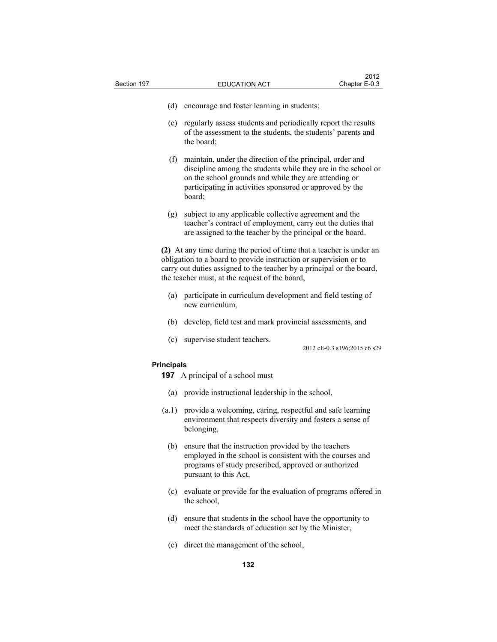| Section 197       | <b>EDUCATION ACT</b>                                                                                                                                                                                                                                                 | Chapter E-0.3                |
|-------------------|----------------------------------------------------------------------------------------------------------------------------------------------------------------------------------------------------------------------------------------------------------------------|------------------------------|
|                   |                                                                                                                                                                                                                                                                      |                              |
| (d)               | encourage and foster learning in students;                                                                                                                                                                                                                           |                              |
|                   | (e) regularly assess students and periodically report the results<br>of the assessment to the students, the students' parents and<br>the board;                                                                                                                      |                              |
|                   | (f) maintain, under the direction of the principal, order and<br>discipline among the students while they are in the school or<br>on the school grounds and while they are attending or<br>participating in activities sponsored or approved by the<br>board;        |                              |
| (g)               | subject to any applicable collective agreement and the<br>teacher's contract of employment, carry out the duties that<br>are assigned to the teacher by the principal or the board.                                                                                  |                              |
|                   | (2) At any time during the period of time that a teacher is under an<br>obligation to a board to provide instruction or supervision or to<br>carry out duties assigned to the teacher by a principal or the board,<br>the teacher must, at the request of the board, |                              |
|                   | (a) participate in curriculum development and field testing of<br>new curriculum,                                                                                                                                                                                    |                              |
|                   | (b) develop, field test and mark provincial assessments, and                                                                                                                                                                                                         |                              |
| (c)               | supervise student teachers.                                                                                                                                                                                                                                          | 2012 cE-0.3 s196;2015 c6 s29 |
| <b>Principals</b> |                                                                                                                                                                                                                                                                      |                              |
|                   | <b>197</b> A principal of a school must                                                                                                                                                                                                                              |                              |
|                   | (a) provide instructional leadership in the school,                                                                                                                                                                                                                  |                              |
|                   | (a.1) provide a welcoming, caring, respectful and safe learning<br>environment that respects diversity and fosters a sense of<br>belonging,                                                                                                                          |                              |
| (b)               | ensure that the instruction provided by the teachers<br>employed in the school is consistent with the courses and<br>programs of study prescribed, approved or authorized<br>pursuant to this Act,                                                                   |                              |
| (c)               | evaluate or provide for the evaluation of programs offered in<br>the school,                                                                                                                                                                                         |                              |

 $2012$ 

- (d) ensure that students in the school have the opportunity to meet the standards of education set by the Minister,
- (e) direct the management of the school,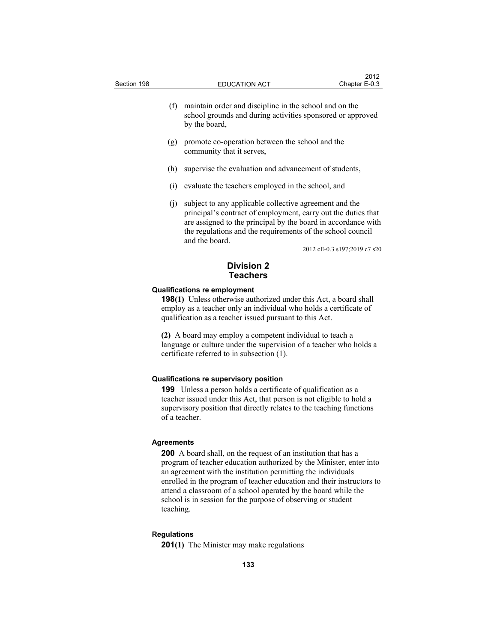- (f) maintain order and discipline in the school and on the school grounds and during activities sponsored or approved by the board,
- (g) promote co-operation between the school and the community that it serves,
- (h) supervise the evaluation and advancement of students,
- (i) evaluate the teachers employed in the school, and
- (j) subject to any applicable collective agreement and the principal's contract of employment, carry out the duties that are assigned to the principal by the board in accordance with the regulations and the requirements of the school council and the board.

2012 cE-0.3 s197;2019 c7 s20

## **Division 2 Teachers**

#### **Qualifications re employment**

**198(1)** Unless otherwise authorized under this Act, a board shall employ as a teacher only an individual who holds a certificate of qualification as a teacher issued pursuant to this Act.

**(2)** A board may employ a competent individual to teach a language or culture under the supervision of a teacher who holds a certificate referred to in subsection (1).

#### **Qualifications re supervisory position**

**199** Unless a person holds a certificate of qualification as a teacher issued under this Act, that person is not eligible to hold a supervisory position that directly relates to the teaching functions of a teacher.

#### **Agreements**

**200** A board shall, on the request of an institution that has a program of teacher education authorized by the Minister, enter into an agreement with the institution permitting the individuals enrolled in the program of teacher education and their instructors to attend a classroom of a school operated by the board while the school is in session for the purpose of observing or student teaching.

#### **Regulations**

**201(1)** The Minister may make regulations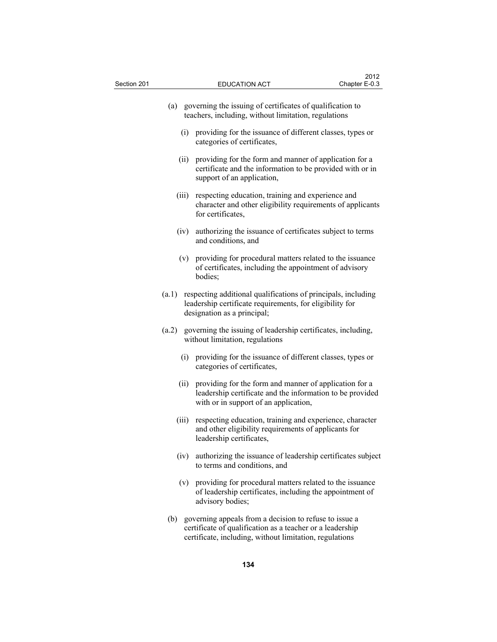| Section 201 |       | <b>EDUCATION ACT</b>                                                                                                                                                           | 2012<br>Chapter E-0.3 |
|-------------|-------|--------------------------------------------------------------------------------------------------------------------------------------------------------------------------------|-----------------------|
|             |       | (a) governing the issuing of certificates of qualification to<br>teachers, including, without limitation, regulations                                                          |                       |
|             |       | (i) providing for the issuance of different classes, types or<br>categories of certificates,                                                                                   |                       |
|             | (ii)  | providing for the form and manner of application for a<br>certificate and the information to be provided with or in<br>support of an application,                              |                       |
|             | (iii) | respecting education, training and experience and<br>character and other eligibility requirements of applicants<br>for certificates,                                           |                       |
|             | (iv)  | authorizing the issuance of certificates subject to terms<br>and conditions, and                                                                                               |                       |
|             |       | (v) providing for procedural matters related to the issuance<br>of certificates, including the appointment of advisory<br>bodies:                                              |                       |
|             | (a.1) | respecting additional qualifications of principals, including<br>leadership certificate requirements, for eligibility for<br>designation as a principal;                       |                       |
|             | (a.2) | governing the issuing of leadership certificates, including,<br>without limitation, regulations                                                                                |                       |
|             |       | (i) providing for the issuance of different classes, types or<br>categories of certificates,                                                                                   |                       |
|             | (ii)  | providing for the form and manner of application for a<br>leadership certificate and the information to be provided<br>with or in support of an application,                   |                       |
|             | (iii) | respecting education, training and experience, character<br>and other eligibility requirements of applicants for<br>leadership certificates,                                   |                       |
|             | (iv)  | authorizing the issuance of leadership certificates subject<br>to terms and conditions, and                                                                                    |                       |
|             |       | (v) providing for procedural matters related to the issuance<br>of leadership certificates, including the appointment of<br>advisory bodies;                                   |                       |
|             | (b)   | governing appeals from a decision to refuse to issue a<br>certificate of qualification as a teacher or a leadership<br>certificate, including, without limitation, regulations |                       |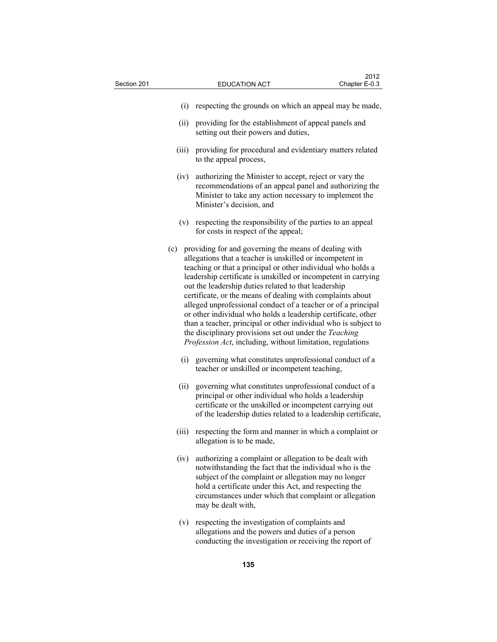| Section 201 |       | <b>EDUCATION ACT</b>                                                                                                                                                                                                                                                                                                                                                                                                                                                                                                                                                                                                                                                                                        | 2012<br>Chapter E-0.3 |
|-------------|-------|-------------------------------------------------------------------------------------------------------------------------------------------------------------------------------------------------------------------------------------------------------------------------------------------------------------------------------------------------------------------------------------------------------------------------------------------------------------------------------------------------------------------------------------------------------------------------------------------------------------------------------------------------------------------------------------------------------------|-----------------------|
|             | (i)   | respecting the grounds on which an appeal may be made,                                                                                                                                                                                                                                                                                                                                                                                                                                                                                                                                                                                                                                                      |                       |
|             | (ii)  | providing for the establishment of appeal panels and<br>setting out their powers and duties,                                                                                                                                                                                                                                                                                                                                                                                                                                                                                                                                                                                                                |                       |
|             | (iii) | providing for procedural and evidentiary matters related<br>to the appeal process,                                                                                                                                                                                                                                                                                                                                                                                                                                                                                                                                                                                                                          |                       |
|             | (iv)  | authorizing the Minister to accept, reject or vary the<br>recommendations of an appeal panel and authorizing the<br>Minister to take any action necessary to implement the<br>Minister's decision, and                                                                                                                                                                                                                                                                                                                                                                                                                                                                                                      |                       |
|             |       | (v) respecting the responsibility of the parties to an appeal<br>for costs in respect of the appeal;                                                                                                                                                                                                                                                                                                                                                                                                                                                                                                                                                                                                        |                       |
|             |       | (c) providing for and governing the means of dealing with<br>allegations that a teacher is unskilled or incompetent in<br>teaching or that a principal or other individual who holds a<br>leadership certificate is unskilled or incompetent in carrying<br>out the leadership duties related to that leadership<br>certificate, or the means of dealing with complaints about<br>alleged unprofessional conduct of a teacher or of a principal<br>or other individual who holds a leadership certificate, other<br>than a teacher, principal or other individual who is subject to<br>the disciplinary provisions set out under the Teaching<br>Profession Act, including, without limitation, regulations |                       |
|             |       | (i) governing what constitutes unprofessional conduct of a<br>teacher or unskilled or incompetent teaching,                                                                                                                                                                                                                                                                                                                                                                                                                                                                                                                                                                                                 |                       |
|             | (ii)  | governing what constitutes unprofessional conduct of a<br>principal or other individual who holds a leadership<br>certificate or the unskilled or incompetent carrying out<br>of the leadership duties related to a leadership certificate,                                                                                                                                                                                                                                                                                                                                                                                                                                                                 |                       |
|             | (iii) | respecting the form and manner in which a complaint or<br>allegation is to be made,                                                                                                                                                                                                                                                                                                                                                                                                                                                                                                                                                                                                                         |                       |
|             | (iv)  | authorizing a complaint or allegation to be dealt with<br>notwithstanding the fact that the individual who is the<br>subject of the complaint or allegation may no longer<br>hold a certificate under this Act, and respecting the<br>circumstances under which that complaint or allegation<br>may be dealt with,                                                                                                                                                                                                                                                                                                                                                                                          |                       |
|             |       | (v) respecting the investigation of complaints and<br>allegations and the powers and duties of a person<br>conducting the investigation or receiving the report of                                                                                                                                                                                                                                                                                                                                                                                                                                                                                                                                          |                       |

**135**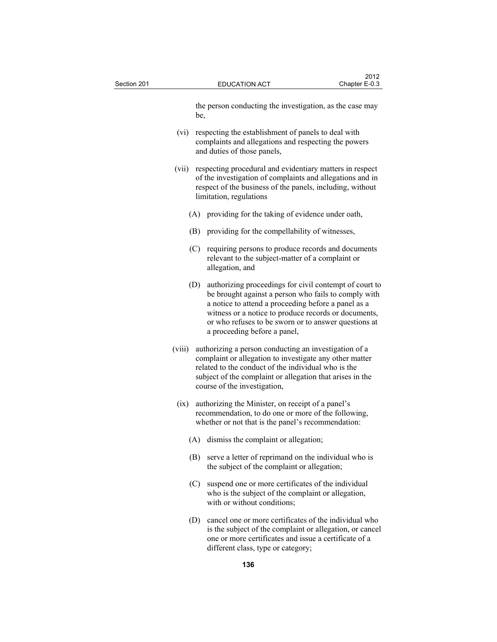| Section 201 |        | <b>EDUCATION ACT</b>                                                                                                                                                                                                                                                                                                  | 2012<br>Chapter E-0.3 |
|-------------|--------|-----------------------------------------------------------------------------------------------------------------------------------------------------------------------------------------------------------------------------------------------------------------------------------------------------------------------|-----------------------|
|             | be,    | the person conducting the investigation, as the case may                                                                                                                                                                                                                                                              |                       |
|             | (vi)   | respecting the establishment of panels to deal with<br>complaints and allegations and respecting the powers<br>and duties of those panels,                                                                                                                                                                            |                       |
|             | (vii)  | respecting procedural and evidentiary matters in respect<br>of the investigation of complaints and allegations and in<br>respect of the business of the panels, including, without<br>limitation, regulations                                                                                                         |                       |
|             |        | (A) providing for the taking of evidence under oath,                                                                                                                                                                                                                                                                  |                       |
|             | (B)    | providing for the compellability of witnesses,                                                                                                                                                                                                                                                                        |                       |
|             |        | (C) requiring persons to produce records and documents<br>relevant to the subject-matter of a complaint or<br>allegation, and                                                                                                                                                                                         |                       |
|             | (D)    | authorizing proceedings for civil contempt of court to<br>be brought against a person who fails to comply with<br>a notice to attend a proceeding before a panel as a<br>witness or a notice to produce records or documents,<br>or who refuses to be sworn or to answer questions at<br>a proceeding before a panel, |                       |
|             | (viii) | authorizing a person conducting an investigation of a<br>complaint or allegation to investigate any other matter<br>related to the conduct of the individual who is the<br>subject of the complaint or allegation that arises in the<br>course of the investigation,                                                  |                       |
|             | (ix)   | authorizing the Minister, on receipt of a panel's<br>recommendation, to do one or more of the following,<br>whether or not that is the panel's recommendation:                                                                                                                                                        |                       |
|             |        | (A) dismiss the complaint or allegation;                                                                                                                                                                                                                                                                              |                       |
|             | (B)    | serve a letter of reprimand on the individual who is<br>the subject of the complaint or allegation;                                                                                                                                                                                                                   |                       |
|             | (C)    | suspend one or more certificates of the individual<br>who is the subject of the complaint or allegation,<br>with or without conditions;                                                                                                                                                                               |                       |
|             |        | (D) cancel one or more certificates of the individual who<br>is the subject of the complaint or allegation, or cancel                                                                                                                                                                                                 |                       |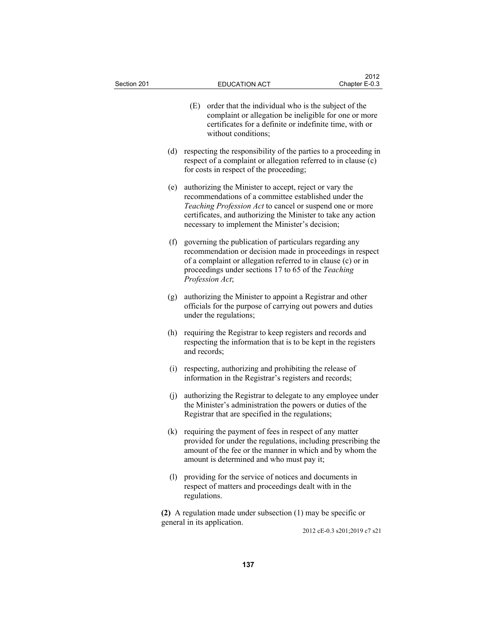| Section 201 | <b>EDUCATION ACT</b>                                                                                                                                                                                                                                                                           | 2012<br>Chapter E-0.3        |
|-------------|------------------------------------------------------------------------------------------------------------------------------------------------------------------------------------------------------------------------------------------------------------------------------------------------|------------------------------|
|             | (E)<br>order that the individual who is the subject of the<br>complaint or allegation be ineligible for one or more<br>certificates for a definite or indefinite time, with or<br>without conditions;                                                                                          |                              |
| (d)         | respecting the responsibility of the parties to a proceeding in<br>respect of a complaint or allegation referred to in clause (c)<br>for costs in respect of the proceeding;                                                                                                                   |                              |
| (e)         | authorizing the Minister to accept, reject or vary the<br>recommendations of a committee established under the<br>Teaching Profession Act to cancel or suspend one or more<br>certificates, and authorizing the Minister to take any action<br>necessary to implement the Minister's decision; |                              |
| (f)         | governing the publication of particulars regarding any<br>recommendation or decision made in proceedings in respect<br>of a complaint or allegation referred to in clause (c) or in<br>proceedings under sections 17 to 65 of the Teaching<br>Profession Act;                                  |                              |
| (g)         | authorizing the Minister to appoint a Registrar and other<br>officials for the purpose of carrying out powers and duties<br>under the regulations;                                                                                                                                             |                              |
|             | (h) requiring the Registrar to keep registers and records and<br>respecting the information that is to be kept in the registers<br>and records;                                                                                                                                                |                              |
|             | respecting, authorizing and prohibiting the release of<br>(i)<br>information in the Registrar's registers and records;                                                                                                                                                                         |                              |
| (j)         | authorizing the Registrar to delegate to any employee under<br>the Minister's administration the powers or duties of the<br>Registrar that are specified in the regulations;                                                                                                                   |                              |
|             | (k) requiring the payment of fees in respect of any matter<br>provided for under the regulations, including prescribing the<br>amount of the fee or the manner in which and by whom the<br>amount is determined and who must pay it;                                                           |                              |
|             | (1) providing for the service of notices and documents in<br>respect of matters and proceedings dealt with in the<br>regulations.                                                                                                                                                              |                              |
|             | (2) A regulation made under subsection $(1)$ may be specific or<br>general in its application.                                                                                                                                                                                                 | 2012 cE-0.3 s201;2019 c7 s21 |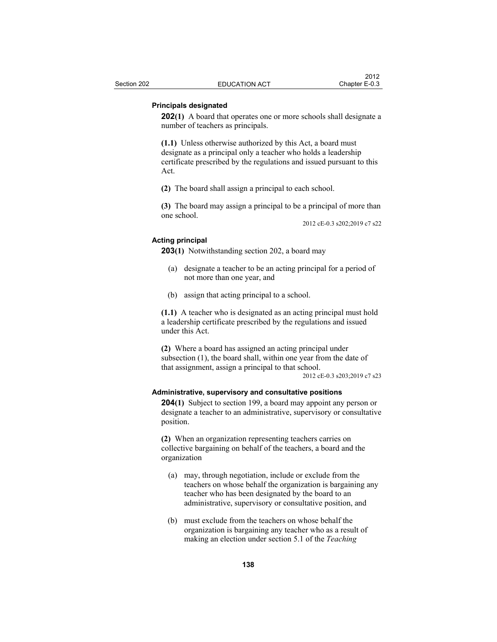## **Principals designated**

**202(1)** A board that operates one or more schools shall designate a number of teachers as principals.

**(1.1)** Unless otherwise authorized by this Act, a board must designate as a principal only a teacher who holds a leadership certificate prescribed by the regulations and issued pursuant to this Act.

**(2)** The board shall assign a principal to each school.

**(3)** The board may assign a principal to be a principal of more than one school.

2012 cE-0.3 s202;2019 c7 s22

## **Acting principal**

**203(1)** Notwithstanding section 202, a board may

- (a) designate a teacher to be an acting principal for a period of not more than one year, and
- (b) assign that acting principal to a school.

**(1.1)** A teacher who is designated as an acting principal must hold a leadership certificate prescribed by the regulations and issued under this Act.

**(2)** Where a board has assigned an acting principal under subsection (1), the board shall, within one year from the date of that assignment, assign a principal to that school.

2012 cE-0.3 s203;2019 c7 s23

#### **Administrative, supervisory and consultative positions**

**204(1)** Subject to section 199, a board may appoint any person or designate a teacher to an administrative, supervisory or consultative position.

**(2)** When an organization representing teachers carries on collective bargaining on behalf of the teachers, a board and the organization

- (a) may, through negotiation, include or exclude from the teachers on whose behalf the organization is bargaining any teacher who has been designated by the board to an administrative, supervisory or consultative position, and
- (b) must exclude from the teachers on whose behalf the organization is bargaining any teacher who as a result of making an election under section 5.1 of the *Teaching*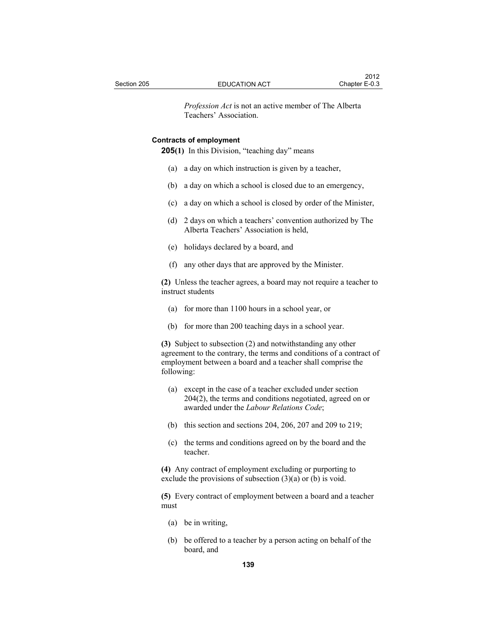*Profession Act* is not an active member of The Alberta Teachers' Association.

### **Contracts of employment**

**205(1)** In this Division, "teaching day" means

- (a) a day on which instruction is given by a teacher,
- (b) a day on which a school is closed due to an emergency,
- (c) a day on which a school is closed by order of the Minister,
- (d) 2 days on which a teachers' convention authorized by The Alberta Teachers' Association is held,
- (e) holidays declared by a board, and
- (f) any other days that are approved by the Minister.

**(2)** Unless the teacher agrees, a board may not require a teacher to instruct students

- (a) for more than 1100 hours in a school year, or
- (b) for more than 200 teaching days in a school year.

**(3)** Subject to subsection (2) and notwithstanding any other agreement to the contrary, the terms and conditions of a contract of employment between a board and a teacher shall comprise the following:

- (a) except in the case of a teacher excluded under section 204(2), the terms and conditions negotiated, agreed on or awarded under the *Labour Relations Code*;
- (b) this section and sections 204, 206, 207 and 209 to 219;
- (c) the terms and conditions agreed on by the board and the teacher.

**(4)** Any contract of employment excluding or purporting to exclude the provisions of subsection  $(3)(a)$  or  $(b)$  is void.

**(5)** Every contract of employment between a board and a teacher must

- (a) be in writing,
- (b) be offered to a teacher by a person acting on behalf of the board, and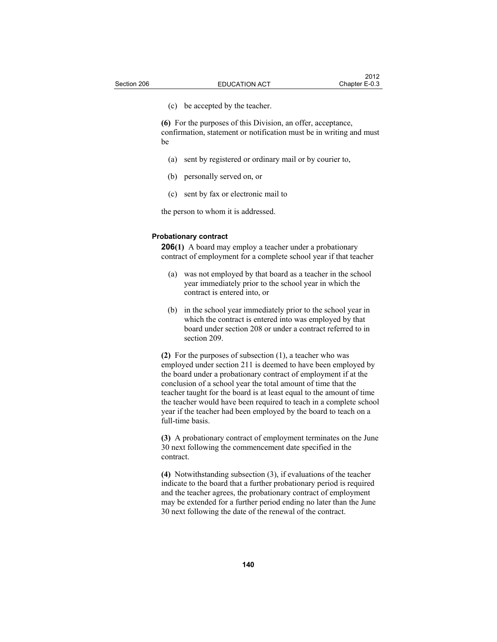(c) be accepted by the teacher.

**(6)** For the purposes of this Division, an offer, acceptance, confirmation, statement or notification must be in writing and must be

- (a) sent by registered or ordinary mail or by courier to,
- (b) personally served on, or
- (c) sent by fax or electronic mail to

the person to whom it is addressed.

#### **Probationary contract**

**206(1)** A board may employ a teacher under a probationary contract of employment for a complete school year if that teacher

- (a) was not employed by that board as a teacher in the school year immediately prior to the school year in which the contract is entered into, or
- (b) in the school year immediately prior to the school year in which the contract is entered into was employed by that board under section 208 or under a contract referred to in section 209.

**(2)** For the purposes of subsection (1), a teacher who was employed under section 211 is deemed to have been employed by the board under a probationary contract of employment if at the conclusion of a school year the total amount of time that the teacher taught for the board is at least equal to the amount of time the teacher would have been required to teach in a complete school year if the teacher had been employed by the board to teach on a full-time basis.

**(3)** A probationary contract of employment terminates on the June 30 next following the commencement date specified in the contract.

**(4)** Notwithstanding subsection (3), if evaluations of the teacher indicate to the board that a further probationary period is required and the teacher agrees, the probationary contract of employment may be extended for a further period ending no later than the June 30 next following the date of the renewal of the contract.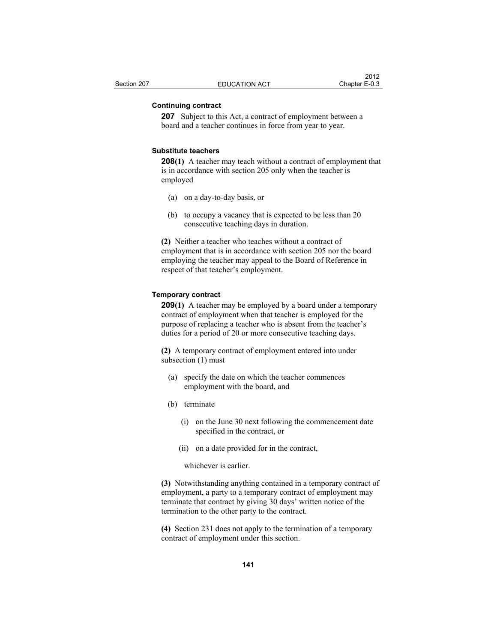# **Continuing contract**

**207** Subject to this Act, a contract of employment between a board and a teacher continues in force from year to year.

### **Substitute teachers**

**208(1)** A teacher may teach without a contract of employment that is in accordance with section 205 only when the teacher is employed

- (a) on a day-to-day basis, or
- (b) to occupy a vacancy that is expected to be less than 20 consecutive teaching days in duration.

**(2)** Neither a teacher who teaches without a contract of employment that is in accordance with section 205 nor the board employing the teacher may appeal to the Board of Reference in respect of that teacher's employment.

# **Temporary contract**

**209(1)** A teacher may be employed by a board under a temporary contract of employment when that teacher is employed for the purpose of replacing a teacher who is absent from the teacher's duties for a period of 20 or more consecutive teaching days.

**(2)** A temporary contract of employment entered into under subsection (1) must

- (a) specify the date on which the teacher commences employment with the board, and
- (b) terminate
	- (i) on the June 30 next following the commencement date specified in the contract, or
	- (ii) on a date provided for in the contract,

whichever is earlier.

**(3)** Notwithstanding anything contained in a temporary contract of employment, a party to a temporary contract of employment may terminate that contract by giving 30 days' written notice of the termination to the other party to the contract.

**(4)** Section 231 does not apply to the termination of a temporary contract of employment under this section.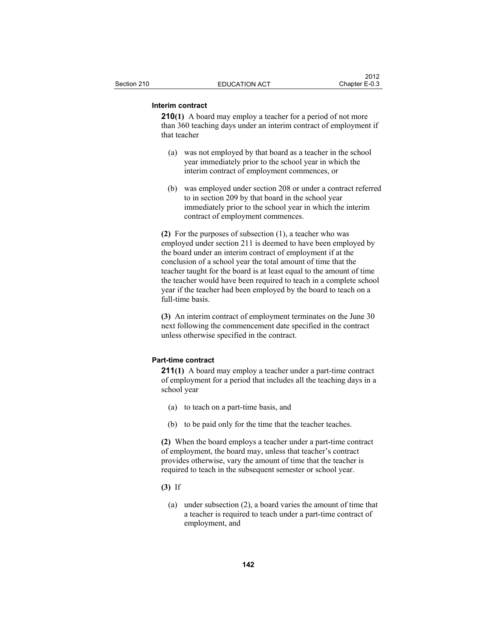# **Interim contract**

**210(1)** A board may employ a teacher for a period of not more than 360 teaching days under an interim contract of employment if that teacher

- (a) was not employed by that board as a teacher in the school year immediately prior to the school year in which the interim contract of employment commences, or
- (b) was employed under section 208 or under a contract referred to in section 209 by that board in the school year immediately prior to the school year in which the interim contract of employment commences.

**(2)** For the purposes of subsection (1), a teacher who was employed under section 211 is deemed to have been employed by the board under an interim contract of employment if at the conclusion of a school year the total amount of time that the teacher taught for the board is at least equal to the amount of time the teacher would have been required to teach in a complete school year if the teacher had been employed by the board to teach on a full-time basis.

**(3)** An interim contract of employment terminates on the June 30 next following the commencement date specified in the contract unless otherwise specified in the contract.

# **Part-time contract**

**211(1)** A board may employ a teacher under a part-time contract of employment for a period that includes all the teaching days in a school year

- (a) to teach on a part-time basis, and
- (b) to be paid only for the time that the teacher teaches.

**(2)** When the board employs a teacher under a part-time contract of employment, the board may, unless that teacher's contract provides otherwise, vary the amount of time that the teacher is required to teach in the subsequent semester or school year.

- **(3)** If
	- (a) under subsection (2), a board varies the amount of time that a teacher is required to teach under a part-time contract of employment, and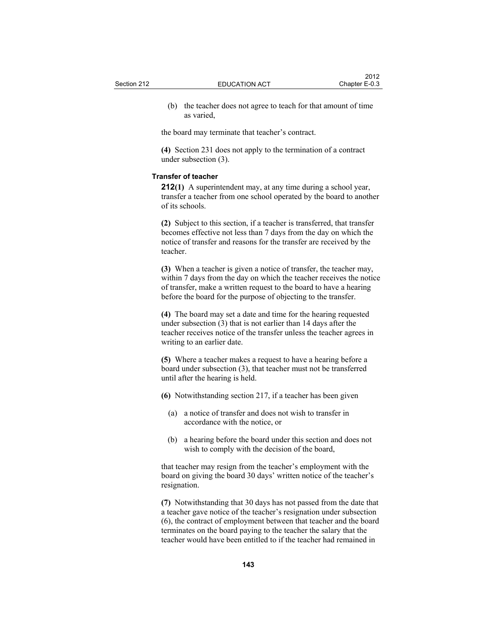(b) the teacher does not agree to teach for that amount of time as varied,

the board may terminate that teacher's contract.

**(4)** Section 231 does not apply to the termination of a contract under subsection (3).

#### **Transfer of teacher**

**212(1)** A superintendent may, at any time during a school year, transfer a teacher from one school operated by the board to another of its schools.

**(2)** Subject to this section, if a teacher is transferred, that transfer becomes effective not less than 7 days from the day on which the notice of transfer and reasons for the transfer are received by the teacher.

**(3)** When a teacher is given a notice of transfer, the teacher may, within 7 days from the day on which the teacher receives the notice of transfer, make a written request to the board to have a hearing before the board for the purpose of objecting to the transfer.

**(4)** The board may set a date and time for the hearing requested under subsection (3) that is not earlier than 14 days after the teacher receives notice of the transfer unless the teacher agrees in writing to an earlier date.

**(5)** Where a teacher makes a request to have a hearing before a board under subsection (3), that teacher must not be transferred until after the hearing is held.

- **(6)** Notwithstanding section 217, if a teacher has been given
	- (a) a notice of transfer and does not wish to transfer in accordance with the notice, or
	- (b) a hearing before the board under this section and does not wish to comply with the decision of the board,

that teacher may resign from the teacher's employment with the board on giving the board 30 days' written notice of the teacher's resignation.

**(7)** Notwithstanding that 30 days has not passed from the date that a teacher gave notice of the teacher's resignation under subsection (6), the contract of employment between that teacher and the board terminates on the board paying to the teacher the salary that the teacher would have been entitled to if the teacher had remained in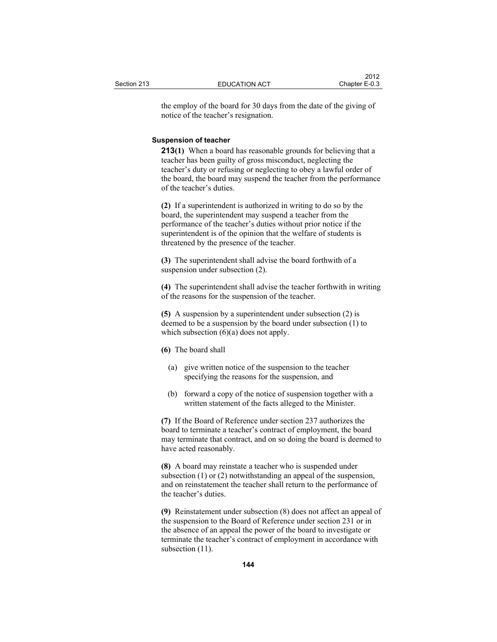the employ of the board for 30 days from the date of the giving of notice of the teacher's resignation.

#### **Suspension of teacher**

**213(1)** When a board has reasonable grounds for believing that a teacher has been guilty of gross misconduct, neglecting the teacher's duty or refusing or neglecting to obey a lawful order of the board, the board may suspend the teacher from the performance of the teacher's duties.

**(2)** If a superintendent is authorized in writing to do so by the board, the superintendent may suspend a teacher from the performance of the teacher's duties without prior notice if the superintendent is of the opinion that the welfare of students is threatened by the presence of the teacher.

**(3)** The superintendent shall advise the board forthwith of a suspension under subsection (2).

**(4)** The superintendent shall advise the teacher forthwith in writing of the reasons for the suspension of the teacher.

**(5)** A suspension by a superintendent under subsection (2) is deemed to be a suspension by the board under subsection (1) to which subsection  $(6)(a)$  does not apply.

### **(6)** The board shall

- (a) give written notice of the suspension to the teacher specifying the reasons for the suspension, and
- (b) forward a copy of the notice of suspension together with a written statement of the facts alleged to the Minister.

**(7)** If the Board of Reference under section 237 authorizes the board to terminate a teacher's contract of employment, the board may terminate that contract, and on so doing the board is deemed to have acted reasonably.

**(8)** A board may reinstate a teacher who is suspended under subsection (1) or (2) notwithstanding an appeal of the suspension, and on reinstatement the teacher shall return to the performance of the teacher's duties.

**(9)** Reinstatement under subsection (8) does not affect an appeal of the suspension to the Board of Reference under section 231 or in the absence of an appeal the power of the board to investigate or terminate the teacher's contract of employment in accordance with subsection  $(11)$ .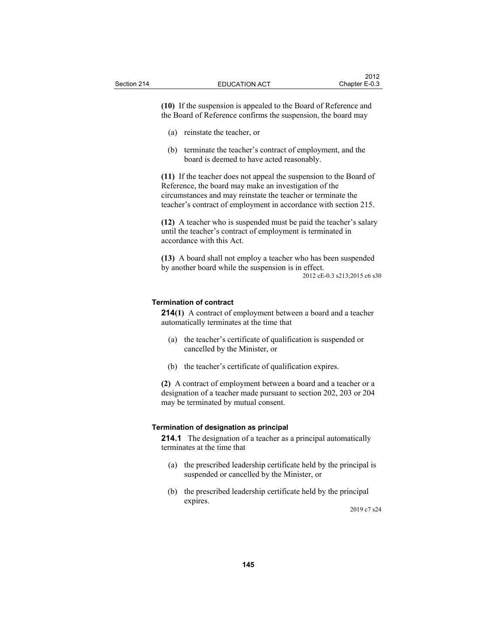**(10)** If the suspension is appealed to the Board of Reference and the Board of Reference confirms the suspension, the board may

- (a) reinstate the teacher, or
- (b) terminate the teacher's contract of employment, and the board is deemed to have acted reasonably.

**(11)** If the teacher does not appeal the suspension to the Board of Reference, the board may make an investigation of the circumstances and may reinstate the teacher or terminate the teacher's contract of employment in accordance with section 215.

**(12)** A teacher who is suspended must be paid the teacher's salary until the teacher's contract of employment is terminated in accordance with this Act.

**(13)** A board shall not employ a teacher who has been suspended by another board while the suspension is in effect. 2012 cE-0.3 s213;2015 c6 s30

#### **Termination of contract**

**214(1)** A contract of employment between a board and a teacher automatically terminates at the time that

- (a) the teacher's certificate of qualification is suspended or cancelled by the Minister, or
- (b) the teacher's certificate of qualification expires.

**(2)** A contract of employment between a board and a teacher or a designation of a teacher made pursuant to section 202, 203 or 204 may be terminated by mutual consent.

# **Termination of designation as principal**

**214.1** The designation of a teacher as a principal automatically terminates at the time that

- (a) the prescribed leadership certificate held by the principal is suspended or cancelled by the Minister, or
- (b) the prescribed leadership certificate held by the principal expires.

2019 c7 s24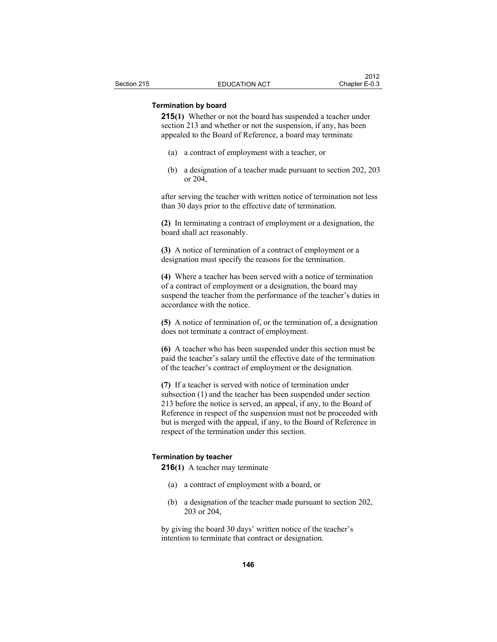# **Termination by board**

**215(1)** Whether or not the board has suspended a teacher under section 213 and whether or not the suspension, if any, has been appealed to the Board of Reference, a board may terminate

- (a) a contract of employment with a teacher, or
- (b) a designation of a teacher made pursuant to section 202, 203 or 204,

after serving the teacher with written notice of termination not less than 30 days prior to the effective date of termination.

**(2)** In terminating a contract of employment or a designation, the board shall act reasonably.

**(3)** A notice of termination of a contract of employment or a designation must specify the reasons for the termination.

**(4)** Where a teacher has been served with a notice of termination of a contract of employment or a designation, the board may suspend the teacher from the performance of the teacher's duties in accordance with the notice.

**(5)** A notice of termination of, or the termination of, a designation does not terminate a contract of employment.

**(6)** A teacher who has been suspended under this section must be paid the teacher's salary until the effective date of the termination of the teacher's contract of employment or the designation.

**(7)** If a teacher is served with notice of termination under subsection (1) and the teacher has been suspended under section 213 before the notice is served, an appeal, if any, to the Board of Reference in respect of the suspension must not be proceeded with but is merged with the appeal, if any, to the Board of Reference in respect of the termination under this section.

### **Termination by teacher**

**216(1)** A teacher may terminate

- (a) a contract of employment with a board, or
- (b) a designation of the teacher made pursuant to section 202, 203 or 204,

by giving the board 30 days' written notice of the teacher's intention to terminate that contract or designation.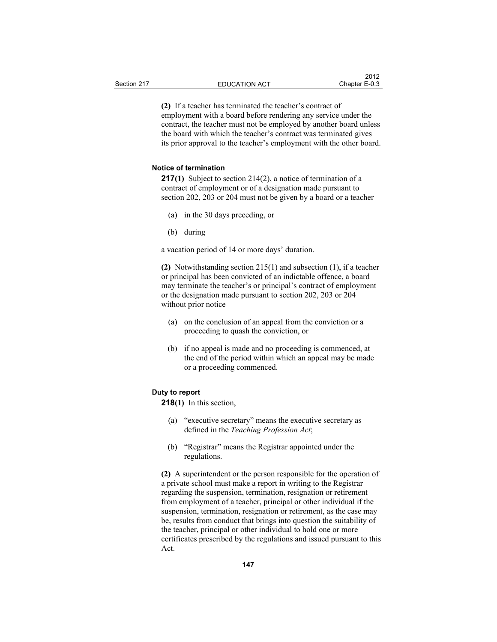**(2)** If a teacher has terminated the teacher's contract of employment with a board before rendering any service under the contract, the teacher must not be employed by another board unless the board with which the teacher's contract was terminated gives its prior approval to the teacher's employment with the other board.

## **Notice of termination**

**217(1)** Subject to section 214(2), a notice of termination of a contract of employment or of a designation made pursuant to section 202, 203 or 204 must not be given by a board or a teacher

- (a) in the 30 days preceding, or
- (b) during

a vacation period of 14 or more days' duration.

**(2)** Notwithstanding section 215(1) and subsection (1), if a teacher or principal has been convicted of an indictable offence, a board may terminate the teacher's or principal's contract of employment or the designation made pursuant to section 202, 203 or 204 without prior notice

- (a) on the conclusion of an appeal from the conviction or a proceeding to quash the conviction, or
- (b) if no appeal is made and no proceeding is commenced, at the end of the period within which an appeal may be made or a proceeding commenced.

# **Duty to report**

**218(1)** In this section,

- (a) "executive secretary" means the executive secretary as defined in the *Teaching Profession Act*;
- (b) "Registrar" means the Registrar appointed under the regulations.

**(2)** A superintendent or the person responsible for the operation of a private school must make a report in writing to the Registrar regarding the suspension, termination, resignation or retirement from employment of a teacher, principal or other individual if the suspension, termination, resignation or retirement, as the case may be, results from conduct that brings into question the suitability of the teacher, principal or other individual to hold one or more certificates prescribed by the regulations and issued pursuant to this Act.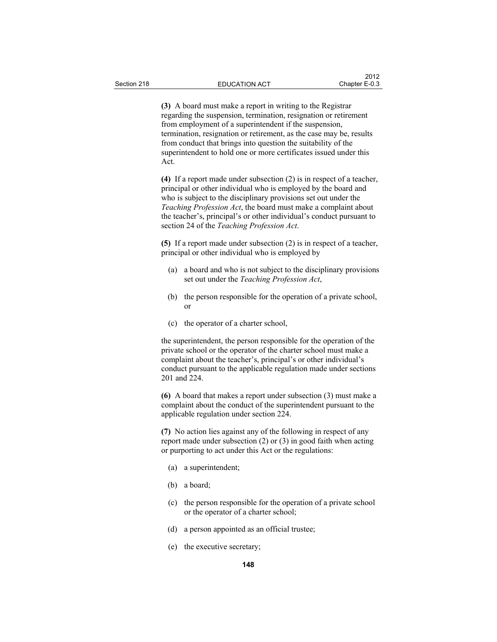**(3)** A board must make a report in writing to the Registrar regarding the suspension, termination, resignation or retirement from employment of a superintendent if the suspension, termination, resignation or retirement, as the case may be, results from conduct that brings into question the suitability of the superintendent to hold one or more certificates issued under this Act.

**(4)** If a report made under subsection (2) is in respect of a teacher, principal or other individual who is employed by the board and who is subject to the disciplinary provisions set out under the *Teaching Profession Act*, the board must make a complaint about the teacher's, principal's or other individual's conduct pursuant to section 24 of the *Teaching Profession Act*.

**(5)** If a report made under subsection (2) is in respect of a teacher, principal or other individual who is employed by

- (a) a board and who is not subject to the disciplinary provisions set out under the *Teaching Profession Act*,
- (b) the person responsible for the operation of a private school, or
- (c) the operator of a charter school,

the superintendent, the person responsible for the operation of the private school or the operator of the charter school must make a complaint about the teacher's, principal's or other individual's conduct pursuant to the applicable regulation made under sections 201 and 224.

**(6)** A board that makes a report under subsection (3) must make a complaint about the conduct of the superintendent pursuant to the applicable regulation under section 224.

**(7)** No action lies against any of the following in respect of any report made under subsection (2) or (3) in good faith when acting or purporting to act under this Act or the regulations:

- (a) a superintendent;
- (b) a board;
- (c) the person responsible for the operation of a private school or the operator of a charter school;
- (d) a person appointed as an official trustee;
- (e) the executive secretary;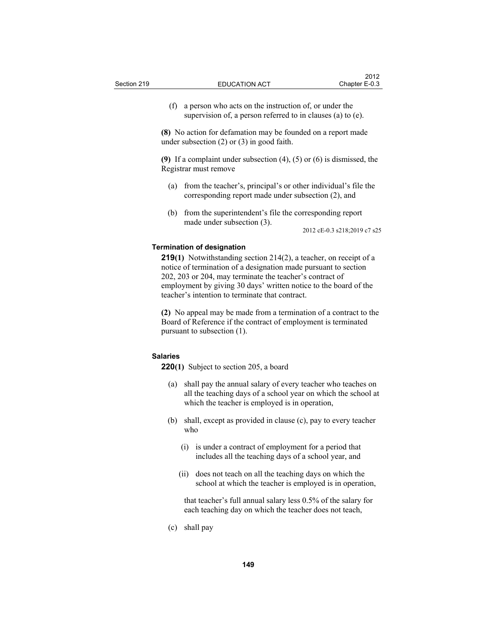(f) a person who acts on the instruction of, or under the supervision of, a person referred to in clauses (a) to (e).

**(8)** No action for defamation may be founded on a report made under subsection (2) or (3) in good faith.

**(9)** If a complaint under subsection (4), (5) or (6) is dismissed, the Registrar must remove

- (a) from the teacher's, principal's or other individual's file the corresponding report made under subsection (2), and
- (b) from the superintendent's file the corresponding report made under subsection (3).

2012 cE-0.3 s218;2019 c7 s25

### **Termination of designation**

**219(1)** Notwithstanding section 214(2), a teacher, on receipt of a notice of termination of a designation made pursuant to section 202, 203 or 204, may terminate the teacher's contract of employment by giving 30 days' written notice to the board of the teacher's intention to terminate that contract.

**(2)** No appeal may be made from a termination of a contract to the Board of Reference if the contract of employment is terminated pursuant to subsection (1).

# **Salaries**

**220(1)** Subject to section 205, a board

- (a) shall pay the annual salary of every teacher who teaches on all the teaching days of a school year on which the school at which the teacher is employed is in operation,
- (b) shall, except as provided in clause (c), pay to every teacher who
	- (i) is under a contract of employment for a period that includes all the teaching days of a school year, and
	- (ii) does not teach on all the teaching days on which the school at which the teacher is employed is in operation,

 that teacher's full annual salary less 0.5% of the salary for each teaching day on which the teacher does not teach,

(c) shall pay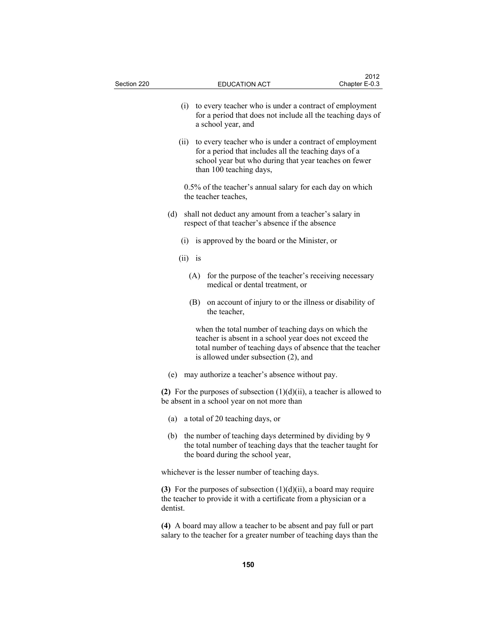| Section 220 |           | <b>EDUCATION ACT</b>                                                                                                                                                                                               | 2012<br>Chapter E-0.3                                   |  |  |
|-------------|-----------|--------------------------------------------------------------------------------------------------------------------------------------------------------------------------------------------------------------------|---------------------------------------------------------|--|--|
|             | (i)       | to every teacher who is under a contract of employment<br>for a period that does not include all the teaching days of<br>a school year, and                                                                        |                                                         |  |  |
|             | (ii)      | to every teacher who is under a contract of employment<br>for a period that includes all the teaching days of a<br>school year but who during that year teaches on fewer<br>than 100 teaching days,                |                                                         |  |  |
|             |           | 0.5% of the teacher's annual salary for each day on which<br>the teacher teaches,                                                                                                                                  |                                                         |  |  |
|             | (d)       | shall not deduct any amount from a teacher's salary in<br>respect of that teacher's absence if the absence                                                                                                         |                                                         |  |  |
|             |           | (i) is approved by the board or the Minister, or                                                                                                                                                                   |                                                         |  |  |
|             | $(ii)$ is |                                                                                                                                                                                                                    |                                                         |  |  |
|             |           | (A)<br>medical or dental treatment, or                                                                                                                                                                             | for the purpose of the teacher's receiving necessary    |  |  |
|             |           | (B)<br>the teacher,                                                                                                                                                                                                | on account of injury to or the illness or disability of |  |  |
|             |           | when the total number of teaching days on which the<br>teacher is absent in a school year does not exceed the<br>total number of teaching days of absence that the teacher<br>is allowed under subsection (2), and |                                                         |  |  |
|             | (e)       | may authorize a teacher's absence without pay.                                                                                                                                                                     |                                                         |  |  |
|             |           | (2) For the purposes of subsection $(1)(d)(ii)$ , a teacher is allowed to<br>be absent in a school year on not more than                                                                                           |                                                         |  |  |
|             | (a)       | a total of 20 teaching days, or                                                                                                                                                                                    |                                                         |  |  |
|             |           | (b) the number of teaching days determined by dividing by 9<br>the total number of teaching days that the teacher taught for<br>the board during the school year,                                                  |                                                         |  |  |
|             |           | whichever is the lesser number of teaching days.                                                                                                                                                                   |                                                         |  |  |
|             | dentist.  | (3) For the purposes of subsection $(1)(d)(ii)$ , a board may require<br>the teacher to provide it with a certificate from a physician or a                                                                        |                                                         |  |  |
|             |           | (4) A board may allow a teacher to be absent and pay full or part<br>salary to the teacher for a greater number of teaching days than the                                                                          |                                                         |  |  |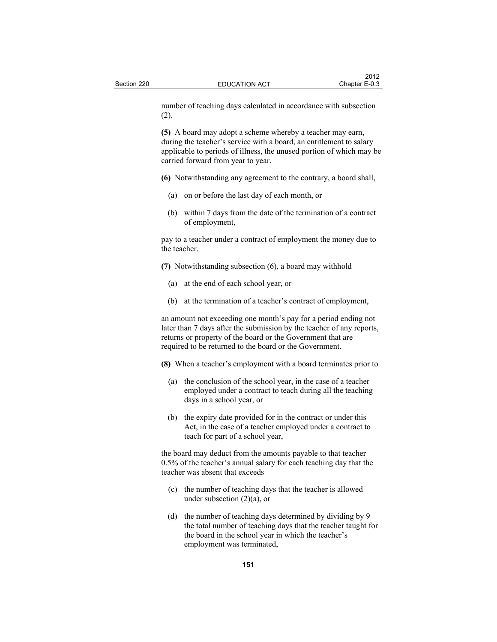number of teaching days calculated in accordance with subsection (2).

**(5)** A board may adopt a scheme whereby a teacher may earn, during the teacher's service with a board, an entitlement to salary applicable to periods of illness, the unused portion of which may be carried forward from year to year.

- **(6)** Notwithstanding any agreement to the contrary, a board shall,
	- (a) on or before the last day of each month, or
	- (b) within 7 days from the date of the termination of a contract of employment,

pay to a teacher under a contract of employment the money due to the teacher.

**(7)** Notwithstanding subsection (6), a board may withhold

- (a) at the end of each school year, or
- (b) at the termination of a teacher's contract of employment,

an amount not exceeding one month's pay for a period ending not later than 7 days after the submission by the teacher of any reports, returns or property of the board or the Government that are required to be returned to the board or the Government.

**(8)** When a teacher's employment with a board terminates prior to

- (a) the conclusion of the school year, in the case of a teacher employed under a contract to teach during all the teaching days in a school year, or
- (b) the expiry date provided for in the contract or under this Act, in the case of a teacher employed under a contract to teach for part of a school year,

the board may deduct from the amounts payable to that teacher 0.5% of the teacher's annual salary for each teaching day that the teacher was absent that exceeds

- (c) the number of teaching days that the teacher is allowed under subsection  $(2)(a)$ , or
- (d) the number of teaching days determined by dividing by 9 the total number of teaching days that the teacher taught for the board in the school year in which the teacher's employment was terminated,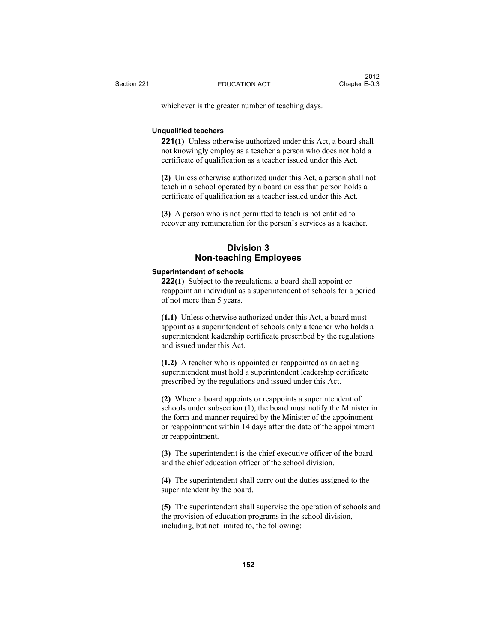whichever is the greater number of teaching days.

#### **Unqualified teachers**

**221(1)** Unless otherwise authorized under this Act, a board shall not knowingly employ as a teacher a person who does not hold a certificate of qualification as a teacher issued under this Act.

**(2)** Unless otherwise authorized under this Act, a person shall not teach in a school operated by a board unless that person holds a certificate of qualification as a teacher issued under this Act.

**(3)** A person who is not permitted to teach is not entitled to recover any remuneration for the person's services as a teacher.

# **Division 3 Non-teaching Employees**

#### **Superintendent of schools**

**222(1)** Subject to the regulations, a board shall appoint or reappoint an individual as a superintendent of schools for a period of not more than 5 years.

**(1.1)** Unless otherwise authorized under this Act, a board must appoint as a superintendent of schools only a teacher who holds a superintendent leadership certificate prescribed by the regulations and issued under this Act.

**(1.2)** A teacher who is appointed or reappointed as an acting superintendent must hold a superintendent leadership certificate prescribed by the regulations and issued under this Act.

**(2)** Where a board appoints or reappoints a superintendent of schools under subsection (1), the board must notify the Minister in the form and manner required by the Minister of the appointment or reappointment within 14 days after the date of the appointment or reappointment.

**(3)** The superintendent is the chief executive officer of the board and the chief education officer of the school division.

**(4)** The superintendent shall carry out the duties assigned to the superintendent by the board.

**(5)** The superintendent shall supervise the operation of schools and the provision of education programs in the school division, including, but not limited to, the following: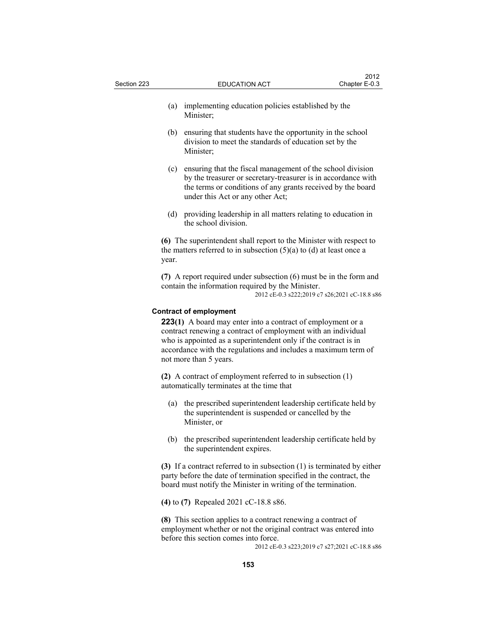| Section 223 |                                                                                                                                                         | <b>EDUCATION ACT</b>                                                                                                                                                                                                           | ZU I Z<br>Chapter E-0.3 |
|-------------|---------------------------------------------------------------------------------------------------------------------------------------------------------|--------------------------------------------------------------------------------------------------------------------------------------------------------------------------------------------------------------------------------|-------------------------|
|             | (a)                                                                                                                                                     | implementing education policies established by the<br>Minister;                                                                                                                                                                |                         |
|             | (b)                                                                                                                                                     | ensuring that students have the opportunity in the school<br>division to meet the standards of education set by the<br>Minister;                                                                                               |                         |
|             | (c)                                                                                                                                                     | ensuring that the fiscal management of the school division<br>by the treasurer or secretary-treasurer is in accordance with<br>the terms or conditions of any grants received by the board<br>under this Act or any other Act; |                         |
|             |                                                                                                                                                         | (d) providing leadership in all matters relating to education in<br>the school division.                                                                                                                                       |                         |
|             | (6) The superintendent shall report to the Minister with respect to<br>the matters referred to in subsection $(5)(a)$ to $(d)$ at least once a<br>year. |                                                                                                                                                                                                                                |                         |
|             |                                                                                                                                                         | $(7)$ A report required under subsection $(6)$ must be in the form and<br>contain the information required by the Minister.<br>2012 cE-0.3 s222;2019 c7 s26;2021 cC-18.8 s86                                                   |                         |

 $2012$ 

### **Contract of employment**

**223(1)** A board may enter into a contract of employment or a contract renewing a contract of employment with an individual who is appointed as a superintendent only if the contract is in accordance with the regulations and includes a maximum term of not more than 5 years.

**(2)** A contract of employment referred to in subsection (1) automatically terminates at the time that

- (a) the prescribed superintendent leadership certificate held by the superintendent is suspended or cancelled by the Minister, or
- (b) the prescribed superintendent leadership certificate held by the superintendent expires.

**(3)** If a contract referred to in subsection (1) is terminated by either party before the date of termination specified in the contract, the board must notify the Minister in writing of the termination.

**(4)** to **(7)** Repealed 2021 cC-18.8 s86.

**(8)** This section applies to a contract renewing a contract of employment whether or not the original contract was entered into before this section comes into force.

2012 cE-0.3 s223;2019 c7 s27;2021 cC-18.8 s86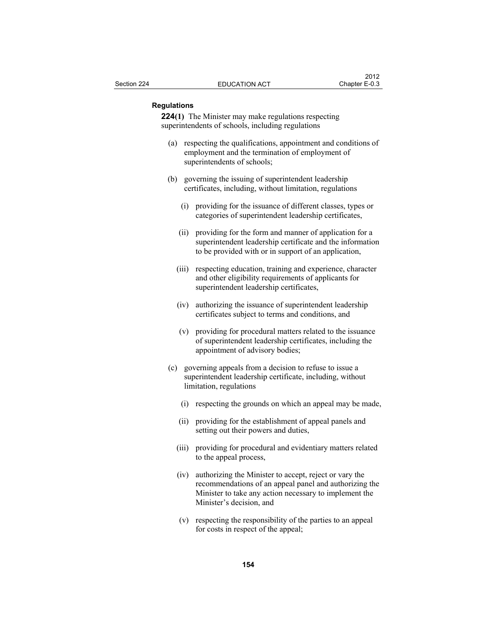## **Regulations**

**224(1)** The Minister may make regulations respecting superintendents of schools, including regulations

- (a) respecting the qualifications, appointment and conditions of employment and the termination of employment of superintendents of schools;
- (b) governing the issuing of superintendent leadership certificates, including, without limitation, regulations
	- (i) providing for the issuance of different classes, types or categories of superintendent leadership certificates,
	- (ii) providing for the form and manner of application for a superintendent leadership certificate and the information to be provided with or in support of an application,
	- (iii) respecting education, training and experience, character and other eligibility requirements of applicants for superintendent leadership certificates,
	- (iv) authorizing the issuance of superintendent leadership certificates subject to terms and conditions, and
	- (v) providing for procedural matters related to the issuance of superintendent leadership certificates, including the appointment of advisory bodies;
- (c) governing appeals from a decision to refuse to issue a superintendent leadership certificate, including, without limitation, regulations
	- (i) respecting the grounds on which an appeal may be made,
	- (ii) providing for the establishment of appeal panels and setting out their powers and duties,
	- (iii) providing for procedural and evidentiary matters related to the appeal process,
	- (iv) authorizing the Minister to accept, reject or vary the recommendations of an appeal panel and authorizing the Minister to take any action necessary to implement the Minister's decision, and
	- (v) respecting the responsibility of the parties to an appeal for costs in respect of the appeal;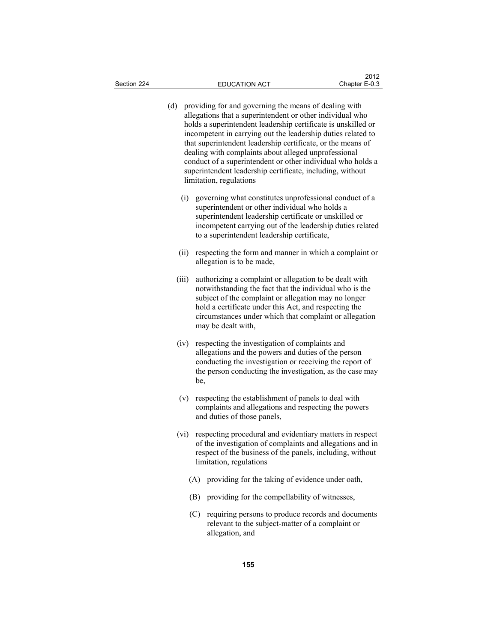(d) providing for and governing the means of dealing with allegations that a superintendent or other individual who holds a superintendent leadership certificate is unskilled or incompetent in carrying out the leadership duties related to that superintendent leadership certificate, or the means of dealing with complaints about alleged unprofessional conduct of a superintendent or other individual who holds a superintendent leadership certificate, including, without limitation, regulations (i) governing what constitutes unprofessional conduct of a superintendent or other individual who holds a superintendent leadership certificate or unskilled or incompetent carrying out of the leadership duties related to a superintendent leadership certificate, (ii) respecting the form and manner in which a complaint or allegation is to be made, (iii) authorizing a complaint or allegation to be dealt with notwithstanding the fact that the individual who is the subject of the complaint or allegation may no longer hold a certificate under this Act, and respecting the circumstances under which that complaint or allegation may be dealt with, (iv) respecting the investigation of complaints and allegations and the powers and duties of the person conducting the investigation or receiving the report of the person conducting the investigation, as the case may be, (v) respecting the establishment of panels to deal with complaints and allegations and respecting the powers and duties of those panels, (vi) respecting procedural and evidentiary matters in respect of the investigation of complaints and allegations and in respect of the business of the panels, including, without limitation, regulations (A) providing for the taking of evidence under oath, (B) providing for the compellability of witnesses, (C) requiring persons to produce records and documents relevant to the subject-matter of a complaint or allegation, and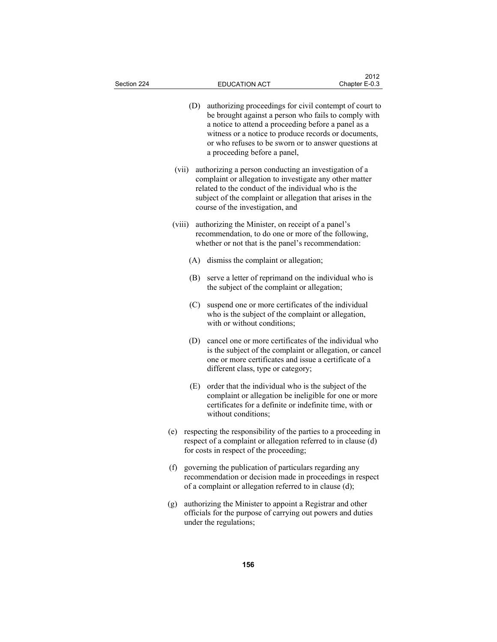| Section 224 |     | <b>EDUCATION ACT</b>                                                                                                                                                                                                                                                                                                  | 2012<br>Chapter E-0.3 |
|-------------|-----|-----------------------------------------------------------------------------------------------------------------------------------------------------------------------------------------------------------------------------------------------------------------------------------------------------------------------|-----------------------|
|             | (D) | authorizing proceedings for civil contempt of court to<br>be brought against a person who fails to comply with<br>a notice to attend a proceeding before a panel as a<br>witness or a notice to produce records or documents,<br>or who refuses to be sworn or to answer questions at<br>a proceeding before a panel, |                       |
| (vii)       |     | authorizing a person conducting an investigation of a<br>complaint or allegation to investigate any other matter<br>related to the conduct of the individual who is the<br>subject of the complaint or allegation that arises in the<br>course of the investigation, and                                              |                       |
| (viii)      |     | authorizing the Minister, on receipt of a panel's<br>recommendation, to do one or more of the following,<br>whether or not that is the panel's recommendation:                                                                                                                                                        |                       |
|             | (A) | dismiss the complaint or allegation;                                                                                                                                                                                                                                                                                  |                       |
|             |     | (B) serve a letter of reprimand on the individual who is<br>the subject of the complaint or allegation;                                                                                                                                                                                                               |                       |
|             | (C) | suspend one or more certificates of the individual<br>who is the subject of the complaint or allegation,<br>with or without conditions;                                                                                                                                                                               |                       |
|             | (D) | cancel one or more certificates of the individual who<br>is the subject of the complaint or allegation, or cancel<br>one or more certificates and issue a certificate of a<br>different class, type or category;                                                                                                      |                       |
|             | (E) | order that the individual who is the subject of the<br>complaint or allegation be ineligible for one or more<br>certificates for a definite or indefinite time, with or<br>without conditions;                                                                                                                        |                       |
|             |     | (e) respecting the responsibility of the parties to a proceeding in<br>respect of a complaint or allegation referred to in clause (d)<br>for costs in respect of the proceeding;                                                                                                                                      |                       |
| (f)         |     | governing the publication of particulars regarding any<br>recommendation or decision made in proceedings in respect<br>of a complaint or allegation referred to in clause (d);                                                                                                                                        |                       |
| (g)         |     | authorizing the Minister to appoint a Registrar and other<br>officials for the purpose of carrying out powers and duties<br>under the regulations;                                                                                                                                                                    |                       |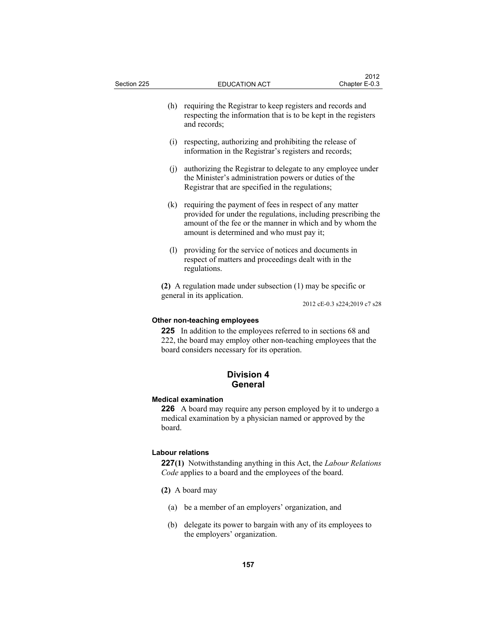| Section 225 | <b>EDUCATION ACT</b>                                                                                                                                                                                                             | Chapter E-0.3                |
|-------------|----------------------------------------------------------------------------------------------------------------------------------------------------------------------------------------------------------------------------------|------------------------------|
| (h)         | requiring the Registrar to keep registers and records and<br>respecting the information that is to be kept in the registers<br>and records;                                                                                      |                              |
| (i)         | respecting, authorizing and prohibiting the release of<br>information in the Registrar's registers and records;                                                                                                                  |                              |
| (i)         | authorizing the Registrar to delegate to any employee under<br>the Minister's administration powers or duties of the<br>Registrar that are specified in the regulations;                                                         |                              |
| (k)         | requiring the payment of fees in respect of any matter<br>provided for under the regulations, including prescribing the<br>amount of the fee or the manner in which and by whom the<br>amount is determined and who must pay it; |                              |
| (1)         | providing for the service of notices and documents in<br>respect of matters and proceedings dealt with in the<br>regulations.                                                                                                    |                              |
|             | (2) A regulation made under subsection $(1)$ may be specific or                                                                                                                                                                  |                              |
|             | general in its application.                                                                                                                                                                                                      | 2012 cE-0.3 s224;2019 c7 s28 |
|             | Other non-teaching employees<br>225 In addition to the employees referred to in sections 68 and<br>222, the board may employ other non-teaching employees that the<br>board considers necessary for its operation.               |                              |
|             | <b>Division 4</b><br>General                                                                                                                                                                                                     |                              |
| board.      | <b>Medical examination</b><br>226 A board may require any person employed by it to undergo a<br>medical examination by a physician named or approved by the                                                                      |                              |
|             | <b>Labour relations</b><br>227(1) Notwithstanding anything in this Act, the Labour Relations<br>Code applies to a board and the employees of the board.                                                                          |                              |
|             | (2) A board may                                                                                                                                                                                                                  |                              |

 $2012$ 

- (a) be a member of an employers' organization, and
- (b) delegate its power to bargain with any of its employees to the employers' organization.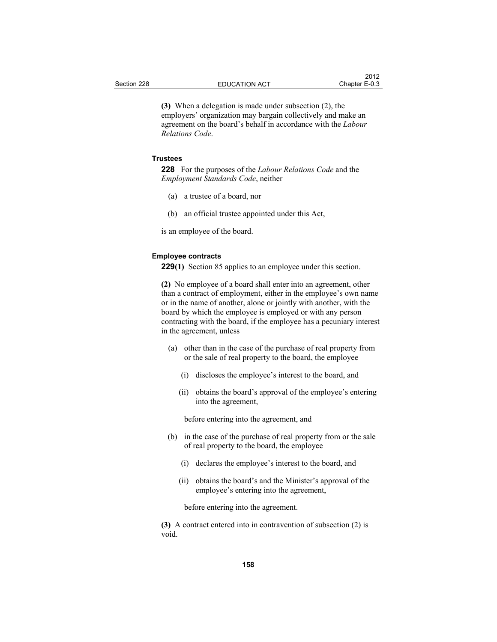**(3)** When a delegation is made under subsection (2), the employers' organization may bargain collectively and make an agreement on the board's behalf in accordance with the *Labour Relations Code*.

# **Trustees**

**228** For the purposes of the *Labour Relations Code* and the *Employment Standards Code*, neither

- (a) a trustee of a board, nor
- (b) an official trustee appointed under this Act,

is an employee of the board.

### **Employee contracts**

**229(1)** Section 85 applies to an employee under this section.

**(2)** No employee of a board shall enter into an agreement, other than a contract of employment, either in the employee's own name or in the name of another, alone or jointly with another, with the board by which the employee is employed or with any person contracting with the board, if the employee has a pecuniary interest in the agreement, unless

- (a) other than in the case of the purchase of real property from or the sale of real property to the board, the employee
	- (i) discloses the employee's interest to the board, and
	- (ii) obtains the board's approval of the employee's entering into the agreement,

before entering into the agreement, and

- (b) in the case of the purchase of real property from or the sale of real property to the board, the employee
	- (i) declares the employee's interest to the board, and
	- (ii) obtains the board's and the Minister's approval of the employee's entering into the agreement,

before entering into the agreement.

**(3)** A contract entered into in contravention of subsection (2) is void.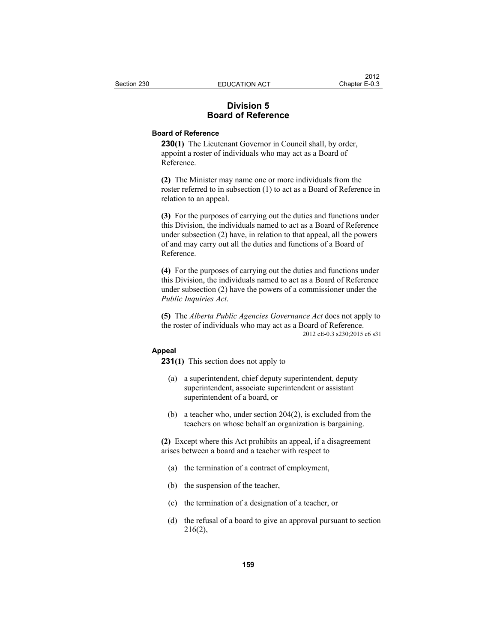# **Division 5 Board of Reference**

# **Board of Reference**

**230(1)** The Lieutenant Governor in Council shall, by order, appoint a roster of individuals who may act as a Board of Reference.

**(2)** The Minister may name one or more individuals from the roster referred to in subsection (1) to act as a Board of Reference in relation to an appeal.

**(3)** For the purposes of carrying out the duties and functions under this Division, the individuals named to act as a Board of Reference under subsection (2) have, in relation to that appeal, all the powers of and may carry out all the duties and functions of a Board of Reference.

**(4)** For the purposes of carrying out the duties and functions under this Division, the individuals named to act as a Board of Reference under subsection (2) have the powers of a commissioner under the *Public Inquiries Act*.

**(5)** The *Alberta Public Agencies Governance Act* does not apply to the roster of individuals who may act as a Board of Reference. 2012 cE-0.3 s230;2015 c6 s31

# **Appeal**

**231(1)** This section does not apply to

- (a) a superintendent, chief deputy superintendent, deputy superintendent, associate superintendent or assistant superintendent of a board, or
- (b) a teacher who, under section 204(2), is excluded from the teachers on whose behalf an organization is bargaining.

**(2)** Except where this Act prohibits an appeal, if a disagreement arises between a board and a teacher with respect to

- (a) the termination of a contract of employment,
- (b) the suspension of the teacher,
- (c) the termination of a designation of a teacher, or
- (d) the refusal of a board to give an approval pursuant to section 216(2),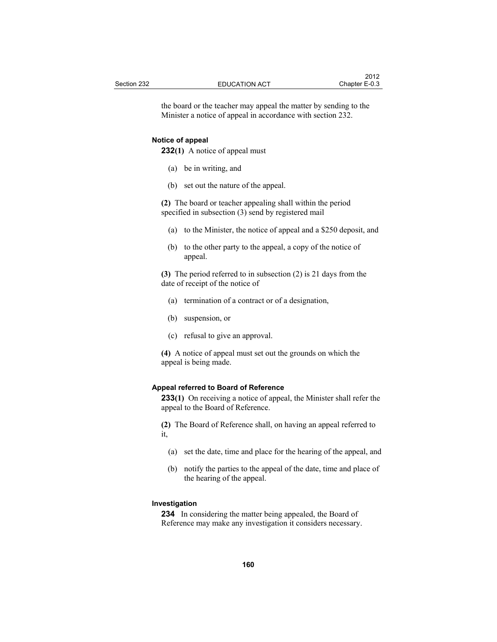the board or the teacher may appeal the matter by sending to the Minister a notice of appeal in accordance with section 232.

#### **Notice of appeal**

**232(1)** A notice of appeal must

- (a) be in writing, and
- (b) set out the nature of the appeal.

**(2)** The board or teacher appealing shall within the period specified in subsection (3) send by registered mail

- (a) to the Minister, the notice of appeal and a \$250 deposit, and
- (b) to the other party to the appeal, a copy of the notice of appeal.

**(3)** The period referred to in subsection (2) is 21 days from the date of receipt of the notice of

- (a) termination of a contract or of a designation,
- (b) suspension, or
- (c) refusal to give an approval.

**(4)** A notice of appeal must set out the grounds on which the appeal is being made.

### **Appeal referred to Board of Reference**

**233(1)** On receiving a notice of appeal, the Minister shall refer the appeal to the Board of Reference.

**(2)** The Board of Reference shall, on having an appeal referred to it,

- (a) set the date, time and place for the hearing of the appeal, and
- (b) notify the parties to the appeal of the date, time and place of the hearing of the appeal.

# **Investigation**

**234** In considering the matter being appealed, the Board of Reference may make any investigation it considers necessary.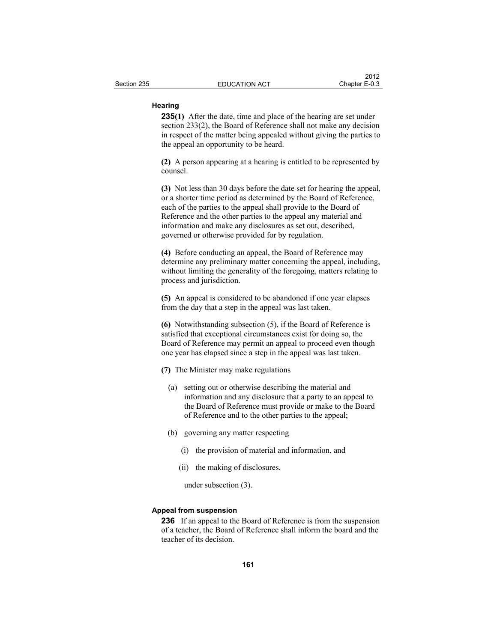# **Hearing**

**235(1)** After the date, time and place of the hearing are set under section 233(2), the Board of Reference shall not make any decision in respect of the matter being appealed without giving the parties to the appeal an opportunity to be heard.

**(2)** A person appearing at a hearing is entitled to be represented by counsel.

**(3)** Not less than 30 days before the date set for hearing the appeal, or a shorter time period as determined by the Board of Reference, each of the parties to the appeal shall provide to the Board of Reference and the other parties to the appeal any material and information and make any disclosures as set out, described, governed or otherwise provided for by regulation.

**(4)** Before conducting an appeal, the Board of Reference may determine any preliminary matter concerning the appeal, including, without limiting the generality of the foregoing, matters relating to process and jurisdiction.

**(5)** An appeal is considered to be abandoned if one year elapses from the day that a step in the appeal was last taken.

**(6)** Notwithstanding subsection (5), if the Board of Reference is satisfied that exceptional circumstances exist for doing so, the Board of Reference may permit an appeal to proceed even though one year has elapsed since a step in the appeal was last taken.

- **(7)** The Minister may make regulations
	- (a) setting out or otherwise describing the material and information and any disclosure that a party to an appeal to the Board of Reference must provide or make to the Board of Reference and to the other parties to the appeal;
	- (b) governing any matter respecting
		- (i) the provision of material and information, and
		- (ii) the making of disclosures,

under subsection (3).

### **Appeal from suspension**

**236** If an appeal to the Board of Reference is from the suspension of a teacher, the Board of Reference shall inform the board and the teacher of its decision.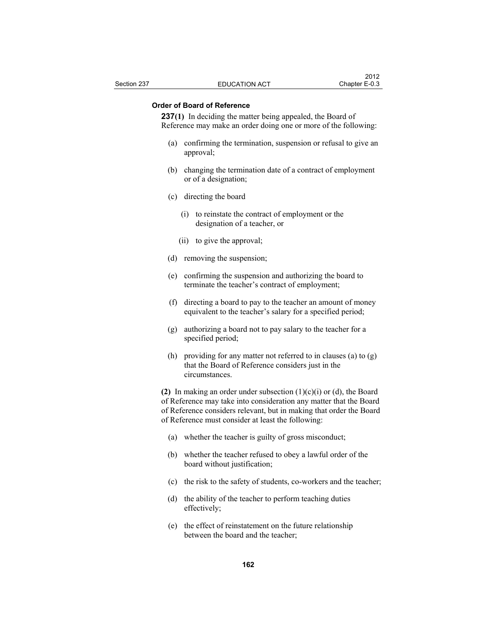# **Order of Board of Reference**

**237(1)** In deciding the matter being appealed, the Board of Reference may make an order doing one or more of the following:

- (a) confirming the termination, suspension or refusal to give an approval;
- (b) changing the termination date of a contract of employment or of a designation;
- (c) directing the board
	- (i) to reinstate the contract of employment or the designation of a teacher, or
	- (ii) to give the approval;
- (d) removing the suspension;
- (e) confirming the suspension and authorizing the board to terminate the teacher's contract of employment;
- (f) directing a board to pay to the teacher an amount of money equivalent to the teacher's salary for a specified period;
- (g) authorizing a board not to pay salary to the teacher for a specified period;
- (h) providing for any matter not referred to in clauses (a) to (g) that the Board of Reference considers just in the circumstances.

**(2)** In making an order under subsection (1)(c)(i) or (d), the Board of Reference may take into consideration any matter that the Board of Reference considers relevant, but in making that order the Board of Reference must consider at least the following:

- (a) whether the teacher is guilty of gross misconduct;
- (b) whether the teacher refused to obey a lawful order of the board without justification;
- (c) the risk to the safety of students, co-workers and the teacher;
- (d) the ability of the teacher to perform teaching duties effectively;
- (e) the effect of reinstatement on the future relationship between the board and the teacher;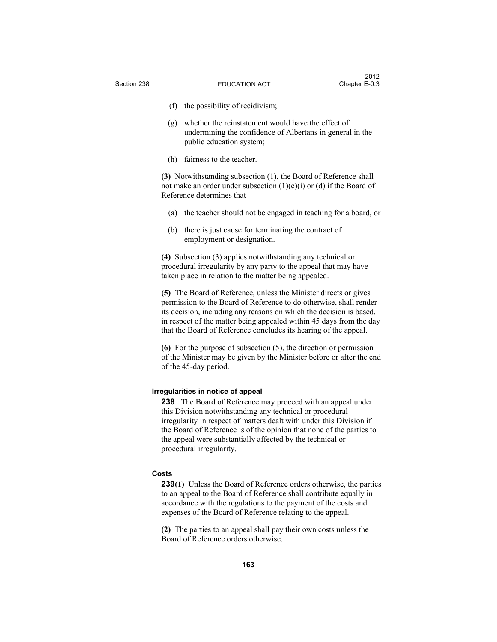- (f) the possibility of recidivism;
- (g) whether the reinstatement would have the effect of undermining the confidence of Albertans in general in the public education system;
- (h) fairness to the teacher.

**(3)** Notwithstanding subsection (1), the Board of Reference shall not make an order under subsection  $(1)(c)(i)$  or  $(d)$  if the Board of Reference determines that

- (a) the teacher should not be engaged in teaching for a board, or
- (b) there is just cause for terminating the contract of employment or designation.

**(4)** Subsection (3) applies notwithstanding any technical or procedural irregularity by any party to the appeal that may have taken place in relation to the matter being appealed.

**(5)** The Board of Reference, unless the Minister directs or gives permission to the Board of Reference to do otherwise, shall render its decision, including any reasons on which the decision is based, in respect of the matter being appealed within 45 days from the day that the Board of Reference concludes its hearing of the appeal.

**(6)** For the purpose of subsection (5), the direction or permission of the Minister may be given by the Minister before or after the end of the 45-day period.

## **Irregularities in notice of appeal**

**238** The Board of Reference may proceed with an appeal under this Division notwithstanding any technical or procedural irregularity in respect of matters dealt with under this Division if the Board of Reference is of the opinion that none of the parties to the appeal were substantially affected by the technical or procedural irregularity.

## **Costs**

**239(1)** Unless the Board of Reference orders otherwise, the parties to an appeal to the Board of Reference shall contribute equally in accordance with the regulations to the payment of the costs and expenses of the Board of Reference relating to the appeal.

**(2)** The parties to an appeal shall pay their own costs unless the Board of Reference orders otherwise.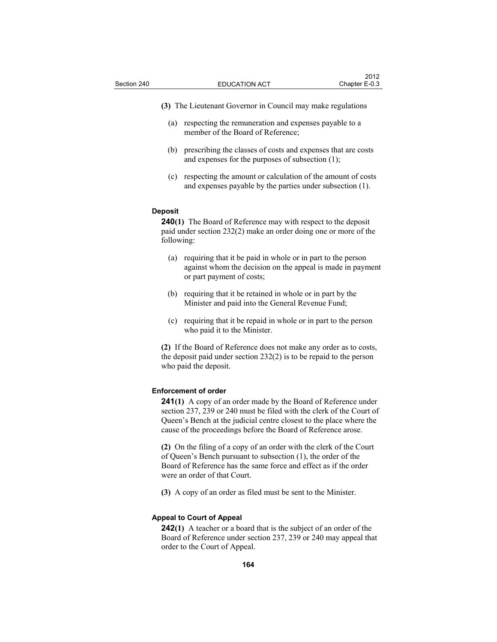**(3)** The Lieutenant Governor in Council may make regulations

- (a) respecting the remuneration and expenses payable to a member of the Board of Reference;
- (b) prescribing the classes of costs and expenses that are costs and expenses for the purposes of subsection (1);
- (c) respecting the amount or calculation of the amount of costs and expenses payable by the parties under subsection (1).

### **Deposit**

**240(1)** The Board of Reference may with respect to the deposit paid under section 232(2) make an order doing one or more of the following:

- (a) requiring that it be paid in whole or in part to the person against whom the decision on the appeal is made in payment or part payment of costs;
- (b) requiring that it be retained in whole or in part by the Minister and paid into the General Revenue Fund;
- (c) requiring that it be repaid in whole or in part to the person who paid it to the Minister.

**(2)** If the Board of Reference does not make any order as to costs, the deposit paid under section 232(2) is to be repaid to the person who paid the deposit.

#### **Enforcement of order**

**241(1)** A copy of an order made by the Board of Reference under section 237, 239 or 240 must be filed with the clerk of the Court of Queen's Bench at the judicial centre closest to the place where the cause of the proceedings before the Board of Reference arose.

**(2)** On the filing of a copy of an order with the clerk of the Court of Queen's Bench pursuant to subsection (1), the order of the Board of Reference has the same force and effect as if the order were an order of that Court.

**(3)** A copy of an order as filed must be sent to the Minister.

# **Appeal to Court of Appeal**

**242(1)** A teacher or a board that is the subject of an order of the Board of Reference under section 237, 239 or 240 may appeal that order to the Court of Appeal.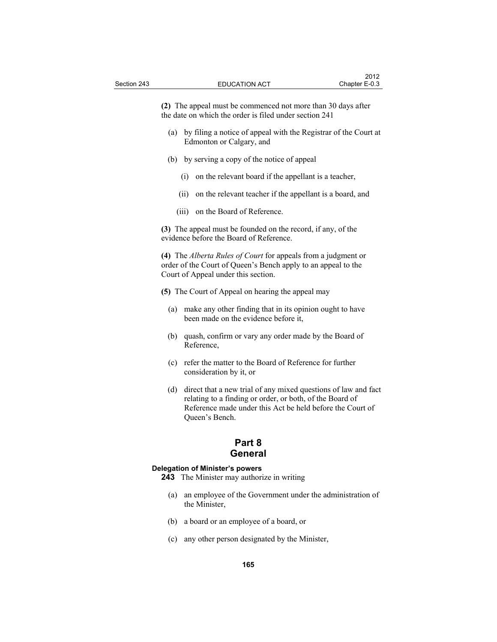**(2)** The appeal must be commenced not more than 30 days after the date on which the order is filed under section 241

- (a) by filing a notice of appeal with the Registrar of the Court at Edmonton or Calgary, and
- (b) by serving a copy of the notice of appeal
	- (i) on the relevant board if the appellant is a teacher,
	- (ii) on the relevant teacher if the appellant is a board, and
	- (iii) on the Board of Reference.

**(3)** The appeal must be founded on the record, if any, of the evidence before the Board of Reference.

**(4)** The *Alberta Rules of Court* for appeals from a judgment or order of the Court of Queen's Bench apply to an appeal to the Court of Appeal under this section.

**(5)** The Court of Appeal on hearing the appeal may

- (a) make any other finding that in its opinion ought to have been made on the evidence before it,
- (b) quash, confirm or vary any order made by the Board of Reference,
- (c) refer the matter to the Board of Reference for further consideration by it, or
- (d) direct that a new trial of any mixed questions of law and fact relating to a finding or order, or both, of the Board of Reference made under this Act be held before the Court of Queen's Bench.

# **Part 8 General**

#### **Delegation of Minister's powers**

**243** The Minister may authorize in writing

- (a) an employee of the Government under the administration of the Minister,
- (b) a board or an employee of a board, or
- (c) any other person designated by the Minister,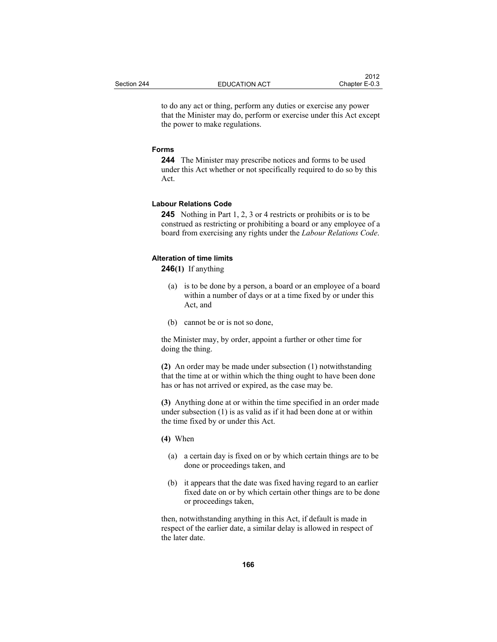to do any act or thing, perform any duties or exercise any power that the Minister may do, perform or exercise under this Act except the power to make regulations.

### **Forms**

**244** The Minister may prescribe notices and forms to be used under this Act whether or not specifically required to do so by this Act.

## **Labour Relations Code**

**245** Nothing in Part 1, 2, 3 or 4 restricts or prohibits or is to be construed as restricting or prohibiting a board or any employee of a board from exercising any rights under the *Labour Relations Code*.

# **Alteration of time limits**

**246(1)** If anything

- (a) is to be done by a person, a board or an employee of a board within a number of days or at a time fixed by or under this Act, and
- (b) cannot be or is not so done,

the Minister may, by order, appoint a further or other time for doing the thing.

**(2)** An order may be made under subsection (1) notwithstanding that the time at or within which the thing ought to have been done has or has not arrived or expired, as the case may be.

**(3)** Anything done at or within the time specified in an order made under subsection (1) is as valid as if it had been done at or within the time fixed by or under this Act.

- **(4)** When
	- (a) a certain day is fixed on or by which certain things are to be done or proceedings taken, and
	- (b) it appears that the date was fixed having regard to an earlier fixed date on or by which certain other things are to be done or proceedings taken,

then, notwithstanding anything in this Act, if default is made in respect of the earlier date, a similar delay is allowed in respect of the later date.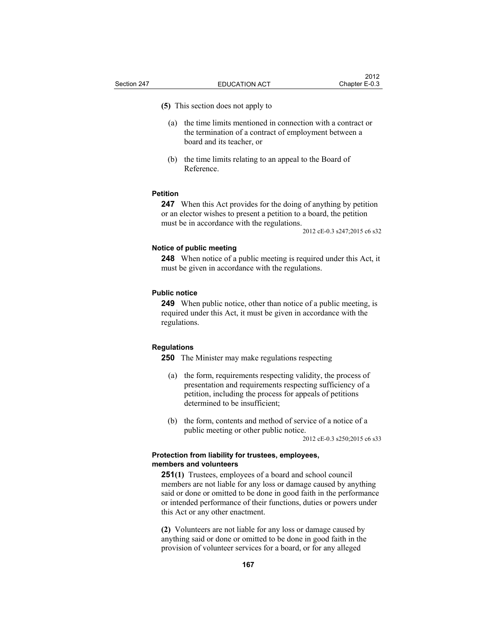**(5)** This section does not apply to

- (a) the time limits mentioned in connection with a contract or the termination of a contract of employment between a board and its teacher, or
- (b) the time limits relating to an appeal to the Board of Reference.

# **Petition**

**247** When this Act provides for the doing of anything by petition or an elector wishes to present a petition to a board, the petition must be in accordance with the regulations.

2012 cE-0.3 s247;2015 c6 s32

#### **Notice of public meeting**

**248** When notice of a public meeting is required under this Act, it must be given in accordance with the regulations.

#### **Public notice**

**249** When public notice, other than notice of a public meeting, is required under this Act, it must be given in accordance with the regulations.

### **Regulations**

**250** The Minister may make regulations respecting

- (a) the form, requirements respecting validity, the process of presentation and requirements respecting sufficiency of a petition, including the process for appeals of petitions determined to be insufficient;
- (b) the form, contents and method of service of a notice of a public meeting or other public notice.

2012 cE-0.3 s250;2015 c6 s33

# **Protection from liability for trustees, employees, members and volunteers**

**251(1)** Trustees, employees of a board and school council members are not liable for any loss or damage caused by anything said or done or omitted to be done in good faith in the performance or intended performance of their functions, duties or powers under this Act or any other enactment.

**(2)** Volunteers are not liable for any loss or damage caused by anything said or done or omitted to be done in good faith in the provision of volunteer services for a board, or for any alleged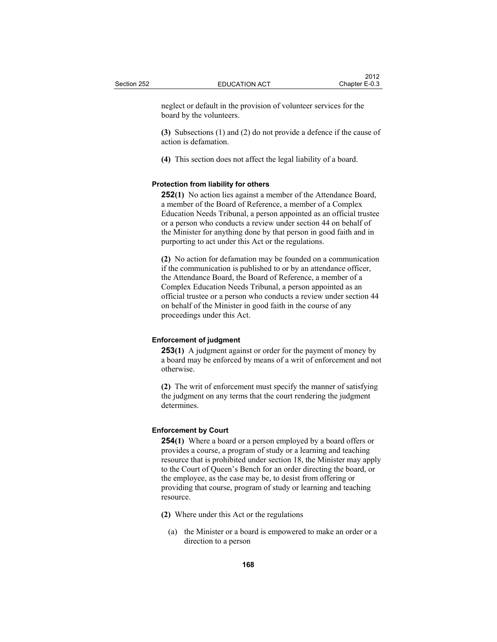neglect or default in the provision of volunteer services for the board by the volunteers.

**(3)** Subsections (1) and (2) do not provide a defence if the cause of action is defamation.

**(4)** This section does not affect the legal liability of a board.

### **Protection from liability for others**

**252(1)** No action lies against a member of the Attendance Board, a member of the Board of Reference, a member of a Complex Education Needs Tribunal, a person appointed as an official trustee or a person who conducts a review under section 44 on behalf of the Minister for anything done by that person in good faith and in purporting to act under this Act or the regulations.

**(2)** No action for defamation may be founded on a communication if the communication is published to or by an attendance officer, the Attendance Board, the Board of Reference, a member of a Complex Education Needs Tribunal, a person appointed as an official trustee or a person who conducts a review under section 44 on behalf of the Minister in good faith in the course of any proceedings under this Act.

### **Enforcement of judgment**

**253(1)** A judgment against or order for the payment of money by a board may be enforced by means of a writ of enforcement and not otherwise.

**(2)** The writ of enforcement must specify the manner of satisfying the judgment on any terms that the court rendering the judgment determines.

# **Enforcement by Court**

**254(1)** Where a board or a person employed by a board offers or provides a course, a program of study or a learning and teaching resource that is prohibited under section 18, the Minister may apply to the Court of Queen's Bench for an order directing the board, or the employee, as the case may be, to desist from offering or providing that course, program of study or learning and teaching resource.

- **(2)** Where under this Act or the regulations
	- (a) the Minister or a board is empowered to make an order or a direction to a person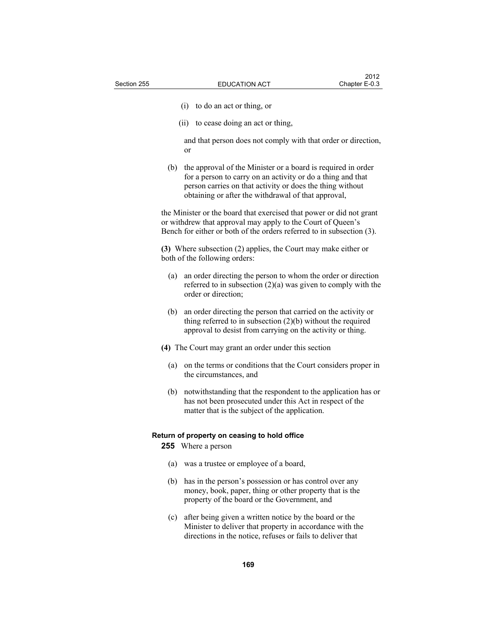- (i) to do an act or thing, or
- (ii) to cease doing an act or thing,

 and that person does not comply with that order or direction, or

 (b) the approval of the Minister or a board is required in order for a person to carry on an activity or do a thing and that person carries on that activity or does the thing without obtaining or after the withdrawal of that approval,

the Minister or the board that exercised that power or did not grant or withdrew that approval may apply to the Court of Queen's Bench for either or both of the orders referred to in subsection (3).

**(3)** Where subsection (2) applies, the Court may make either or both of the following orders:

- (a) an order directing the person to whom the order or direction referred to in subsection  $(2)(a)$  was given to comply with the order or direction;
- (b) an order directing the person that carried on the activity or thing referred to in subsection (2)(b) without the required approval to desist from carrying on the activity or thing.
- **(4)** The Court may grant an order under this section
	- (a) on the terms or conditions that the Court considers proper in the circumstances, and
	- (b) notwithstanding that the respondent to the application has or has not been prosecuted under this Act in respect of the matter that is the subject of the application.

#### **Return of property on ceasing to hold office**

**255** Where a person

- (a) was a trustee or employee of a board,
- (b) has in the person's possession or has control over any money, book, paper, thing or other property that is the property of the board or the Government, and
- (c) after being given a written notice by the board or the Minister to deliver that property in accordance with the directions in the notice, refuses or fails to deliver that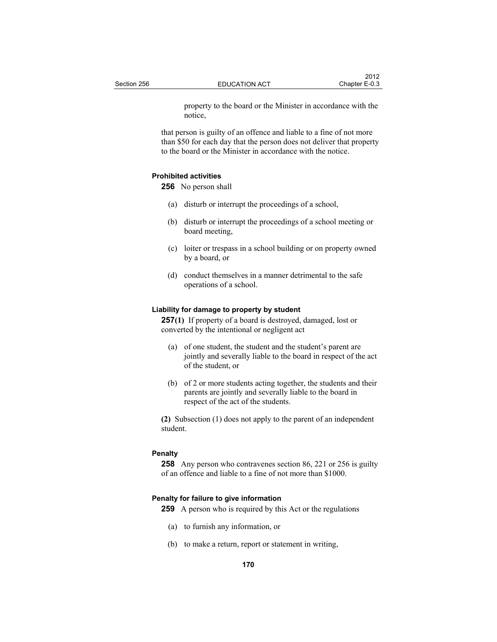property to the board or the Minister in accordance with the notice,

that person is guilty of an offence and liable to a fine of not more than \$50 for each day that the person does not deliver that property to the board or the Minister in accordance with the notice.

## **Prohibited activities**

**256** No person shall

- (a) disturb or interrupt the proceedings of a school,
- (b) disturb or interrupt the proceedings of a school meeting or board meeting,
- (c) loiter or trespass in a school building or on property owned by a board, or
- (d) conduct themselves in a manner detrimental to the safe operations of a school.

### **Liability for damage to property by student**

**257(1)** If property of a board is destroyed, damaged, lost or converted by the intentional or negligent act

- (a) of one student, the student and the student's parent are jointly and severally liable to the board in respect of the act of the student, or
- (b) of 2 or more students acting together, the students and their parents are jointly and severally liable to the board in respect of the act of the students.

**(2)** Subsection (1) does not apply to the parent of an independent student.

## **Penalty**

**258** Any person who contravenes section 86, 221 or 256 is guilty of an offence and liable to a fine of not more than \$1000.

### **Penalty for failure to give information**

**259** A person who is required by this Act or the regulations

- (a) to furnish any information, or
- (b) to make a return, report or statement in writing,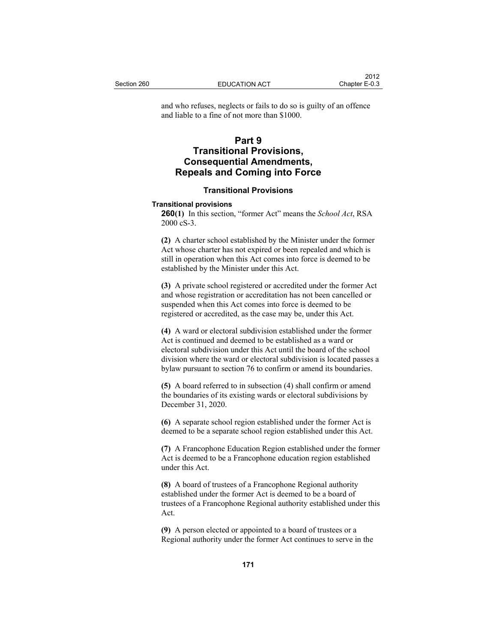and who refuses, neglects or fails to do so is guilty of an offence and liable to a fine of not more than \$1000.

# **Part 9 Transitional Provisions, Consequential Amendments, Repeals and Coming into Force**

## **Transitional Provisions**

### **Transitional provisions**

**260(1)** In this section, "former Act" means the *School Act*, RSA 2000 cS-3.

**(2)** A charter school established by the Minister under the former Act whose charter has not expired or been repealed and which is still in operation when this Act comes into force is deemed to be established by the Minister under this Act.

**(3)** A private school registered or accredited under the former Act and whose registration or accreditation has not been cancelled or suspended when this Act comes into force is deemed to be registered or accredited, as the case may be, under this Act.

**(4)** A ward or electoral subdivision established under the former Act is continued and deemed to be established as a ward or electoral subdivision under this Act until the board of the school division where the ward or electoral subdivision is located passes a bylaw pursuant to section 76 to confirm or amend its boundaries.

**(5)** A board referred to in subsection (4) shall confirm or amend the boundaries of its existing wards or electoral subdivisions by December 31, 2020.

**(6)** A separate school region established under the former Act is deemed to be a separate school region established under this Act.

**(7)** A Francophone Education Region established under the former Act is deemed to be a Francophone education region established under this Act.

**(8)** A board of trustees of a Francophone Regional authority established under the former Act is deemed to be a board of trustees of a Francophone Regional authority established under this Act.

**(9)** A person elected or appointed to a board of trustees or a Regional authority under the former Act continues to serve in the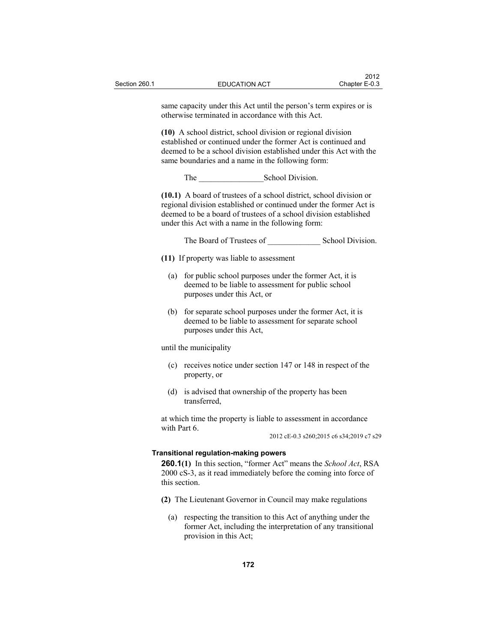|     | same capacity under this Act until the person's term expires or is<br>otherwise terminated in accordance with this Act.                                                                                                                                             |                                                       |  |  |
|-----|---------------------------------------------------------------------------------------------------------------------------------------------------------------------------------------------------------------------------------------------------------------------|-------------------------------------------------------|--|--|
|     | (10) A school district, school division or regional division<br>established or continued under the former Act is continued and<br>deemed to be a school division established under this Act with the<br>same boundaries and a name in the following form:           |                                                       |  |  |
|     |                                                                                                                                                                                                                                                                     |                                                       |  |  |
|     | (10.1) A board of trustees of a school district, school division or<br>regional division established or continued under the former Act is<br>deemed to be a board of trustees of a school division established<br>under this Act with a name in the following form: |                                                       |  |  |
|     |                                                                                                                                                                                                                                                                     |                                                       |  |  |
|     | (11) If property was liable to assessment                                                                                                                                                                                                                           |                                                       |  |  |
| (a) | for public school purposes under the former Act, it is<br>purposes under this Act, or                                                                                                                                                                               | deemed to be liable to assessment for public school   |  |  |
| (b) | for separate school purposes under the former Act, it is<br>purposes under this Act,                                                                                                                                                                                | deemed to be liable to assessment for separate school |  |  |
|     | until the municipality                                                                                                                                                                                                                                              |                                                       |  |  |
|     | (c) receives notice under section 147 or 148 in respect of the<br>property, or                                                                                                                                                                                      |                                                       |  |  |

 (d) is advised that ownership of the property has been transferred,

at which time the property is liable to assessment in accordance with Part 6.

2012 cE-0.3 s260;2015 c6 s34;2019 c7 s29

# **Transitional regulation-making powers**

**260.1(1)** In this section, "former Act" means the *School Act*, RSA 2000 cS-3, as it read immediately before the coming into force of this section.

- **(2)** The Lieutenant Governor in Council may make regulations
	- (a) respecting the transition to this Act of anything under the former Act, including the interpretation of any transitional provision in this Act;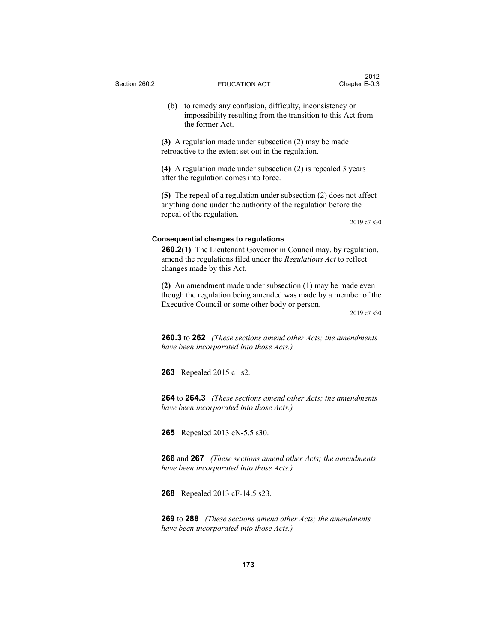(b) to remedy any confusion, difficulty, inconsistency or impossibility resulting from the transition to this Act from the former Act.

**(3)** A regulation made under subsection (2) may be made retroactive to the extent set out in the regulation.

**(4)** A regulation made under subsection (2) is repealed 3 years after the regulation comes into force.

**(5)** The repeal of a regulation under subsection (2) does not affect anything done under the authority of the regulation before the repeal of the regulation.

2019 c7 s30

#### **Consequential changes to regulations**

**260.2(1)** The Lieutenant Governor in Council may, by regulation, amend the regulations filed under the *Regulations Act* to reflect changes made by this Act.

**(2)** An amendment made under subsection (1) may be made even though the regulation being amended was made by a member of the Executive Council or some other body or person.

2019 c7 s30

**260.3** to **262** *(These sections amend other Acts; the amendments have been incorporated into those Acts.)*

**263** Repealed 2015 c1 s2.

**264** to **264.3** *(These sections amend other Acts; the amendments have been incorporated into those Acts.)* 

**265** Repealed 2013 cN-5.5 s30.

**266** and **267** *(These sections amend other Acts; the amendments have been incorporated into those Acts.)*

**268** Repealed 2013 cF-14.5 s23.

**269** to **288** *(These sections amend other Acts; the amendments have been incorporated into those Acts.)*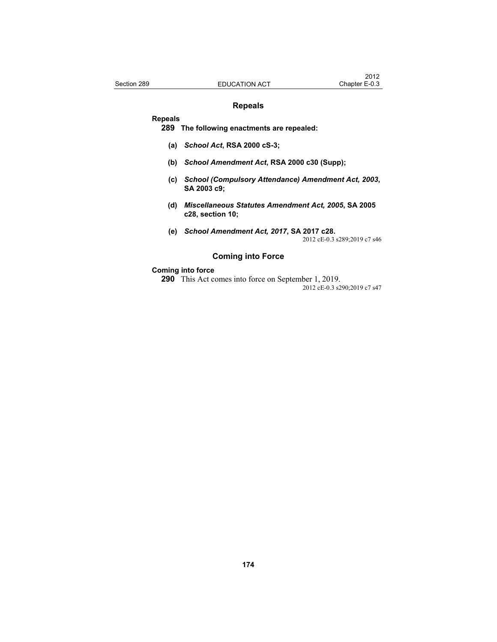# **Repeals**

#### **Repeals**

**289 The following enactments are repealed:**

- **(a)** *School Act***, RSA 2000 cS-3;**
- **(b)** *School Amendment Act***, RSA 2000 c30 (Supp);**
- **(c)** *School (Compulsory Attendance) Amendment Act, 2003***, SA 2003 c9;**
- **(d)** *Miscellaneous Statutes Amendment Act, 2005***, SA 2005 c28, section 10;**
- **(e)** *School Amendment Act, 2017***, SA 2017 c28.**  2012 cE-0.3 s289;2019 c7 s46

# **Coming into Force**

# **Coming into force**

**290** This Act comes into force on September 1, 2019. 2012 cE-0.3 s290;2019 c7 s47